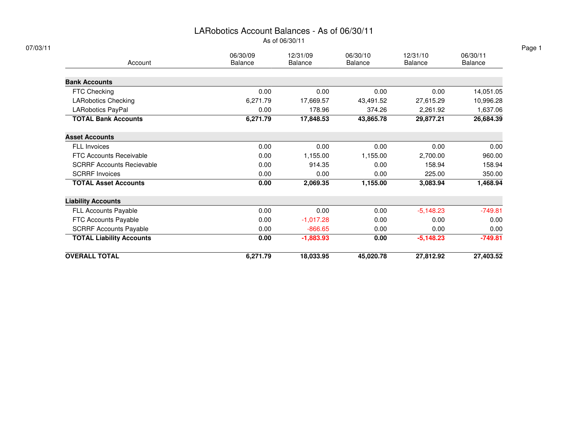### LARobotics Account Balances - As of 06/30/11

As of 06/30/11

|                                  | 06/30/09 | 12/31/09       | 06/30/10       | 12/31/10       | 06/30/11       |
|----------------------------------|----------|----------------|----------------|----------------|----------------|
| Account                          | Balance  | <b>Balance</b> | <b>Balance</b> | <b>Balance</b> | <b>Balance</b> |
| <b>Bank Accounts</b>             |          |                |                |                |                |
| FTC Checking                     | 0.00     | 0.00           | 0.00           | 0.00           | 14,051.05      |
| <b>LARobotics Checking</b>       | 6,271.79 | 17,669.57      | 43,491.52      | 27,615.29      | 10,996.28      |
| LARobotics PayPal                | 0.00     | 178.96         | 374.26         | 2,261.92       | 1,637.06       |
| <b>TOTAL Bank Accounts</b>       | 6,271.79 | 17,848.53      | 43,865.78      | 29,877.21      | 26,684.39      |
| <b>Asset Accounts</b>            |          |                |                |                |                |
| <b>FLL Invoices</b>              | 0.00     | 0.00           | 0.00           | 0.00           | 0.00           |
| FTC Accounts Receivable          | 0.00     | 1,155.00       | 1,155.00       | 2,700.00       | 960.00         |
| <b>SCRRF Accounts Recievable</b> | 0.00     | 914.35         | 0.00           | 158.94         | 158.94         |
| <b>SCRRF Invoices</b>            | 0.00     | 0.00           | 0.00           | 225.00         | 350.00         |
| <b>TOTAL Asset Accounts</b>      | 0.00     | 2,069.35       | 1,155.00       | 3,083.94       | 1,468.94       |
| <b>Liability Accounts</b>        |          |                |                |                |                |
| <b>FLL Accounts Payable</b>      | 0.00     | 0.00           | 0.00           | $-5,148.23$    | $-749.81$      |
| FTC Accounts Payable             | 0.00     | $-1,017.28$    | 0.00           | 0.00           | 0.00           |
| <b>SCRRF Accounts Payable</b>    | 0.00     | $-866.65$      | 0.00           | 0.00           | 0.00           |
| <b>TOTAL Liability Accounts</b>  | 0.00     | $-1,883.93$    | 0.00           | $-5,148.23$    | $-749.81$      |
| <b>OVERALL TOTAL</b>             | 6,271.79 | 18,033.95      | 45,020.78      | 27,812.92      | 27,403.52      |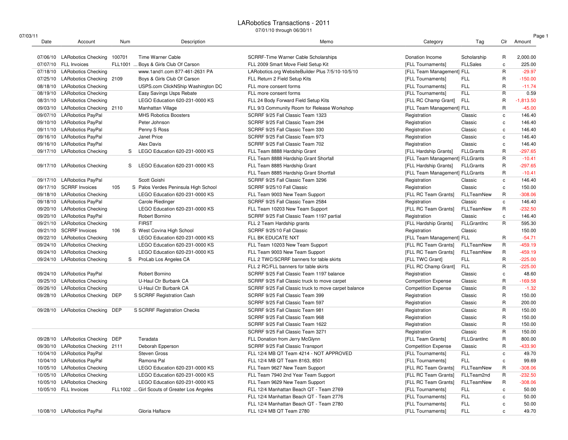#### LARobotics Transactions - 2011

07/01/10 through 06/30/11

| 07/03/11 |                                   |         |                                             |                                                      |                                 |                    |              | Page 1      |
|----------|-----------------------------------|---------|---------------------------------------------|------------------------------------------------------|---------------------------------|--------------------|--------------|-------------|
| Date     | Account                           | Num     | Description                                 | Memo                                                 | Category                        | Tag                | Clr          | Amount      |
|          | 07/06/10 LARobotics Checking      | 100701  | Time Warner Cable                           | SCRRF-Time Warner Cable Scholarships                 | Donation Income                 | Scholarship        | R            | 2,000.00    |
|          | 07/07/10 FLL Invoices             | FLL1001 | Boys & Girls Club Of Carson                 | FLL 2009 Smart Move Field Setup Kit                  | [FLL Tournaments]               | <b>FLLSales</b>    | c            | 225.00      |
|          | 07/18/10 LARobotics Checking      |         | www.1and1.com 877-461-2631 PA               | LARobotics.org WebsiteBuilder Plus 7/5/10-10/5/10    | [FLL Team Management] FLL       |                    | R            | $-29.97$    |
|          | 07/25/10 LARobotics Checking 2109 |         | Boys & Girls Club Of Carson                 | FLL Return 2 Field Setup Kits                        | [FLL Tournaments]               | <b>FLL</b>         | $\mathsf{R}$ | $-150.00$   |
|          | 08/18/10 LARobotics Checking      |         | USPS.com ClickNShip Washington DC           | FLL more consent forms                               | [FLL Tournaments]               | <b>FLL</b>         | R            | $-11.74$    |
|          | 08/19/10 LARobotics Checking      |         | Easy Savings Usps Rebate                    | FLL more consent forms                               | [FLL Tournaments]               | <b>FLL</b>         | R            | 0.59        |
|          | 08/31/10 LARobotics Checking      |         | LEGO Education 620-231-0000 KS              | FLL 24 Body Forward Field Setup Kits                 | [FLL RC Champ Grant]            | <b>FLL</b>         | $\mathsf{R}$ | $-1,813.50$ |
|          | 09/03/10 LARobotics Checking 2110 |         | Manhattan Village                           | FLL 9/3 Community Room for Release Workshop          | [FLL Team Management] FLL       |                    | $\mathsf{R}$ | $-45.00$    |
|          | 09/07/10 LARobotics PayPal        |         | <b>MHS Robotics Boosters</b>                | SCRRF 9/25 Fall Classic Team 1323                    | Registration                    | Classic            | $\mathtt{c}$ | 146.40      |
|          | 09/10/10 LARobotics PayPal        |         | Peter Johnson                               | SCRRF 9/25 Fall Classic Team 294                     | Registration                    | Classic            | c            | 146.40      |
|          | 09/11/10 LARobotics PayPal        |         | Penny S Ross                                | SCRRF 9/25 Fall Classic Team 330                     | Registration                    | Classic            | $\mathtt{c}$ | 146.40      |
|          | 09/16/10 LARobotics PayPal        |         | Janet Price                                 | SCRRF 9/25 Fall Classic Team 973                     | Registration                    | Classic            | $\mathtt{c}$ | 146.40      |
|          | 09/16/10 LARobotics PayPal        |         | Alex Davis                                  | SCRRF 9/25 Fall Classic Team 702                     | Registration                    | Classic            | c            | 146.40      |
|          | 09/17/10 LARobotics Checking      | S       | LEGO Education 620-231-0000 KS              | FLL Team 8888 Hardship Grant                         | [FLL Hardship Grants]           | <b>FLLGrants</b>   | $\mathsf{R}$ | $-297.65$   |
|          |                                   |         |                                             | FLL Team 8888 Hardship Grant Shorfall                | [FLL Team Management] FLLGrants |                    | $\mathsf{R}$ | $-10.41$    |
|          | 09/17/10 LARobotics Checking      | S       | LEGO Education 620-231-0000 KS              | FLL Team 8885 Hardship Grant                         | [FLL Hardship Grants]           | <b>FLLGrants</b>   | $\mathsf{R}$ | $-297.65$   |
|          |                                   |         |                                             | FLL Team 8885 Hardship Grant Shortfall               | [FLL Team Management] FLLGrants |                    | R            | $-10.41$    |
|          | 09/17/10 LARobotics PayPal        |         | Scott Goishi                                | SCRRF 9/25 Fall Classic Team 3296                    | Registration                    | Classic            | $\mathtt{c}$ | 146.40      |
|          | 09/17/10 SCRRF Invoices           | 105     | S Palos Verdes Peninsula High School        | SCRRF 9/25/10 Fall Classic                           | Registration                    | Classic            | c            | 150.00      |
|          | 09/18/10 LARobotics Checking      |         | LEGO Education 620-231-0000 KS              | FLL Team 9003 New Team Support                       | [FLL RC Team Grants]            | FLLTeamNew         | $\mathsf{R}$ | $-308.06$   |
|          | 09/18/10 LARobotics PayPal        |         | Carole Riedinger                            | SCRRF 9/25 Fall Classic Team 2584                    | Registration                    | Classic            | $\mathtt{c}$ | 146.40      |
|          | 09/20/10 LARobotics Checking      |         | LEGO Education 620-231-0000 KS              | FLL Team 10203 New Team Support                      | [FLL RC Team Grants]            | FLLTeamNew         | R            | $-232.50$   |
|          | 09/20/10 LARobotics PayPal        |         | Robert Bornino                              | SCRRF 9/25 Fall Classic Team 1197 partial            | Registration                    | Classic            | $\mathtt{c}$ | 146.40      |
|          | 09/21/10 LARobotics Checking      |         | <b>FIRST</b>                                | FLL 2 Team Hardship grants                           | [FLL Hardship Grants]           | <b>FLLGrantInc</b> | R            | 595.30      |
|          | 09/21/10 SCRRF Invoices           | 106     | S West Covina High School                   | SCRRF 9/25/10 Fall Classic                           | Registration                    | Classic            |              | 150.00      |
|          | 09/22/10 LARobotics Checking      |         | LEGO Education 620-231-0000 KS              | FLL BK EDUCATE NXT                                   | [FLL Team Management] FLL       |                    | R            | $-54.71$    |
|          | 09/24/10 LARobotics Checking      |         | LEGO Education 620-231-0000 KS              | FLL Team 10203 New Team Support                      | [FLL RC Team Grants]            | FLLTeamNew         | $\mathsf{R}$ | $-459.19$   |
|          | 09/24/10 LARobotics Checking      |         | LEGO Education 620-231-0000 KS              | FLL Team 9003 New Team Support                       | [FLL RC Team Grants]            | FLLTeamNew         | R            | $-459.19$   |
|          | 09/24/10 LARobotics Checking      | S       | ProLab Los Angeles CA                       | FLL 2 TWC/SCRRF banners for table skirts             | [FLL TWC Grant]                 | <b>FLL</b>         | $\mathsf{R}$ | $-225.00$   |
|          |                                   |         |                                             | FLL 2 RC/FLL banners for table skirts                | [FLL RC Champ Grant]            | <b>FLL</b>         | $\mathsf{R}$ | $-225.00$   |
|          | 09/24/10 LARobotics PayPal        |         | Robert Bornino                              | SCRRF 9/25 Fall Classic Team 1197 balance            | Registration                    | Classic            | c            | 48.60       |
|          | 09/25/10 LARobotics Checking      |         | U-Haul Ctr Burbank CA                       | SCRRF 9/25 Fall Classic truck to move carpet         | <b>Competition Expense</b>      | Classic            | $\mathsf{R}$ | $-169.58$   |
|          | 09/26/10 LARobotics Checking      |         | U-Haul Ctr Burbank CA                       | SCRRF 9/25 Fall Classic truck to move carpet balance | <b>Competition Expense</b>      | Classic            | $\mathsf{R}$ | $-1.32$     |
|          | 09/28/10 LARobotics Checking DEP  |         | S SCRRF Registration Cash                   | SCRRF 9/25 Fall Classic Team 399                     | Registration                    | Classic            | R            | 150.00      |
|          |                                   |         |                                             | SCRRF 9/25 Fall Classic Team 597                     | Registration                    | Classic            | $\mathsf{R}$ | 200.00      |
|          | 09/28/10 LARobotics Checking DEP  |         | S SCRRF Registration Checks                 | SCRRF 9/25 Fall Classic Team 981                     | Registration                    | Classic            | $\mathsf{R}$ | 150.00      |
|          |                                   |         |                                             | SCRRF 9/25 Fall Classic Team 968                     | Registration                    | Classic            | $\mathsf{R}$ | 150.00      |
|          |                                   |         |                                             | SCRRF 9/25 Fall Classic Team 1622                    | Registration                    | Classic            | $\mathsf{R}$ | 150.00      |
|          |                                   |         |                                             | SCRRF 9/25 Fall Classic Team 3271                    | Registration                    | Classic            | $\mathsf{R}$ | 150.00      |
|          | 09/28/10 LARobotics Checking      | DEP     | Teradata                                    | FLL Donation from Jerry McGlynn                      | [FLL Team Grants]               | <b>FLLGrantInc</b> | R            | 800.00      |
|          | 09/30/10 LARobotics Checking 2111 |         | Deborah Epperson                            | SCRRF 9/25 Fall Classic Transport                    | <b>Competition Expense</b>      | Classic            | $\mathsf{R}$ | $-433.90$   |
|          | 10/04/10 LARobotics PayPal        |         | Steven Gross                                | FLL 12/4 MB QT Team 4214 - NOT APPROVED              | [FLL Tournaments]               | <b>FLL</b>         | C            | 49.70       |
|          | 10/04/10 LARobotics PayPal        |         | Ramona Pal                                  | FLL 12/4 MB QT Team 8163, 8501                       | [FLL Tournaments]               | <b>FLL</b>         | c            | 99.69       |
|          | 10/05/10 LARobotics Checking      |         | LEGO Education 620-231-0000 KS              | FLL Team 9627 New Team Support                       | [FLL RC Team Grants]            | FLLTeamNew         | R            | $-308.06$   |
|          | 10/05/10 LARobotics Checking      |         | LEGO Education 620-231-0000 KS              | FLL Team 7940 2nd Year Team Support                  | [FLL RC Team Grants]            | FLLTeam2nd         | $\mathsf R$  | $-232.50$   |
|          | 10/05/10 LARobotics Checking      |         | LEGO Education 620-231-0000 KS              | FLL Team 9629 New Team Support                       | [FLL RC Team Grants]            | FLLTeamNew         | R            | $-308.06$   |
|          | 10/05/10 FLL Invoices             |         | FLL1002  Girl Scouts of Greater Los Angeles | FLL 12/4 Manhattan Beach QT - Team 2769              | [FLL Tournaments]               | FLL                | c            | 50.00       |
|          |                                   |         |                                             | FLL 12/4 Manhattan Beach QT - Team 2776              | [FLL Tournaments]               | <b>FLL</b>         | $\mathbf c$  | 50.00       |
|          |                                   |         |                                             | FLL 12/4 Manhattan Beach QT - Team 2780              | [FLL Tournaments]               | <b>FLL</b>         | c            | 50.00       |
|          | 10/08/10 LARobotics PayPal        |         | Gloria Halfacre                             | FLL 12/4 MB QT Team 2780                             | [FLL Tournaments]               | FLL                | c            | 49.70       |
|          |                                   |         |                                             |                                                      |                                 |                    |              |             |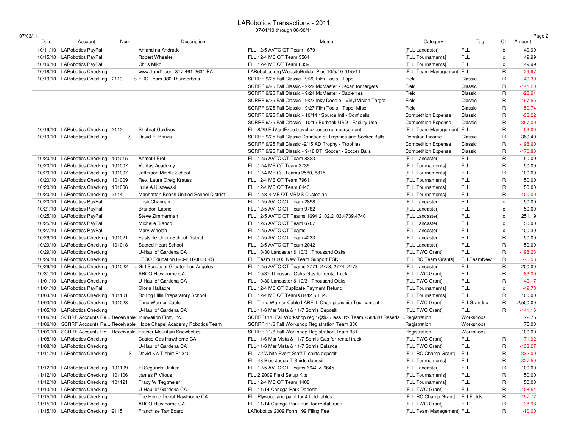#### LARobotics Transactions - 201107/01/10 through 06/30/11

| 07/03/11 |                                                     |            |                                                                         | 0//01/10 through 06/30/11                                        |                            |                  |              | Page 2    |
|----------|-----------------------------------------------------|------------|-------------------------------------------------------------------------|------------------------------------------------------------------|----------------------------|------------------|--------------|-----------|
| Date     | Account                                             | <b>Num</b> | Description                                                             | Memo                                                             | Category                   | Tag              | Clr          | Amount    |
|          | 10/11/10 LARobotics PayPal                          |            | Amandina Andrade                                                        | FLL 12/5 AVTC QT Team 1679                                       | [FLL Lancaster]            | <b>FLL</b>       | $\mathbf c$  | 49.99     |
|          | 10/15/10 LARobotics PayPal                          |            | <b>Robert Wheeler</b>                                                   | FLL 12/4 MB QT Team 5564                                         | [FLL Tournaments]          | <b>FLL</b>       | c            | 49.99     |
|          | 10/16/10 LARobotics PayPal                          |            | Chris Miko                                                              | FLL 12/4 MB QT Team 8339                                         | [FLL Tournaments]          | <b>FLL</b>       | C            | 49.99     |
|          | 10/18/10 LARobotics Checking                        |            | www.1and1.com 877-461-2631 PA                                           | LARobotics.org WebsiteBuilder Plus 10/5/10-01/5/11               | [FLL Team Management] FLL  |                  | R            | $-29.97$  |
|          | 10/19/10 LARobotics Checking 2113                   |            | S FRC Team 980 Thunderbots                                              | SCRRF 9/25 Fall Classic - 9/20 Film Tools - Tape                 | Field                      | Classic          | R            | $-40.39$  |
|          |                                                     |            |                                                                         | SCRRF 9/25 Fall Classic - 9/22 McMaster - Lexan for targets      | Field                      | Classic          | R            | $-141.20$ |
|          |                                                     |            |                                                                         | SCRRF 9/25 Fall Classic - 9/24 McMaster - Cable ties             | Field                      | Classic          | R            | $-28.91$  |
|          |                                                     |            |                                                                         | SCRRF 9/25 Fall Classic - 9/27 Inky Doodle - Vinyl Vision Target | Field                      | Classic          | R            | $-197.55$ |
|          |                                                     |            |                                                                         | SCRRF 9/25 Fall Classic - 9/27 Film Tools - Tape, Misc           | Field                      | Classic          | R            | $-150.74$ |
|          |                                                     |            |                                                                         | SCRRF 9/25 Fall Classic - 10/14 1Source Intl - Conf calls        | <b>Competition Expense</b> | Classic          | R            | $-38.22$  |
|          |                                                     |            |                                                                         | SCRRF 9/25 Fall Classic - 10/15 Burbank USD - Facility Use       | <b>Competition Expense</b> | Classic          | R            | $-357.00$ |
|          | 10/19/10 LARobotics Checking 2112                   |            | Shohrat Geldiyev                                                        | FLL 8/29 EdVantExpo travel expense reimbursement                 | [FLL Team Management] FLL  |                  | R            | $-53.00$  |
|          | 10/19/10 LARobotics Checking                        | S          | David E. Brinza                                                         | SCRRF 9/25 Fall Classic Donation of Trophies and Socker Balls    | Donation Income            | Classic          | R            | 369.40    |
|          |                                                     |            |                                                                         | SCRRF 9/25 Fall Classic -9/15 AD Trophy - Trophies               | <b>Competition Expense</b> | Classic          | R            | $-198.60$ |
|          |                                                     |            |                                                                         | SCRRF 9/25 Fall Classic - 9/18 DTI Soccer - Soccer Balls         | <b>Competition Expense</b> | Classic          | R            | $-170.80$ |
|          | 10/20/10 LARobotics Checking                        | 101015     | Ahmet I Erol                                                            | FLL 12/5 AVTC QT Team 8323                                       | [FLL Lancaster]            | <b>FLL</b>       | R            | 50.00     |
|          | 10/20/10 LARobotics Checking                        | 101007     | Veritas Academy                                                         | FLL 12/4 MB QT Team 3736                                         | [FLL Tournaments]          | <b>FLL</b>       | R            | 50.00     |
|          | 10/20/10 LARobotics Checking                        | 101007     | Jefferson Middle School                                                 | FLL 12/4 MB QT Teams 2580, 8815                                  | [FLL Tournaments]          | <b>FLL</b>       | R            | 100.00    |
|          | 10/20/10 LARobotics Checking                        | 101009     | Rev. Laura Greig Krauss                                                 | FLL 12/4 MB QT Team 7961                                         | [FLL Tournaments]          | <b>FLL</b>       | $\sf R$      | 50.00     |
|          | 10/20/10 LARobotics Checking                        | 101006     | Julie A Kliszewski                                                      | FLL 12/4 MB QT Team 8440                                         | [FLL Tournaments]          | <b>FLL</b>       | $\mathsf R$  | 50.00     |
|          | 10/20/10 LARobotics Checking 2114                   |            | Manhattan Beach Unified School District                                 | FLL 12/3-4 MB QT MBMS Custodian                                  | [FLL Tournaments]          | <b>FLL</b>       | R            | $-400.00$ |
|          | 10/20/10 LARobotics PayPal                          |            | Trish Channan                                                           | FLL 12/5 AVTC QT Team 2898                                       | [FLL Lancaster]            | <b>FLL</b>       | $\mathbf c$  | 50.00     |
|          | 10/21/10 LARobotics PayPal                          |            | <b>Brandon Labrie</b>                                                   | FLL 12/5 AVTC QT Team 9782                                       | [FLL Lancaster]            | <b>FLL</b>       | c            | 50.00     |
|          | 10/25/10 LARobotics PayPal                          |            | Steve Zimmerman                                                         | FLL 12/5 AVTC QT Teams 1694,2102,2103,4739,4740                  | [FLL Lancaster]            | <b>FLL</b>       | C            | 251.19    |
|          | 10/25/10 LARobotics PayPal                          |            | Michelle Bianco                                                         | FLL 12/5 AVTC QT Team 6707                                       | [FLL Lancaster]            | <b>FLL</b>       | $\mathbf c$  | 50.00     |
|          | 10/27/10 LARobotics PayPal                          |            | Mary Whelan                                                             | FLL 12/5 AVTC QT Teams                                           | [FLL Lancaster]            | <b>FLL</b>       | c            | 100.30    |
|          | 10/29/10 LARobotics Checking                        | 101021     | Eastside Union School District                                          | FLL 12/5 AVTC QT Team 4233                                       | [FLL Lancaster]            | <b>FLL</b>       | R            | 50.00     |
|          | 10/29/10 LARobotics Checking                        | 101018     | Sacred Heart School                                                     | FLL 12/5 AVTC QT Team 2042                                       | [FLL Lancaster]            | <b>FLL</b>       | R            | 50.00     |
|          | 10/29/10 LARobotics Checking                        |            | U-Haul of Gardena CA                                                    | FLL 10/30 Lancaster & 10/31 Thousand Oaks                        | [FLL TWC Grant]            | <b>FLL</b>       | R            | $-198.23$ |
|          | 10/29/10 LARobotics Checking                        |            | LEGO Education 620-231-0000 KS                                          | FLL Team 10203 New Team Support FSK                              | [FLL RC Team Grants]       | FLLTeamNew       | R            | $-75.56$  |
|          | 10/29/10 LARobotics Checking                        | 101022     | Girl Scouts of Greater Los Angeles                                      | FLL 12/5 AVTC QT Teams 2771, 2773, 2774, 2778                    | [FLL Lancaster]            | <b>FLL</b>       | $\sf R$      | 200.00    |
|          | 10/31/10 LARobotics Checking                        |            | ARCO Hawthorne CA                                                       | FLL 10/31 Thousand Oaks Gas for rental truck                     | [FLL TWC Grant]            | <b>FLL</b>       | $\mathsf R$  | $-83.09$  |
|          | 11/01/10 LARobotics Checking                        |            | U-Haul of Gardena CA                                                    | FLL 10/30 Lancaster & 10/31 Thousand Oaks                        | [FLL TWC Grant]            | <b>FLL</b>       | R            | $-49.17$  |
|          | 11/01/10 LARobotics PayPal                          |            | Gloria Halfacre                                                         | FLL 12/4 MB QT Duplicate Payment Refund                          | [FLL Tournaments]          | <b>FLL</b>       | $\mathbf c$  | $-49.70$  |
| 11/03/10 | <b>LARobotics Checking</b>                          | 101101     | Rolling HIIIs Preparatory School                                        | FLL 12/4 MB QT Teams 8442 & 8643                                 | [FLL Tournaments]          | <b>FLL</b>       | $\mathsf{R}$ | 100.00    |
|          | 11/03/10 LARobotics Checking                        | 101028     | Time Warner Cable                                                       | FLL Time Warner Cable LARFLL Championshiip Tournament            | [FLL TWC Grant]            | FLLGrantInc      | R            | 2,500.00  |
|          | 11/05/10 LARobotics Checking                        |            | U-Haul of Gardena CA                                                    | FLL 11/6 Mar Vista & 11/7 Somis Deposit                          | [FLL TWC Grant]            | <b>FLL</b>       | $\mathsf R$  | $-141.16$ |
| 11/06/10 | SCRRF Accounts Re Receivable Innovation First, Inc. |            |                                                                         | SCRRF11/6 Fall Workshop reg 1@\$75 less 3% Team 2584/20 Reseda.  | Registration               | Workshops        |              | 72.75     |
|          |                                                     |            | 11/06/10 SCRRF Accounts Re Receivable Hope Chapel Academy Robotics Team | SCRRF 11/6 Fall Workshop Registration Team 330                   | Registration               | Workshops        |              | 75.00     |
|          |                                                     |            | 11/06/10 SCRRF Accounts Re Receivable Frazier Mountain Snowbotics       | SCRRF 11/6 Fall Workshop Registration Team 981                   | Registration               | Workshops        |              | 100.00    |
| 11/08/10 | <b>LARobotics Checking</b>                          |            | Costco Gas Hawthorne CA                                                 | FLL 11/6 Mar Vista & 11/7 Somis Gas for rental truck             | [FLL TWC Grant]            | <b>FLL</b>       | R            | $-71.92$  |
|          | 11/08/10 LARobotics Checking                        |            | U-Haul of Gardena CA                                                    | FLL 11/6 Mar Vista & 11/7 Somis Balance                          | [FLL TWC Grant]            | <b>FLL</b>       | R            | $-133.27$ |
|          | 11/11/10 LARobotics Checking                        | S          | David K's T-shirt Pr 310                                                | FLL 72 White Event Staff T-shirts deposit                        | [FLL RC Champ Grant]       | <b>FLL</b>       | R            | $-332.00$ |
|          |                                                     |            |                                                                         | FLL 48 Blue Judge T-Shirts deposit                               | [FLL Tournaments]          | FLL              | R            | $-327.59$ |
|          | 11/12/10 LARobotics Checking 101109                 |            | El Segundo Unified                                                      | FLL 12/5 AVTC QT Teams 6642 & 6645                               | [FLL Lancaster]            | <b>FLL</b>       | R            | 100.00    |
|          | 11/12/10 LARobotics Checking                        | 101106     | James P Vitous                                                          | FLL 2 2009 Field Setup Kits                                      | [FLL Tournaments]          | FLL              | $\mathsf R$  | 150.00    |
|          | 11/12/10 LARobotics Checking 101121                 |            | Tracy W Tegtmeier                                                       | FLL 12/4 MB QT Team 1408                                         | [FLL Tournaments]          | FLL              | R            | 50.00     |
|          | 11/13/10 LARobotics Checking                        |            | U-Haul of Gardena CA                                                    | FLL 11/14 Canoga Park Deposit                                    | [FLL TWC Grant]            | <b>FLL</b>       | R            | $-108.54$ |
|          | 11/15/10 LARobotics Checking                        |            | The Home Depot Hawthorne CA                                             | FLL Plywood and paint for 4 field tables                         | [FLL RC Champ Grant]       | <b>FLLFields</b> | R            | $-157.77$ |
| 11/15/10 | <b>LARobotics Checking</b>                          |            | ARCO Hawthorne CA                                                       | FLL 11/14 Canoga Park Fuel for rental truck                      | [FLL TWC Grant]            | FLL              | R            | $-38.98$  |
|          | 11/15/10 LARobotics Checking 2115                   |            | Franchise Tax Board                                                     | LARobotics 2009 Form 199 Filing Fee                              | [FLL Team Management] FLL  |                  | R            | $-10.00$  |
|          |                                                     |            |                                                                         |                                                                  |                            |                  |              |           |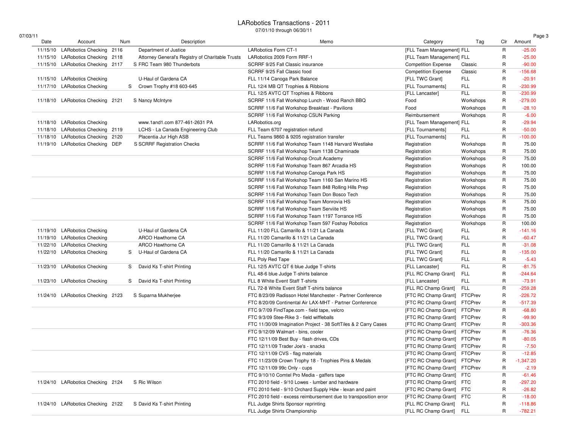#### LARobotics Transactions - 201107/01/10 through 06/30/11

07/0

| 03/11    |                                   |     |   |                                                  |                                                                  |                              |                |             | Page 3      |
|----------|-----------------------------------|-----|---|--------------------------------------------------|------------------------------------------------------------------|------------------------------|----------------|-------------|-------------|
| Date     | Account                           | Num |   | Description                                      | Memo                                                             | Category                     | Tag            | Clr         | Amount      |
| 11/15/10 | LARobotics Checking 2116          |     |   | Department of Justice                            | <b>LARobotics Form CT-1</b>                                      | [FLL Team Management] FLL    |                | R           | $-25.00$    |
| 11/15/10 | LARobotics Checking 2118          |     |   | Attorney General's Registry of Charitable Trusts | LARobotics 2009 Form RRF-1                                       | [FLL Team Management] FLL    |                | R           | $-25.00$    |
|          | 11/15/10 LARobotics Checking 2117 |     |   | S FRC Team 980 Thunderbots                       | SCRRF 9/25 Fall Classic insurance                                | <b>Competition Expense</b>   | Classic        | R           | $-90.00$    |
|          |                                   |     |   |                                                  | SCRRF 9/25 Fall Classic food                                     | <b>Competition Expense</b>   | Classic        | R           | $-156.68$   |
|          | 11/15/10 LARobotics Checking      |     |   | U-Haul of Gardena CA                             | FLL 11/14 Canoga Park Balance                                    | [FLL TWC Grant]              | FLL            | R           | $-20.91$    |
|          | 11/17/10 LARobotics Checking      |     | S | Crown Trophy #18 603-645                         | FLL 12/4 MB QT Trophies & Ribbions                               | [FLL Tournaments]            | <b>FLL</b>     | R           | $-230.99$   |
|          |                                   |     |   |                                                  | FLL 12/5 AVTC QT Trophies & Ribbons                              | [FLL Lancaster]              | <b>FLL</b>     | R           | $-230.99$   |
|          | 11/18/10 LARobotics Checking 2121 |     |   | S Nancy McIntyre                                 | SCRRF 11/6 Fall Workshop Lunch - Wood Ranch BBQ                  | Food                         | Workshops      | R           | $-279.00$   |
|          |                                   |     |   |                                                  | SCRRF 11/6 Fall Workshop Breakfast - Pavilions                   | Food                         | Workshops      | R           | $-28.10$    |
|          |                                   |     |   |                                                  | SCRRF 11/6 Fall Workshop CSUN Parking                            | Reimbursement                | Workshops      | $\mathsf R$ | $-6.00$     |
|          | 11/18/10 LARobotics Checking      |     |   | www.1and1.com 877-461-2631 PA                    | LARobotics.org                                                   | [FLL Team Management] FLL    |                | R           | $-29.94$    |
|          | 11/18/10 LARobotics Checking 2119 |     |   | LCHS - La Canada Engineering Club                | FLL Team 6707 registration refund                                | [FLL Tournaments]            | <b>FLL</b>     | R           | $-50.00$    |
|          | 11/18/10 LARobotics Checking 2120 |     |   | Placentia Jur High ASB                           | FLL Teams 9860 & 9205 registration transfer                      | [FLL Tournaments]            | <b>FLL</b>     | R           | $-100.00$   |
|          | 11/19/10 LARobotics Checking DEP  |     |   | S SCRRF Registration Checks                      | SCRRF 11/6 Fall Workshop Team 1148 Harvard Westlake              | Registration                 | Workshops      | R           | 75.00       |
|          |                                   |     |   |                                                  | SCRRF 11/6 Fall Workshop Team 1138 Chaminade                     | Registration                 | Workshops      | R           | 75.00       |
|          |                                   |     |   |                                                  | SCRRF 11/6 Fall Workshop Orcult Academy                          | Registration                 | Workshops      | R           | 75.00       |
|          |                                   |     |   |                                                  | SCRRF 11/6 Fall Workshop Team 867 Arcadia HS                     | Registration                 | Workshops      | R           | 100.00      |
|          |                                   |     |   |                                                  | SCRRF 11/6 Fall Workshop Canoga Park HS                          | Registration                 | Workshops      | R           | 75.00       |
|          |                                   |     |   |                                                  | SCRRF 11/6 Fall Workshop Team 1160 San Marino HS                 | Registration                 | Workshops      | R           | 75.00       |
|          |                                   |     |   |                                                  | SCRRF 11/6 Fall Workshop Team 848 Rolling Hills Prep             | Registration                 | Workshops      | R           | 75.00       |
|          |                                   |     |   |                                                  | SCRRF 11/6 Fall Workshop Team Don Bosco Tech                     | Registration                 | Workshops      | R           | 75.00       |
|          |                                   |     |   |                                                  | SCRRF 11/6 Fall Workshop Team Monrovia HS                        | Registration                 | Workshops      | R           | 75.00       |
|          |                                   |     |   |                                                  | SCRRF 11/6 Fall Workshop Team Serviite HS                        | Registration                 | Workshops      | R           | 75.00       |
|          |                                   |     |   |                                                  | SCRRF 11/6 Fall Workshop Team 1197 Torrance HS                   | Registration                 | Workshops      | R           | 75.00       |
|          |                                   |     |   |                                                  | SCRRF 11/6 Fall Workshop Team 597 Foshay Robotics                | Registration                 | Workshops      | R           | 100.00      |
|          | 11/19/10 LARobotics Checking      |     |   | U-Haul of Gardena CA                             | FLL 11/20 FLL Camarillo & 11/21 La Canada                        | [FLL TWC Grant]              | <b>FLL</b>     | R           | $-141.16$   |
|          | 11/19/10 LARobotics Checking      |     |   | ARCO Hawthorne CA                                | FLL 11/20 Camarillo & 11/21 La Canada                            | [FLL TWC Grant]              | <b>FLL</b>     | R           | $-60.47$    |
|          | 11/22/10 LARobotics Checking      |     |   | ARCO Hawthorne CA                                | FLL 11/20 Camarillo & 11/21 La Canada                            | [FLL TWC Grant]              | FLL            | R           | $-31.08$    |
|          | 11/22/10 LARobotics Checking      |     | S | U-Haul of Gardena CA                             | FLL 11/20 Camarillo & 11/21 La Canada                            | [FLL TWC Grant]              | <b>FLL</b>     | R           | $-135.00$   |
|          |                                   |     |   |                                                  | FLL Poly Red Tape                                                | [FLL TWC Grant]              | <b>FLL</b>     | R           | $-5.43$     |
| 11/23/10 | <b>LARobotics Checking</b>        |     | S | David Ks T-shirt Printing                        | FLL 12/5 AVTC QT 6 blue Judge T-shirts                           | [FLL Lancaster]              | <b>FLL</b>     | R           | $-81.75$    |
|          |                                   |     |   |                                                  | FLL 48-6 blue Judge T-shirts balance                             | [FLL RC Champ Grant]         | <b>FLL</b>     | R           | $-244.64$   |
|          | 11/23/10 LARobotics Checking      |     |   |                                                  | FLL 8 White Event Staff T-shirts                                 | [FLL Lancaster]              | <b>FLL</b>     | R           | $-73.91$    |
|          |                                   |     |   | S David Ks T-shirt Printing                      | FLL 72-8 White Event Staff T-shirts balance                      | [FLL RC Champ Grant]         | <b>FLL</b>     | R           | $-259.28$   |
|          |                                   |     |   |                                                  | FTC 8/23/09 Radisson Hotel Manchester - Partner Conference       |                              | <b>FTCPrev</b> | R           | $-226.72$   |
|          | 11/24/10 LARobotics Checking 2123 |     |   | S Suparna Mukherjee                              | FTC 8/20/09 Continental Air LAX-MHT - Partner Conference         | [FTC RC Champ Grant]         | <b>FTCPrev</b> | R           | $-517.39$   |
|          |                                   |     |   |                                                  |                                                                  | [FTC RC Champ Grant]         |                | R           |             |
|          |                                   |     |   |                                                  | FTC 9/7/09 Find Tape.com - field tape, velcro                    | [FTC RC Champ Grant] FTCPrev |                | R           | $-68.80$    |
|          |                                   |     |   |                                                  | FTC 9/3/09 Stee-Rike 3 - field wiffleballs                       | [FTC RC Champ Grant]         | <b>FTCPrev</b> |             | $-99.90$    |
|          |                                   |     |   |                                                  | FTC 11/30/09 Imagination Project - 38 SoftTiles & 2 Carry Cases  | [FTC RC Champ Grant]         | <b>FTCPrev</b> | R           | $-303.36$   |
|          |                                   |     |   |                                                  | FTC 9/12/09 Walmart - bins, cooler                               | [FTC RC Champ Grant] FTCPrev |                | $\mathsf R$ | $-76.36$    |
|          |                                   |     |   |                                                  | FTC 12/11/09 Best Buy - flash drives, CDs                        | [FTC RC Champ Grant]         | <b>FTCPrev</b> | R           | $-80.05$    |
|          |                                   |     |   |                                                  | FTC 12/11/09 Trader Joe's - snacks                               | [FTC RC Champ Grant]         | <b>FTCPrev</b> | R           | $-7.50$     |
|          |                                   |     |   |                                                  | FTC 12/11/09 CVS - flag materials                                | [FTC RC Champ Grant] FTCPrev |                | R           | $-12.85$    |
|          |                                   |     |   |                                                  | FTC 11/23/09 Crown Trophy 18 - Trophies Pins & Medals            | [FTC RC Champ Grant] FTCPrev |                | R           | $-1,347.20$ |
|          |                                   |     |   |                                                  | FTC 12/11/09 99c Only - cups                                     | [FTC RC Champ Grant] FTCPrev |                | R           | $-2.19$     |
|          |                                   |     |   |                                                  | FTC 9/10/10 Comtel Pro Media - gaffers tape                      | [FTC RC Champ Grant] FTC     |                | R           | $-61.46$    |
|          | 11/24/10 LARobotics Checking 2124 |     |   | S Ric Wilson                                     | FTC 2010 field - 9/10 Lowes - lumber and hardware                | [FTC RC Champ Grant] FTC     |                | R           | $-297.20$   |
|          |                                   |     |   |                                                  | FTC 2010 field - 9/10 Orchard Supply Hdw - lexan and paint       | [FTC RC Champ Grant] FTC     |                | R           | $-26.82$    |
|          |                                   |     |   |                                                  | FTC 2010 field - excess reimbursement due to transposition error | [FTC RC Champ Grant] FTC     |                | $\mathsf R$ | $-18.00$    |
|          | 11/24/10 LARobotics Checking 2122 |     |   | S David Ks T-shirt Printing                      | FLL Judge Shirts Sponsor reprinting                              | [FLL RC Champ Grant] FLL     |                | R           | $-118.86$   |
|          |                                   |     |   |                                                  | FLL Judge Shirts Championship                                    | [FLL RC Champ Grant] FLL     |                | R           | $-782.21$   |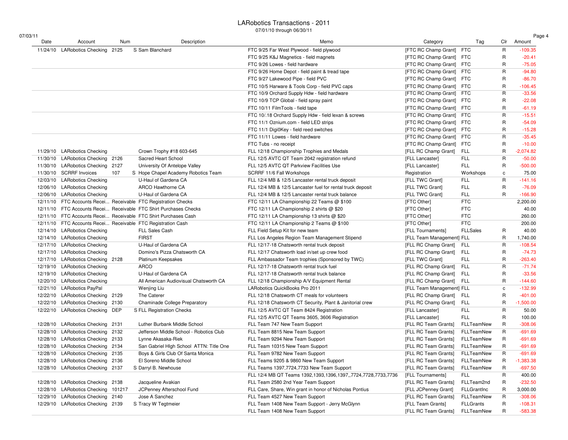#### LARobotics Transactions - 2011

07/01/10 through 06/30/11

| Date                       | Account<br>11/24/10 LARobotics Checking 2125                           | Num | Description                                                       | Memo                                                                | Category                  | Tag              | Clr          | Amount      |
|----------------------------|------------------------------------------------------------------------|-----|-------------------------------------------------------------------|---------------------------------------------------------------------|---------------------------|------------------|--------------|-------------|
|                            |                                                                        |     | S Sam Blanchard                                                   | FTC 9/25 Far West Plywood - field plywood                           | [FTC RC Champ Grant] FTC  |                  | $\mathsf{R}$ | -109.35     |
|                            |                                                                        |     |                                                                   | FTC 9/25 K&J Magnetics - field magnets                              | [FTC RC Champ Grant]      | FTC              | R            | $-20.41$    |
|                            |                                                                        |     |                                                                   | FTC 9/26 Lowes - field hardware                                     | [FTC RC Champ Grant] FTC  |                  | R            | $-75.05$    |
|                            |                                                                        |     |                                                                   | FTC 9/26 Home Depot - field paint & tread tape                      | [FTC RC Champ Grant]      | FTC              | R            | $-94.80$    |
|                            |                                                                        |     |                                                                   | FTC 9/27 Lakewood Pipe - field PVC                                  | [FTC RC Champ Grant] FTC  |                  | R            | $-86.70$    |
|                            |                                                                        |     |                                                                   |                                                                     |                           |                  | R            | $-106.45$   |
|                            |                                                                        |     |                                                                   | FTC 10/5 Harware & Tools Corp - field PVC caps                      | [FTC RC Champ Grant] FTC  |                  | R            | $-33.56$    |
|                            |                                                                        |     |                                                                   | FTC 10/9 Orchard Supply Hdw - field hardware                        | [FTC RC Champ Grant]      | FTC              |              |             |
|                            |                                                                        |     |                                                                   | FTC 10/9 TCP Global - field spray paint                             | [FTC RC Champ Grant] FTC  |                  | R            | $-22.08$    |
|                            |                                                                        |     |                                                                   | FTC 10/11 FilmTools - field tape                                    | [FTC RC Champ Grant] FTC  |                  | R            | $-61.19$    |
|                            |                                                                        |     |                                                                   | FTC 10/.18 Orchard Supply Hdw - field lexan & screws                | [FTC RC Champ Grant]      | <b>FTC</b>       | R            | $-15.51$    |
|                            |                                                                        |     |                                                                   | FTC 11/1 Oznium.com - field LED strips                              | [FTC RC Champ Grant] FTC  |                  | R            | $-54.09$    |
|                            |                                                                        |     |                                                                   | FTC 11/1 Digi0Key - field reed switches                             | [FTC RC Champ Grant]      | FTC              | R            | $-15.28$    |
|                            |                                                                        |     |                                                                   | FTC 11/11 Lowes - field hardware                                    | [FTC RC Champ Grant]      | <b>FTC</b>       | R            | $-35.45$    |
|                            |                                                                        |     |                                                                   | FTC Tubs - no receipt                                               | [FTC RC Champ Grant]      | FTC              | R            | $-10.00$    |
|                            | 11/29/10 LARobotics Checking                                           |     | Crown Trophy #18 603-645                                          | FLL 12/18 Championship Trophies and Medals                          | [FLL RC Champ Grant]      | <b>FLL</b>       | $\mathsf{R}$ | $-2,074.82$ |
|                            | 11/30/10 LARobotics Checking 2126                                      |     | Sacred Heart School                                               | FLL 12/5 AVTC QT Team 2042 registration refund                      | [FLL Lancaster]           | <b>FLL</b>       | R            | $-50.00$    |
|                            | 11/30/10 LARobotics Checking 2127                                      |     | University Of Antelope Valley                                     | FLL 12/5 AVTC QT Parkview Facilities Use                            | [FLL Lancaster]           | <b>FLL</b>       | R            | $-500.00$   |
| 11/30/10 SCRRF Invoices    |                                                                        | 107 | S Hope Chapel Academy Robotics Team                               | SCRRF 11/6 Fall Workshops                                           | Registration              | Workshops        | c            | 75.00       |
|                            | 12/03/10 LARobotics Checking                                           |     | U-Haul of Gardena CA                                              | FLL 12/4 MB & 12/5 Lancaster rental truck deposit                   | [FLL TWC Grant]           | FLL              | $\mathsf{R}$ | $-141.16$   |
|                            | 12/06/10 LARobotics Checking                                           |     | ARCO Hawthorne CA                                                 | FLL 12/4 MB & 12/5 Lancaster fuel for rental truck deposit          | [FLL TWC Grant]           | <b>FLL</b>       | R            | $-76.09$    |
|                            | 12/06/10 LARobotics Checking                                           |     | U-Haul of Gardena CA                                              | FLL 12/4 MB & 12/5 Lancaster rental truck balance                   | [FLL TWC Grant]           | FLL              | $\mathsf{R}$ | $-166.90$   |
|                            |                                                                        |     | 12/11/10 FTC Accounts Recei Receivable FTC Registration Checks    | FTC 12/11 LA Championship 22 Teams @ \$100                          | [FTC Other]               | <b>FTC</b>       |              | 2,200.00    |
|                            |                                                                        |     | 12/11/10 FTC Accounts Recei Receivable FTC Shirt Purchases Checks | FTC 12/11 LA Championship 2 shirts @ \$20                           | [FTC Other]               | <b>FTC</b>       |              | 40.00       |
|                            |                                                                        |     | 12/11/10 FTC Accounts Recei Receivable FTC Shirt Purchases Cash   | FTC 12/11 LA Championship 13 shirts @ \$20                          | [FTC Other]               | <b>FTC</b>       |              | 260.00      |
|                            |                                                                        |     | 12/11/10 FTC Accounts Recei Receivable FTC Registration Cash      | FTC 12/11 LA Championship 2 Teams @ \$100                           | [FTC Other]               | <b>FTC</b>       |              | 200.00      |
|                            | 12/14/10 LARobotics Checking                                           |     | <b>FLL Sales Cash</b>                                             | FLL Field Setup Kit for new team                                    | [FLL Tournaments]         | <b>FLLSales</b>  | R            | 40.00       |
|                            | 12/14/10 LARobotics Checking                                           |     | <b>FIRST</b>                                                      | FLL Los Angeles Region Team Management Stipend                      | [FLL Team Management] FLL |                  | R            | 1,740.00    |
|                            | 12/17/10 LARobotics Checking                                           |     | U-Haul of Gardena CA                                              | FLL 12/17-18 Chatsworth rental truck deposit                        | [FLL RC Champ Grant]      | <b>FLL</b>       | R            | $-108.54$   |
|                            | 12/17/10 LARobotics Checking                                           |     | Domino's Pizza Chatsworth CA                                      | FLL 12/17 Chatsworth load in/set up crew food                       | [FLL RC Champ Grant]      | <b>FLL</b>       | R            | $-74.73$    |
|                            | 12/17/10 LARobotics Checking 2128                                      |     | Platinum Keepsakes                                                | FLL Ambassador Team trophies (Sponsored by TWC)                     | [FLL TWC Grant]           | FLL              | $\mathsf{R}$ | $-263.40$   |
|                            | 12/19/10 LARobotics Checking                                           |     | <b>ARCO</b>                                                       | FLL 12/17-18 Chatsworth rental truck fuel                           | [FLL RC Champ Grant]      | <b>FLL</b>       | R            | $-71.74$    |
|                            | 12/19/10 LARobotics Checking                                           |     | U-Haul of Gardena CA                                              | FLL 12/17-18 Chatsworth rental truck balance                        | [FLL RC Champ Grant]      | <b>FLL</b>       | R            | $-33.56$    |
|                            | 12/20/10 LARobotics Checking                                           |     | All American Audiovisual Chatsworth CA                            | FLL 12/18 Championship A/V Equipment Rental                         | [FLL RC Champ Grant]      | FLL              | R            | $-144.60$   |
| 12/21/10 LARobotics PayPal |                                                                        |     | Wenjing Liu                                                       | LARobotics QuickBooks Pro 2011                                      | [FLL Team Management] FLL |                  | c            | $-132.99$   |
|                            | 12/22/10 LARobotics Checking 2129                                      |     | The Caterer                                                       | FLL 12/18 Chatsworth CT meals for volunteers                        | [FLL RC Champ Grant]      | FLL              | $\mathsf{R}$ | $-401.00$   |
|                            | 12/22/10 LARobotics Checking 2130                                      |     | Chaminade College Preparatory                                     | FLL 12/18 Chatsworth CT Security, Plant & Janitorial crew           | [FLL RC Champ Grant]      | <b>FLL</b>       | $\mathsf{R}$ | $-1,500.00$ |
|                            | 12/22/10 LARobotics Checking DEP                                       |     | S FLL Registration Checks                                         | FLL 12/5 AVTC QT Team 8424 Registration                             | [FLL Lancaster]           | <b>FLL</b>       | R            | 50.00       |
|                            |                                                                        |     |                                                                   | FLL 12/5 AVTC QT Teams 3605, 3606 Registration                      | [FLL Lancaster]           | FLL              | R            | 100.00      |
|                            | 12/28/10 LARobotics Checking 2131                                      |     | Luther Burbank Middle School                                      | FLL Team 747 New Team Support                                       | [FLL RC Team Grants]      | FLLTeamNew       | R            | $-308.06$   |
|                            | 12/28/10 LARobotics Checking 2132                                      |     | Jefferson Middle School - Robotics Club                           | FLL Team 8815 New Team Support                                      | [FLL RC Team Grants]      | FLLTeamNew       | R            | -691.69     |
|                            | 12/28/10 LARobotics Checking 2133                                      |     | Lynne Akasaka-Riek                                                | FLL Team 9294 New Team Support                                      | [FLL RC Team Grants]      | FLLTeamNew       | R            | -691.69     |
|                            |                                                                        |     |                                                                   |                                                                     |                           | FLLTeamNew       | $\mathsf{R}$ | $-691.69$   |
|                            | 12/28/10 LARobotics Checking 2134<br>12/28/10 LARobotics Checking 2135 |     | San Gabriel High School ATTN: Title One                           | FLL Team 10315 New Team Support                                     | [FLL RC Team Grants]      |                  | R            | $-691.69$   |
|                            |                                                                        |     | Boys & Girls Club Of Santa Monica                                 | FLL Team 9782 New Team Support                                      | [FLL RC Team Grants]      | FLLTeamNew       |              |             |
|                            | 12/28/10 LARobotics Checking 2136                                      |     | El Soreno Middle School                                           | FLL Teams 9205 & 9860 New Team Support                              | [FLL RC Team Grants]      | FLLTeamNew       | $\mathsf{R}$ | $-1,383.38$ |
|                            | 12/28/10 LARobotics Checking 2137                                      |     | S Darryl B. Newhouse                                              | FLL Teams 1397,7724,7733 New Team Support                           | [FLL RC Team Grants]      | FLLTeamNew       | R            | $-697.50$   |
|                            |                                                                        |     |                                                                   | FLL 12/4 MB QT Teams 1392, 1393, 1396, 1397, 7724, 7728, 7733, 7736 | [FLL Tournaments]         | FLL              | R            | 400.00      |
|                            | 12/28/10 LARobotics Checking 2138                                      |     | Jacqueline Avakian                                                | FLL Team 2580 2nd Year Team Support                                 | [FLL RC Team Grants]      | FLLTeam2nd       | R            | $-232.50$   |
|                            | 12/28/10 LARobotics Checking 101217                                    |     | JCPenney Afterschool Fund                                         | FLL Care, Share, Win grant in honor of Nicholas Pontius             | [FLL JCPenney Grant]      | FLLGrantInc      | R            | 3,000.00    |
|                            | 12/29/10 LARobotics Checking 2140                                      |     | Jose A Sanchez                                                    | FLL Team 4527 New Team Support                                      | [FLL RC Team Grants]      | FLLTeamNew       | R            | $-308.06$   |
|                            | 12/29/10 LARobotics Checking 2139                                      |     | S Tracy W Tegtmeier                                               | FLL Team 1408 New Team Support - Jerry McGlynn                      | [FLL Team Grants]         | <b>FLLGrants</b> | R            | -108.31     |
|                            |                                                                        |     |                                                                   | FLL Team 1408 New Team Support                                      | [FLL RC Team Grants]      | FLLTeamNew       | R            | $-583.38$   |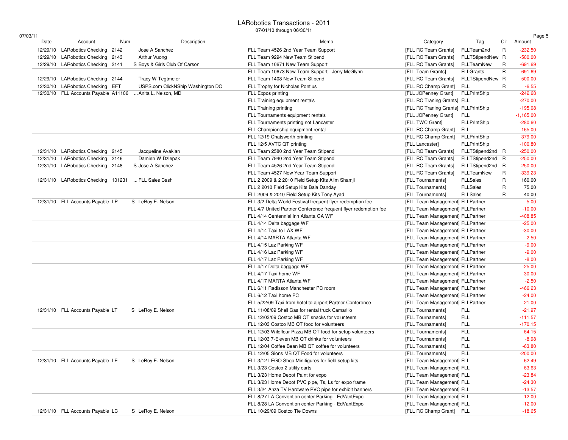#### LARobotics Transactions - 201107/01/10 through 06/30/11

| 07/03/11 |  |
|----------|--|
|          |  |

| 03/11 |          |                                      |     |                                   |                                                                 |                                      |                     |             | Page 5      |
|-------|----------|--------------------------------------|-----|-----------------------------------|-----------------------------------------------------------------|--------------------------------------|---------------------|-------------|-------------|
|       | Date     | Account                              | Num | Description                       | Memo                                                            | Category                             | Tag                 | Clr         | Amount      |
|       | 12/29/10 | LARobotics Checking 2142             |     | Jose A Sanchez                    | FLL Team 4526 2nd Year Team Support                             | [FLL RC Team Grants]                 | FLLTeam2nd          | R           | $-232.50$   |
|       | 12/29/10 | LARobotics Checking 2143             |     | Arthur Vuong                      | FLL Team 9294 New Team Stipend                                  | [FLL RC Team Grants]                 | FLLTStipendNew R    |             | $-500.00$   |
|       | 12/29/10 | LARobotics Checking 2141             |     | S Boys & Girls Club Of Carson     | FLL Team 10671 New Team Support                                 | [FLL RC Team Grants]                 | FLLTeamNew          | R           | $-691.69$   |
|       |          |                                      |     |                                   | FLL Team 10673 New Team Support - Jerry McGlynn                 | [FLL Team Grants]                    | <b>FLLGrants</b>    | $\mathsf R$ | $-691.69$   |
|       |          | 12/29/10 LARobotics Checking 2144    |     | <b>Tracy W Tegtmeier</b>          | FLL Team 1408 New Team Stipend                                  | [FLL RC Team Grants]                 | FLLTStipendNew R    |             | $-500.00$   |
|       |          | 12/30/10 LARobotics Checking EFT     |     | USPS.com ClickNShip Washington DC | FLL Trophy for Nicholas Pontius                                 | [FLL RC Champ Grant]                 | <b>FLL</b>          | R           | $-6.55$     |
|       |          | 12/30/10 FLL Accounts Payable A11106 |     | Anita L. Nelson, MD               | FLL Expos printing                                              | [FLL JCPenney Grant]                 | <b>FLLPrintShip</b> |             | $-242.68$   |
|       |          |                                      |     |                                   | FLL Training equipment rentals                                  | [FLL RC Traning Grants] FLL          |                     |             | $-270.00$   |
|       |          |                                      |     |                                   | FLL Training printing                                           | [FLL RC Traning Grants] FLLPrintShip |                     |             | $-195.08$   |
|       |          |                                      |     |                                   | FLL Tournaments equipment rentals                               | [FLL JCPenney Grant]                 | <b>FLL</b>          |             | $-1,165.00$ |
|       |          |                                      |     |                                   | FLL Tournaments printing not Lancaster                          | [FLL TWC Grant]                      | <b>FLLPrintShip</b> |             | $-280.60$   |
|       |          |                                      |     |                                   | FLL Championship equipment rental                               | [FLL RC Champ Grant]                 | <b>FLL</b>          |             | $-165.00$   |
|       |          |                                      |     |                                   | FLL 12/19 Chatsworth printing                                   | [FLL RC Champ Grant]                 | <b>FLLPrintShip</b> |             | $-379.00$   |
|       |          |                                      |     |                                   | FLL 12/5 AVTC QT printing                                       | [FLL Lancaster]                      | <b>FLLPrintShip</b> |             | $-100.80$   |
|       |          | 12/31/10 LARobotics Checking 2145    |     | Jacqueline Avakian                | FLL Team 2580 2nd Year Team Stipend                             | [FLL RC Team Grants]                 | FLLTStipend2nd R    |             | $-250.00$   |
|       |          | 12/31/10 LARobotics Checking 2146    |     | Damien W Dziepak                  | FLL Team 7940 2nd Year Team Stipend                             | [FLL RC Team Grants]                 | FLLTStipend2nd R    |             | $-250.00$   |
|       |          | 12/31/10 LARobotics Checking 2148    |     | S Jose A Sanchez                  | FLL Team 4526 2nd Year Team Stipend                             | [FLL RC Team Grants]                 | FLLTStipend2nd R    |             | $-250.00$   |
|       |          |                                      |     |                                   | FLL Team 4527 New Year Team Support                             | [FLL RC Team Grants]                 | FLLTeamNew          | R           | $-339.23$   |
|       |          | 12/31/10 LARobotics Checking 101231  |     | FLL Sales Cash                    | FLL 2 2009 & 2 2010 Field Setup Kits Alim Shamji                | [FLL Tournaments]                    | <b>FLLSales</b>     | R           | 160.00      |
|       |          |                                      |     |                                   | FLL 2 2010 Field Setup Kits Bala Danday                         | [FLL Tournaments]                    | <b>FLLSales</b>     | R           | 75.00       |
|       |          |                                      |     |                                   | FLL 2009 & 2010 Field Setup Kits Tony Ayad                      | [FLL Tournaments]                    | <b>FLLSales</b>     | R           | 40.00       |
|       |          | 12/31/10 FLL Accounts Payable LP     |     | S LeRoy E. Nelson                 | FLL 3/2 Delta World Festival frequent flyer redemption fee      | [FLL Team Management] FLLPartner     |                     |             | $-5.00$     |
|       |          |                                      |     |                                   | FLL 4/7 United Partner Conference frequent flyer redemption fee | [FLL Team Management] FLLPartner     |                     |             | $-10.00$    |
|       |          |                                      |     |                                   | FLL 4/14 Centennial Inn Atlanta GA WF                           | [FLL Team Management] FLLPartner     |                     |             | $-408.85$   |
|       |          |                                      |     |                                   | FLL 4/14 Delta baggage WF                                       | [FLL Team Management] FLLPartner     |                     |             | $-25.00$    |
|       |          |                                      |     |                                   | FLL 4/14 Taxi to LAX WF                                         | [FLL Team Management] FLLPartner     |                     |             | $-30.00$    |
|       |          |                                      |     |                                   | FLL 4/14 MARTA Atlanta WF                                       | [FLL Team Management] FLLPartner     |                     |             | $-2.50$     |
|       |          |                                      |     |                                   | FLL 4/15 Laz Parking WF                                         | [FLL Team Management] FLLPartner     |                     |             | $-9.00$     |
|       |          |                                      |     |                                   | FLL 4/16 Laz Parking WF                                         | [FLL Team Management] FLLPartner     |                     |             | $-9.00$     |
|       |          |                                      |     |                                   | FLL 4/17 Laz Parking WF                                         | [FLL Team Management] FLLPartner     |                     |             | $-8.00$     |
|       |          |                                      |     |                                   | FLL 4/17 Delta baggage WF                                       | [FLL Team Management] FLLPartner     |                     |             | $-25.00$    |
|       |          |                                      |     |                                   | FLL 4/17 Taxi home WF                                           | [FLL Team Management] FLLPartner     |                     |             | $-30.00$    |
|       |          |                                      |     |                                   | FLL 4/17 MARTA Atlanta WF                                       | [FLL Team Management] FLLPartner     |                     |             | $-2.50$     |
|       |          |                                      |     |                                   | FLL 6/11 Radisson Manchester PC room                            | [FLL Team Management] FLLPartner     |                     |             | $-466.23$   |
|       |          |                                      |     |                                   | FLL 6/12 Taxi home PC                                           | [FLL Team Management] FLLPartner     |                     |             | $-24.00$    |
|       |          |                                      |     |                                   | FLL 5/22/09 Taxi from hotel to airport Partner Conference       | [FLL Team Management] FLLPartner     |                     |             | $-21.00$    |
|       |          | 12/31/10 FLL Accounts Payable LT     |     | S LeRoy E. Nelson                 | FLL 11/08/09 Shell Gas for rental truck Camarillo               | [FLL Tournaments]                    | FLL                 |             | $-21.97$    |
|       |          |                                      |     |                                   | FLL 12/03/09 Costco MB QT snacks for volunteers                 | [FLL Tournaments]                    | <b>FLL</b>          |             | $-111.57$   |
|       |          |                                      |     |                                   | FLL 12/03 Costco MB QT food for volunteers                      | [FLL Tournaments]                    | <b>FLL</b>          |             | $-170.15$   |
|       |          |                                      |     |                                   | FLL 12/03 Wildflour Pizza MB QT food for setup volunteers       | [FLL Tournaments]                    | <b>FLL</b>          |             | $-64.15$    |
|       |          |                                      |     |                                   | FLL 12/03 7-Eleven MB QT drinks for volunteers                  | [FLL Tournaments]                    | FLL                 |             | $-8.98$     |
|       |          |                                      |     |                                   | FLL 12/04 Coffee Bean MB QT coffee for volunteers               |                                      | <b>FLL</b>          |             |             |
|       |          |                                      |     |                                   |                                                                 | [FLL Tournaments]                    |                     |             | $-63.80$    |
|       |          |                                      |     |                                   | FLL 12/05 Sions MB QT Food for volunteers                       | [FLL Tournaments]                    | <b>FLL</b>          |             | $-200.00$   |
|       |          | 12/31/10 FLL Accounts Payable LE     |     | S LeRoy E. Nelson                 | FLL 3/12 LEGO Shop Minifigures for field setup kits             | [FLL Team Management] FLL            |                     |             | $-62.49$    |
|       |          |                                      |     |                                   | FLL 3/23 Costco 2 utility carts                                 | [FLL Team Management] FLL            |                     |             | $-63.63$    |
|       |          |                                      |     |                                   | FLL 3/23 Home Depot Paint for expo                              | [FLL Team Management] FLL            |                     |             | $-23.84$    |
|       |          |                                      |     |                                   | FLL 3/23 Home Depot PVC pipe, Ts, Ls for expo frame             | [FLL Team Management] FLL            |                     |             | $-24.30$    |
|       |          |                                      |     |                                   | FLL 3/24 Anza TV Hardware PVC pipe for exhibit banners          | [FLL Team Management] FLL            |                     |             | $-13.57$    |
|       |          |                                      |     |                                   | FLL 8/27 LA Convention center Parking - EdVantExpo              | [FLL Team Management] FLL            |                     |             | $-12.00$    |
|       |          |                                      |     |                                   | FLL 8/28 LA Convention center Parking - EdVantExpo              | [FLL Team Management] FLL            |                     |             | $-12.00$    |
|       |          | 12/31/10 FLL Accounts Payable LC     |     | S LeRoy E. Nelson                 | FLL 10/29/09 Costco Tie Downs                                   | [FLL RC Champ Grant] FLL             |                     |             | $-18.65$    |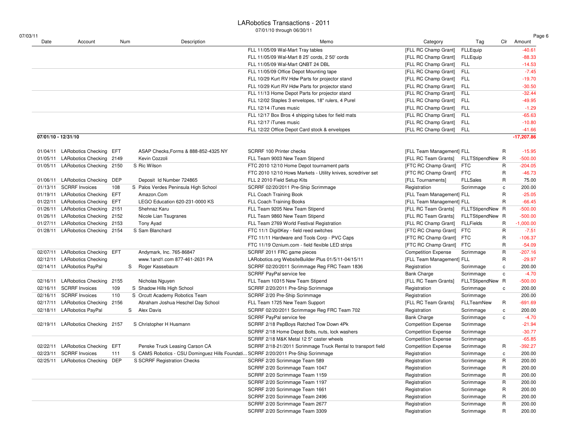#### LARobotics Transactions - 2011

07/01/10 through 06/30/11

| 07/03/11<br>Date    | Account                           | Num  | Description                                                                       | Memo                                                                                              | Category                                     | Tag                           | Clr          | Page 6<br>Amount         |
|---------------------|-----------------------------------|------|-----------------------------------------------------------------------------------|---------------------------------------------------------------------------------------------------|----------------------------------------------|-------------------------------|--------------|--------------------------|
|                     |                                   |      |                                                                                   | FLL 11/05/09 Wal-Mart Tray tables                                                                 | [FLL RC Champ Grant]                         | <b>FLLEquip</b>               |              | $-40.61$                 |
|                     |                                   |      |                                                                                   | FLL 11/05/09 Wal-Mart 8 25' cords, 2 50' cords                                                    |                                              |                               |              |                          |
|                     |                                   |      |                                                                                   | FLL 11/05/09 Wal-Mart QNBT 24 DBL                                                                 | [FLL RC Champ Grant]<br>[FLL RC Champ Grant] | <b>FLLEquip</b><br><b>FLL</b> |              | $-88.33$<br>$-14.53$     |
|                     |                                   |      |                                                                                   | FLL 11/05/09 Office Depot Mounting tape                                                           |                                              | <b>FLL</b>                    |              | $-7.45$                  |
|                     |                                   |      |                                                                                   | FLL 10/29 Kurt RV Hdw Parts for projector stand                                                   | [FLL RC Champ Grant]<br>[FLL RC Champ Grant] | <b>FLL</b>                    |              | $-19.70$                 |
|                     |                                   |      |                                                                                   |                                                                                                   |                                              | FLL                           |              |                          |
|                     |                                   |      |                                                                                   | FLL 10/29 Kurt RV Hdw Parts for projector stand<br>FLL 11/13 Home Depot Parts for projector stand | [FLL RC Champ Grant]<br>[FLL RC Champ Grant] | <b>FLL</b>                    |              | $-30.50$<br>$-32.44$     |
|                     |                                   |      |                                                                                   | FLL 12/02 Staples 3 envelopes, 18" rulers, 4 Purel                                                | [FLL RC Champ Grant]                         | <b>FLL</b>                    |              | $-49.95$                 |
|                     |                                   |      |                                                                                   | FLL 12/14 iTunes music                                                                            | [FLL RC Champ Grant]                         | <b>FLL</b>                    |              | $-1.29$                  |
|                     |                                   |      |                                                                                   | FLL 12/17 Box Bros 4 shipping tubes for field mats                                                | [FLL RC Champ Grant]                         | <b>FLL</b>                    |              | $-65.63$                 |
|                     |                                   |      |                                                                                   | FLL 12/17 iTunes music                                                                            | [FLL RC Champ Grant]                         | <b>FLL</b>                    |              | $-10.80$                 |
|                     |                                   |      |                                                                                   | FLL 12/22 Office Depot Card stock & envelopes                                                     |                                              | <b>FLL</b>                    |              |                          |
| 07/01/10 - 12/31/10 |                                   |      |                                                                                   |                                                                                                   | [FLL RC Champ Grant]                         |                               |              | $-41.66$<br>$-17,207.86$ |
|                     |                                   |      |                                                                                   |                                                                                                   |                                              |                               |              |                          |
|                     | 01/04/11 LARobotics Checking EFT  |      | ASAP Checks, Forms & 888-852-4325 NY                                              | SCRRF 100 Printer checks                                                                          | [FLL Team Management] FLL                    |                               | R            | $-15.95$                 |
| 01/05/11            | LARobotics Checking 2149          |      | Kevin Cozzoli                                                                     | FLL Team 9003 New Team Stipend                                                                    | [FLL RC Team Grants]                         | FLLTStipendNew R              |              | $-500.00$                |
| 01/05/11            | LARobotics Checking 2150          |      | S Ric Wilson                                                                      | FTC 2010 12/10 Home Depot tournament parts                                                        | [FTC RC Champ Grant] FTC                     |                               | R            | $-204.05$                |
|                     |                                   |      |                                                                                   | FTC 2010 12/10 Hows Markets - Utility knives, scredriver set                                      | [FTC RC Champ Grant]                         | FTC                           | R            | $-46.73$                 |
| 01/06/11            | LARobotics Checking DEP           |      | Deposit Id Number 724865                                                          | FLL 2 2010 Field Setup Kits                                                                       | [FLL Tournaments]                            | <b>FLLSales</b>               | R            | 75.00                    |
|                     | 01/13/11 SCRRF Invoices           | 108  | S Palos Verdes Peninsula High School                                              | SCRRF 02/20/2011 Pre-Ship Scrimmage                                                               | Registration                                 | Scrimmage                     | c            | 200.00                   |
| 01/19/11            | LARobotics Checking EFT           |      | Amazon.Com                                                                        | FLL Coach Training Book                                                                           | [FLL Team Management] FLL                    |                               | $\mathsf{R}$ | $-25.05$                 |
| 01/22/11            | LARobotics Checking EFT           |      | LEGO Education 620-231-0000 KS                                                    | FLL Coach Training Books                                                                          | [FLL Team Management] FLL                    |                               | $\mathsf{R}$ | $-66.45$                 |
| 01/26/11            | LARobotics Checking 2151          |      | Shehnaz Karu                                                                      | FLL Team 9205 New Team Stipend                                                                    | [FLL RC Team Grants]                         | FLLTStipendNew R              |              | $-500.00$                |
|                     | 01/26/11 LARobotics Checking      | 2152 | Nicole Lian Tsugranes                                                             | FLL Team 9860 New Team Stipend                                                                    | [FLL RC Team Grants]                         | FLLTStipendNew R              |              | $-500.00$                |
| 01/27/11            | LARobotics Checking 2153          |      | Tony Ayad                                                                         | FLL Team 2769 World Festival Registration                                                         | [FLL RC Champ Grant]                         | <b>FLLFields</b>              | R            | $-1,000.00$              |
|                     | 01/28/11 LARobotics Checking 2154 |      | S Sam Blanchard                                                                   | FTC 11/1 Digi0Key - field reed switches                                                           | [FTC RC Champ Grant]                         | FTC                           | R            | $-7.51$                  |
|                     |                                   |      |                                                                                   | FTC 11/11 Hardware and Tools Corp - PVC Caps                                                      | [FTC RC Champ Grant]                         | FTC                           | R            | $-106.37$                |
|                     |                                   |      |                                                                                   | FTC 11/19 Oznium.com - field flexible LED strips                                                  | [FTC RC Champ Grant] FTC                     |                               | R            | $-54.09$                 |
| 02/07/11            | LARobotics Checking EFT           |      | Andymark, Inc. 765-86847                                                          | SCRRF 2011 FRC game pieces                                                                        | <b>Competition Expense</b>                   | Scrimmage                     | R            | $-207.16$                |
| 02/12/11            | <b>LARobotics Checking</b>        |      | www.1and1.com 877-461-2631 PA                                                     | LARobotics.org WebsiteBuilder Plus 01/5/11-04/15/11                                               | [FLL Team Management] FLL                    |                               | R            | $-29.97$                 |
|                     | 02/14/11 LARobotics PayPal        |      | Roger Kassebaum<br>S                                                              | SCRRF 02/20/2011 Scrimmage Reg FRC Team 1836                                                      | Registration                                 | Scrimmage                     | c            | 200.00                   |
|                     |                                   |      |                                                                                   | SCRRF PayPal service fee                                                                          | <b>Bank Charge</b>                           | Scrimmage                     | с            | $-4.70$                  |
| 02/16/11            | <b>LARobotics Checking</b>        | 2155 | Nicholas Nguyen                                                                   | FLL Team 10315 New Team Stipend                                                                   | [FLL RC Team Grants]                         | FLLTStipendNew R              |              | $-500.00$                |
|                     | 02/16/11 SCRRF Invoices           | 109  | S Shadow Hills High School                                                        | SCRRF 2/20/2011 Pre-Ship Scrimmage                                                                | Registration                                 | Scrimmage                     | с            | 200.00                   |
|                     | 02/16/11 SCRRF Invoices           | 110  | S Orcutt Academy Robotics Team                                                    | SCRRF 2/20 Pre-Ship Scrimmage                                                                     | Registration                                 | Scrimmage                     |              | 200.00                   |
| 02/17/11            | LARobotics Checking 2156          |      | Abraham Joshua Heschel Day School                                                 | FLL Team 1725 New Team Support                                                                    | [FLL RC Team Grants]                         | FLLTeamNew                    | R            | $-691.69$                |
| 02/18/11            | <b>LARobotics PayPal</b>          |      | S Alex Davis                                                                      | SCRRF 02/20/2011 Scrimmage Reg FRC Team 702                                                       | Registration                                 | Scrimmage                     | c            | 200.00                   |
|                     |                                   |      |                                                                                   | SCRRF PayPal service fee                                                                          | <b>Bank Charge</b>                           | Scrimmage                     | c            | $-4.70$                  |
| 02/19/11            | LARobotics Checking 2157          |      | S Christopher H Husmann                                                           | SCRRF 2/18 PepBoys Ratched Tow Down 4Pk                                                           | <b>Competition Expense</b>                   | Scrimmage                     |              | $-21.94$                 |
|                     |                                   |      |                                                                                   | SCRRF 2/18 Home Depot Bolts, nuts, lock washers                                                   | <b>Competition Expense</b>                   | Scrimmage                     |              | $-30.77$                 |
|                     |                                   |      |                                                                                   | SCRRF 2/18 M&K Metal 12 5" caster wheels                                                          | <b>Competition Expense</b>                   | Scrimmage                     |              | $-65.85$                 |
|                     | 02/22/11 LARobotics Checking EFT  |      | Penske Truck Leasing Carson CA                                                    | SCRRF 2/18-21/2011 Scrimmage Truck Rental to transport field                                      | <b>Competition Expense</b>                   | Scrimmage                     | R            | $-392.27$                |
|                     | 02/23/11 SCRRF Invoices           | 111  | S CAMS Robotics - CSU Dominguez Hills Foundati SCRRF 2/20/2011 Pre-Ship Scrimmage |                                                                                                   | Registration                                 | Scrimmage                     | c            | 200.00                   |
|                     | 02/25/11 LARobotics Checking DEP  |      | S SCRRF Registration Checks                                                       | SCRRF 2/20 Scrimmage Team 589                                                                     | Registration                                 | Scrimmage                     | R            | 200.00                   |
|                     |                                   |      |                                                                                   | SCRRF 2/20 Scrimmage Team 1047                                                                    | Registration                                 | Scrimmage                     | R            | 200.00                   |
|                     |                                   |      |                                                                                   | SCRRF 2/20 Scrimmage Team 1159                                                                    | Registration                                 | Scrimmage                     | R            | 200.00                   |
|                     |                                   |      |                                                                                   | SCRRF 2/20 Scrimmage Team 1197                                                                    | Registration                                 | Scrimmage                     | R            | 200.00                   |
|                     |                                   |      |                                                                                   | SCRRF 2/20 Scrimmage Team 1661                                                                    | Registration                                 | Scrimmage                     | R            | 200.00                   |
|                     |                                   |      |                                                                                   |                                                                                                   |                                              |                               |              |                          |
|                     |                                   |      |                                                                                   | SCRRF 2/20 Scrimmage Team 2496                                                                    | Registration                                 | Scrimmage                     | R            | 200.00                   |
|                     |                                   |      |                                                                                   | SCRRF 2/20 Scrimmage Team 2677                                                                    | Registration                                 | Scrimmage                     | R            | 200.00                   |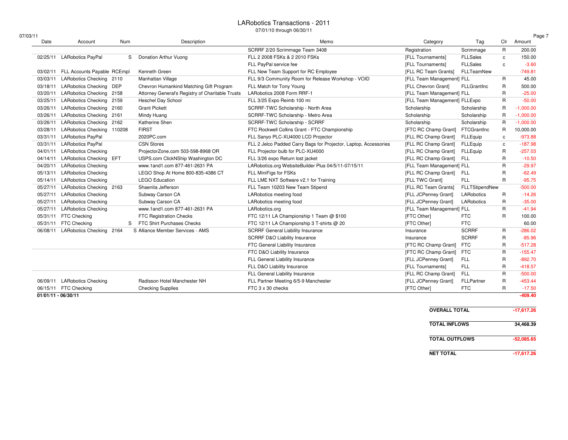#### LARobotics Transactions - 2011

07/01/10 through 06/30/11

| 07/03/11            |                              |      |                                                  |                                                                  |                               |                   |                | Page 7      |
|---------------------|------------------------------|------|--------------------------------------------------|------------------------------------------------------------------|-------------------------------|-------------------|----------------|-------------|
| Date                | Account                      | Num  | Description                                      | Memo                                                             | Category                      | Tag               | Clr            | Amount      |
|                     |                              |      |                                                  | SCRRF 2/20 Scrimmage Team 3408                                   | Registration                  | Scrimmage         | $\mathsf{R}$   | 200.00      |
| 02/25/11            | <b>LARobotics PayPal</b>     | S    | Donation Arthur Vuong                            | FLL 2 2008 FSKs & 2 2010 FSKs                                    | [FLL Tournaments]             | <b>FLLSales</b>   | $\mathbf{c}$   | 150.00      |
|                     |                              |      |                                                  | FLL PayPal service fee                                           | [FLL Tournaments]             | <b>FLLSales</b>   | C.             | $-3.60$     |
| 03/02/11            | FLL Accounts Payable RCEmpl  |      | Kenneth Green                                    | FLL New Team Support for RC Employee                             | [FLL RC Team Grants]          | FLLTeamNew        |                | $-749.81$   |
| 03/03/11            | LARobotics Checking 2110     |      | Manhattan Village                                | FLL 9/3 Community Room for Release Workshop - VOID               | [FLL Team Management] FLL     |                   | R              | 45.00       |
| 03/18/11            | LARobotics Checking DEP      |      | Chevron Humankind Matching Gift Program          | FLL Match for Tony Young                                         | [FLL Chevron Grant]           | FLLGrantinc       | R              | 500.00      |
| 03/20/11            | LARobotics Checking 2158     |      | Attorney General's Registry of Charitable Trusts | LARobotics 2008 Form RRF-1                                       | [FLL Team Management] FLL     |                   | R              | $-25.00$    |
| 03/25/11            | <b>LARobotics Checking</b>   | 2159 | <b>Heschel Day School</b>                        | FLL 3/25 Expo Reimb 100 mi                                       | [FLL Team Management] FLLExpo |                   | R              | $-50.00$    |
| 03/26/11            | LARobotics Checking 2160     |      | <b>Grant Pickett</b>                             | SCRRF-TWC Scholarship - North Area                               | Scholarship                   | Scholarship       | $\mathsf{R}$   | $-1,000.00$ |
| 03/26/11            | LARobotics Checking 2161     |      | Mindy Huang                                      | SCRRF-TWC Scholarship - Metro Area                               | Scholarship                   | Scholarship       | $\mathsf{R}$   | $-1,000.00$ |
| 03/26/11            | LARobotics Checking 2162     |      | Katherine Shen                                   | SCRRF-TWC Scholarship - SCRRF                                    | Scholarship                   | Scholarship       | $\mathsf{R}$   | $-1,000.00$ |
| 03/28/11            | LARobotics Checking 110208   |      | <b>FIRST</b>                                     | FTC Rockwell Collins Grant - FTC Championship                    | [FTC RC Champ Grant]          | FTCGrantInc       | R              | 10,000.00   |
| 03/31/11            | <b>LARobotics PayPal</b>     |      | 2020PC.com                                       | FLL Sanyo PLC-XU4000 LCD Projector                               | [FLL RC Champ Grant]          | FLLEquip          | C              | $-973.88$   |
| 03/31/11            | <b>LARobotics PayPal</b>     |      | <b>CSN Stores</b>                                | FLL 2 Jelco Padded Carry Bags for Projector, Laptop, Accessories | [FLL RC Champ Grant]          | <b>FLLEquip</b>   | c              | $-187.98$   |
| 04/01/11            | <b>LARobotics Checking</b>   |      | ProjectorZone.com 503-598-8968 OR                | FLL Projector bulb for PLC-XU4000                                | [FLL RC Champ Grant]          | <b>FLLEquip</b>   | R              | $-257.03$   |
| 04/14/11            | LARobotics Checking EFT      |      | USPS.com ClickNShip Washington DC                | FLL 3/26 expo Return lost jacket                                 | [FLL RC Champ Grant]          | <b>FLL</b>        | R              | $-10.50$    |
| 04/20/11            | <b>LARobotics Checking</b>   |      | www.1and1.com 877-461-2631 PA                    | LARobotics.org WebsiteBuilder Plus 04/5/11-07/15/11              | [FLL Team Management] FLL     |                   | $\mathsf{R}$   | $-29.97$    |
| 05/13/11            | <b>LARobotics Checking</b>   |      | LEGO Shop At Home 800-835-4386 CT                | FLL MiniFigs for FSKs                                            | [FLL RC Champ Grant]          | <b>FLL</b>        | R              | $-62.49$    |
| 05/14/11            | <b>LARobotics Checking</b>   |      | <b>LEGO Education</b>                            | FLL LME NXT Software v2.1 for Training                           | [FLL TWC Grant]               | FLL               | R              | $-95.75$    |
| 05/27/11            | LARobotics Checking 2163     |      | Shaenita Jefferson                               | FLL Team 10203 New Team Stipend                                  | [FLL RC Team Grants]          | FLLTStipendNew    |                | $-500.00$   |
| 05/27/11            | <b>LARobotics Checking</b>   |      | Subway Carson CA                                 | LARobotics meeting food                                          | [FLL JCPenney Grant]          | <b>LARobotics</b> | R              | $-14.26$    |
| 05/27/11            | <b>LARobotics Checking</b>   |      | Subway Carson CA                                 | LARobotics meeting food                                          | [FLL JCPenney Grant]          | LARobotics        | R              | $-35.00$    |
| 05/27/11            | <b>LARobotics Checking</b>   |      | www.1and1.com 877-461-2631 PA                    | LARobotics.org                                                   | [FLL Team Management] FLL     |                   | R              | $-41.94$    |
| 05/31/11            | <b>FTC Checking</b>          |      | <b>FTC Registration Checks</b>                   | FTC 12/11 LA Championship 1 Team @ \$100                         | [FTC Other]                   | <b>FTC</b>        | R              | 100.00      |
| 05/31/11            | <b>FTC Checking</b>          | S    | FTC Shirt Purchases Checks                       | FTC 12/11 LA Championship 3 T-shirts @ 20                        | [FTC Other]                   | <b>FTC</b>        |                | 60.00       |
| 06/08/11            | LARobotics Checking 2164     |      | S Alliance Member Services - AMS                 | <b>SCRRF General Liability Insurance</b>                         | Insurance                     | <b>SCRRF</b>      | R              | $-286.02$   |
|                     |                              |      |                                                  | SCRRF D&O Liability Insurance                                    | Insurance                     | <b>SCRRF</b>      | $\mathsf{R}$   | $-85.96$    |
|                     |                              |      |                                                  | FTC General Liability Insurance                                  | [FTC RC Champ Grant]          | <b>FTC</b>        | R              | $-517.28$   |
|                     |                              |      |                                                  | FTC D&O Liability Insurance                                      | [FTC RC Champ Grant]          | <b>FTC</b>        | $\mathsf{R}$   | $-155.47$   |
|                     |                              |      |                                                  | FLL General Liability Insurance                                  | [FLL JCPenney Grant]          | <b>FLL</b>        | R              | $-892.70$   |
|                     |                              |      |                                                  | FLL D&O Liability Insurance                                      | [FLL Tournaments]             | <b>FLL</b>        | R              | $-418.57$   |
|                     |                              |      |                                                  | FLL General Liability Insurance                                  | [FLL RC Champ Grant]          | <b>FLL</b>        | $\overline{R}$ | $-500.00$   |
|                     | 06/09/11 LARobotics Checking |      | Radisson Hotel Manchester NH                     | FLL Partner Meeting 6/5-9 Manchester                             | [FLL JCPenney Grant]          | FLLPartner        | R              | $-453.44$   |
| 06/15/11            | <b>FTC Checking</b>          |      | <b>Checking Supplies</b>                         | FTC 3 x 30 checks                                                | [FTC Other]                   | <b>FTC</b>        | $\mathsf{R}$   | $-17.50$    |
| 01/01/11 - 06/30/11 |                              |      |                                                  |                                                                  |                               |                   |                | $-409.40$   |

| <b>OVERALL TOTAL</b>  | $-17,617.26$ |
|-----------------------|--------------|
| <b>TOTAL INFLOWS</b>  | 34.468.39    |
| <b>TOTAL OUTFLOWS</b> | $-52.085.65$ |
| <b>NET TOTAL</b>      | $-17.617.26$ |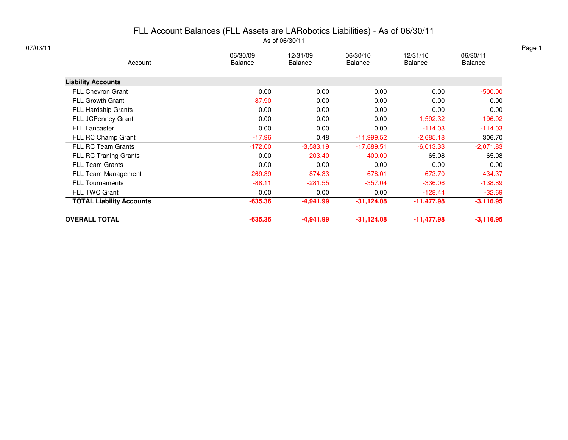## FLL Account Balances (FLL Assets are LARobotics Liabilities) - As of 06/30/11

As of 06/30/11

| Account                         | 06/30/09<br><b>Balance</b> | 12/31/09<br><b>Balance</b> | 06/30/10<br><b>Balance</b> | 12/31/10<br><b>Balance</b> | 06/30/11<br><b>Balance</b> |
|---------------------------------|----------------------------|----------------------------|----------------------------|----------------------------|----------------------------|
| <b>Liability Accounts</b>       |                            |                            |                            |                            |                            |
| <b>FLL Chevron Grant</b>        | 0.00                       | 0.00                       | 0.00                       | 0.00                       | $-500.00$                  |
| <b>FLL Growth Grant</b>         | $-87.90$                   | 0.00                       | 0.00                       | 0.00                       | 0.00                       |
| <b>FLL Hardship Grants</b>      | 0.00                       | 0.00                       | 0.00                       | 0.00                       | 0.00                       |
| FLL JCPenney Grant              | 0.00                       | 0.00                       | 0.00                       | $-1,592.32$                | $-196.92$                  |
| <b>FLL Lancaster</b>            | 0.00                       | 0.00                       | 0.00                       | $-114.03$                  | $-114.03$                  |
| FLL RC Champ Grant              | $-17.96$                   | 0.48                       | $-11,999.52$               | $-2,685.18$                | 306.70                     |
| <b>FLL RC Team Grants</b>       | $-172.00$                  | $-3,583.19$                | $-17,689.51$               | $-6,013.33$                | $-2,071.83$                |
| FLL RC Traning Grants           | 0.00                       | $-203.40$                  | $-400.00$                  | 65.08                      | 65.08                      |
| <b>FLL Team Grants</b>          | 0.00                       | 0.00                       | 0.00                       | 0.00                       | 0.00                       |
| FLL Team Management             | $-269.39$                  | $-874.33$                  | $-678.01$                  | $-673.70$                  | $-434.37$                  |
| <b>FLL Tournaments</b>          | $-88.11$                   | $-281.55$                  | $-357.04$                  | $-336.06$                  | $-138.89$                  |
| <b>FLL TWC Grant</b>            | 0.00                       | 0.00                       | 0.00                       | $-128.44$                  | $-32.69$                   |
| <b>TOTAL Liability Accounts</b> | $-635.36$                  | $-4,941.99$                | $-31,124.08$               | $-11,477.98$               | $-3,116.95$                |
| <b>OVERALL TOTAL</b>            | $-635.36$                  | $-4,941.99$                | $-31,124.08$               | $-11,477.98$               | $-3,116.95$                |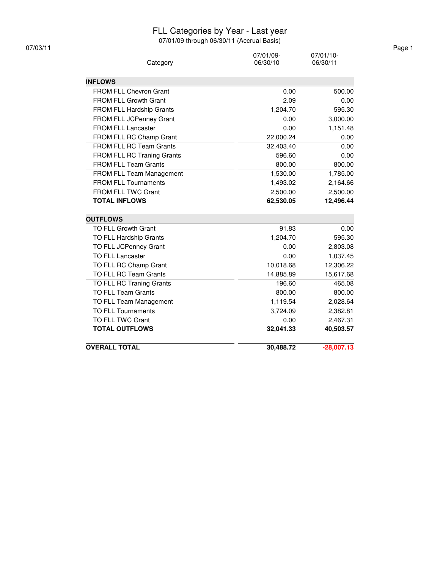#### FLL Categories by Year - Last year

| Category              | 06/30/10                                                                                                                                                                                                                                                                                                                                                                                                                                                                                                                                                                                                                                                                                               | 07/01/10-<br>06/30/11                                                                                                                                                                                                                                                   |
|-----------------------|--------------------------------------------------------------------------------------------------------------------------------------------------------------------------------------------------------------------------------------------------------------------------------------------------------------------------------------------------------------------------------------------------------------------------------------------------------------------------------------------------------------------------------------------------------------------------------------------------------------------------------------------------------------------------------------------------------|-------------------------------------------------------------------------------------------------------------------------------------------------------------------------------------------------------------------------------------------------------------------------|
|                       |                                                                                                                                                                                                                                                                                                                                                                                                                                                                                                                                                                                                                                                                                                        |                                                                                                                                                                                                                                                                         |
|                       |                                                                                                                                                                                                                                                                                                                                                                                                                                                                                                                                                                                                                                                                                                        | 500.00                                                                                                                                                                                                                                                                  |
|                       |                                                                                                                                                                                                                                                                                                                                                                                                                                                                                                                                                                                                                                                                                                        | 0.00                                                                                                                                                                                                                                                                    |
|                       |                                                                                                                                                                                                                                                                                                                                                                                                                                                                                                                                                                                                                                                                                                        | 595.30                                                                                                                                                                                                                                                                  |
|                       |                                                                                                                                                                                                                                                                                                                                                                                                                                                                                                                                                                                                                                                                                                        | 3,000.00                                                                                                                                                                                                                                                                |
|                       |                                                                                                                                                                                                                                                                                                                                                                                                                                                                                                                                                                                                                                                                                                        | 1,151.48                                                                                                                                                                                                                                                                |
|                       |                                                                                                                                                                                                                                                                                                                                                                                                                                                                                                                                                                                                                                                                                                        | 0.00                                                                                                                                                                                                                                                                    |
|                       |                                                                                                                                                                                                                                                                                                                                                                                                                                                                                                                                                                                                                                                                                                        | 0.00                                                                                                                                                                                                                                                                    |
|                       |                                                                                                                                                                                                                                                                                                                                                                                                                                                                                                                                                                                                                                                                                                        | 0.00                                                                                                                                                                                                                                                                    |
|                       |                                                                                                                                                                                                                                                                                                                                                                                                                                                                                                                                                                                                                                                                                                        | 800.00                                                                                                                                                                                                                                                                  |
|                       |                                                                                                                                                                                                                                                                                                                                                                                                                                                                                                                                                                                                                                                                                                        | 1,785.00                                                                                                                                                                                                                                                                |
|                       |                                                                                                                                                                                                                                                                                                                                                                                                                                                                                                                                                                                                                                                                                                        | 2,164.66                                                                                                                                                                                                                                                                |
|                       |                                                                                                                                                                                                                                                                                                                                                                                                                                                                                                                                                                                                                                                                                                        | 2,500.00                                                                                                                                                                                                                                                                |
| <b>TOTAL INFLOWS</b>  | 62,530.05                                                                                                                                                                                                                                                                                                                                                                                                                                                                                                                                                                                                                                                                                              | 12,496.44                                                                                                                                                                                                                                                               |
|                       |                                                                                                                                                                                                                                                                                                                                                                                                                                                                                                                                                                                                                                                                                                        |                                                                                                                                                                                                                                                                         |
|                       |                                                                                                                                                                                                                                                                                                                                                                                                                                                                                                                                                                                                                                                                                                        | 0.00                                                                                                                                                                                                                                                                    |
|                       |                                                                                                                                                                                                                                                                                                                                                                                                                                                                                                                                                                                                                                                                                                        | 595.30                                                                                                                                                                                                                                                                  |
|                       |                                                                                                                                                                                                                                                                                                                                                                                                                                                                                                                                                                                                                                                                                                        | 2,803.08                                                                                                                                                                                                                                                                |
|                       |                                                                                                                                                                                                                                                                                                                                                                                                                                                                                                                                                                                                                                                                                                        | 1,037.45                                                                                                                                                                                                                                                                |
|                       |                                                                                                                                                                                                                                                                                                                                                                                                                                                                                                                                                                                                                                                                                                        | 12,306.22                                                                                                                                                                                                                                                               |
|                       |                                                                                                                                                                                                                                                                                                                                                                                                                                                                                                                                                                                                                                                                                                        | 15,617.68                                                                                                                                                                                                                                                               |
|                       |                                                                                                                                                                                                                                                                                                                                                                                                                                                                                                                                                                                                                                                                                                        | 465.08                                                                                                                                                                                                                                                                  |
|                       |                                                                                                                                                                                                                                                                                                                                                                                                                                                                                                                                                                                                                                                                                                        | 800.00                                                                                                                                                                                                                                                                  |
|                       |                                                                                                                                                                                                                                                                                                                                                                                                                                                                                                                                                                                                                                                                                                        | 2,028.64                                                                                                                                                                                                                                                                |
|                       |                                                                                                                                                                                                                                                                                                                                                                                                                                                                                                                                                                                                                                                                                                        | 2,382.81                                                                                                                                                                                                                                                                |
|                       |                                                                                                                                                                                                                                                                                                                                                                                                                                                                                                                                                                                                                                                                                                        | 2,467.31                                                                                                                                                                                                                                                                |
| <b>TOTAL OUTFLOWS</b> | 32,041.33                                                                                                                                                                                                                                                                                                                                                                                                                                                                                                                                                                                                                                                                                              | 40,503.57                                                                                                                                                                                                                                                               |
|                       |                                                                                                                                                                                                                                                                                                                                                                                                                                                                                                                                                                                                                                                                                                        | $-28,007.13$                                                                                                                                                                                                                                                            |
|                       | <b>INFLOWS</b><br>FROM FLL Chevron Grant<br>FROM FLL Growth Grant<br>FROM FLL Hardship Grants<br>FROM FLL JCPenney Grant<br><b>FROM FLL Lancaster</b><br>FROM FLL RC Champ Grant<br>FROM FLL RC Team Grants<br><b>FROM FLL RC Traning Grants</b><br><b>FROM FLL Team Grants</b><br>FROM FLL Team Management<br><b>FROM FLL Tournaments</b><br>FROM FLL TWC Grant<br><b>OUTFLOWS</b><br>TO FLL Growth Grant<br>TO FLL Hardship Grants<br>TO FLL JCPenney Grant<br><b>TO FLL Lancaster</b><br>TO FLL RC Champ Grant<br>TO FLL RC Team Grants<br>TO FLL RC Traning Grants<br><b>TO FLL Team Grants</b><br>TO FLL Team Management<br><b>TO FLL Tournaments</b><br>TO FLL TWC Grant<br><b>OVERALL TOTAL</b> | 07/01/09-<br>0.00<br>2.09<br>1,204.70<br>0.00<br>0.00<br>22,000.24<br>32,403.40<br>596.60<br>800.00<br>1,530.00<br>1,493.02<br>2,500.00<br>91.83<br>1,204.70<br>0.00<br>0.00<br>10,018.68<br>14,885.89<br>196.60<br>800.00<br>1,119.54<br>3,724.09<br>0.00<br>30,488.72 |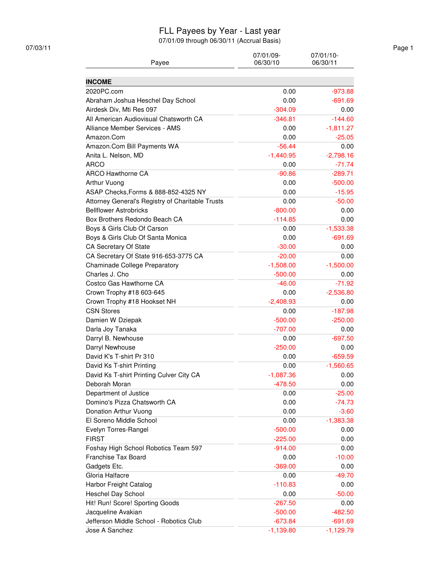#### FLL Payees by Year - Last year

07/01/09 through 06/30/11 (Accrual Basis)

| <b>INCOME</b><br>2020PC.com<br>0.00<br>$-973.88$<br>Abraham Joshua Heschel Day School<br>0.00<br>$-691.69$<br>Airdesk Div, Mti Res 097<br>$-304.09$<br>0.00<br>All American Audiovisual Chatsworth CA<br>$-144.60$<br>$-346.81$<br>Alliance Member Services - AMS<br>0.00<br>$-1,811.27$<br>Amazon.Com<br>0.00<br>$-25.05$<br>$-56.44$<br>Amazon.Com Bill Payments WA<br>0.00<br>Anita L. Nelson, MD<br>$-1,440.95$<br>$-2,798.16$<br><b>ARCO</b><br>0.00<br>$-71.74$<br><b>ARCO Hawthorne CA</b><br>$-90.86$<br>$-289.71$<br>Arthur Vuong<br>0.00<br>$-500.00$<br>ASAP Checks, Forms & 888-852-4325 NY<br>0.00<br>$-15.95$<br>0.00<br>Attorney General's Registry of Charitable Trusts<br>$-50.00$<br><b>Bellflower Astrobricks</b><br>$-800.00$<br>0.00<br>Box Brothers Redondo Beach CA<br>$-114.85$<br>0.00<br>Boys & Girls Club Of Carson<br>$-1,533.38$<br>0.00<br>Boys & Girls Club Of Santa Monica<br>0.00<br>$-691.69$<br>CA Secretary Of State<br>$-30.00$<br>0.00<br>0.00<br>CA Secretary Of State 916-653-3775 CA<br>$-20.00$<br>$-1,500.00$<br><b>Chaminade College Preparatory</b><br>$-1,508.00$<br>Charles J. Cho<br>$-500.00$<br>0.00<br>Costco Gas Hawthorne CA<br>$-71.92$<br>$-46.00$<br>Crown Trophy #18 603-645<br>$-2,536.80$<br>0.00<br>Crown Trophy #18 Hookset NH<br>$-2,408.93$<br>0.00<br><b>CSN Stores</b><br>0.00<br>$-187.98$<br>Damien W Dziepak<br>$-500.00$<br>$-250.00$<br>Darla Joy Tanaka<br>$-707.00$<br>0.00<br>$-697.50$<br>Darryl B. Newhouse<br>0.00<br>Darryl Newhouse<br>$-250.00$<br>0.00<br>David K's T-shirt Pr 310<br>0.00<br>$-659.59$<br>David Ks T-shirt Printing<br>$-1,560.65$<br>0.00<br>David Ks T-shirt Printing Culver City CA<br>$-1,087.36$<br>0.00<br>Deborah Moran<br>$-478.50$<br>0.00<br>Department of Justice<br>0.00<br>$-25.00$<br>Domino's Pizza Chatsworth CA<br>0.00<br>$-74.73$<br>Donation Arthur Vuong<br>0.00<br>$-3.60$<br>El Soreno Middle School<br>0.00<br>$-1,383.38$<br>Evelyn Torres-Rangel<br>$-500.00$<br>0.00<br><b>FIRST</b><br>$-225.00$<br>0.00<br>0.00<br>Foshay High School Robotics Team 597<br>$-914.00$<br>Franchise Tax Board<br>0.00<br>$-10.00$<br>Gadgets Etc.<br>$-369.00$<br>0.00<br>Gloria Halfacre<br>$-49.70$<br>0.00<br>Harbor Freight Catalog<br>$-110.83$<br>0.00<br>0.00<br>Heschel Day School<br>$-50.00$<br>Hit! Run! Score! Sporting Goods<br>$-267.50$<br>0.00<br>Jacqueline Avakian<br>$-482.50$<br>$-500.00$<br>Jefferson Middle School - Robotics Club<br>$-673.84$<br>$-691.69$ | Payee          | 07/01/09-<br>06/30/10 | 07/01/10-<br>06/30/11 |
|-------------------------------------------------------------------------------------------------------------------------------------------------------------------------------------------------------------------------------------------------------------------------------------------------------------------------------------------------------------------------------------------------------------------------------------------------------------------------------------------------------------------------------------------------------------------------------------------------------------------------------------------------------------------------------------------------------------------------------------------------------------------------------------------------------------------------------------------------------------------------------------------------------------------------------------------------------------------------------------------------------------------------------------------------------------------------------------------------------------------------------------------------------------------------------------------------------------------------------------------------------------------------------------------------------------------------------------------------------------------------------------------------------------------------------------------------------------------------------------------------------------------------------------------------------------------------------------------------------------------------------------------------------------------------------------------------------------------------------------------------------------------------------------------------------------------------------------------------------------------------------------------------------------------------------------------------------------------------------------------------------------------------------------------------------------------------------------------------------------------------------------------------------------------------------------------------------------------------------------------------------------------------------------------------------------------------------------------------------------------------------------------------------------------------------------------------------------------------------------------------|----------------|-----------------------|-----------------------|
|                                                                                                                                                                                                                                                                                                                                                                                                                                                                                                                                                                                                                                                                                                                                                                                                                                                                                                                                                                                                                                                                                                                                                                                                                                                                                                                                                                                                                                                                                                                                                                                                                                                                                                                                                                                                                                                                                                                                                                                                                                                                                                                                                                                                                                                                                                                                                                                                                                                                                                 |                |                       |                       |
|                                                                                                                                                                                                                                                                                                                                                                                                                                                                                                                                                                                                                                                                                                                                                                                                                                                                                                                                                                                                                                                                                                                                                                                                                                                                                                                                                                                                                                                                                                                                                                                                                                                                                                                                                                                                                                                                                                                                                                                                                                                                                                                                                                                                                                                                                                                                                                                                                                                                                                 |                |                       |                       |
|                                                                                                                                                                                                                                                                                                                                                                                                                                                                                                                                                                                                                                                                                                                                                                                                                                                                                                                                                                                                                                                                                                                                                                                                                                                                                                                                                                                                                                                                                                                                                                                                                                                                                                                                                                                                                                                                                                                                                                                                                                                                                                                                                                                                                                                                                                                                                                                                                                                                                                 |                |                       |                       |
|                                                                                                                                                                                                                                                                                                                                                                                                                                                                                                                                                                                                                                                                                                                                                                                                                                                                                                                                                                                                                                                                                                                                                                                                                                                                                                                                                                                                                                                                                                                                                                                                                                                                                                                                                                                                                                                                                                                                                                                                                                                                                                                                                                                                                                                                                                                                                                                                                                                                                                 |                |                       |                       |
|                                                                                                                                                                                                                                                                                                                                                                                                                                                                                                                                                                                                                                                                                                                                                                                                                                                                                                                                                                                                                                                                                                                                                                                                                                                                                                                                                                                                                                                                                                                                                                                                                                                                                                                                                                                                                                                                                                                                                                                                                                                                                                                                                                                                                                                                                                                                                                                                                                                                                                 |                |                       |                       |
|                                                                                                                                                                                                                                                                                                                                                                                                                                                                                                                                                                                                                                                                                                                                                                                                                                                                                                                                                                                                                                                                                                                                                                                                                                                                                                                                                                                                                                                                                                                                                                                                                                                                                                                                                                                                                                                                                                                                                                                                                                                                                                                                                                                                                                                                                                                                                                                                                                                                                                 |                |                       |                       |
|                                                                                                                                                                                                                                                                                                                                                                                                                                                                                                                                                                                                                                                                                                                                                                                                                                                                                                                                                                                                                                                                                                                                                                                                                                                                                                                                                                                                                                                                                                                                                                                                                                                                                                                                                                                                                                                                                                                                                                                                                                                                                                                                                                                                                                                                                                                                                                                                                                                                                                 |                |                       |                       |
|                                                                                                                                                                                                                                                                                                                                                                                                                                                                                                                                                                                                                                                                                                                                                                                                                                                                                                                                                                                                                                                                                                                                                                                                                                                                                                                                                                                                                                                                                                                                                                                                                                                                                                                                                                                                                                                                                                                                                                                                                                                                                                                                                                                                                                                                                                                                                                                                                                                                                                 |                |                       |                       |
|                                                                                                                                                                                                                                                                                                                                                                                                                                                                                                                                                                                                                                                                                                                                                                                                                                                                                                                                                                                                                                                                                                                                                                                                                                                                                                                                                                                                                                                                                                                                                                                                                                                                                                                                                                                                                                                                                                                                                                                                                                                                                                                                                                                                                                                                                                                                                                                                                                                                                                 |                |                       |                       |
|                                                                                                                                                                                                                                                                                                                                                                                                                                                                                                                                                                                                                                                                                                                                                                                                                                                                                                                                                                                                                                                                                                                                                                                                                                                                                                                                                                                                                                                                                                                                                                                                                                                                                                                                                                                                                                                                                                                                                                                                                                                                                                                                                                                                                                                                                                                                                                                                                                                                                                 |                |                       |                       |
|                                                                                                                                                                                                                                                                                                                                                                                                                                                                                                                                                                                                                                                                                                                                                                                                                                                                                                                                                                                                                                                                                                                                                                                                                                                                                                                                                                                                                                                                                                                                                                                                                                                                                                                                                                                                                                                                                                                                                                                                                                                                                                                                                                                                                                                                                                                                                                                                                                                                                                 |                |                       |                       |
|                                                                                                                                                                                                                                                                                                                                                                                                                                                                                                                                                                                                                                                                                                                                                                                                                                                                                                                                                                                                                                                                                                                                                                                                                                                                                                                                                                                                                                                                                                                                                                                                                                                                                                                                                                                                                                                                                                                                                                                                                                                                                                                                                                                                                                                                                                                                                                                                                                                                                                 |                |                       |                       |
|                                                                                                                                                                                                                                                                                                                                                                                                                                                                                                                                                                                                                                                                                                                                                                                                                                                                                                                                                                                                                                                                                                                                                                                                                                                                                                                                                                                                                                                                                                                                                                                                                                                                                                                                                                                                                                                                                                                                                                                                                                                                                                                                                                                                                                                                                                                                                                                                                                                                                                 |                |                       |                       |
|                                                                                                                                                                                                                                                                                                                                                                                                                                                                                                                                                                                                                                                                                                                                                                                                                                                                                                                                                                                                                                                                                                                                                                                                                                                                                                                                                                                                                                                                                                                                                                                                                                                                                                                                                                                                                                                                                                                                                                                                                                                                                                                                                                                                                                                                                                                                                                                                                                                                                                 |                |                       |                       |
|                                                                                                                                                                                                                                                                                                                                                                                                                                                                                                                                                                                                                                                                                                                                                                                                                                                                                                                                                                                                                                                                                                                                                                                                                                                                                                                                                                                                                                                                                                                                                                                                                                                                                                                                                                                                                                                                                                                                                                                                                                                                                                                                                                                                                                                                                                                                                                                                                                                                                                 |                |                       |                       |
|                                                                                                                                                                                                                                                                                                                                                                                                                                                                                                                                                                                                                                                                                                                                                                                                                                                                                                                                                                                                                                                                                                                                                                                                                                                                                                                                                                                                                                                                                                                                                                                                                                                                                                                                                                                                                                                                                                                                                                                                                                                                                                                                                                                                                                                                                                                                                                                                                                                                                                 |                |                       |                       |
|                                                                                                                                                                                                                                                                                                                                                                                                                                                                                                                                                                                                                                                                                                                                                                                                                                                                                                                                                                                                                                                                                                                                                                                                                                                                                                                                                                                                                                                                                                                                                                                                                                                                                                                                                                                                                                                                                                                                                                                                                                                                                                                                                                                                                                                                                                                                                                                                                                                                                                 |                |                       |                       |
|                                                                                                                                                                                                                                                                                                                                                                                                                                                                                                                                                                                                                                                                                                                                                                                                                                                                                                                                                                                                                                                                                                                                                                                                                                                                                                                                                                                                                                                                                                                                                                                                                                                                                                                                                                                                                                                                                                                                                                                                                                                                                                                                                                                                                                                                                                                                                                                                                                                                                                 |                |                       |                       |
|                                                                                                                                                                                                                                                                                                                                                                                                                                                                                                                                                                                                                                                                                                                                                                                                                                                                                                                                                                                                                                                                                                                                                                                                                                                                                                                                                                                                                                                                                                                                                                                                                                                                                                                                                                                                                                                                                                                                                                                                                                                                                                                                                                                                                                                                                                                                                                                                                                                                                                 |                |                       |                       |
|                                                                                                                                                                                                                                                                                                                                                                                                                                                                                                                                                                                                                                                                                                                                                                                                                                                                                                                                                                                                                                                                                                                                                                                                                                                                                                                                                                                                                                                                                                                                                                                                                                                                                                                                                                                                                                                                                                                                                                                                                                                                                                                                                                                                                                                                                                                                                                                                                                                                                                 |                |                       |                       |
|                                                                                                                                                                                                                                                                                                                                                                                                                                                                                                                                                                                                                                                                                                                                                                                                                                                                                                                                                                                                                                                                                                                                                                                                                                                                                                                                                                                                                                                                                                                                                                                                                                                                                                                                                                                                                                                                                                                                                                                                                                                                                                                                                                                                                                                                                                                                                                                                                                                                                                 |                |                       |                       |
|                                                                                                                                                                                                                                                                                                                                                                                                                                                                                                                                                                                                                                                                                                                                                                                                                                                                                                                                                                                                                                                                                                                                                                                                                                                                                                                                                                                                                                                                                                                                                                                                                                                                                                                                                                                                                                                                                                                                                                                                                                                                                                                                                                                                                                                                                                                                                                                                                                                                                                 |                |                       |                       |
|                                                                                                                                                                                                                                                                                                                                                                                                                                                                                                                                                                                                                                                                                                                                                                                                                                                                                                                                                                                                                                                                                                                                                                                                                                                                                                                                                                                                                                                                                                                                                                                                                                                                                                                                                                                                                                                                                                                                                                                                                                                                                                                                                                                                                                                                                                                                                                                                                                                                                                 |                |                       |                       |
|                                                                                                                                                                                                                                                                                                                                                                                                                                                                                                                                                                                                                                                                                                                                                                                                                                                                                                                                                                                                                                                                                                                                                                                                                                                                                                                                                                                                                                                                                                                                                                                                                                                                                                                                                                                                                                                                                                                                                                                                                                                                                                                                                                                                                                                                                                                                                                                                                                                                                                 |                |                       |                       |
|                                                                                                                                                                                                                                                                                                                                                                                                                                                                                                                                                                                                                                                                                                                                                                                                                                                                                                                                                                                                                                                                                                                                                                                                                                                                                                                                                                                                                                                                                                                                                                                                                                                                                                                                                                                                                                                                                                                                                                                                                                                                                                                                                                                                                                                                                                                                                                                                                                                                                                 |                |                       |                       |
|                                                                                                                                                                                                                                                                                                                                                                                                                                                                                                                                                                                                                                                                                                                                                                                                                                                                                                                                                                                                                                                                                                                                                                                                                                                                                                                                                                                                                                                                                                                                                                                                                                                                                                                                                                                                                                                                                                                                                                                                                                                                                                                                                                                                                                                                                                                                                                                                                                                                                                 |                |                       |                       |
|                                                                                                                                                                                                                                                                                                                                                                                                                                                                                                                                                                                                                                                                                                                                                                                                                                                                                                                                                                                                                                                                                                                                                                                                                                                                                                                                                                                                                                                                                                                                                                                                                                                                                                                                                                                                                                                                                                                                                                                                                                                                                                                                                                                                                                                                                                                                                                                                                                                                                                 |                |                       |                       |
|                                                                                                                                                                                                                                                                                                                                                                                                                                                                                                                                                                                                                                                                                                                                                                                                                                                                                                                                                                                                                                                                                                                                                                                                                                                                                                                                                                                                                                                                                                                                                                                                                                                                                                                                                                                                                                                                                                                                                                                                                                                                                                                                                                                                                                                                                                                                                                                                                                                                                                 |                |                       |                       |
|                                                                                                                                                                                                                                                                                                                                                                                                                                                                                                                                                                                                                                                                                                                                                                                                                                                                                                                                                                                                                                                                                                                                                                                                                                                                                                                                                                                                                                                                                                                                                                                                                                                                                                                                                                                                                                                                                                                                                                                                                                                                                                                                                                                                                                                                                                                                                                                                                                                                                                 |                |                       |                       |
|                                                                                                                                                                                                                                                                                                                                                                                                                                                                                                                                                                                                                                                                                                                                                                                                                                                                                                                                                                                                                                                                                                                                                                                                                                                                                                                                                                                                                                                                                                                                                                                                                                                                                                                                                                                                                                                                                                                                                                                                                                                                                                                                                                                                                                                                                                                                                                                                                                                                                                 |                |                       |                       |
|                                                                                                                                                                                                                                                                                                                                                                                                                                                                                                                                                                                                                                                                                                                                                                                                                                                                                                                                                                                                                                                                                                                                                                                                                                                                                                                                                                                                                                                                                                                                                                                                                                                                                                                                                                                                                                                                                                                                                                                                                                                                                                                                                                                                                                                                                                                                                                                                                                                                                                 |                |                       |                       |
|                                                                                                                                                                                                                                                                                                                                                                                                                                                                                                                                                                                                                                                                                                                                                                                                                                                                                                                                                                                                                                                                                                                                                                                                                                                                                                                                                                                                                                                                                                                                                                                                                                                                                                                                                                                                                                                                                                                                                                                                                                                                                                                                                                                                                                                                                                                                                                                                                                                                                                 |                |                       |                       |
|                                                                                                                                                                                                                                                                                                                                                                                                                                                                                                                                                                                                                                                                                                                                                                                                                                                                                                                                                                                                                                                                                                                                                                                                                                                                                                                                                                                                                                                                                                                                                                                                                                                                                                                                                                                                                                                                                                                                                                                                                                                                                                                                                                                                                                                                                                                                                                                                                                                                                                 |                |                       |                       |
|                                                                                                                                                                                                                                                                                                                                                                                                                                                                                                                                                                                                                                                                                                                                                                                                                                                                                                                                                                                                                                                                                                                                                                                                                                                                                                                                                                                                                                                                                                                                                                                                                                                                                                                                                                                                                                                                                                                                                                                                                                                                                                                                                                                                                                                                                                                                                                                                                                                                                                 |                |                       |                       |
|                                                                                                                                                                                                                                                                                                                                                                                                                                                                                                                                                                                                                                                                                                                                                                                                                                                                                                                                                                                                                                                                                                                                                                                                                                                                                                                                                                                                                                                                                                                                                                                                                                                                                                                                                                                                                                                                                                                                                                                                                                                                                                                                                                                                                                                                                                                                                                                                                                                                                                 |                |                       |                       |
|                                                                                                                                                                                                                                                                                                                                                                                                                                                                                                                                                                                                                                                                                                                                                                                                                                                                                                                                                                                                                                                                                                                                                                                                                                                                                                                                                                                                                                                                                                                                                                                                                                                                                                                                                                                                                                                                                                                                                                                                                                                                                                                                                                                                                                                                                                                                                                                                                                                                                                 |                |                       |                       |
|                                                                                                                                                                                                                                                                                                                                                                                                                                                                                                                                                                                                                                                                                                                                                                                                                                                                                                                                                                                                                                                                                                                                                                                                                                                                                                                                                                                                                                                                                                                                                                                                                                                                                                                                                                                                                                                                                                                                                                                                                                                                                                                                                                                                                                                                                                                                                                                                                                                                                                 |                |                       |                       |
|                                                                                                                                                                                                                                                                                                                                                                                                                                                                                                                                                                                                                                                                                                                                                                                                                                                                                                                                                                                                                                                                                                                                                                                                                                                                                                                                                                                                                                                                                                                                                                                                                                                                                                                                                                                                                                                                                                                                                                                                                                                                                                                                                                                                                                                                                                                                                                                                                                                                                                 |                |                       |                       |
|                                                                                                                                                                                                                                                                                                                                                                                                                                                                                                                                                                                                                                                                                                                                                                                                                                                                                                                                                                                                                                                                                                                                                                                                                                                                                                                                                                                                                                                                                                                                                                                                                                                                                                                                                                                                                                                                                                                                                                                                                                                                                                                                                                                                                                                                                                                                                                                                                                                                                                 |                |                       |                       |
|                                                                                                                                                                                                                                                                                                                                                                                                                                                                                                                                                                                                                                                                                                                                                                                                                                                                                                                                                                                                                                                                                                                                                                                                                                                                                                                                                                                                                                                                                                                                                                                                                                                                                                                                                                                                                                                                                                                                                                                                                                                                                                                                                                                                                                                                                                                                                                                                                                                                                                 |                |                       |                       |
|                                                                                                                                                                                                                                                                                                                                                                                                                                                                                                                                                                                                                                                                                                                                                                                                                                                                                                                                                                                                                                                                                                                                                                                                                                                                                                                                                                                                                                                                                                                                                                                                                                                                                                                                                                                                                                                                                                                                                                                                                                                                                                                                                                                                                                                                                                                                                                                                                                                                                                 |                |                       |                       |
|                                                                                                                                                                                                                                                                                                                                                                                                                                                                                                                                                                                                                                                                                                                                                                                                                                                                                                                                                                                                                                                                                                                                                                                                                                                                                                                                                                                                                                                                                                                                                                                                                                                                                                                                                                                                                                                                                                                                                                                                                                                                                                                                                                                                                                                                                                                                                                                                                                                                                                 |                |                       |                       |
|                                                                                                                                                                                                                                                                                                                                                                                                                                                                                                                                                                                                                                                                                                                                                                                                                                                                                                                                                                                                                                                                                                                                                                                                                                                                                                                                                                                                                                                                                                                                                                                                                                                                                                                                                                                                                                                                                                                                                                                                                                                                                                                                                                                                                                                                                                                                                                                                                                                                                                 |                |                       |                       |
|                                                                                                                                                                                                                                                                                                                                                                                                                                                                                                                                                                                                                                                                                                                                                                                                                                                                                                                                                                                                                                                                                                                                                                                                                                                                                                                                                                                                                                                                                                                                                                                                                                                                                                                                                                                                                                                                                                                                                                                                                                                                                                                                                                                                                                                                                                                                                                                                                                                                                                 |                |                       |                       |
|                                                                                                                                                                                                                                                                                                                                                                                                                                                                                                                                                                                                                                                                                                                                                                                                                                                                                                                                                                                                                                                                                                                                                                                                                                                                                                                                                                                                                                                                                                                                                                                                                                                                                                                                                                                                                                                                                                                                                                                                                                                                                                                                                                                                                                                                                                                                                                                                                                                                                                 |                |                       |                       |
|                                                                                                                                                                                                                                                                                                                                                                                                                                                                                                                                                                                                                                                                                                                                                                                                                                                                                                                                                                                                                                                                                                                                                                                                                                                                                                                                                                                                                                                                                                                                                                                                                                                                                                                                                                                                                                                                                                                                                                                                                                                                                                                                                                                                                                                                                                                                                                                                                                                                                                 |                |                       |                       |
|                                                                                                                                                                                                                                                                                                                                                                                                                                                                                                                                                                                                                                                                                                                                                                                                                                                                                                                                                                                                                                                                                                                                                                                                                                                                                                                                                                                                                                                                                                                                                                                                                                                                                                                                                                                                                                                                                                                                                                                                                                                                                                                                                                                                                                                                                                                                                                                                                                                                                                 |                |                       |                       |
|                                                                                                                                                                                                                                                                                                                                                                                                                                                                                                                                                                                                                                                                                                                                                                                                                                                                                                                                                                                                                                                                                                                                                                                                                                                                                                                                                                                                                                                                                                                                                                                                                                                                                                                                                                                                                                                                                                                                                                                                                                                                                                                                                                                                                                                                                                                                                                                                                                                                                                 |                |                       |                       |
|                                                                                                                                                                                                                                                                                                                                                                                                                                                                                                                                                                                                                                                                                                                                                                                                                                                                                                                                                                                                                                                                                                                                                                                                                                                                                                                                                                                                                                                                                                                                                                                                                                                                                                                                                                                                                                                                                                                                                                                                                                                                                                                                                                                                                                                                                                                                                                                                                                                                                                 |                |                       |                       |
|                                                                                                                                                                                                                                                                                                                                                                                                                                                                                                                                                                                                                                                                                                                                                                                                                                                                                                                                                                                                                                                                                                                                                                                                                                                                                                                                                                                                                                                                                                                                                                                                                                                                                                                                                                                                                                                                                                                                                                                                                                                                                                                                                                                                                                                                                                                                                                                                                                                                                                 |                |                       |                       |
|                                                                                                                                                                                                                                                                                                                                                                                                                                                                                                                                                                                                                                                                                                                                                                                                                                                                                                                                                                                                                                                                                                                                                                                                                                                                                                                                                                                                                                                                                                                                                                                                                                                                                                                                                                                                                                                                                                                                                                                                                                                                                                                                                                                                                                                                                                                                                                                                                                                                                                 |                |                       |                       |
|                                                                                                                                                                                                                                                                                                                                                                                                                                                                                                                                                                                                                                                                                                                                                                                                                                                                                                                                                                                                                                                                                                                                                                                                                                                                                                                                                                                                                                                                                                                                                                                                                                                                                                                                                                                                                                                                                                                                                                                                                                                                                                                                                                                                                                                                                                                                                                                                                                                                                                 | Jose A Sanchez | $-1,139.80$           | $-1,129.79$           |

07/03/11 Page 1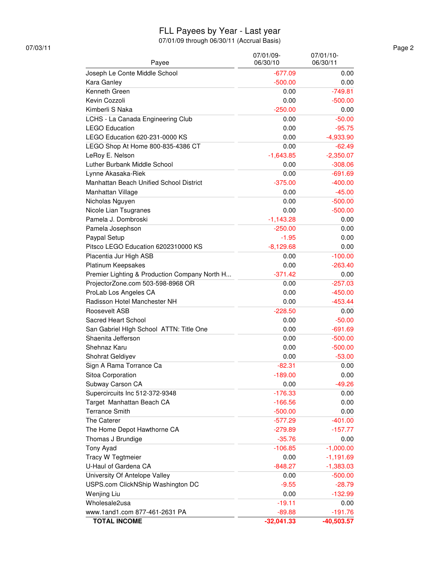#### FLL Payees by Year - Last year

07/01/09 through 06/30/11 (Accrual Basis)

| Payee                                         | 07/01/09-<br>06/30/10 | 07/01/10-<br>06/30/11    |
|-----------------------------------------------|-----------------------|--------------------------|
| Joseph Le Conte Middle School                 | $-677.09$             | 0.00                     |
| Kara Ganley                                   | $-500.00$             | 0.00                     |
| Kenneth Green                                 | 0.00                  | $-749.81$                |
| Kevin Cozzoli                                 | 0.00                  | $-500.00$                |
| Kimberli S Naka                               | $-250.00$             | 0.00                     |
| LCHS - La Canada Engineering Club             | 0.00                  | $-50.00$                 |
| <b>LEGO Education</b>                         | 0.00                  | $-95.75$                 |
| LEGO Education 620-231-0000 KS                | 0.00                  | $-4,933.90$              |
| LEGO Shop At Home 800-835-4386 CT             | 0.00                  | $-62.49$                 |
| LeRoy E. Nelson                               |                       |                          |
| Luther Burbank Middle School                  | $-1,643.85$<br>0.00   | $-2,350.07$<br>$-308.06$ |
|                                               |                       |                          |
| Lynne Akasaka-Riek                            | 0.00                  | $-691.69$                |
| Manhattan Beach Unified School District       | $-375.00$             | $-400.00$                |
| Manhattan Village                             | 0.00                  | $-45.00$                 |
| Nicholas Nguyen                               | 0.00                  | $-500.00$                |
| Nicole Lian Tsugranes                         | 0.00                  | $-500.00$                |
| Pamela J. Dombroski                           | $-1,143.28$           | 0.00                     |
| Pamela Josephson                              | $-250.00$             | 0.00                     |
| Paypal Setup                                  | $-1.95$               | 0.00                     |
| Pitsco LEGO Education 6202310000 KS           | $-8,129.68$           | 0.00                     |
| Placentia Jur High ASB                        | 0.00                  | $-100.00$                |
| Platinum Keepsakes                            | 0.00                  | $-263.40$                |
| Premier Lighting & Production Company North H | $-371.42$             | 0.00                     |
| ProjectorZone.com 503-598-8968 OR             | 0.00                  | $-257.03$                |
| ProLab Los Angeles CA                         | 0.00                  | $-450.00$                |
| Radisson Hotel Manchester NH                  | 0.00                  | $-453.44$                |
| Roosevelt ASB                                 | $-228.50$             | 0.00                     |
| Sacred Heart School                           | 0.00                  | $-50.00$                 |
| San Gabriel HIgh School ATTN: Title One       | 0.00                  | $-691.69$                |
| Shaenita Jefferson                            | 0.00                  | $-500.00$                |
| Shehnaz Karu                                  | 0.00                  | $-500.00$                |
| Shohrat Geldiyev                              | 0.00                  | $-53.00$                 |
| Sign A Rama Torrance Ca                       | $-82.31$              | 0.00                     |
| Sitoa Corporation                             | $-189.00$             | 0.00                     |
| Subway Carson CA                              | 0.00                  | $-49.26$                 |
| Supercircuits Inc 512-372-9348                | $-176.33$             | 0.00                     |
| Target Manhattan Beach CA                     | $-166.56$             | 0.00                     |
| <b>Terrance Smith</b>                         | $-500.00$             | 0.00                     |
| The Caterer                                   | $-577.29$             | $-401.00$                |
| The Home Depot Hawthorne CA                   | $-279.89$             | $-157.77$                |
| Thomas J Brundige                             | $-35.76$              | 0.00                     |
| <b>Tony Ayad</b>                              | $-106.85$             | $-1,000.00$              |
| Tracy W Tegtmeier                             | 0.00                  | $-1,191.69$              |
| U-Haul of Gardena CA                          | $-848.27$             | $-1,383.03$              |
| University Of Antelope Valley                 | 0.00                  | $-500.00$                |
| USPS.com ClickNShip Washington DC             | $-9.55$               | $-28.79$                 |
| Wenjing Liu                                   | 0.00                  | $-132.99$                |
| Wholesale2usa                                 | $-19.11$              | 0.00                     |
| www.1and1.com 877-461-2631 PA                 | $-89.88$              | $-191.76$                |
| <b>TOTAL INCOME</b>                           | $-32,041.33$          | $-40,503.57$             |

07/03/11 Page 2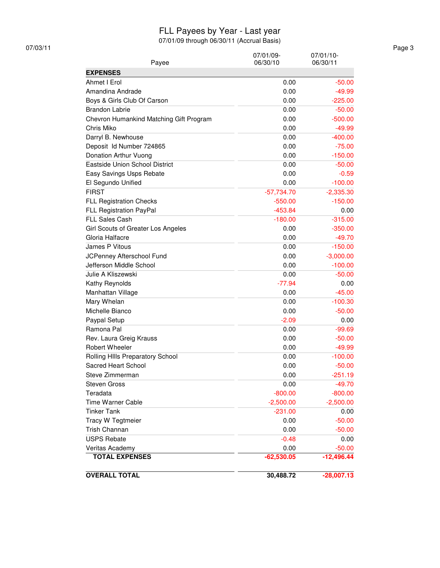#### FLL Payees by Year - Last year

| 07/03/11 |                                         |                       |                       | Page 3 |
|----------|-----------------------------------------|-----------------------|-----------------------|--------|
|          | Payee                                   | 07/01/09-<br>06/30/10 | 07/01/10-<br>06/30/11 |        |
|          | <b>EXPENSES</b>                         |                       |                       |        |
|          | Ahmet I Erol                            | 0.00                  | $-50.00$              |        |
|          | Amandina Andrade                        | 0.00                  | $-49.99$              |        |
|          | Boys & Girls Club Of Carson             | 0.00                  | $-225.00$             |        |
|          | <b>Brandon Labrie</b>                   | 0.00                  | $-50.00$              |        |
|          | Chevron Humankind Matching Gift Program | 0.00                  | $-500.00$             |        |
|          | Chris Miko                              | 0.00                  | $-49.99$              |        |
|          | Darryl B. Newhouse                      | 0.00                  | $-400.00$             |        |
|          | Deposit Id Number 724865                | 0.00                  | $-75.00$              |        |
|          | Donation Arthur Vuong                   | 0.00                  | $-150.00$             |        |
|          | Eastside Union School District          | 0.00                  | $-50.00$              |        |
|          | Easy Savings Usps Rebate                | 0.00                  | $-0.59$               |        |
|          | El Segundo Unified                      | 0.00                  | $-100.00$             |        |
|          | <b>FIRST</b>                            | $-57,734.70$          | $-2,335.30$           |        |
|          | <b>FLL Registration Checks</b>          | $-550.00$             | $-150.00$             |        |
|          | FLL Registration PayPal                 | $-453.84$             | 0.00                  |        |
|          | FLL Sales Cash                          | $-180.00$             | $-315.00$             |        |
|          | Girl Scouts of Greater Los Angeles      | 0.00                  | $-350.00$             |        |
|          | Gloria Halfacre                         | 0.00                  | $-49.70$              |        |
|          | James P Vitous                          | 0.00                  | $-150.00$             |        |
|          | JCPenney Afterschool Fund               | 0.00                  | $-3,000.00$           |        |
|          | Jefferson Middle School                 | 0.00                  | $-100.00$             |        |
|          | Julie A Kliszewski                      | 0.00                  | $-50.00$              |        |
|          | Kathy Reynolds                          | $-77.94$              | 0.00                  |        |
|          | Manhattan Village                       | 0.00                  | $-45.00$              |        |
|          | Mary Whelan                             | 0.00                  | $-100.30$             |        |
|          | Michelle Bianco                         | 0.00                  | $-50.00$              |        |
|          | Paypal Setup                            | $-2.09$               | 0.00                  |        |
|          | Ramona Pal                              | 0.00                  | $-99.69$              |        |
|          | Rev. Laura Greig Krauss                 | 0.00                  | $-50.00$              |        |
|          | <b>Robert Wheeler</b>                   | 0.00                  | $-49.99$              |        |
|          | Rolling HIIIs Preparatory School        | 0.00                  | $-100.00$             |        |
|          | Sacred Heart School                     | 0.00                  | $-50.00$              |        |
|          | Steve Zimmerman                         | 0.00                  | $-251.19$             |        |
|          | <b>Steven Gross</b>                     | 0.00                  | $-49.70$              |        |
|          | Teradata                                | $-800.00$             | $-800.00$             |        |
|          | <b>Time Warner Cable</b>                | $-2,500.00$           | $-2,500.00$           |        |
|          | <b>Tinker Tank</b>                      | $-231.00$             | 0.00                  |        |
|          | Tracy W Tegtmeier                       | 0.00                  | $-50.00$              |        |
|          | Trish Channan                           | 0.00                  | $-50.00$              |        |
|          | <b>USPS Rebate</b>                      | $-0.48$               | 0.00                  |        |
|          | Veritas Academy                         | 0.00                  | $-50.00$              |        |
|          | <b>TOTAL EXPENSES</b>                   | $-62,530.05$          | $-12,496.44$          |        |
|          | <b>OVERALL TOTAL</b>                    | 30,488.72             | $-28,007.13$          |        |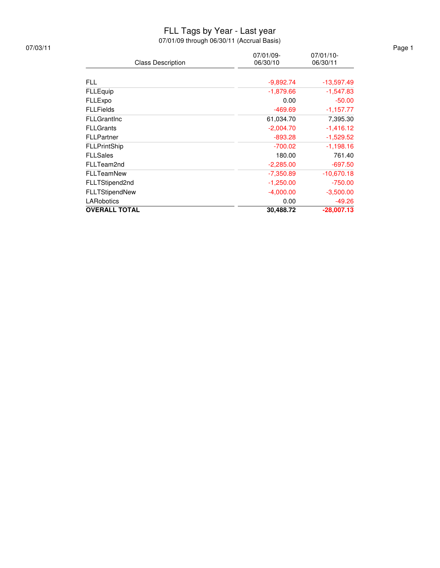#### FLL Tags by Year - Last year

| 07/03/11 |                          |                       |                          | Page 1 |
|----------|--------------------------|-----------------------|--------------------------|--------|
|          | <b>Class Description</b> | 07/01/09-<br>06/30/10 | $07/01/10$ -<br>06/30/11 |        |
|          |                          |                       |                          |        |
|          | <b>FLL</b>               | $-9,892.74$           | $-13,597.49$             |        |
|          | <b>FLLEquip</b>          | $-1,879.66$           | $-1,547.83$              |        |
|          | FLLExpo                  | 0.00                  | $-50.00$                 |        |
|          | <b>FLLFields</b>         | $-469.69$             | $-1,157.77$              |        |
|          | <b>FLLGrantInc</b>       | 61,034.70             | 7,395.30                 |        |
|          | <b>FLLGrants</b>         | $-2,004.70$           | $-1,416.12$              |        |
|          | <b>FLLPartner</b>        | $-893.28$             | $-1,529.52$              |        |
|          | <b>FLLPrintShip</b>      | $-700.02$             | $-1,198.16$              |        |
|          | <b>FLLSales</b>          | 180.00                | 761.40                   |        |
|          | FLLTeam2nd               | $-2,285.00$           | $-697.50$                |        |
|          | <b>FLLTeamNew</b>        | $-7,350.89$           | $-10,670.18$             |        |
|          | FLLTStipend2nd           | $-1,250.00$           | $-750.00$                |        |
|          | FLLTStipendNew           | $-4,000.00$           | $-3,500.00$              |        |
|          | LARobotics               | 0.00                  | $-49.26$                 |        |
|          | <b>OVERALL TOTAL</b>     | 30,488.72             | $-28,007.13$             |        |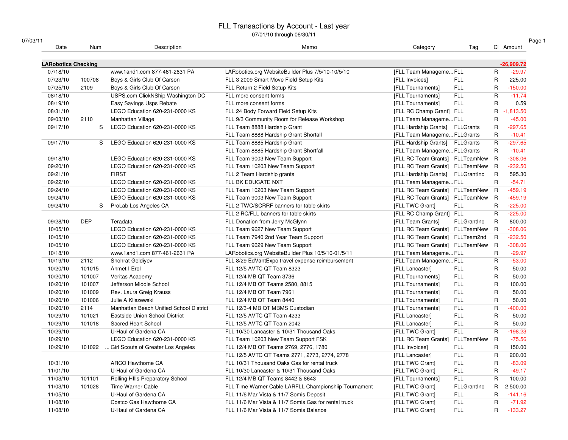| 07/03/11                   |            |                                         |                                                       |                                   |                    |              |              |
|----------------------------|------------|-----------------------------------------|-------------------------------------------------------|-----------------------------------|--------------------|--------------|--------------|
| Date                       | Num        | Description                             | Memo                                                  | Category                          | Tag                |              | Cl Amount    |
| <b>LARobotics Checking</b> |            |                                         |                                                       |                                   |                    |              | $-26,909.72$ |
| 07/18/10                   |            | www.1and1.com 877-461-2631 PA           | LARobotics.org WebsiteBuilder Plus 7/5/10-10/5/10     | [FLL Team ManagemeFLL             |                    | R            | $-29.97$     |
| 07/23/10                   | 100708     | Boys & Girls Club Of Carson             | FLL 3 2009 Smart Move Field Setup Kits                | [FLL Invoices]                    | <b>FLL</b>         | R            | 225.00       |
| 07/25/10                   | 2109       | Boys & Girls Club Of Carson             | FLL Return 2 Field Setup Kits                         | [FLL Tournaments]                 | FLL                | R            | $-150.00$    |
| 08/18/10                   |            | USPS.com ClickNShip Washington DC       | FLL more consent forms                                | [FLL Tournaments]                 | <b>FLL</b>         | R            | $-11.74$     |
| 08/19/10                   |            | Easy Savings Usps Rebate                | FLL more consent forms                                | [FLL Tournaments]                 | FLL                | R            | 0.59         |
| 08/31/10                   |            | LEGO Education 620-231-0000 KS          | FLL 24 Body Forward Field Setup Kits                  | [FLL RC Champ Grant] FLL          |                    | R.           | $-1,813.50$  |
| 09/03/10                   | 2110       | Manhattan Village                       | FLL 9/3 Community Room for Release Workshop           | [FLL Team ManagemeFLL             |                    | R            | $-45.00$     |
| 09/17/10                   | S          | LEGO Education 620-231-0000 KS          | FLL Team 8888 Hardship Grant                          | [FLL Hardship Grants] FLLGrants   |                    | R            | $-297.65$    |
|                            |            |                                         | FLL Team 8888 Hardship Grant Shorfall                 | [FLL Team Manageme FLLGrants      |                    | R            | $-10.41$     |
| 09/17/10                   | S          | LEGO Education 620-231-0000 KS          | FLL Team 8885 Hardship Grant                          | [FLL Hardship Grants] FLLGrants   |                    | R            | $-297.65$    |
|                            |            |                                         | FLL Team 8885 Hardship Grant Shortfall                | [FLL Team Manageme FLLGrants      |                    | R            | $-10.41$     |
| 09/18/10                   |            | LEGO Education 620-231-0000 KS          | FLL Team 9003 New Team Support                        | [FLL RC Team Grants] FLLTeamNew R |                    |              | $-308.06$    |
| 09/20/10                   |            | LEGO Education 620-231-0000 KS          | FLL Team 10203 New Team Support                       | [FLL RC Team Grants] FLLTeamNew R |                    |              | $-232.50$    |
| 09/21/10                   |            | <b>FIRST</b>                            | FLL 2 Team Hardship grants                            | [FLL Hardship Grants] FLLGrantInc |                    | R            | 595.30       |
| 09/22/10                   |            | LEGO Education 620-231-0000 KS          | FLL BK EDUCATE NXT                                    | [FLL Team ManagemeFLL             |                    | R            | $-54.71$     |
| 09/24/10                   |            | LEGO Education 620-231-0000 KS          | FLL Team 10203 New Team Support                       | [FLL RC Team Grants] FLLTeamNew R |                    |              | $-459.19$    |
| 09/24/10                   |            | LEGO Education 620-231-0000 KS          | FLL Team 9003 New Team Support                        | [FLL RC Team Grants] FLLTeamNew R |                    |              | $-459.19$    |
| 09/24/10                   | S          | ProLab Los Angeles CA                   | FLL 2 TWC/SCRRF banners for table skirts              | [FLL TWC Grant]                   | FLL                | R            | $-225.00$    |
|                            |            |                                         | FLL 2 RC/FLL banners for table skirts                 | [FLL RC Champ Grant] FLL          |                    | R            | $-225.00$    |
| 09/28/10                   | <b>DEP</b> | Teradata                                | FLL Donation from Jerry McGlynn                       | [FLL Team Grants]                 | FLLGrantInc        | R            | 800.00       |
| 10/05/10                   |            | LEGO Education 620-231-0000 KS          | FLL Team 9627 New Team Support                        | [FLL RC Team Grants] FLLTeamNew R |                    |              | $-308.06$    |
| 10/05/10                   |            | LEGO Education 620-231-0000 KS          | FLL Team 7940 2nd Year Team Support                   | [FLL RC Team Grants] FLLTeam2nd   |                    | $\mathsf{R}$ | $-232.50$    |
| 10/05/10                   |            | LEGO Education 620-231-0000 KS          | FLL Team 9629 New Team Support                        | [FLL RC Team Grants] FLLTeamNew R |                    |              | $-308.06$    |
| 10/18/10                   |            | www.1and1.com 877-461-2631 PA           | LARobotics.org WebsiteBuilder Plus 10/5/10-01/5/11    | [FLL Team ManagemeFLL             |                    | R            | $-29.97$     |
| 10/19/10                   | 2112       | Shohrat Geldiyev                        | FLL 8/29 EdVantExpo travel expense reimbursement      | [FLL Team ManagemeFLL             |                    | R            | $-53.00$     |
| 10/20/10                   | 101015     | Ahmet I Erol                            | FLL 12/5 AVTC QT Team 8323                            | [FLL Lancaster]                   | <b>FLL</b>         | R            | 50.00        |
| 10/20/10                   | 101007     | Veritas Academy                         | FLL 12/4 MB QT Team 3736                              | [FLL Tournaments]                 | <b>FLL</b>         | R            | 50.00        |
| 10/20/10                   | 101007     | Jefferson Middle School                 | FLL 12/4 MB QT Teams 2580, 8815                       | [FLL Tournaments]                 | <b>FLL</b>         | R            | 100.00       |
| 10/20/10                   | 101009     | Rev. Laura Greig Krauss                 | FLL 12/4 MB QT Team 7961                              | [FLL Tournaments]                 | <b>FLL</b>         | R            | 50.00        |
| 10/20/10                   | 101006     | Julie A Kliszewski                      | FLL 12/4 MB QT Team 8440                              | [FLL Tournaments]                 | <b>FLL</b>         | R            | 50.00        |
| 10/20/10                   | 2114       | Manhattan Beach Unified School District | FLL 12/3-4 MB QT MBMS Custodian                       | [FLL Tournaments]                 | <b>FLL</b>         | R            | $-400.00$    |
| 10/29/10                   | 101021     | Eastside Union School District          | FLL 12/5 AVTC QT Team 4233                            | [FLL Lancaster]                   | <b>FLL</b>         | R            | 50.00        |
| 10/29/10                   | 101018     | Sacred Heart School                     | FLL 12/5 AVTC QT Team 2042                            | [FLL Lancaster]                   | <b>FLL</b>         | R            | 50.00        |
| 10/29/10                   |            | U-Haul of Gardena CA                    | FLL 10/30 Lancaster & 10/31 Thousand Oaks             | [FLL TWC Grant]                   | <b>FLL</b>         | $\mathsf{R}$ | $-198.23$    |
| 10/29/10                   |            | LEGO Education 620-231-0000 KS          | FLL Team 10203 New Team Support FSK                   | [FLL RC Team Grants]              | FLLTeamNew         | R            | $-75.56$     |
| 10/29/10                   | 101022     | Girl Scouts of Greater Los Angeles      | FLL 12/4 MB QT Teams 2769, 2776, 1780                 | [FLL Invoices]                    | <b>FLL</b>         | R            | 150.00       |
|                            |            |                                         |                                                       |                                   | <b>FLL</b>         | R            | 200.00       |
|                            |            |                                         | FLL 12/5 AVTC QT Teams 2771, 2773, 2774, 2778         | [FLL Lancaster]                   |                    |              |              |
| 10/31/10                   |            | ARCO Hawthorne CA                       | FLL 10/31 Thousand Oaks Gas for rental truck          | [FLL TWC Grant]                   | <b>FLL</b>         | R            | $-83.09$     |
| 11/01/10                   |            | U-Haul of Gardena CA                    | FLL 10/30 Lancaster & 10/31 Thousand Oaks             | [FLL TWC Grant]                   | <b>FLL</b>         | R            | $-49.17$     |
| 11/03/10                   | 101101     | Rolling HIIIs Preparatory School        | FLL 12/4 MB QT Teams 8442 & 8643                      | [FLL Tournaments]                 | <b>FLL</b>         | R            | 100.00       |
| 11/03/10                   | 101028     | Time Warner Cable                       | FLL Time Warner Cable LARFLL Championshiip Tournament | [FLL TWC Grant]                   | <b>FLLGrantInc</b> | R            | 2,500.00     |
| 11/05/10                   |            | U-Haul of Gardena CA                    | FLL 11/6 Mar Vista & 11/7 Somis Deposit               | [FLL TWC Grant]                   | FLL                | R            | $-141.16$    |
| 11/08/10                   |            | Costco Gas Hawthorne CA                 | FLL 11/6 Mar Vista & 11/7 Somis Gas for rental truck  | [FLL TWC Grant]                   | <b>FLL</b>         | R            | $-71.92$     |
| 11/08/10                   |            | U-Haul of Gardena CA                    | FLL 11/6 Mar Vista & 11/7 Somis Balance               | [FLL TWC Grant]                   | <b>FLL</b>         | R            | $-133.27$    |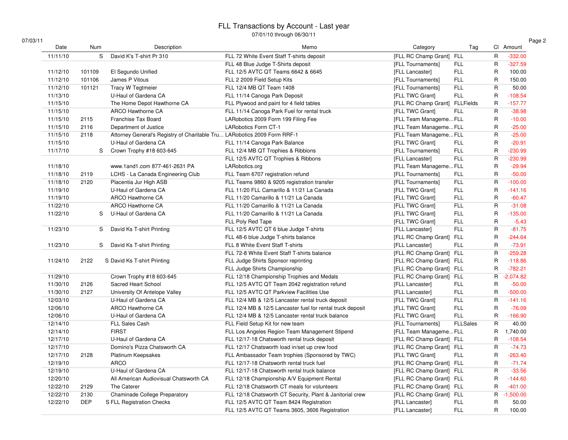| 07/03/11 |  |
|----------|--|
|----------|--|

| Date     | Num        |              | Description                                                              | Memo                                                       | Category                       | Tag             |                | Cl Amount   |
|----------|------------|--------------|--------------------------------------------------------------------------|------------------------------------------------------------|--------------------------------|-----------------|----------------|-------------|
| 11/11/10 |            | S            | David K's T-shirt Pr 310                                                 | FLL 72 White Event Staff T-shirts deposit                  | [FLL RC Champ Grant] FLL       |                 | $\overline{R}$ | $-332.00$   |
|          |            |              |                                                                          | FLL 48 Blue Judge T-Shirts deposit                         | [FLL Tournaments]              | <b>FLL</b>      | $\overline{R}$ | $-327.59$   |
| 11/12/10 | 101109     |              | El Segundo Unified                                                       | FLL 12/5 AVTC QT Teams 6642 & 6645                         | [FLL Lancaster]                | <b>FLL</b>      | $\mathsf{R}$   | 100.00      |
| 11/12/10 | 101106     |              | James P Vitous                                                           | FLL 2 2009 Field Setup Kits                                | [FLL Tournaments]              | <b>FLL</b>      | $\mathsf{R}$   | 150.00      |
| 11/12/10 | 101121     |              | Tracy W Tegtmeier                                                        | FLL 12/4 MB QT Team 1408                                   | [FLL Tournaments]              | <b>FLL</b>      | $\mathsf{R}$   | 50.00       |
| 11/13/10 |            |              | U-Haul of Gardena CA                                                     | FLL 11/14 Canoga Park Deposit                              | [FLL TWC Grant]                | <b>FLL</b>      | $\mathsf{R}$   | $-108.54$   |
| 11/15/10 |            |              | The Home Depot Hawthorne CA                                              | FLL Plywood and paint for 4 field tables                   | [FLL RC Champ Grant] FLLFields |                 | $\mathsf{R}$   | $-157.77$   |
| 11/15/10 |            |              | ARCO Hawthorne CA                                                        | FLL 11/14 Canoga Park Fuel for rental truck                | [FLL TWC Grant]                | <b>FLL</b>      | $\mathsf{R}$   | $-38.98$    |
| 11/15/10 | 2115       |              | Franchise Tax Board                                                      | LARobotics 2009 Form 199 Filing Fee                        | [FLL Team ManagemeFLL          |                 | $\mathsf{R}$   | $-10.00$    |
| 11/15/10 | 2116       |              | Department of Justice                                                    | <b>LARobotics Form CT-1</b>                                | [FLL Team ManagemeFLL          |                 | $\mathsf{R}$   | $-25.00$    |
| 11/15/10 | 2118       |              | Attorney General's Registry of Charitable Tru LARobotics 2009 Form RRF-1 |                                                            | [FLL Team ManagemeFLL          |                 | $\mathsf{R}$   | $-25.00$    |
| 11/15/10 |            |              | U-Haul of Gardena CA                                                     | FLL 11/14 Canoga Park Balance                              | [FLL TWC Grant]                | <b>FLL</b>      | $\mathsf{R}$   | $-20.91$    |
| 11/17/10 |            | S            | Crown Trophy #18 603-645                                                 | FLL 12/4 MB QT Trophies & Ribbions                         | [FLL Tournaments]              | <b>FLL</b>      | $\mathsf{R}$   | $-230.99$   |
|          |            |              |                                                                          | FLL 12/5 AVTC QT Trophies & Ribbons                        | [FLL Lancaster]                | <b>FLL</b>      | $\mathsf{R}$   | $-230.99$   |
| 11/18/10 |            |              | www.1and1.com 877-461-2631 PA                                            | LARobotics.org                                             | [FLL Team ManagemeFLL          |                 | $\mathsf{R}$   | $-29.94$    |
| 11/18/10 | 2119       |              | LCHS - La Canada Engineering Club                                        | FLL Team 6707 registration refund                          | [FLL Tournaments]              | <b>FLL</b>      | $\mathsf{R}$   | $-50.00$    |
| 11/18/10 | 2120       |              | Placentia Jur High ASB                                                   | FLL Teams 9860 & 9205 registration transfer                | [FLL Tournaments]              | <b>FLL</b>      | $\mathsf{R}$   | $-100.00$   |
| 11/19/10 |            |              | U-Haul of Gardena CA                                                     | FLL 11/20 FLL Camarillo & 11/21 La Canada                  | [FLL TWC Grant]                | <b>FLL</b>      | $\mathsf{R}$   | $-141.16$   |
| 11/19/10 |            |              | ARCO Hawthorne CA                                                        | FLL 11/20 Camarillo & 11/21 La Canada                      | [FLL TWC Grant]                | <b>FLL</b>      | $\mathsf{R}$   | $-60.47$    |
| 11/22/10 |            |              | <b>ARCO Hawthorne CA</b>                                                 | FLL 11/20 Camarillo & 11/21 La Canada                      | [FLL TWC Grant]                | <b>FLL</b>      | $\mathsf{R}$   | $-31.08$    |
| 11/22/10 |            | S            | U-Haul of Gardena CA                                                     | FLL 11/20 Camarillo & 11/21 La Canada                      | [FLL TWC Grant]                | <b>FLL</b>      | $\mathsf{R}$   | $-135.00$   |
|          |            |              |                                                                          | FLL Poly Red Tape                                          | [FLL TWC Grant]                | <b>FLL</b>      | $\mathsf{R}$   | $-5.43$     |
| 11/23/10 |            | S            | David Ks T-shirt Printing                                                | FLL 12/5 AVTC QT 6 blue Judge T-shirts                     | [FLL Lancaster]                | <b>FLL</b>      | $\mathsf{R}$   | $-81.75$    |
|          |            |              |                                                                          | FLL 48-6 blue Judge T-shirts balance                       | [FLL RC Champ Grant] FLL       |                 | $\mathsf{R}$   | $-244.64$   |
| 11/23/10 |            | S            | David Ks T-shirt Printing                                                | FLL 8 White Event Staff T-shirts                           | [FLL Lancaster]                | <b>FLL</b>      | $\mathsf{R}$   | $-73.91$    |
|          |            |              |                                                                          | FLL 72-8 White Event Staff T-shirts balance                | [FLL RC Champ Grant] FLL       |                 | $\mathsf{R}$   | $-259.28$   |
| 11/24/10 | 2122       |              | S David Ks T-shirt Printing                                              | FLL Judge Shirts Sponsor reprinting                        | [FLL RC Champ Grant] FLL       |                 | $\mathsf{R}$   | $-118.86$   |
|          |            |              |                                                                          | FLL Judge Shirts Championship                              | [FLL RC Champ Grant] FLL       |                 | $\mathsf{R}$   | $-782.21$   |
| 11/29/10 |            |              | Crown Trophy #18 603-645                                                 | FLL 12/18 Championship Trophies and Medals                 | [FLL RC Champ Grant] FLL       |                 | $\mathsf{R}$   | $-2,074.82$ |
| 11/30/10 | 2126       |              | Sacred Heart School                                                      | FLL 12/5 AVTC QT Team 2042 registration refund             | [FLL Lancaster]                | <b>FLL</b>      | $\mathsf{R}$   | $-50.00$    |
| 11/30/10 | 2127       |              | University Of Antelope Valley                                            | FLL 12/5 AVTC QT Parkview Facilities Use                   |                                | <b>FLL</b>      | $\mathsf{R}$   | $-500.00$   |
| 12/03/10 |            |              | U-Haul of Gardena CA                                                     |                                                            | [FLL Lancaster]                | <b>FLL</b>      | $\mathsf{R}$   | $-141.16$   |
|          |            |              | <b>ARCO Hawthorne CA</b>                                                 | FLL 12/4 MB & 12/5 Lancaster rental truck deposit          | [FLL TWC Grant]                | <b>FLL</b>      | $\overline{R}$ |             |
| 12/06/10 |            |              |                                                                          | FLL 12/4 MB & 12/5 Lancaster fuel for rental truck deposit | [FLL TWC Grant]                |                 |                | $-76.09$    |
| 12/06/10 |            |              | U-Haul of Gardena CA                                                     | FLL 12/4 MB & 12/5 Lancaster rental truck balance          | [FLL TWC Grant]                | <b>FLL</b>      | $\mathsf{R}$   | $-166.90$   |
| 12/14/10 |            |              | FLL Sales Cash                                                           | FLL Field Setup Kit for new team                           | [FLL Tournaments]              | <b>FLLSales</b> | $\mathsf{R}$   | 40.00       |
| 12/14/10 |            | <b>FIRST</b> |                                                                          | FLL Los Angeles Region Team Management Stipend             | [FLL Team ManagemeFLL          |                 | $\mathsf{R}$   | 1,740.00    |
| 12/17/10 |            |              | U-Haul of Gardena CA                                                     | FLL 12/17-18 Chatsworth rental truck deposit               | [FLL RC Champ Grant] FLL       |                 | $\mathsf{R}$   | $-108.54$   |
| 12/17/10 |            |              | Domino's Pizza Chatsworth CA                                             | FLL 12/17 Chatsworth load in/set up crew food              | [FLL RC Champ Grant] FLL       |                 | $\mathsf{R}$   | $-74.73$    |
| 12/17/10 | 2128       |              | Platinum Keepsakes                                                       | FLL Ambassador Team trophies (Sponsored by TWC)            | [FLL TWC Grant]                | <b>FLL</b>      | $\mathsf{R}$   | $-263.40$   |
| 12/19/10 |            | <b>ARCO</b>  |                                                                          | FLL 12/17-18 Chatsworth rental truck fuel                  | [FLL RC Champ Grant] FLL       |                 | $\mathsf{R}$   | $-71.74$    |
| 12/19/10 |            |              | U-Haul of Gardena CA                                                     | FLL 12/17-18 Chatsworth rental truck balance               | [FLL RC Champ Grant] FLL       |                 | $\mathsf{R}$   | $-33.56$    |
| 12/20/10 |            |              | All American Audiovisual Chatsworth CA                                   | FLL 12/18 Championship A/V Equipment Rental                | [FLL RC Champ Grant] FLL       |                 | $\mathsf{R}$   | $-144.60$   |
| 12/22/10 | 2129       |              | The Caterer                                                              | FLL 12/18 Chatsworth CT meals for volunteers               | [FLL RC Champ Grant] FLL       |                 | $\mathsf{R}$   | $-401.00$   |
| 12/22/10 | 2130       |              | Chaminade College Preparatory                                            | FLL 12/18 Chatsworth CT Security, Plant & Janitorial crew  | [FLL RC Champ Grant] FLL       |                 | $\mathsf R$    | $-1,500.00$ |
| 12/22/10 | <b>DEP</b> |              | S FLL Registration Checks                                                | FLL 12/5 AVTC QT Team 8424 Registration                    | [FLL Lancaster]                | <b>FLL</b>      | $\mathsf{R}$   | 50.00       |
|          |            |              |                                                                          | FLL 12/5 AVTC QT Teams 3605, 3606 Registration             | [FLL Lancaster]                | <b>FLL</b>      | $\mathsf{R}$   | 100.00      |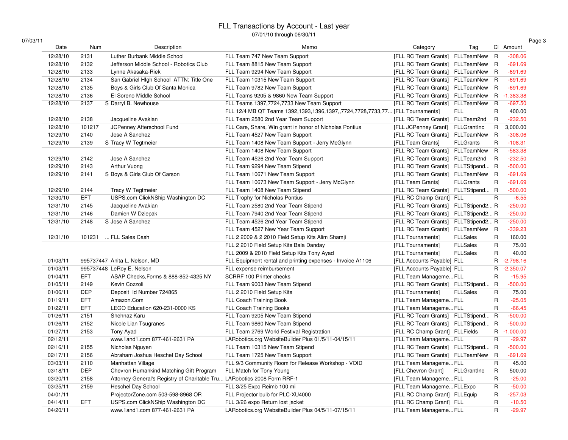| 03/11 |          |            |                                                                          |                                                                               |                                     |                  |                         | Page 3      |
|-------|----------|------------|--------------------------------------------------------------------------|-------------------------------------------------------------------------------|-------------------------------------|------------------|-------------------------|-------------|
|       | Date     | Num        | Description                                                              | Memo                                                                          | Category                            | Tag              |                         | CI Amount   |
|       | 12/28/10 | 2131       | Luther Burbank Middle School                                             | FLL Team 747 New Team Support                                                 | [FLL RC Team Grants]                | FLLTeamNew R     |                         | $-308.06$   |
|       | 12/28/10 | 2132       | Jefferson Middle School - Robotics Club                                  | FLL Team 8815 New Team Support                                                | [FLL RC Team Grants]                | FLLTeamNew       | - R                     | $-691.69$   |
|       | 12/28/10 | 2133       | Lynne Akasaka-Riek                                                       | FLL Team 9294 New Team Support                                                | [FLL RC Team Grants]                | FLLTeamNew R     |                         | $-691.69$   |
|       | 12/28/10 | 2134       | San Gabriel High School ATTN: Title One                                  | FLL Team 10315 New Team Support                                               | [FLL RC Team Grants]                | FLLTeamNew       | $\overline{R}$          | $-691.69$   |
|       | 12/28/10 | 2135       | Boys & Girls Club Of Santa Monica                                        | FLL Team 9782 New Team Support                                                | [FLL RC Team Grants]                | FLLTeamNew       | R                       | $-691.69$   |
|       | 12/28/10 | 2136       | El Soreno Middle School                                                  | FLL Teams 9205 & 9860 New Team Support                                        | [FLL RC Team Grants]                | FLLTeamNew       | R                       | $-1,383.38$ |
|       | 12/28/10 | 2137       | S Darryl B. Newhouse                                                     | FLL Teams 1397,7724,7733 New Team Support                                     | [FLL RC Team Grants]                | FLLTeamNew       | $\overline{\mathsf{R}}$ | $-697.50$   |
|       |          |            |                                                                          | FLL 12/4 MB QT Teams 1392,1393,1396,1397,,7724,7728,7733,77 [FLL Tournaments] |                                     | <b>FLL</b>       | $\mathsf{R}$            | 400.00      |
|       | 12/28/10 | 2138       | Jacqueline Avakian                                                       | FLL Team 2580 2nd Year Team Support                                           | [FLL RC Team Grants] FLLTeam2nd     |                  | $\mathsf{R}$            | $-232.50$   |
|       | 12/28/10 | 101217     | JCPenney Afterschool Fund                                                | FLL Care, Share, Win grant in honor of Nicholas Pontius                       | [FLL JCPenney Grant]                | FLLGrantInc      | R                       | 3,000.00    |
|       | 12/29/10 | 2140       | Jose A Sanchez                                                           | FLL Team 4527 New Team Support                                                | [FLL RC Team Grants]                | FLLTeamNew       | R                       | $-308.06$   |
|       | 12/29/10 | 2139       | S Tracy W Tegtmeier                                                      | FLL Team 1408 New Team Support - Jerry McGlynn                                | [FLL Team Grants]                   | <b>FLLGrants</b> | R                       | $-108.31$   |
|       |          |            |                                                                          | FLL Team 1408 New Team Support                                                | [FLL RC Team Grants] FLLTeamNew R   |                  |                         | $-583.38$   |
|       | 12/29/10 | 2142       | Jose A Sanchez                                                           | FLL Team 4526 2nd Year Team Support                                           | [FLL RC Team Grants]                | FLLTeam2nd       | R                       | $-232.50$   |
|       | 12/29/10 | 2143       | Arthur Vuong                                                             | FLL Team 9294 New Team Stipend                                                | [FLL RC Team Grants]                | FLLTStipend R    |                         | $-500.00$   |
|       | 12/29/10 | 2141       | S Boys & Girls Club Of Carson                                            | FLL Team 10671 New Team Support                                               | [FLL RC Team Grants] FLLTeamNew R   |                  |                         | $-691.69$   |
|       |          |            |                                                                          | FLL Team 10673 New Team Support - Jerry McGlynn                               | [FLL Team Grants]                   | <b>FLLGrants</b> | $\mathsf{R}$            | $-691.69$   |
|       | 12/29/10 | 2144       | Tracy W Tegtmeier                                                        | FLL Team 1408 New Team Stipend                                                | [FLL RC Team Grants] FLLTStipend R  |                  |                         | $-500.00$   |
|       | 12/30/10 | <b>EFT</b> | USPS.com ClickNShip Washington DC                                        | FLL Trophy for Nicholas Pontius                                               | [FLL RC Champ Grant] FLL            |                  | $\mathsf{R}$            | $-6.55$     |
|       | 12/31/10 | 2145       | Jacqueline Avakian                                                       | FLL Team 2580 2nd Year Team Stipend                                           | [FLL RC Team Grants] FLLTStipend2 R |                  |                         | $-250.00$   |
|       | 12/31/10 | 2146       | Damien W Dziepak                                                         | FLL Team 7940 2nd Year Team Stipend                                           | [FLL RC Team Grants] FLLTStipend2 R |                  |                         | $-250.00$   |
|       | 12/31/10 | 2148       | S Jose A Sanchez                                                         | FLL Team 4526 2nd Year Team Stipend                                           | [FLL RC Team Grants] FLLTStipend2 R |                  |                         | $-250.00$   |
|       |          |            |                                                                          | FLL Team 4527 New Year Team Support                                           | [FLL RC Team Grants]                | FLLTeamNew R     |                         | $-339.23$   |
|       | 12/31/10 | 101231     | FLL Sales Cash                                                           | FLL 2 2009 & 2 2010 Field Setup Kits Alim Shamji                              | [FLL Tournaments]                   | <b>FLLSales</b>  | R                       | 160.00      |
|       |          |            |                                                                          | FLL 2 2010 Field Setup Kits Bala Danday                                       | [FLL Tournaments]                   | <b>FLLSales</b>  | R                       | 75.00       |
|       |          |            |                                                                          | FLL 2009 & 2010 Field Setup Kits Tony Ayad                                    | [FLL Tournaments]                   | <b>FLLSales</b>  | $\overline{R}$          | 40.00       |
|       | 01/03/11 |            | 995737447 Anita L. Nelson, MD                                            | FLL Equipment rental and printing expenses - Invoice A1106                    | [FLL Accounts Payable] FLL          |                  | R                       | $-2,798.16$ |
|       | 01/03/11 |            | 995737448 LeRoy E. Nelson                                                | FLL expense reimbursement                                                     | [FLL Accounts Payable] FLL          |                  | R                       | $-2,350.07$ |
|       | 01/04/11 | EFT        | ASAP Checks, Forms & 888-852-4325 NY                                     | SCRRF 100 Printer checks                                                      | [FLL Team ManagemeFLL               |                  | R                       | $-15.95$    |
|       | 01/05/11 | 2149       | Kevin Cozzoli                                                            | FLL Team 9003 New Team Stipend                                                | [FLL RC Team Grants] FLLTStipend    |                  | R                       | $-500.00$   |
|       | 01/06/11 | <b>DEP</b> | Deposit Id Number 724865                                                 | FLL 2 2010 Field Setup Kits                                                   | [FLL Tournaments]                   | <b>FLLSales</b>  | R                       | 75.00       |
|       | 01/19/11 | <b>EFT</b> | Amazon.Com                                                               | FLL Coach Training Book                                                       | [FLL Team ManagemeFLL               |                  | $\mathsf{R}$            | $-25.05$    |
|       | 01/22/11 | <b>EFT</b> | LEGO Education 620-231-0000 KS                                           | FLL Coach Training Books                                                      | [FLL Team ManagemeFLL               |                  | $\mathsf{R}$            | $-66.45$    |
|       | 01/26/11 | 2151       | Shehnaz Karu                                                             | FLL Team 9205 New Team Stipend                                                | [FLL RC Team Grants] FLLTStipend R  |                  |                         | $-500.00$   |
|       | 01/26/11 | 2152       | Nicole Lian Tsugranes                                                    | FLL Team 9860 New Team Stipend                                                | [FLL RC Team Grants] FLLTStipend R  |                  |                         | $-500.00$   |
|       | 01/27/11 | 2153       | <b>Tony Ayad</b>                                                         | FLL Team 2769 World Festival Registration                                     | [FLL RC Champ Grant] FLLFields      |                  | R                       | $-1,000.00$ |
|       | 02/12/11 |            | www.1and1.com 877-461-2631 PA                                            | LARobotics.org WebsiteBuilder Plus 01/5/11-04/15/11                           | [FLL Team ManagemeFLL               |                  | $\overline{\mathsf{R}}$ | $-29.97$    |
|       | 02/16/11 | 2155       | Nicholas Nguyen                                                          | FLL Team 10315 New Team Stipend                                               | [FLL RC Team Grants] FLLTStipend R  |                  |                         | $-500.00$   |
|       | 02/17/11 | 2156       | Abraham Joshua Heschel Day School                                        | FLL Team 1725 New Team Support                                                | [FLL RC Team Grants] FLLTeamNew     |                  | $\overline{R}$          | $-691.69$   |
|       | 03/03/11 | 2110       | Manhattan Village                                                        | FLL 9/3 Community Room for Release Workshop - VOID                            | [FLL Team ManagemeFLL               |                  | R                       | 45.00       |
|       | 03/18/11 | <b>DEP</b> | Chevron Humankind Matching Gift Program                                  | FLL Match for Tony Young                                                      | [FLL Chevron Grant]                 | FLLGrantInc      | $\mathsf{R}$            | 500.00      |
|       | 03/20/11 | 2158       | Attorney General's Registry of Charitable Tru LARobotics 2008 Form RRF-1 |                                                                               | [FLL Team ManagemeFLL               |                  | $\overline{R}$          | $-25.00$    |
|       | 03/25/11 | 2159       | <b>Heschel Day School</b>                                                | FLL 3/25 Expo Reimb 100 mi                                                    | [FLL Team ManagemeFLLExpo           |                  | R                       | $-50.00$    |
|       | 04/01/11 |            | ProjectorZone.com 503-598-8968 OR                                        | FLL Projector bulb for PLC-XU4000                                             | [FLL RC Champ Grant] FLLEquip       |                  | $\mathsf{R}$            | $-257.03$   |
|       |          | <b>EFT</b> |                                                                          |                                                                               |                                     |                  | $\overline{\mathsf{R}}$ |             |
|       | 04/14/11 |            | USPS.com ClickNShip Washington DC                                        | FLL 3/26 expo Return lost jacket                                              | [FLL RC Champ Grant] FLL            |                  |                         | $-10.50$    |
|       | 04/20/11 |            | www.1and1.com 877-461-2631 PA                                            | LARobotics.org WebsiteBuilder Plus 04/5/11-07/15/11                           | [FLL Team ManagemeFLL               |                  | $\overline{\mathsf{R}}$ | $-29.97$    |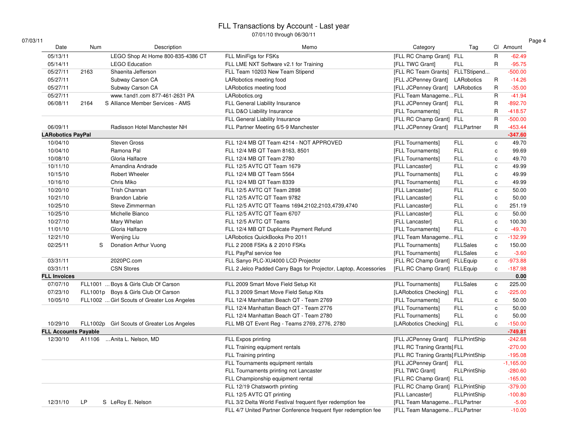| 07/03/11 |  |
|----------|--|
|----------|--|

| 3/11                        |        |                                             |                                                                  |                                      |                     |                         |             |
|-----------------------------|--------|---------------------------------------------|------------------------------------------------------------------|--------------------------------------|---------------------|-------------------------|-------------|
| Date                        | Num    | Description                                 | Memo                                                             | Category                             | Tag                 |                         | CI Amount   |
| 05/13/11                    |        | LEGO Shop At Home 800-835-4386 CT           | FLL MiniFigs for FSKs                                            | [FLL RC Champ Grant] FLL             |                     | $\mathsf{R}$            | $-62.49$    |
| 05/14/11                    |        | <b>LEGO Education</b>                       | FLL LME NXT Software v2.1 for Training                           | [FLL TWC Grant]                      | <b>FLL</b>          | $\mathsf{R}$            | $-95.75$    |
| 05/27/11                    | 2163   | Shaenita Jefferson                          | FLL Team 10203 New Team Stipend                                  | [FLL RC Team Grants] FLLTStipend     |                     |                         | $-500.00$   |
| 05/27/11                    |        | Subway Carson CA                            | LARobotics meeting food                                          | [FLL JCPenney Grant]                 | LARobotics          | $\mathsf{R}$            | $-14.26$    |
| 05/27/11                    |        | Subway Carson CA                            | LARobotics meeting food                                          | [FLL JCPenney Grant]                 | LARobotics          | $\mathsf{R}$            | $-35.00$    |
| 05/27/11                    |        | www.1and1.com 877-461-2631 PA               | LARobotics.org                                                   | [FLL Team ManagemeFLL                |                     | $\mathsf{R}$            | $-41.94$    |
| 06/08/11                    | 2164   | S Alliance Member Services - AMS            | FLL General Liability Insurance                                  | [FLL JCPenney Grant]                 | <b>FLL</b>          | R                       | $-892.70$   |
|                             |        |                                             | FLL D&O Liability Insurance                                      | [FLL Tournaments]                    | <b>FLL</b>          | $\mathsf{R}$            | $-418.57$   |
|                             |        |                                             | FLL General Liability Insurance                                  | [FLL RC Champ Grant] FLL             |                     | $\overline{\mathsf{R}}$ | $-500.00$   |
| 06/09/11                    |        | Radisson Hotel Manchester NH                | FLL Partner Meeting 6/5-9 Manchester                             | [FLL JCPenney Grant]                 | FLLPartner          | $\mathsf{R}$            | $-453.44$   |
| <b>LARobotics PayPal</b>    |        |                                             |                                                                  |                                      |                     |                         | $-347.60$   |
| 10/04/10                    |        | <b>Steven Gross</b>                         | FLL 12/4 MB QT Team 4214 - NOT APPROVED                          | [FLL Tournaments]                    | <b>FLL</b>          | $\mathbf c$             | 49.70       |
| 10/04/10                    |        | Ramona Pal                                  | FLL 12/4 MB QT Team 8163, 8501                                   | [FLL Tournaments]                    | <b>FLL</b>          | $\mathbf c$             | 99.69       |
| 10/08/10                    |        | Gloria Halfacre                             | FLL 12/4 MB QT Team 2780                                         | [FLL Tournaments]                    | <b>FLL</b>          | C                       | 49.70       |
| 10/11/10                    |        | Amandina Andrade                            | FLL 12/5 AVTC QT Team 1679                                       | [FLL Lancaster]                      | <b>FLL</b>          | $\mathbf c$             | 49.99       |
| 10/15/10                    |        | <b>Robert Wheeler</b>                       | FLL 12/4 MB QT Team 5564                                         | [FLL Tournaments]                    | <b>FLL</b>          | c                       | 49.99       |
| 10/16/10                    |        | Chris Miko                                  | FLL 12/4 MB QT Team 8339                                         | [FLL Tournaments]                    | <b>FLL</b>          | $\mathbf{c}$            | 49.99       |
| 10/20/10                    |        | Trish Channan                               | FLL 12/5 AVTC QT Team 2898                                       | [FLL Lancaster]                      | <b>FLL</b>          | $\mathbf{C}$            | 50.00       |
| 10/21/10                    |        | <b>Brandon Labrie</b>                       | FLL 12/5 AVTC QT Team 9782                                       | [FLL Lancaster]                      | <b>FLL</b>          | $\mathbf{c}$            | 50.00       |
| 10/25/10                    |        | Steve Zimmerman                             | FLL 12/5 AVTC QT Teams 1694,2102,2103,4739,4740                  | [FLL Lancaster]                      | <b>FLL</b>          | C                       | 251.19      |
| 10/25/10                    |        | Michelle Bianco                             | FLL 12/5 AVTC QT Team 6707                                       | [FLL Lancaster]                      | <b>FLL</b>          | $\mathbf c$             | 50.00       |
| 10/27/10                    |        | Mary Whelan                                 | FLL 12/5 AVTC QT Teams                                           | [FLL Lancaster]                      | <b>FLL</b>          | $\mathbf c$             | 100.30      |
| 11/01/10                    |        | Gloria Halfacre                             | FLL 12/4 MB QT Duplicate Payment Refund                          | [FLL Tournaments]                    | <b>FLL</b>          | $\mathbf c$             | $-49.70$    |
| 12/21/10                    |        | Wenjing Liu                                 | LARobotics QuickBooks Pro 2011                                   | [FLL Team ManagemeFLL                |                     | C                       | $-132.99$   |
| 02/25/11                    | S      | Donation Arthur Vuong                       | FLL 2 2008 FSKs & 2 2010 FSKs                                    | [FLL Tournaments]                    | <b>FLLSales</b>     | $\mathbf c$             | 150.00      |
|                             |        |                                             | FLL PayPal service fee                                           | [FLL Tournaments]                    | <b>FLLSales</b>     | c                       | $-3.60$     |
| 03/31/11                    |        | 2020PC.com                                  | FLL Sanyo PLC-XU4000 LCD Projector                               | [FLL RC Champ Grant] FLLEquip        |                     | $\mathbf c$             | $-973.88$   |
| 03/31/11                    |        | <b>CSN Stores</b>                           | FLL 2 Jelco Padded Carry Bags for Projector, Laptop, Accessories | [FLL RC Champ Grant] FLLEquip        |                     | C                       | $-187.98$   |
| <b>FLL Invoices</b>         |        |                                             |                                                                  |                                      |                     |                         | 0.00        |
| 07/07/10                    |        | FLL1001  Boys & Girls Club Of Carson        | FLL 2009 Smart Move Field Setup Kit                              | [FLL Tournaments]                    | <b>FLLSales</b>     | $\mathbf c$             | 225.00      |
| 07/23/10                    |        | FLL1001p Boys & Girls Club Of Carson        | FLL 3 2009 Smart Move Field Setup Kits                           | [LARobotics Checking]                | <b>FLL</b>          | c                       | $-225.00$   |
| 10/05/10                    |        | FLL1002  Girl Scouts of Greater Los Angeles | FLL 12/4 Manhattan Beach QT - Team 2769                          | [FLL Tournaments]                    | <b>FLL</b>          | c                       | 50.00       |
|                             |        |                                             | FLL 12/4 Manhattan Beach QT - Team 2776                          | [FLL Tournaments]                    | <b>FLL</b>          | $\mathbf c$             | 50.00       |
|                             |        |                                             | FLL 12/4 Manhattan Beach QT - Team 2780                          | [FLL Tournaments]                    | <b>FLL</b>          | C                       | 50.00       |
| 10/29/10                    |        | FLL1002p Girl Scouts of Greater Los Angeles | FLL MB QT Event Reg - Teams 2769, 2776, 2780                     | [LARobotics Checking]                | <b>FLL</b>          | C                       | $-150.00$   |
| <b>FLL Accounts Payable</b> |        |                                             |                                                                  |                                      |                     |                         | $-749.81$   |
| 12/30/10                    | A11106 | Anita L. Nelson, MD                         | FLL Expos printing                                               | [FLL JCPenney Grant] FLLPrintShip    |                     |                         | $-242.68$   |
|                             |        |                                             | FLL Training equipment rentals                                   | [FLL RC Traning Grants] FLL          |                     |                         | $-270.00$   |
|                             |        |                                             | FLL Training printing                                            | [FLL RC Traning Grants] FLLPrintShip |                     |                         | $-195.08$   |
|                             |        |                                             | FLL Tournaments equipment rentals                                | [FLL JCPenney Grant] FLL             |                     |                         | $-1,165.00$ |
|                             |        |                                             | FLL Tournaments printing not Lancaster                           | [FLL TWC Grant]                      | <b>FLLPrintShip</b> |                         | $-280.60$   |
|                             |        |                                             | FLL Championship equipment rental                                | [FLL RC Champ Grant] FLL             |                     |                         | $-165.00$   |
|                             |        |                                             | FLL 12/19 Chatsworth printing                                    | [FLL RC Champ Grant] FLLPrintShip    |                     |                         | $-379.00$   |
|                             |        |                                             | FLL 12/5 AVTC QT printing                                        | [FLL Lancaster]                      | FLLPrintShip        |                         | $-100.80$   |
| 12/31/10                    | LP     | S LeRoy E. Nelson                           | FLL 3/2 Delta World Festival frequent flyer redemption fee       | [FLL Team Manageme FLLPartner        |                     |                         | $-5.00$     |
|                             |        |                                             |                                                                  | [FLL Team Manageme FLLPartner        |                     |                         |             |
|                             |        |                                             | FLL 4/7 United Partner Conference frequent flyer redemption fee  |                                      |                     |                         | $-10.00$    |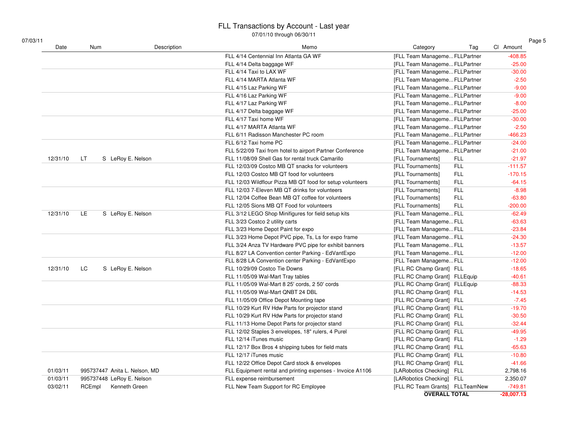| Date     | Num                           | Description | Memo                                                       | Category<br>Tag                 | CI Amount    |
|----------|-------------------------------|-------------|------------------------------------------------------------|---------------------------------|--------------|
|          |                               |             | FLL 4/14 Centennial Inn Atlanta GA WF                      | [FLL Team Manageme FLLPartner   | $-408.85$    |
|          |                               |             | FLL 4/14 Delta baggage WF                                  | [FLL Team Manageme FLLPartner   | $-25.00$     |
|          |                               |             | FLL 4/14 Taxi to LAX WF                                    | [FLL Team Manageme FLLPartner   | $-30.00$     |
|          |                               |             | FLL 4/14 MARTA Atlanta WF                                  | [FLL Team Manageme FLLPartner   | $-2.50$      |
|          |                               |             | FLL 4/15 Laz Parking WF                                    | [FLL Team Manageme FLLPartner   | $-9.00$      |
|          |                               |             | FLL 4/16 Laz Parking WF                                    | [FLL Team Manageme FLLPartner   | $-9.00$      |
|          |                               |             | FLL 4/17 Laz Parking WF                                    | [FLL Team Manageme FLLPartner   | $-8.00$      |
|          |                               |             | FLL 4/17 Delta baggage WF                                  | [FLL Team ManagemeFLLPartner    | $-25.00$     |
|          |                               |             | FLL 4/17 Taxi home WF                                      | [FLL Team Manageme FLLPartner   | $-30.00$     |
|          |                               |             | FLL 4/17 MARTA Atlanta WF                                  | [FLL Team Manageme FLLPartner   | $-2.50$      |
|          |                               |             | FLL 6/11 Radisson Manchester PC room                       | [FLL Team Manageme FLLPartner   | $-466.23$    |
|          |                               |             | FLL 6/12 Taxi home PC                                      | [FLL Team Manageme FLLPartner   | $-24.00$     |
|          |                               |             | FLL 5/22/09 Taxi from hotel to airport Partner Conference  | [FLL Team Manageme FLLPartner   | $-21.00$     |
| 12/31/10 | S LeRoy E. Nelson<br>LT       |             | FLL 11/08/09 Shell Gas for rental truck Camarillo          | [FLL Tournaments]<br>FLL        | $-21.97$     |
|          |                               |             | FLL 12/03/09 Costco MB QT snacks for volunteers            | <b>FLL</b><br>[FLL Tournaments] | $-111.57$    |
|          |                               |             | FLL 12/03 Costco MB QT food for volunteers                 | <b>FLL</b><br>[FLL Tournaments] | $-170.15$    |
|          |                               |             | FLL 12/03 Wildflour Pizza MB QT food for setup volunteers  | <b>FLL</b><br>[FLL Tournaments] | $-64.15$     |
|          |                               |             | FLL 12/03 7-Eleven MB QT drinks for volunteers             | <b>FLL</b><br>[FLL Tournaments] | $-8.98$      |
|          |                               |             | FLL 12/04 Coffee Bean MB QT coffee for volunteers          | <b>FLL</b><br>[FLL Tournaments] | $-63.80$     |
|          |                               |             | FLL 12/05 Sions MB QT Food for volunteers                  | <b>FLL</b><br>[FLL Tournaments] | $-200.00$    |
| 12/31/10 | LE<br>S LeRoy E. Nelson       |             | FLL 3/12 LEGO Shop Minifigures for field setup kits        | [FLL Team ManagemeFLL           | $-62.49$     |
|          |                               |             | FLL 3/23 Costco 2 utility carts                            | [FLL Team ManagemeFLL           | $-63.63$     |
|          |                               |             | FLL 3/23 Home Depot Paint for expo                         | [FLL Team ManagemeFLL           | $-23.84$     |
|          |                               |             | FLL 3/23 Home Depot PVC pipe, Ts, Ls for expo frame        | [FLL Team ManagemeFLL           | $-24.30$     |
|          |                               |             | FLL 3/24 Anza TV Hardware PVC pipe for exhibit banners     | [FLL Team ManagemeFLL           | $-13.57$     |
|          |                               |             | FLL 8/27 LA Convention center Parking - EdVantExpo         | [FLL Team ManagemeFLL           | $-12.00$     |
|          |                               |             | FLL 8/28 LA Convention center Parking - EdVantExpo         | [FLL Team ManagemeFLL           | $-12.00$     |
| 12/31/10 | LC<br>S LeRoy E. Nelson       |             | FLL 10/29/09 Costco Tie Downs                              | [FLL RC Champ Grant] FLL        | $-18.65$     |
|          |                               |             | FLL 11/05/09 Wal-Mart Tray tables                          | [FLL RC Champ Grant] FLLEquip   | $-40.61$     |
|          |                               |             | FLL 11/05/09 Wal-Mart 8 25' cords, 2 50' cords             | [FLL RC Champ Grant] FLLEquip   | $-88.33$     |
|          |                               |             | FLL 11/05/09 Wal-Mart QNBT 24 DBL                          | [FLL RC Champ Grant] FLL        | $-14.53$     |
|          |                               |             | FLL 11/05/09 Office Depot Mounting tape                    | [FLL RC Champ Grant] FLL        | $-7.45$      |
|          |                               |             | FLL 10/29 Kurt RV Hdw Parts for projector stand            | [FLL RC Champ Grant] FLL        | $-19.70$     |
|          |                               |             | FLL 10/29 Kurt RV Hdw Parts for projector stand            | [FLL RC Champ Grant] FLL        | $-30.50$     |
|          |                               |             | FLL 11/13 Home Depot Parts for projector stand             | [FLL RC Champ Grant] FLL        | $-32.44$     |
|          |                               |             | FLL 12/02 Staples 3 envelopes, 18" rulers, 4 Purel         | [FLL RC Champ Grant] FLL        | $-49.95$     |
|          |                               |             | FLL 12/14 iTunes music                                     | [FLL RC Champ Grant] FLL        | $-1.29$      |
|          |                               |             | FLL 12/17 Box Bros 4 shipping tubes for field mats         | [FLL RC Champ Grant] FLL        | $-65.63$     |
|          |                               |             | FLL 12/17 iTunes music                                     | [FLL RC Champ Grant] FLL        | $-10.80$     |
|          |                               |             | FLL 12/22 Office Depot Card stock & envelopes              | [FLL RC Champ Grant] FLL        | $-41.66$     |
| 01/03/11 | 995737447 Anita L. Nelson, MD |             | FLL Equipment rental and printing expenses - Invoice A1106 | [LARobotics Checking] FLL       | 2,798.16     |
| 01/03/11 | 995737448 LeRoy E. Nelson     |             | FLL expense reimbursement                                  | [LARobotics Checking] FLL       | 2,350.07     |
| 03/02/11 | RCEmpl<br>Kenneth Green       |             | FLL New Team Support for RC Employee                       | [FLL RC Team Grants] FLLTeamNew | $-749.81$    |
|          |                               |             |                                                            | <b>OVERALL TOTAL</b>            | $-28,007.13$ |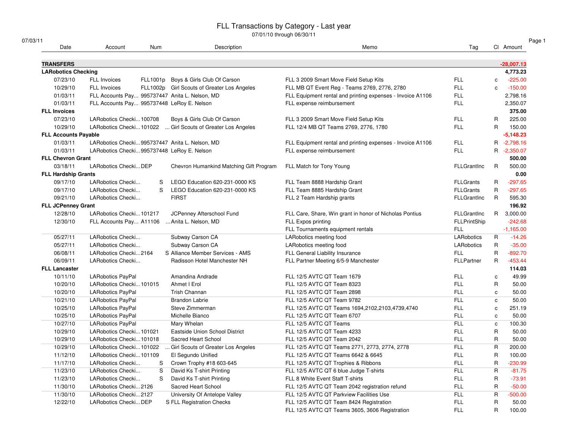#### FLL Transactions by Category - Last year

07/01/10 through 06/30/11

| 07/03/11<br>Date            | Account                                        | Num | Description                                 | Memo                                                       | Tag                |              | CI Amount    |
|-----------------------------|------------------------------------------------|-----|---------------------------------------------|------------------------------------------------------------|--------------------|--------------|--------------|
|                             |                                                |     |                                             |                                                            |                    |              |              |
| <b>TRANSFERS</b>            |                                                |     |                                             |                                                            |                    |              | $-28,007.13$ |
| <b>LARobotics Checking</b>  |                                                |     |                                             |                                                            |                    |              | 4,773.23     |
| 07/23/10                    | <b>FLL Invoices</b>                            |     | FLL1001p Boys & Girls Club Of Carson        | FLL 3 2009 Smart Move Field Setup Kits                     | <b>FLL</b>         | $\mathbf c$  | $-225.00$    |
| 10/29/10                    | <b>FLL Invoices</b>                            |     | FLL1002p Girl Scouts of Greater Los Angeles | FLL MB QT Event Reg - Teams 2769, 2776, 2780               | <b>FLL</b>         | C            | $-150.00$    |
| 01/03/11                    | FLL Accounts Pay 995737447 Anita L. Nelson, MD |     |                                             | FLL Equipment rental and printing expenses - Invoice A1106 | <b>FLL</b>         |              | 2,798.16     |
| 01/03/11                    | FLL Accounts Pay 995737448 LeRoy E. Nelson     |     |                                             | FLL expense reimbursement                                  | <b>FLL</b>         |              | 2,350.07     |
| <b>FLL Invoices</b>         |                                                |     |                                             |                                                            |                    |              | 375.00       |
| 07/23/10                    | LARobotics Checki100708                        |     | Boys & Girls Club Of Carson                 | FLL 3 2009 Smart Move Field Setup Kits                     | <b>FLL</b>         | R            | 225.00       |
| 10/29/10                    | LARobotics Checki101022                        |     | Girl Scouts of Greater Los Angeles          | FLL 12/4 MB QT Teams 2769, 2776, 1780                      | <b>FLL</b>         | R            | 150.00       |
| <b>FLL Accounts Payable</b> |                                                |     |                                             |                                                            |                    |              | $-5,148.23$  |
| 01/03/11                    | LARobotics Checki995737447 Anita L. Nelson, MD |     |                                             | FLL Equipment rental and printing expenses - Invoice A1106 | <b>FLL</b>         |              | R -2,798.16  |
| 01/03/11                    | LARobotics Checki995737448 LeRoy E. Nelson     |     |                                             | FLL expense reimbursement                                  | <b>FLL</b>         |              | R -2,350.07  |
| <b>FLL Chevron Grant</b>    |                                                |     |                                             |                                                            |                    |              | 500.00       |
| 03/18/11                    | LARobotics CheckiDEP                           |     | Chevron Humankind Matching Gift Program     | FLL Match for Tony Young                                   | <b>FLLGrantInc</b> | R            | 500.00       |
| <b>FLL Hardship Grants</b>  |                                                |     |                                             |                                                            |                    |              | 0.00         |
| 09/17/10                    | LARobotics Checki                              | S   | LEGO Education 620-231-0000 KS              | FLL Team 8888 Hardship Grant                               | <b>FLLGrants</b>   | R            | $-297.65$    |
| 09/17/10                    | LARobotics Checki                              | S   | LEGO Education 620-231-0000 KS              | FLL Team 8885 Hardship Grant                               | <b>FLLGrants</b>   | R            | $-297.65$    |
| 09/21/10                    | LARobotics Checki                              |     | <b>FIRST</b>                                | FLL 2 Team Hardship grants                                 | <b>FLLGrantInc</b> | R.           | 595.30       |
| <b>FLL JCPenney Grant</b>   |                                                |     |                                             |                                                            |                    |              | 196.92       |
| 12/28/10                    | LARobotics Checki101217                        |     | JCPenney Afterschool Fund                   | FLL Care, Share, Win grant in honor of Nicholas Pontius    | <b>FLLGrantInc</b> |              | R 3,000.00   |
| 12/30/10                    | FLL Accounts Pay A11106                        |     | Anita L. Nelson, MD                         | FLL Expos printing                                         | FLLPrintShip       |              | $-242.68$    |
|                             |                                                |     |                                             | FLL Tournaments equipment rentals                          | <b>FLL</b>         |              | $-1,165.00$  |
| 05/27/11                    | LARobotics Checki                              |     | Subway Carson CA                            | LARobotics meeting food                                    | LARobotics         | R            | $-14.26$     |
| 05/27/11                    | LARobotics Checki                              |     | Subway Carson CA                            | LARobotics meeting food                                    | LARobotics         | R            | $-35.00$     |
| 06/08/11                    | LARobotics Checki2164                          |     | S Alliance Member Services - AMS            | FLL General Liability Insurance                            | <b>FLL</b>         | R            | $-892.70$    |
| 06/09/11                    | LARobotics Checki                              |     | Radisson Hotel Manchester NH                | FLL Partner Meeting 6/5-9 Manchester                       | FLLPartner         | R            | $-453.44$    |
| <b>FLL Lancaster</b>        |                                                |     |                                             |                                                            |                    |              | 114.03       |
| 10/11/10                    | <b>LARobotics PayPal</b>                       |     | Amandina Andrade                            | FLL 12/5 AVTC QT Team 1679                                 | <b>FLL</b>         | c            | 49.99        |
| 10/20/10                    | LARobotics Checki101015                        |     | Ahmet I Erol                                | FLL 12/5 AVTC QT Team 8323                                 | <b>FLL</b>         | R            | 50.00        |
| 10/20/10                    | <b>LARobotics PayPal</b>                       |     | Trish Channan                               | FLL 12/5 AVTC QT Team 2898                                 | <b>FLL</b>         | c            | 50.00        |
| 10/21/10                    | LARobotics PayPal                              |     | <b>Brandon Labrie</b>                       | FLL 12/5 AVTC QT Team 9782                                 | <b>FLL</b>         | C            | 50.00        |
| 10/25/10                    | LARobotics PayPal                              |     | Steve Zimmerman                             | FLL 12/5 AVTC QT Teams 1694,2102,2103,4739,4740            | <b>FLL</b>         | C            | 251.19       |
| 10/25/10                    | <b>LARobotics PayPal</b>                       |     | Michelle Bianco                             | FLL 12/5 AVTC QT Team 6707                                 | <b>FLL</b>         | c            | 50.00        |
| 10/27/10                    | LARobotics PayPal                              |     | Mary Whelan                                 | FLL 12/5 AVTC QT Teams                                     | <b>FLL</b>         | c            | 100.30       |
| 10/29/10                    | LARobotics Checki101021                        |     | Eastside Union School District              | FLL 12/5 AVTC QT Team 4233                                 | <b>FLL</b>         | R            | 50.00        |
| 10/29/10                    | LARobotics Checki101018                        |     | Sacred Heart School                         | FLL 12/5 AVTC QT Team 2042                                 | <b>FLL</b>         | R            | 50.00        |
| 10/29/10                    | LARobotics Checki101022                        |     | Girl Scouts of Greater Los Angeles          | FLL 12/5 AVTC QT Teams 2771, 2773, 2774, 2778              | <b>FLL</b>         | $\mathsf{R}$ | 200.00       |
|                             |                                                |     |                                             |                                                            | <b>FLL</b>         | R            |              |
| 11/12/10                    | LARobotics Checki101109                        |     | El Segundo Unified                          | FLL 12/5 AVTC QT Teams 6642 & 6645                         |                    |              | 100.00       |
| 11/17/10                    | LARobotics Checki                              | S   | Crown Trophy #18 603-645                    | FLL 12/5 AVTC QT Trophies & Ribbons                        | <b>FLL</b>         | R            | $-230.99$    |
| 11/23/10                    | LARobotics Checki                              | S   | David Ks T-shirt Printing                   | FLL 12/5 AVTC QT 6 blue Judge T-shirts                     | <b>FLL</b>         | R            | $-81.75$     |
| 11/23/10                    | LARobotics Checki                              | S   | David Ks T-shirt Printing                   | FLL 8 White Event Staff T-shirts                           | <b>FLL</b>         | R            | $-73.91$     |
| 11/30/10                    | LARobotics Checki2126                          |     | Sacred Heart School                         | FLL 12/5 AVTC QT Team 2042 registration refund             | <b>FLL</b>         | R            | $-50.00$     |
| 11/30/10                    | LARobotics Checki2127                          |     | University Of Antelope Valley               | FLL 12/5 AVTC QT Parkview Facilities Use                   | <b>FLL</b>         | R            | $-500.00$    |
| 12/22/10                    | LARobotics CheckiDEP                           |     | S FLL Registration Checks                   | FLL 12/5 AVTC QT Team 8424 Registration                    | <b>FLL</b>         | R            | 50.00        |
|                             |                                                |     |                                             | FLL 12/5 AVTC QT Teams 3605, 3606 Registration             | <b>FLL</b>         | R            | 100.00       |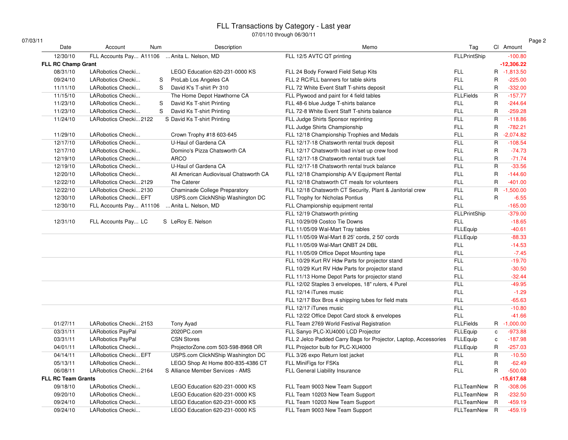#### FLL Transactions by Category - Last year

07/01/10 through 06/30/11

| 07/03/11 |  |
|----------|--|
|----------|--|

Date

Account Num

| Date                      | Account<br>Num           | Description                            | Memo                                                             | Tag                 |              | CI Amount    |
|---------------------------|--------------------------|----------------------------------------|------------------------------------------------------------------|---------------------|--------------|--------------|
| 12/30/10                  | FLL Accounts Pay A11106  | Anita L. Nelson, MD                    | FLL 12/5 AVTC QT printing                                        | FLLPrintShip        |              | $-100.80$    |
| <b>FLL RC Champ Grant</b> |                          |                                        |                                                                  |                     |              | $-12,306.22$ |
| 08/31/10                  | LARobotics Checki        | LEGO Education 620-231-0000 KS         | FLL 24 Body Forward Field Setup Kits                             | FLL                 |              | R -1,813.50  |
| 09/24/10                  | LARobotics Checki        | ProLab Los Angeles CA<br>S             | FLL 2 RC/FLL banners for table skirts                            | <b>FLL</b>          | $\mathsf{R}$ | $-225.00$    |
| 11/11/10                  | LARobotics Checki        | David K's T-shirt Pr 310<br>S          | FLL 72 White Event Staff T-shirts deposit                        | <b>FLL</b>          | R.           | $-332.00$    |
| 11/15/10                  | LARobotics Checki        | The Home Depot Hawthorne CA            | FLL Plywood and paint for 4 field tables                         | <b>FLLFields</b>    | R            | $-157.77$    |
| 11/23/10                  | LARobotics Checki        | S<br>David Ks T-shirt Printing         | FLL 48-6 blue Judge T-shirts balance                             | <b>FLL</b>          | $\mathsf{R}$ | $-244.64$    |
| 11/23/10                  | LARobotics Checki        | S<br>David Ks T-shirt Printing         | FLL 72-8 White Event Staff T-shirts balance                      | <b>FLL</b>          | R.           | $-259.28$    |
| 11/24/10                  | LARobotics Checki2122    | S David Ks T-shirt Printing            | FLL Judge Shirts Sponsor reprinting                              | <b>FLL</b>          | $\mathsf{R}$ | $-118.86$    |
|                           |                          |                                        | FLL Judge Shirts Championship                                    | <b>FLL</b>          | $\mathsf{R}$ | $-782.21$    |
| 11/29/10                  | LARobotics Checki        | Crown Trophy #18 603-645               | FLL 12/18 Championship Trophies and Medals                       | <b>FLL</b>          | R            | $-2,074.82$  |
| 12/17/10                  | LARobotics Checki        | U-Haul of Gardena CA                   | FLL 12/17-18 Chatsworth rental truck deposit                     | <b>FLL</b>          | R.           | $-108.54$    |
| 12/17/10                  | LARobotics Checki        | Domino's Pizza Chatsworth CA           | FLL 12/17 Chatsworth load in/set up crew food                    | <b>FLL</b>          | $\mathsf{R}$ | $-74.73$     |
| 12/19/10                  | LARobotics Checki        | <b>ARCO</b>                            | FLL 12/17-18 Chatsworth rental truck fuel                        | <b>FLL</b>          | $\mathsf{R}$ | $-71.74$     |
| 12/19/10                  | LARobotics Checki        | U-Haul of Gardena CA                   | FLL 12/17-18 Chatsworth rental truck balance                     | FLL                 | $\mathsf{R}$ | $-33.56$     |
| 12/20/10                  | LARobotics Checki        | All American Audiovisual Chatsworth CA | FLL 12/18 Championship A/V Equipment Rental                      | <b>FLL</b>          | R            | $-144.60$    |
| 12/22/10                  | LARobotics Checki2129    | The Caterer                            | FLL 12/18 Chatsworth CT meals for volunteers                     | <b>FLL</b>          | $\mathsf{R}$ | $-401.00$    |
| 12/22/10                  | LARobotics Checki2130    | Chaminade College Preparatory          | FLL 12/18 Chatsworth CT Security, Plant & Janitorial crew        | <b>FLL</b>          | R.           | $-1,500.00$  |
| 12/30/10                  | LARobotics Checki EFT    | USPS.com ClickNShip Washington DC      | FLL Trophy for Nicholas Pontius                                  | <b>FLL</b>          | R            | $-6.55$      |
| 12/30/10                  | FLL Accounts Pay A11106  | Anita L. Nelson, MD                    | FLL Championship equipment rental                                | <b>FLL</b>          |              | $-165.00$    |
|                           |                          |                                        | FLL 12/19 Chatsworth printing                                    | <b>FLLPrintShip</b> |              | $-379.00$    |
| 12/31/10                  | FLL Accounts Pay LC      | S LeRoy E. Nelson                      | FLL 10/29/09 Costco Tie Downs                                    | <b>FLL</b>          |              | $-18.65$     |
|                           |                          |                                        | FLL 11/05/09 Wal-Mart Tray tables                                | <b>FLLEquip</b>     |              | $-40.61$     |
|                           |                          |                                        | FLL 11/05/09 Wal-Mart 8 25' cords, 2 50' cords                   | <b>FLLEquip</b>     |              | $-88.33$     |
|                           |                          |                                        | FLL 11/05/09 Wal-Mart QNBT 24 DBL                                | <b>FLL</b>          |              | $-14.53$     |
|                           |                          |                                        | FLL 11/05/09 Office Depot Mounting tape                          | <b>FLL</b>          |              | $-7.45$      |
|                           |                          |                                        | FLL 10/29 Kurt RV Hdw Parts for projector stand                  | <b>FLL</b>          |              | $-19.70$     |
|                           |                          |                                        | FLL 10/29 Kurt RV Hdw Parts for projector stand                  | <b>FLL</b>          |              | $-30.50$     |
|                           |                          |                                        | FLL 11/13 Home Depot Parts for projector stand                   | <b>FLL</b>          |              | $-32.44$     |
|                           |                          |                                        | FLL 12/02 Staples 3 envelopes, 18" rulers, 4 Purel               | <b>FLL</b>          |              | $-49.95$     |
|                           |                          |                                        | FLL 12/14 iTunes music                                           | <b>FLL</b>          |              | $-1.29$      |
|                           |                          |                                        | FLL 12/17 Box Bros 4 shipping tubes for field mats               | <b>FLL</b>          |              | $-65.63$     |
|                           |                          |                                        | FLL 12/17 iTunes music                                           | <b>FLL</b>          |              | $-10.80$     |
|                           |                          |                                        | FLL 12/22 Office Depot Card stock & envelopes                    | <b>FLL</b>          |              | $-41.66$     |
| 01/27/11                  | LARobotics Checki2153    | Tony Ayad                              | FLL Team 2769 World Festival Registration                        | <b>FLLFields</b>    |              | R -1,000.00  |
| 03/31/11                  | <b>LARobotics PayPal</b> | 2020PC.com                             | FLL Sanyo PLC-XU4000 LCD Projector                               | <b>FLLEquip</b>     | c            | $-973.88$    |
| 03/31/11                  | LARobotics PayPal        | <b>CSN Stores</b>                      | FLL 2 Jelco Padded Carry Bags for Projector, Laptop, Accessories | <b>FLLEquip</b>     | c            | $-187.98$    |
| 04/01/11                  | LARobotics Checki        | ProjectorZone.com 503-598-8968 OR      | FLL Projector bulb for PLC-XU4000                                | <b>FLLEquip</b>     | R            | $-257.03$    |
| 04/14/11                  | LARobotics Checki EFT    | USPS.com ClickNShip Washington DC      | FLL 3/26 expo Return lost jacket                                 | <b>FLL</b>          | $\mathsf{R}$ | $-10.50$     |
| 05/13/11                  | LARobotics Checki        | LEGO Shop At Home 800-835-4386 CT      | FLL MiniFigs for FSKs                                            | <b>FLL</b>          | $\mathsf{R}$ | $-62.49$     |
| 06/08/11                  | LARobotics Checki2164    | S Alliance Member Services - AMS       | FLL General Liability Insurance                                  | <b>FLL</b>          | R            | $-500.00$    |
| <b>FLL RC Team Grants</b> |                          |                                        |                                                                  |                     |              | $-15,617.68$ |
| 09/18/10                  | LARobotics Checki        | LEGO Education 620-231-0000 KS         | FLL Team 9003 New Team Support                                   | FLLTeamNew R        |              | $-308.06$    |
| 09/20/10                  | LARobotics Checki        | LEGO Education 620-231-0000 KS         | FLL Team 10203 New Team Support                                  | FLLTeamNew R        |              | $-232.50$    |
| 09/24/10                  | LARobotics Checki        | LEGO Education 620-231-0000 KS         | FLL Team 10203 New Team Support                                  | FLLTeamNew R        |              | $-459.19$    |
| 09/24/10                  | LARobotics Checki        | LEGO Education 620-231-0000 KS         | FLL Team 9003 New Team Support                                   | FLLTeamNew R        |              | $-459.19$    |
|                           |                          |                                        |                                                                  |                     |              |              |

Page 2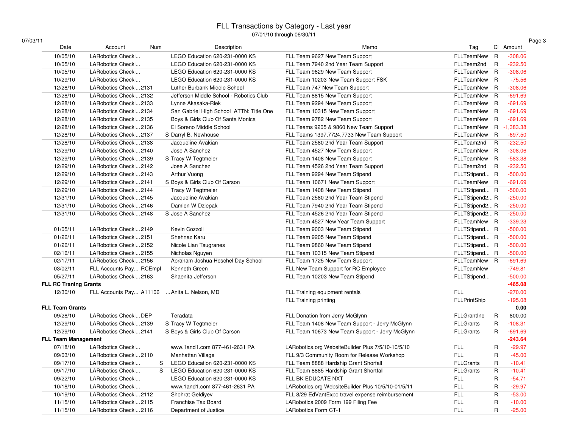| 07/03/11                     |                                              |                                         | $1701710$ tinough ou/ou/iii                        |                     |                | Page 3      |
|------------------------------|----------------------------------------------|-----------------------------------------|----------------------------------------------------|---------------------|----------------|-------------|
| Date                         | Num<br>Account                               | Description                             | Memo                                               | Tag                 |                | Cl Amount   |
| 10/05/10                     | LARobotics Checki                            | LEGO Education 620-231-0000 KS          | FLL Team 9627 New Team Support                     | FLLTeamNew          | $\mathsf{R}$   | $-308.06$   |
| 10/05/10                     | LARobotics Checki                            | LEGO Education 620-231-0000 KS          | FLL Team 7940 2nd Year Team Support                | FLLTeam2nd          | R              | $-232.50$   |
| 10/05/10                     | LARobotics Checki                            | LEGO Education 620-231-0000 KS          | FLL Team 9629 New Team Support                     | FLLTeamNew R        |                | $-308.06$   |
| 10/29/10                     | LARobotics Checki                            | LEGO Education 620-231-0000 KS          | FLL Team 10203 New Team Support FSK                | FLLTeamNew R        |                | $-75.56$    |
| 12/28/10                     | LARobotics Checki2131                        | Luther Burbank Middle School            | FLL Team 747 New Team Support                      | FLLTeamNew R        |                | $-308.06$   |
| 12/28/10                     | LARobotics Checki2132                        | Jefferson Middle School - Robotics Club | FLL Team 8815 New Team Support                     | FLLTeamNew R        |                | $-691.69$   |
| 12/28/10                     | LARobotics Checki2133                        | Lynne Akasaka-Riek                      | FLL Team 9294 New Team Support                     | FLLTeamNew R        |                | $-691.69$   |
| 12/28/10                     | LARobotics Checki2134                        | San Gabriel Hlgh School ATTN: Title One | FLL Team 10315 New Team Support                    | FLLTeamNew R        |                | $-691.69$   |
| 12/28/10                     | LARobotics Checki2135                        | Boys & Girls Club Of Santa Monica       | FLL Team 9782 New Team Support                     | FLLTeamNew R        |                | $-691.69$   |
| 12/28/10                     | LARobotics Checki2136                        | El Soreno Middle School                 | FLL Teams 9205 & 9860 New Team Support             | FLLTeamNew R        |                | $-1,383.38$ |
| 12/28/10                     | LARobotics Checki2137                        | S Darryl B. Newhouse                    | FLL Teams 1397,7724,7733 New Team Support          | FLLTeamNew R        |                | $-697.50$   |
| 12/28/10                     | LARobotics Checki2138                        | Jacqueline Avakian                      | FLL Team 2580 2nd Year Team Support                | FLLTeam2nd          | $\overline{R}$ | $-232.50$   |
| 12/29/10                     | LARobotics Checki2140                        | Jose A Sanchez                          | FLL Team 4527 New Team Support                     | FLLTeamNew R        |                | $-308.06$   |
| 12/29/10                     | LARobotics Checki2139                        | S Tracy W Tegtmeier                     | FLL Team 1408 New Team Support                     | FLLTeamNew R        |                | $-583.38$   |
| 12/29/10                     | LARobotics Checki2142                        | Jose A Sanchez                          | FLL Team 4526 2nd Year Team Support                | FLLTeam2nd R        |                | $-232.50$   |
| 12/29/10                     | LARobotics Checki2143                        | Arthur Vuong                            | FLL Team 9294 New Team Stipend                     | FLLTStipend R       |                | $-500.00$   |
| 12/29/10                     | LARobotics Checki2141                        | S Boys & Girls Club Of Carson           | FLL Team 10671 New Team Support                    | FLLTeamNew R        |                | $-691.69$   |
| 12/29/10                     | LARobotics Checki2144                        | Tracy W Tegtmeier                       | FLL Team 1408 New Team Stipend                     | FLLTStipend R       |                | $-500.00$   |
| 12/31/10                     | LARobotics Checki2145                        | Jacqueline Avakian                      | FLL Team 2580 2nd Year Team Stipend                | FLLTStipend2 R      |                | $-250.00$   |
| 12/31/10                     | LARobotics Checki2146                        | Damien W Dziepak                        | FLL Team 7940 2nd Year Team Stipend                | FLLTStipend2 R      |                | $-250.00$   |
| 12/31/10                     | LARobotics Checki2148                        | S Jose A Sanchez                        | FLL Team 4526 2nd Year Team Stipend                | FLLTStipend2 R      |                | $-250.00$   |
|                              |                                              |                                         | FLL Team 4527 New Year Team Support                | FLLTeamNew R        |                | $-339.23$   |
| 01/05/11                     | LARobotics Checki2149                        | Kevin Cozzoli                           | FLL Team 9003 New Team Stipend                     | FLLTStipend R       |                | $-500.00$   |
| 01/26/11                     | LARobotics Checki2151                        | Shehnaz Karu                            | FLL Team 9205 New Team Stipend                     | FLLTStipend R       |                | $-500.00$   |
| 01/26/11                     | LARobotics Checki2152                        | Nicole Lian Tsugranes                   | FLL Team 9860 New Team Stipend                     | FLLTStipend R       |                | $-500.00$   |
| 02/16/11                     | LARobotics Checki2155                        | Nicholas Nguyen                         | FLL Team 10315 New Team Stipend                    | FLLTStipend R       |                | $-500.00$   |
| 02/17/11                     | LARobotics Checki2156                        | Abraham Joshua Heschel Day School       | FLL Team 1725 New Team Support                     | FLLTeamNew R        |                | $-691.69$   |
| 03/02/11                     | FLL Accounts Pay RCEmpl                      | Kenneth Green                           | FLL New Team Support for RC Employee               | FLLTeamNew          |                | $-749.81$   |
| 05/27/11                     | LARobotics Checki2163                        | Shaenita Jefferson                      | FLL Team 10203 New Team Stipend                    | FLLTStipend         |                | $-500.00$   |
| <b>FLL RC Traning Grants</b> |                                              |                                         |                                                    |                     |                | $-465.08$   |
| 12/30/10                     | FLL Accounts Pay A11106  Anita L. Nelson, MD |                                         | FLL Training equipment rentals                     | FLL                 |                | $-270.00$   |
|                              |                                              |                                         | FLL Training printing                              | <b>FLLPrintShip</b> |                | $-195.08$   |
| <b>FLL Team Grants</b>       |                                              |                                         |                                                    |                     |                | 0.00        |
| 09/28/10                     | LARobotics CheckiDEP                         | Teradata                                | FLL Donation from Jerry McGlynn                    | <b>FLLGrantInc</b>  | R              | 800.00      |
| 12/29/10                     | LARobotics Checki2139                        | S Tracy W Tegtmeier                     | FLL Team 1408 New Team Support - Jerry McGlynn     | <b>FLLGrants</b>    | R              | $-108.31$   |
| 12/29/10                     | LARobotics Checki2141                        | S Boys & Girls Club Of Carson           | FLL Team 10673 New Team Support - Jerry McGlynn    | <b>FLLGrants</b>    | R              | $-691.69$   |
| <b>FLL Team Management</b>   |                                              |                                         |                                                    |                     |                | $-243.64$   |
| 07/18/10                     | LARobotics Checki                            | www.1and1.com 877-461-2631 PA           | LARobotics.org WebsiteBuilder Plus 7/5/10-10/5/10  | FLL                 | R              | $-29.97$    |
| 09/03/10                     | LARobotics Checki2110                        | Manhattan Village                       | FLL 9/3 Community Room for Release Workshop        | FLL                 | R              | $-45.00$    |
| 09/17/10                     | LARobotics Checki                            | LEGO Education 620-231-0000 KS<br>S     | FLL Team 8888 Hardship Grant Shorfall              | <b>FLLGrants</b>    | R              | $-10.41$    |
| 09/17/10                     | LARobotics Checki                            | S<br>LEGO Education 620-231-0000 KS     | FLL Team 8885 Hardship Grant Shortfall             | <b>FLLGrants</b>    | R              | $-10.41$    |
| 09/22/10                     | LARobotics Checki                            | LEGO Education 620-231-0000 KS          | FLL BK EDUCATE NXT                                 | <b>FLL</b>          | R              | $-54.71$    |
| 10/18/10                     | LARobotics Checki                            | www.1and1.com 877-461-2631 PA           | LARobotics.org WebsiteBuilder Plus 10/5/10-01/5/11 | <b>FLL</b>          | R              | $-29.97$    |
| 10/19/10                     | LARobotics Checki2112                        | Shohrat Geldiyev                        | FLL 8/29 EdVantExpo travel expense reimbursement   | <b>FLL</b>          | R              | $-53.00$    |
| 11/15/10                     | LARobotics Checki2115                        | Franchise Tax Board                     | LARobotics 2009 Form 199 Filing Fee                | <b>FLL</b>          | R              | $-10.00$    |
|                              |                                              |                                         |                                                    |                     |                |             |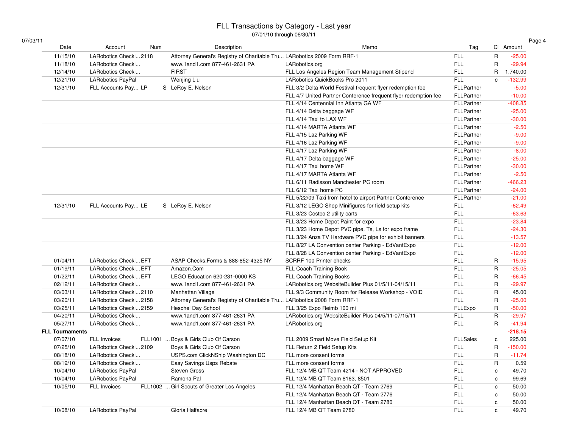|--|--|

| 7/03/11<br>Date        | Account                  | Num     | Description                                                              | Memo                                                            | Tag               |              | Cl Amount |
|------------------------|--------------------------|---------|--------------------------------------------------------------------------|-----------------------------------------------------------------|-------------------|--------------|-----------|
| 11/15/10               | LARobotics Checki2118    |         | Attorney General's Registry of Charitable Tru LARobotics 2009 Form RRF-1 |                                                                 | <b>FLL</b>        | $\mathsf{R}$ | $-25.00$  |
| 11/18/10               | LARobotics Checki        |         | www.1and1.com 877-461-2631 PA                                            | LARobotics.org                                                  | <b>FLL</b>        | $\sf R$      | $-29.94$  |
| 12/14/10               | LARobotics Checki        |         | <b>FIRST</b>                                                             | FLL Los Angeles Region Team Management Stipend                  | <b>FLL</b>        | $\mathsf{R}$ | 1,740.00  |
| 12/21/10               | <b>LARobotics PayPal</b> |         | Wenjing Liu                                                              | LARobotics QuickBooks Pro 2011                                  | <b>FLL</b>        | $\mathbf{c}$ | $-132.99$ |
| 12/31/10               | FLL Accounts Pay LP      |         | S LeRoy E. Nelson                                                        | FLL 3/2 Delta World Festival frequent flyer redemption fee      | <b>FLLPartner</b> |              | $-5.00$   |
|                        |                          |         |                                                                          | FLL 4/7 United Partner Conference frequent flyer redemption fee | <b>FLLPartner</b> |              | $-10.00$  |
|                        |                          |         |                                                                          | FLL 4/14 Centennial Inn Atlanta GA WF                           | <b>FLLPartner</b> |              | $-408.85$ |
|                        |                          |         |                                                                          | FLL 4/14 Delta baggage WF                                       | FLLPartner        |              | $-25.00$  |
|                        |                          |         |                                                                          | FLL 4/14 Taxi to LAX WF                                         | FLLPartner        |              | $-30.00$  |
|                        |                          |         |                                                                          | FLL 4/14 MARTA Atlanta WF                                       | FLLPartner        |              | $-2.50$   |
|                        |                          |         |                                                                          | FLL 4/15 Laz Parking WF                                         | <b>FLLPartner</b> |              | $-9.00$   |
|                        |                          |         |                                                                          | FLL 4/16 Laz Parking WF                                         | FLLPartner        |              | $-9.00$   |
|                        |                          |         |                                                                          | FLL 4/17 Laz Parking WF                                         | <b>FLLPartner</b> |              | $-8.00$   |
|                        |                          |         |                                                                          | FLL 4/17 Delta baggage WF                                       | <b>FLLPartner</b> |              | $-25.00$  |
|                        |                          |         |                                                                          | FLL 4/17 Taxi home WF                                           | <b>FLLPartner</b> |              | $-30.00$  |
|                        |                          |         |                                                                          | FLL 4/17 MARTA Atlanta WF                                       | FLLPartner        |              | $-2.50$   |
|                        |                          |         |                                                                          | FLL 6/11 Radisson Manchester PC room                            | FLLPartner        |              | $-466.23$ |
|                        |                          |         |                                                                          | FLL 6/12 Taxi home PC                                           | FLLPartner        |              | $-24.00$  |
|                        |                          |         |                                                                          | FLL 5/22/09 Taxi from hotel to airport Partner Conference       | FLLPartner        |              | $-21.00$  |
| 12/31/10               | FLL Accounts Pay LE      |         | S LeRoy E. Nelson                                                        | FLL 3/12 LEGO Shop Minifigures for field setup kits             | FLL               |              | $-62.49$  |
|                        |                          |         |                                                                          | FLL 3/23 Costco 2 utility carts                                 | <b>FLL</b>        |              | $-63.63$  |
|                        |                          |         |                                                                          | FLL 3/23 Home Depot Paint for expo                              | <b>FLL</b>        |              | $-23.84$  |
|                        |                          |         |                                                                          | FLL 3/23 Home Depot PVC pipe, Ts, Ls for expo frame             | <b>FLL</b>        |              | $-24.30$  |
|                        |                          |         |                                                                          | FLL 3/24 Anza TV Hardware PVC pipe for exhibit banners          | <b>FLL</b>        |              | $-13.57$  |
|                        |                          |         |                                                                          | FLL 8/27 LA Convention center Parking - EdVantExpo              | <b>FLL</b>        |              | $-12.00$  |
|                        |                          |         |                                                                          | FLL 8/28 LA Convention center Parking - EdVantExpo              | <b>FLL</b>        |              | $-12.00$  |
| 01/04/11               | LARobotics Checki EFT    |         | ASAP Checks, Forms & 888-852-4325 NY                                     | SCRRF 100 Printer checks                                        | <b>FLL</b>        | R            | $-15.95$  |
| 01/19/11               | LARobotics Checki EFT    |         | Amazon.Com                                                               | FLL Coach Training Book                                         | <b>FLL</b>        | $\mathsf{R}$ | $-25.05$  |
| 01/22/11               | LARobotics Checki EFT    |         | LEGO Education 620-231-0000 KS                                           | FLL Coach Training Books                                        | <b>FLL</b>        | $\mathsf{R}$ | $-66.45$  |
| 02/12/11               | LARobotics Checki        |         | www.1and1.com 877-461-2631 PA                                            | LARobotics.org WebsiteBuilder Plus 01/5/11-04/15/11             | <b>FLL</b>        | $\mathsf{R}$ | $-29.97$  |
| 03/03/11               | LARobotics Checki2110    |         | Manhattan Village                                                        | FLL 9/3 Community Room for Release Workshop - VOID              | <b>FLL</b>        | $\mathsf{R}$ | 45.00     |
| 03/20/11               | LARobotics Checki2158    |         | Attorney General's Registry of Charitable Tru LARobotics 2008 Form RRF-1 |                                                                 | <b>FLL</b>        | $\sf R$      | $-25.00$  |
| 03/25/11               | LARobotics Checki2159    |         | <b>Heschel Day School</b>                                                | FLL 3/25 Expo Reimb 100 mi                                      | FLLExpo           | R            | $-50.00$  |
| 04/20/11               | LARobotics Checki        |         | www.1and1.com 877-461-2631 PA                                            | LARobotics.org WebsiteBuilder Plus 04/5/11-07/15/11             | <b>FLL</b>        | $\mathsf{R}$ | $-29.97$  |
| 05/27/11               | LARobotics Checki        |         | www.1and1.com 877-461-2631 PA                                            | LARobotics.org                                                  | <b>FLL</b>        | $\mathsf{R}$ | $-41.94$  |
| <b>FLL Tournaments</b> |                          |         |                                                                          |                                                                 |                   |              | $-218.15$ |
| 07/07/10               | FLL Invoices             | FLL1001 | Boys & Girls Club Of Carson                                              | FLL 2009 Smart Move Field Setup Kit                             | <b>FLLSales</b>   | $\mathbf c$  | 225.00    |
| 07/25/10               | LARobotics Checki2109    |         | Boys & Girls Club Of Carson                                              | FLL Return 2 Field Setup Kits                                   | <b>FLL</b>        | $\mathsf{R}$ | $-150.00$ |
| 08/18/10               | LARobotics Checki        |         | USPS.com ClickNShip Washington DC                                        | FLL more consent forms                                          | <b>FLL</b>        | R            | $-11.74$  |
| 08/19/10               | LARobotics Checki        |         | Easy Savings Usps Rebate                                                 | FLL more consent forms                                          | <b>FLL</b>        | $\mathsf{R}$ | 0.59      |
| 10/04/10               | LARobotics PayPal        |         | Steven Gross                                                             | FLL 12/4 MB QT Team 4214 - NOT APPROVED                         | <b>FLL</b>        | $\mathtt{c}$ | 49.70     |
| 10/04/10               | LARobotics PayPal        |         | Ramona Pal                                                               | FLL 12/4 MB QT Team 8163, 8501                                  | <b>FLL</b>        | $\mathbf c$  | 99.69     |
| 10/05/10               | FLL Invoices             |         | FLL1002  Girl Scouts of Greater Los Angeles                              | FLL 12/4 Manhattan Beach QT - Team 2769                         | <b>FLL</b>        | $\mathbf c$  | 50.00     |
|                        |                          |         |                                                                          | FLL 12/4 Manhattan Beach QT - Team 2776                         | FLL               | $\mathbf c$  | 50.00     |
|                        |                          |         |                                                                          |                                                                 |                   |              |           |
|                        |                          |         |                                                                          | FLL 12/4 Manhattan Beach QT - Team 2780                         | <b>FLL</b>        | $\mathbf{c}$ | 50.00     |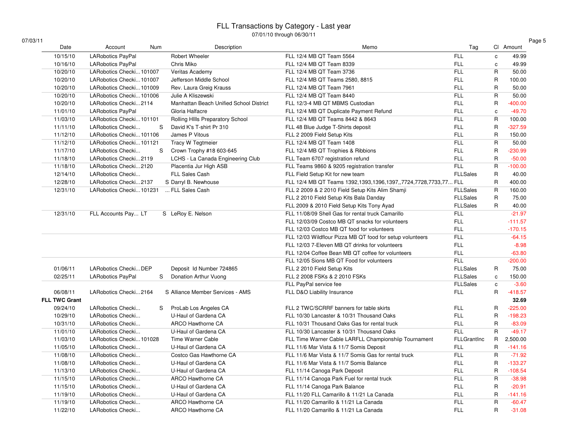| Cl Amount<br>49.99<br>49.99<br>50.00<br>100.00<br>50.00<br>50.00<br>$-400.00$<br>$-49.70$<br>100.00<br>$-327.59$<br>150.00 |
|----------------------------------------------------------------------------------------------------------------------------|
|                                                                                                                            |
|                                                                                                                            |
|                                                                                                                            |
|                                                                                                                            |
|                                                                                                                            |
|                                                                                                                            |
|                                                                                                                            |
|                                                                                                                            |
|                                                                                                                            |
|                                                                                                                            |
|                                                                                                                            |
| 50.00                                                                                                                      |
| $-230.99$                                                                                                                  |
| $-50.00$                                                                                                                   |
| $-100.00$                                                                                                                  |
| 40.00                                                                                                                      |
| 400.00                                                                                                                     |
| 160.00                                                                                                                     |
| 75.00                                                                                                                      |
| 40.00                                                                                                                      |
| $-21.97$                                                                                                                   |
| $-111.57$                                                                                                                  |
| $-170.15$                                                                                                                  |
| $-64.15$                                                                                                                   |
| $-8.98$                                                                                                                    |
| $-63.80$                                                                                                                   |
| $-200.00$                                                                                                                  |
| 75.00                                                                                                                      |
| 150.00                                                                                                                     |
| $-3.60$                                                                                                                    |
| $-418.57$                                                                                                                  |
| 32.69                                                                                                                      |
| $-225.00$                                                                                                                  |
| $-198.23$                                                                                                                  |
| $-83.09$                                                                                                                   |
| $-49.17$                                                                                                                   |
| 2,500.00                                                                                                                   |
| $-141.16$                                                                                                                  |
| $-71.92$                                                                                                                   |
| $-133.27$                                                                                                                  |
| $-108.54$                                                                                                                  |
| $-38.98$                                                                                                                   |
| $-20.91$                                                                                                                   |
| $-141.16$                                                                                                                  |
| $-60.47$                                                                                                                   |
| $-31.08$                                                                                                                   |
|                                                                                                                            |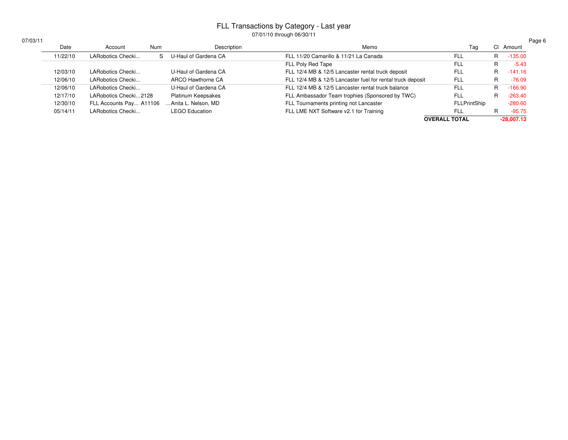| /03/11 |          |                         |     |                       |                                                            |                      |    | Page 6       |
|--------|----------|-------------------------|-----|-----------------------|------------------------------------------------------------|----------------------|----|--------------|
|        | Date     | Account                 | Num | Description           | Memo                                                       | Tag                  |    | CI Amount    |
|        | 11/22/10 | LARobotics Checki       | S.  | U-Haul of Gardena CA  | FLL 11/20 Camarillo & 11/21 La Canada                      | <b>FLL</b>           | R  | $-135.00$    |
|        |          |                         |     |                       | FLL Poly Red Tape                                          | FLL                  | R. | $-5.43$      |
|        | 12/03/10 | LARobotics Checki       |     | U-Haul of Gardena CA  | FLL 12/4 MB & 12/5 Lancaster rental truck deposit          | <b>FLL</b>           | R. | $-141.16$    |
|        | 12/06/10 | LARobotics Checki       |     | ARCO Hawthorne CA     | FLL 12/4 MB & 12/5 Lancaster fuel for rental truck deposit | <b>FLL</b>           | R. | $-76.09$     |
|        | 12/06/10 | LARobotics Checki       |     | U-Haul of Gardena CA  | FLL 12/4 MB & 12/5 Lancaster rental truck balance          | FLL                  | R  | $-166.90$    |
|        | 12/17/10 | LARobotics Checki2128   |     | Platinum Keepsakes    | FLL Ambassador Team trophies (Sponsored by TWC)            | FLL                  | R. | $-263.40$    |
|        | 12/30/10 | FLL Accounts Pay A11106 |     | Anita L. Nelson, MD   | FLL Tournaments printing not Lancaster                     | <b>FLLPrintShip</b>  |    | $-280.60$    |
|        | 05/14/11 | LARobotics Checki       |     | <b>LEGO Education</b> | FLL LME NXT Software v2.1 for Training                     | FLL                  |    | $-95.75$     |
|        |          |                         |     |                       |                                                            | <b>OVERALL TOTAL</b> |    | $-28,007.13$ |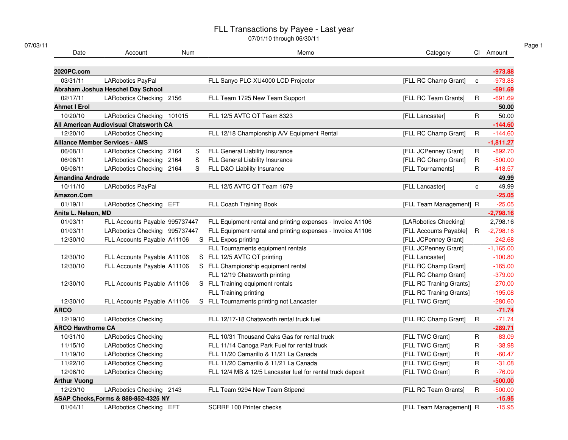07/01/10 through 06/30/11

| Date                     | Account                                | Num       | Memo                                                       | Category                |              | CI Amount   |
|--------------------------|----------------------------------------|-----------|------------------------------------------------------------|-------------------------|--------------|-------------|
| 2020PC.com               |                                        |           |                                                            |                         |              | $-973.88$   |
| 03/31/11                 | LARobotics PayPal                      |           | FLL Sanyo PLC-XU4000 LCD Projector                         | [FLL RC Champ Grant]    | $\mathbf{c}$ | $-973.88$   |
|                          | Abraham Joshua Heschel Day School      |           |                                                            |                         |              | $-691.69$   |
| 02/17/11                 | LARobotics Checking 2156               |           | FLL Team 1725 New Team Support                             | [FLL RC Team Grants]    | R            | $-691.69$   |
| <b>Ahmet I Erol</b>      |                                        |           |                                                            |                         |              | 50.00       |
| 10/20/10                 | LARobotics Checking 101015             |           | FLL 12/5 AVTC QT Team 8323                                 | [FLL Lancaster]         | $\mathsf{R}$ | 50.00       |
|                          | All American Audiovisual Chatsworth CA |           |                                                            |                         |              | $-144.60$   |
| 12/20/10                 | <b>LARobotics Checking</b>             |           | FLL 12/18 Championship A/V Equipment Rental                | [FLL RC Champ Grant]    | $\mathsf R$  | $-144.60$   |
|                          | <b>Alliance Member Services - AMS</b>  |           |                                                            |                         |              | $-1,811.27$ |
| 06/08/11                 | <b>LARobotics Checking</b>             | 2164<br>S | FLL General Liability Insurance                            | [FLL JCPenney Grant]    | R            | $-892.70$   |
| 06/08/11                 | LARobotics Checking 2164               | S         | FLL General Liability Insurance                            | [FLL RC Champ Grant]    | R            | $-500.00$   |
| 06/08/11                 | LARobotics Checking 2164               | S         | FLL D&O Liability Insurance                                | [FLL Tournaments]       | R            | $-418.57$   |
| <b>Amandina Andrade</b>  |                                        |           |                                                            |                         |              | 49.99       |
| 10/11/10                 | LARobotics PayPal                      |           | FLL 12/5 AVTC QT Team 1679                                 | [FLL Lancaster]         | $\mathbf c$  | 49.99       |
| Amazon.Com               |                                        |           |                                                            |                         |              | $-25.05$    |
| 01/19/11                 | LARobotics Checking EFT                |           | FLL Coach Training Book                                    | [FLL Team Management] R |              | $-25.05$    |
| Anita L. Nelson, MD      |                                        |           |                                                            |                         |              | $-2,798.16$ |
| 01/03/11                 | FLL Accounts Payable 995737447         |           | FLL Equipment rental and printing expenses - Invoice A1106 | [LARobotics Checking]   |              | 2,798.16    |
| 01/03/11                 | LARobotics Checking 995737447          |           | FLL Equipment rental and printing expenses - Invoice A1106 | [FLL Accounts Payable]  | $\mathsf R$  | $-2,798.16$ |
| 12/30/10                 | FLL Accounts Payable A11106            |           | S FLL Expos printing                                       | [FLL JCPenney Grant]    |              | $-242.68$   |
|                          |                                        |           | FLL Tournaments equipment rentals                          | [FLL JCPenney Grant]    |              | $-1,165.00$ |
| 12/30/10                 | FLL Accounts Payable A11106            |           | S FLL 12/5 AVTC QT printing                                | [FLL Lancaster]         |              | $-100.80$   |
| 12/30/10                 | FLL Accounts Payable A11106            |           | S FLL Championship equipment rental                        | [FLL RC Champ Grant]    |              | $-165.00$   |
|                          |                                        |           | FLL 12/19 Chatsworth printing                              | [FLL RC Champ Grant]    |              | $-379.00$   |
| 12/30/10                 | FLL Accounts Payable A11106            |           | S FLL Training equipment rentals                           | [FLL RC Traning Grants] |              | $-270.00$   |
|                          |                                        |           | FLL Training printing                                      | [FLL RC Traning Grants] |              | $-195.08$   |
| 12/30/10                 | FLL Accounts Payable A11106            |           | S FLL Tournaments printing not Lancaster                   | [FLL TWC Grant]         |              | $-280.60$   |
| <b>ARCO</b>              |                                        |           |                                                            |                         |              | $-71.74$    |
| 12/19/10                 | <b>LARobotics Checking</b>             |           | FLL 12/17-18 Chatsworth rental truck fuel                  | [FLL RC Champ Grant]    | R            | $-71.74$    |
| <b>ARCO Hawthorne CA</b> |                                        |           |                                                            |                         |              | $-289.71$   |
| 10/31/10                 | <b>LARobotics Checking</b>             |           | FLL 10/31 Thousand Oaks Gas for rental truck               | [FLL TWC Grant]         | R            | $-83.09$    |
| 11/15/10                 | <b>LARobotics Checking</b>             |           | FLL 11/14 Canoga Park Fuel for rental truck                | <b>IFLL TWC Grantl</b>  | R            | $-38.98$    |
| 11/19/10                 | <b>LARobotics Checking</b>             |           | FLL 11/20 Camarillo & 11/21 La Canada                      | [FLL TWC Grant]         | R            | $-60.47$    |
| 11/22/10                 | <b>LARobotics Checking</b>             |           | FLL 11/20 Camarillo & 11/21 La Canada                      | [FLL TWC Grant]         | $\mathsf{R}$ | $-31.08$    |
| 12/06/10                 | <b>LARobotics Checking</b>             |           | FLL 12/4 MB & 12/5 Lancaster fuel for rental truck deposit | [FLL TWC Grant]         | $\mathsf R$  | $-76.09$    |
| <b>Arthur Vuong</b>      |                                        |           |                                                            |                         |              | $-500.00$   |
| 12/29/10                 | LARobotics Checking 2143               |           | FLL Team 9294 New Team Stipend                             | [FLL RC Team Grants]    | R            | $-500.00$   |
|                          | ASAP Checks, Forms & 888-852-4325 NY   |           |                                                            |                         |              | $-15.95$    |
| 01/04/11                 | LARobotics Checking EFT                |           | <b>SCRRF 100 Printer checks</b>                            | [FLL Team Management] R |              | $-15.95$    |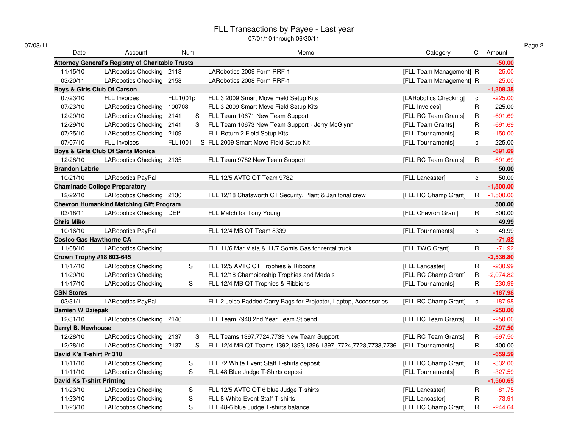07/01/10 through 06/30/11

| Date                             | Account                                                 |          | Num           | Memo                                                             | Category                |              | CI Amount   |
|----------------------------------|---------------------------------------------------------|----------|---------------|------------------------------------------------------------------|-------------------------|--------------|-------------|
|                                  | <b>Attorney General's Registry of Charitable Trusts</b> |          |               |                                                                  |                         |              | $-50.00$    |
| 11/15/10                         | LARobotics Checking 2118                                |          |               | LARobotics 2009 Form RRF-1                                       | [FLL Team Management] R |              | $-25.00$    |
| 03/20/11                         | LARobotics Checking 2158                                |          |               | LARobotics 2008 Form RRF-1                                       | [FLL Team Management] R |              | $-25.00$    |
|                                  | Boys & Girls Club Of Carson                             |          |               |                                                                  |                         |              | $-1,308.38$ |
| 07/23/10                         | <b>FLL Invoices</b>                                     | FLL1001p |               | FLL 3 2009 Smart Move Field Setup Kits                           | [LARobotics Checking]   | $\mathbf{C}$ | $-225.00$   |
| 07/23/10                         | <b>LARobotics Checking</b>                              | 100708   |               | FLL 3 2009 Smart Move Field Setup Kits                           | [FLL Invoices]          | R            | 225.00      |
| 12/29/10                         | LARobotics Checking 2141                                |          | S             | FLL Team 10671 New Team Support                                  | [FLL RC Team Grants]    | R            | $-691.69$   |
| 12/29/10                         | LARobotics Checking 2141                                |          | S             | FLL Team 10673 New Team Support - Jerry McGlynn                  | [FLL Team Grants]       | R            | $-691.69$   |
| 07/25/10                         | LARobotics Checking 2109                                |          |               | FLL Return 2 Field Setup Kits                                    | [FLL Tournaments]       | R            | $-150.00$   |
| 07/07/10                         | FLL Invoices                                            | FLL1001  |               | S FLL 2009 Smart Move Field Setup Kit                            | [FLL Tournaments]       | c            | 225.00      |
|                                  | Boys & Girls Club Of Santa Monica                       |          |               |                                                                  |                         |              | $-691.69$   |
| 12/28/10                         | LARobotics Checking 2135                                |          |               | FLL Team 9782 New Team Support                                   | [FLL RC Team Grants]    | $\mathsf{R}$ | $-691.69$   |
| <b>Brandon Labrie</b>            |                                                         |          |               |                                                                  |                         |              | 50.00       |
| 10/21/10                         | LARobotics PayPal                                       |          |               | FLL 12/5 AVTC QT Team 9782                                       | [FLL Lancaster]         | c            | 50.00       |
|                                  | <b>Chaminade College Preparatory</b>                    |          |               |                                                                  |                         |              | $-1,500.00$ |
| 12/22/10                         | LARobotics Checking 2130                                |          |               | FLL 12/18 Chatsworth CT Security, Plant & Janitorial crew        | [FLL RC Champ Grant]    | R            | $-1,500.00$ |
|                                  | <b>Chevron Humankind Matching Gift Program</b>          |          |               |                                                                  |                         |              | 500.00      |
| 03/18/11                         | LARobotics Checking DEP                                 |          |               | FLL Match for Tony Young                                         | [FLL Chevron Grant]     | R            | 500.00      |
| <b>Chris Miko</b>                |                                                         |          |               |                                                                  |                         |              | 49.99       |
| 10/16/10                         | LARobotics PayPal                                       |          |               | FLL 12/4 MB QT Team 8339                                         | [FLL Tournaments]       | C            | 49.99       |
| <b>Costco Gas Hawthorne CA</b>   |                                                         |          |               |                                                                  |                         |              | $-71.92$    |
| 11/08/10                         | <b>LARobotics Checking</b>                              |          |               | FLL 11/6 Mar Vista & 11/7 Somis Gas for rental truck             | [FLL TWC Grant]         | $\mathsf R$  | $-71.92$    |
| Crown Trophy #18 603-645         |                                                         |          |               |                                                                  |                         |              | $-2,536.80$ |
| 11/17/10                         | <b>LARobotics Checking</b>                              |          | S             | FLL 12/5 AVTC QT Trophies & Ribbons                              | [FLL Lancaster]         | R            | $-230.99$   |
| 11/29/10                         | <b>LARobotics Checking</b>                              |          |               | FLL 12/18 Championship Trophies and Medals                       | [FLL RC Champ Grant]    | R            | $-2,074.82$ |
| 11/17/10                         | <b>LARobotics Checking</b>                              |          | S             | FLL 12/4 MB QT Trophies & Ribbions                               | [FLL Tournaments]       | R            | $-230.99$   |
| <b>CSN Stores</b>                |                                                         |          |               |                                                                  |                         |              | $-187.98$   |
| 03/31/11                         | LARobotics PayPal                                       |          |               | FLL 2 Jelco Padded Carry Bags for Projector, Laptop, Accessories | [FLL RC Champ Grant]    | $\mathtt{C}$ | $-187.98$   |
| <b>Damien W Dziepak</b>          |                                                         |          |               |                                                                  |                         |              | $-250.00$   |
| 12/31/10                         | LARobotics Checking 2146                                |          |               | FLL Team 7940 2nd Year Team Stipend                              | [FLL RC Team Grants]    | R            | $-250.00$   |
| Darryl B. Newhouse               |                                                         |          |               |                                                                  |                         |              | $-297.50$   |
| 12/28/10                         | LARobotics Checking 2137                                |          | S             | FLL Teams 1397,7724,7733 New Team Support                        | [FLL RC Team Grants]    | R            | $-697.50$   |
| 12/28/10                         | LARobotics Checking 2137                                |          | S             | FLL 12/4 MB QT Teams 1392,1393,1396,1397,,7724,7728,7733,7736    | [FLL Tournaments]       | R            | 400.00      |
| David K's T-shirt Pr 310         |                                                         |          |               |                                                                  |                         |              | $-659.59$   |
| 11/11/10                         | <b>LARobotics Checking</b>                              |          | ${\mathsf S}$ | FLL 72 White Event Staff T-shirts deposit                        | [FLL RC Champ Grant]    | $\mathsf R$  | $-332.00$   |
| 11/11/10                         | <b>LARobotics Checking</b>                              |          | S             | FLL 48 Blue Judge T-Shirts deposit                               | [FLL Tournaments]       | R.           | $-327.59$   |
| <b>David Ks T-shirt Printing</b> |                                                         |          |               |                                                                  |                         |              | $-1,560.65$ |
| 11/23/10                         | <b>LARobotics Checking</b>                              |          | S             | FLL 12/5 AVTC QT 6 blue Judge T-shirts                           | [FLL Lancaster]         | R            | $-81.75$    |
| 11/23/10                         | <b>LARobotics Checking</b>                              |          | $\mathbf S$   | FLL 8 White Event Staff T-shirts                                 | [FLL Lancaster]         | R            | $-73.91$    |
|                                  |                                                         |          | S             |                                                                  |                         | R            |             |
| 11/23/10                         | <b>LARobotics Checking</b>                              |          |               | FLL 48-6 blue Judge T-shirts balance                             | [FLL RC Champ Grant]    |              | $-244.64$   |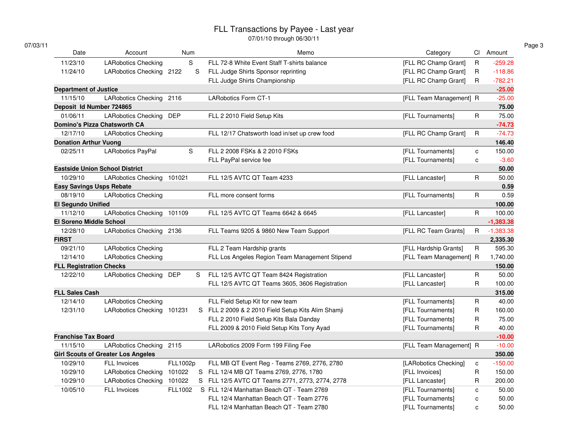07/01/10 through 06/30/11

| Date                            | Account                                   | Num      |    | Memo                                               | Category                |              | CI Amount   |
|---------------------------------|-------------------------------------------|----------|----|----------------------------------------------------|-------------------------|--------------|-------------|
| 11/23/10                        | <b>LARobotics Checking</b>                | S        |    | FLL 72-8 White Event Staff T-shirts balance        | [FLL RC Champ Grant]    | $\mathsf{R}$ | $-259.28$   |
| 11/24/10                        | LARobotics Checking 2122                  |          | S  | FLL Judge Shirts Sponsor reprinting                | [FLL RC Champ Grant]    | R            | $-118.86$   |
|                                 |                                           |          |    | FLL Judge Shirts Championship                      | [FLL RC Champ Grant]    | R            | $-782.21$   |
| <b>Department of Justice</b>    |                                           |          |    |                                                    |                         |              | $-25.00$    |
| 11/15/10                        | LARobotics Checking 2116                  |          |    | <b>LARobotics Form CT-1</b>                        | [FLL Team Management] R |              | $-25.00$    |
| Deposit Id Number 724865        |                                           |          |    |                                                    |                         |              | 75.00       |
| 01/06/11                        | LARobotics Checking DEP                   |          |    | FLL 2 2010 Field Setup Kits                        | [FLL Tournaments]       | $\sf R$      | 75.00       |
|                                 | <b>Domino's Pizza Chatsworth CA</b>       |          |    |                                                    |                         |              | $-74.73$    |
| 12/17/10                        | <b>LARobotics Checking</b>                |          |    | FLL 12/17 Chatsworth load in/set up crew food      | [FLL RC Champ Grant]    | $\mathsf{R}$ | $-74.73$    |
| <b>Donation Arthur Vuong</b>    |                                           |          |    |                                                    |                         |              | 146.40      |
| 02/25/11                        | LARobotics PayPal                         | S        |    | FLL 2 2008 FSKs & 2 2010 FSKs                      | [FLL Tournaments]       | c            | 150.00      |
|                                 |                                           |          |    | FLL PayPal service fee                             | [FLL Tournaments]       | c            | $-3.60$     |
|                                 | <b>Eastside Union School District</b>     |          |    |                                                    |                         |              | 50.00       |
| 10/29/10                        | LARobotics Checking 101021                |          |    | FLL 12/5 AVTC QT Team 4233                         | [FLL Lancaster]         | R            | 50.00       |
| <b>Easy Savings Usps Rebate</b> |                                           |          |    |                                                    |                         |              | 0.59        |
| 08/19/10                        | <b>LARobotics Checking</b>                |          |    | FLL more consent forms                             | [FLL Tournaments]       | R            | 0.59        |
| <b>El Segundo Unified</b>       |                                           |          |    |                                                    |                         |              | 100.00      |
| 11/12/10                        | LARobotics Checking 101109                |          |    | FLL 12/5 AVTC QT Teams 6642 & 6645                 | [FLL Lancaster]         | $\mathsf R$  | 100.00      |
| <b>El Soreno Middle School</b>  |                                           |          |    |                                                    |                         |              | $-1,383.38$ |
| 12/28/10                        | LARobotics Checking 2136                  |          |    | FLL Teams 9205 & 9860 New Team Support             | [FLL RC Team Grants]    | R            | $-1,383.38$ |
| <b>FIRST</b>                    |                                           |          |    |                                                    |                         |              | 2,335.30    |
| 09/21/10                        | <b>LARobotics Checking</b>                |          |    | FLL 2 Team Hardship grants                         | [FLL Hardship Grants]   | $\mathsf{R}$ | 595.30      |
| 12/14/10                        | <b>LARobotics Checking</b>                |          |    | FLL Los Angeles Region Team Management Stipend     | [FLL Team Management] R |              | 1,740.00    |
| <b>FLL Registration Checks</b>  |                                           |          |    |                                                    |                         |              | 150.00      |
| 12/22/10                        | LARobotics Checking DEP                   |          | S. | FLL 12/5 AVTC QT Team 8424 Registration            | [FLL Lancaster]         | R            | 50.00       |
|                                 |                                           |          |    | FLL 12/5 AVTC QT Teams 3605, 3606 Registration     | [FLL Lancaster]         | R            | 100.00      |
| <b>FLL Sales Cash</b>           |                                           |          |    |                                                    |                         |              | 315.00      |
| 12/14/10                        | <b>LARobotics Checking</b>                |          |    | FLL Field Setup Kit for new team                   | [FLL Tournaments]       | R            | 40.00       |
| 12/31/10                        | LARobotics Checking 101231                |          |    | S FLL 2 2009 & 2 2010 Field Setup Kits Alim Shamji | [FLL Tournaments]       | R            | 160.00      |
|                                 |                                           |          |    | FLL 2 2010 Field Setup Kits Bala Danday            | [FLL Tournaments]       | R            | 75.00       |
|                                 |                                           |          |    | FLL 2009 & 2010 Field Setup Kits Tony Ayad         | [FLL Tournaments]       | R            | 40.00       |
| <b>Franchise Tax Board</b>      |                                           |          |    |                                                    |                         |              | $-10.00$    |
| 11/15/10                        | LARobotics Checking 2115                  |          |    | LARobotics 2009 Form 199 Filing Fee                | [FLL Team Management] R |              | $-10.00$    |
|                                 | <b>Girl Scouts of Greater Los Angeles</b> |          |    |                                                    |                         |              | 350.00      |
| 10/29/10                        | <b>FLL Invoices</b>                       | FLL1002p |    | FLL MB QT Event Reg - Teams 2769, 2776, 2780       | [LARobotics Checking]   | c            | $-150.00$   |
| 10/29/10                        | <b>LARobotics Checking</b>                | 101022   |    | S FLL 12/4 MB QT Teams 2769, 2776, 1780            | [FLL Invoices]          | R            | 150.00      |
| 10/29/10                        | <b>LARobotics Checking</b>                | 101022   |    | S FLL 12/5 AVTC QT Teams 2771, 2773, 2774, 2778    | [FLL Lancaster]         | R            | 200.00      |
| 10/05/10                        | <b>FLL Invoices</b>                       | FLL1002  |    | S FLL 12/4 Manhattan Beach QT - Team 2769          | [FLL Tournaments]       | C            | 50.00       |
|                                 |                                           |          |    | FLL 12/4 Manhattan Beach QT - Team 2776            | [FLL Tournaments]       | C            | 50.00       |
|                                 |                                           |          |    | FLL 12/4 Manhattan Beach QT - Team 2780            | [FLL Tournaments]       | C            | 50.00       |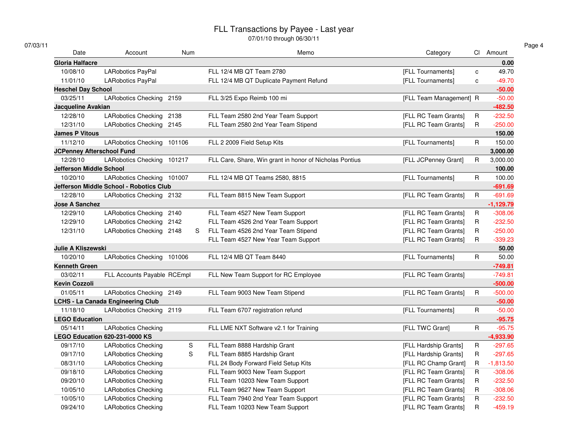| 07/03/11 |
|----------|
|----------|

| Date                             | Account                                  | Num |    | Memo                                                    | Category                |             | CI Amount   |
|----------------------------------|------------------------------------------|-----|----|---------------------------------------------------------|-------------------------|-------------|-------------|
| Gloria Halfacre                  |                                          |     |    |                                                         |                         |             | 0.00        |
| 10/08/10                         | <b>LARobotics PayPal</b>                 |     |    | FLL 12/4 MB QT Team 2780                                | [FLL Tournaments]       | c           | 49.70       |
| 11/01/10                         | LARobotics PayPal                        |     |    | FLL 12/4 MB QT Duplicate Payment Refund                 | [FLL Tournaments]       | c           | $-49.70$    |
| <b>Heschel Day School</b>        |                                          |     |    |                                                         |                         |             | $-50.00$    |
| 03/25/11                         | LARobotics Checking 2159                 |     |    | FLL 3/25 Expo Reimb 100 mi                              | [FLL Team Management] R |             | $-50.00$    |
| Jacqueline Avakian               |                                          |     |    |                                                         |                         |             | $-482.50$   |
| 12/28/10                         | LARobotics Checking 2138                 |     |    | FLL Team 2580 2nd Year Team Support                     | [FLL RC Team Grants]    | R           | $-232.50$   |
| 12/31/10                         | LARobotics Checking 2145                 |     |    | FLL Team 2580 2nd Year Team Stipend                     | [FLL RC Team Grants]    | R.          | $-250.00$   |
| <b>James P Vitous</b>            |                                          |     |    |                                                         |                         |             | 150.00      |
| 11/12/10                         | LARobotics Checking 101106               |     |    | FLL 2 2009 Field Setup Kits                             | [FLL Tournaments]       | $\mathsf R$ | 150.00      |
| <b>JCPenney Afterschool Fund</b> |                                          |     |    |                                                         |                         |             | 3,000.00    |
| 12/28/10                         | LARobotics Checking 101217               |     |    | FLL Care, Share, Win grant in honor of Nicholas Pontius | [FLL JCPenney Grant]    | R.          | 3,000.00    |
| <b>Jefferson Middle School</b>   |                                          |     |    |                                                         |                         |             | 100.00      |
| 10/20/10                         | LARobotics Checking 101007               |     |    | FLL 12/4 MB QT Teams 2580, 8815                         | [FLL Tournaments]       | $\mathsf R$ | 100.00      |
|                                  | Jefferson Middle School - Robotics Club  |     |    |                                                         |                         |             | $-691.69$   |
| 12/28/10                         | LARobotics Checking 2132                 |     |    | FLL Team 8815 New Team Support                          | [FLL RC Team Grants]    | $\mathsf R$ | $-691.69$   |
| <b>Jose A Sanchez</b>            |                                          |     |    |                                                         |                         |             | $-1,129.79$ |
| 12/29/10                         | LARobotics Checking 2140                 |     |    | FLL Team 4527 New Team Support                          | [FLL RC Team Grants]    | R           | $-308.06$   |
| 12/29/10                         | LARobotics Checking 2142                 |     |    | FLL Team 4526 2nd Year Team Support                     | [FLL RC Team Grants]    | R.          | $-232.50$   |
| 12/31/10                         | LARobotics Checking 2148                 |     | S. | FLL Team 4526 2nd Year Team Stipend                     | [FLL RC Team Grants]    | $\mathsf R$ | $-250.00$   |
|                                  |                                          |     |    | FLL Team 4527 New Year Team Support                     | [FLL RC Team Grants]    | $\mathsf R$ | $-339.23$   |
| Julie A Kliszewski               |                                          |     |    |                                                         |                         |             | 50.00       |
| 10/20/10                         | LARobotics Checking 101006               |     |    | FLL 12/4 MB QT Team 8440                                | [FLL Tournaments]       | R.          | 50.00       |
| <b>Kenneth Green</b>             |                                          |     |    |                                                         |                         |             | $-749.81$   |
| 03/02/11                         | FLL Accounts Payable RCEmpl              |     |    | FLL New Team Support for RC Employee                    | [FLL RC Team Grants]    |             | $-749.81$   |
| <b>Kevin Cozzoli</b>             |                                          |     |    |                                                         |                         |             | $-500.00$   |
| 01/05/11                         | LARobotics Checking 2149                 |     |    | FLL Team 9003 New Team Stipend                          | [FLL RC Team Grants]    | R           | $-500.00$   |
|                                  | <b>LCHS - La Canada Engineering Club</b> |     |    |                                                         |                         |             | $-50.00$    |
| 11/18/10                         | LARobotics Checking 2119                 |     |    | FLL Team 6707 registration refund                       | [FLL Tournaments]       | $\mathsf R$ | $-50.00$    |
| <b>LEGO Education</b>            |                                          |     |    |                                                         |                         |             | $-95.75$    |
| 05/14/11                         | <b>LARobotics Checking</b>               |     |    | FLL LME NXT Software v2.1 for Training                  | [FLL TWC Grant]         | $\mathsf R$ | $-95.75$    |
|                                  | LEGO Education 620-231-0000 KS           |     |    |                                                         |                         |             | $-4,933.90$ |
| 09/17/10                         | <b>LARobotics Checking</b>               | S   |    | FLL Team 8888 Hardship Grant                            | [FLL Hardship Grants]   | R           | $-297.65$   |
| 09/17/10                         | <b>LARobotics Checking</b>               | S   |    | FLL Team 8885 Hardship Grant                            | [FLL Hardship Grants]   | R           | $-297.65$   |
| 08/31/10                         | <b>LARobotics Checking</b>               |     |    | FLL 24 Body Forward Field Setup Kits                    | [FLL RC Champ Grant]    | R.          | $-1,813.50$ |
| 09/18/10                         | <b>LARobotics Checking</b>               |     |    | FLL Team 9003 New Team Support                          | [FLL RC Team Grants]    | R           | $-308.06$   |
| 09/20/10                         | <b>LARobotics Checking</b>               |     |    | FLL Team 10203 New Team Support                         | [FLL RC Team Grants]    | $\mathsf R$ | $-232.50$   |
| 10/05/10                         | <b>LARobotics Checking</b>               |     |    | FLL Team 9627 New Team Support                          | [FLL RC Team Grants]    | R           | $-308.06$   |
| 10/05/10                         | <b>LARobotics Checking</b>               |     |    | FLL Team 7940 2nd Year Team Support                     | [FLL RC Team Grants]    | R           | $-232.50$   |
| 09/24/10                         | <b>LARobotics Checking</b>               |     |    | FLL Team 10203 New Team Support                         | [FLL RC Team Grants]    | R           | $-459.19$   |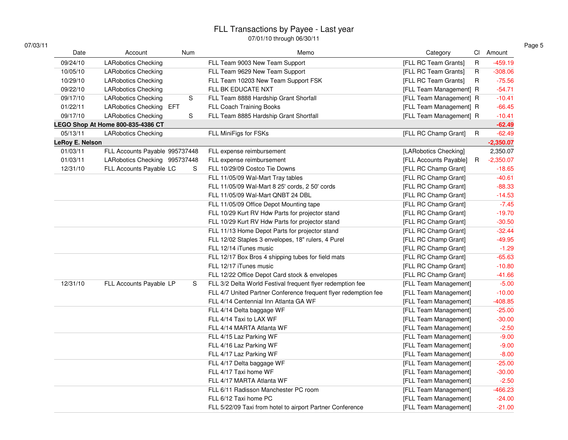07/01/10 through 06/30/11

| 07/03/11 |  |
|----------|--|
|----------|--|

| Date            | Account                           | Num | Memo                                                            | Category                            | CI Amount   |
|-----------------|-----------------------------------|-----|-----------------------------------------------------------------|-------------------------------------|-------------|
| 09/24/10        | <b>LARobotics Checking</b>        |     | FLL Team 9003 New Team Support                                  | [FLL RC Team Grants]<br>$\mathsf R$ | $-459.19$   |
| 10/05/10        | <b>LARobotics Checking</b>        |     | FLL Team 9629 New Team Support                                  | [FLL RC Team Grants]<br>$\mathsf R$ | $-308.06$   |
| 10/29/10        | <b>LARobotics Checking</b>        |     | FLL Team 10203 New Team Support FSK                             | [FLL RC Team Grants]<br>R.          | $-75.56$    |
| 09/22/10        | <b>LARobotics Checking</b>        |     | FLL BK EDUCATE NXT                                              | [FLL Team Management] R             | $-54.71$    |
| 09/17/10        | <b>LARobotics Checking</b>        | S   | FLL Team 8888 Hardship Grant Shorfall                           | [FLL Team Management] R             | $-10.41$    |
| 01/22/11        | LARobotics Checking EFT           |     | FLL Coach Training Books                                        | [FLL Team Management] R             | $-66.45$    |
| 09/17/10        | <b>LARobotics Checking</b>        | S   | FLL Team 8885 Hardship Grant Shortfall                          | [FLL Team Management] R             | $-10.41$    |
|                 | LEGO Shop At Home 800-835-4386 CT |     |                                                                 |                                     | $-62.49$    |
| 05/13/11        | <b>LARobotics Checking</b>        |     | FLL MiniFigs for FSKs                                           | [FLL RC Champ Grant]<br>$\mathsf R$ | $-62.49$    |
| LeRoy E. Nelson |                                   |     |                                                                 |                                     | $-2,350.07$ |
| 01/03/11        | FLL Accounts Payable 995737448    |     | FLL expense reimbursement                                       | [LARobotics Checking]               | 2,350.07    |
| 01/03/11        | LARobotics Checking 995737448     |     | FLL expense reimbursement                                       | [FLL Accounts Payable]<br>R         | $-2,350.07$ |
| 12/31/10        | FLL Accounts Payable LC           | S   | FLL 10/29/09 Costco Tie Downs                                   | [FLL RC Champ Grant]                | $-18.65$    |
|                 |                                   |     | FLL 11/05/09 Wal-Mart Tray tables                               | [FLL RC Champ Grant]                | $-40.61$    |
|                 |                                   |     | FLL 11/05/09 Wal-Mart 8 25' cords, 2 50' cords                  | [FLL RC Champ Grant]                | $-88.33$    |
|                 |                                   |     | FLL 11/05/09 Wal-Mart QNBT 24 DBL                               | [FLL RC Champ Grant]                | $-14.53$    |
|                 |                                   |     | FLL 11/05/09 Office Depot Mounting tape                         | [FLL RC Champ Grant]                | $-7.45$     |
|                 |                                   |     | FLL 10/29 Kurt RV Hdw Parts for projector stand                 | [FLL RC Champ Grant]                | $-19.70$    |
|                 |                                   |     | FLL 10/29 Kurt RV Hdw Parts for projector stand                 | [FLL RC Champ Grant]                | $-30.50$    |
|                 |                                   |     | FLL 11/13 Home Depot Parts for projector stand                  | [FLL RC Champ Grant]                | $-32.44$    |
|                 |                                   |     | FLL 12/02 Staples 3 envelopes, 18" rulers, 4 Purel              | [FLL RC Champ Grant]                | $-49.95$    |
|                 |                                   |     | FLL 12/14 iTunes music                                          | [FLL RC Champ Grant]                | $-1.29$     |
|                 |                                   |     | FLL 12/17 Box Bros 4 shipping tubes for field mats              | [FLL RC Champ Grant]                | $-65.63$    |
|                 |                                   |     | FLL 12/17 iTunes music                                          | [FLL RC Champ Grant]                | $-10.80$    |
|                 |                                   |     | FLL 12/22 Office Depot Card stock & envelopes                   | [FLL RC Champ Grant]                | $-41.66$    |
| 12/31/10        | FLL Accounts Payable LP           | S   | FLL 3/2 Delta World Festival frequent flyer redemption fee      | [FLL Team Management]               | $-5.00$     |
|                 |                                   |     | FLL 4/7 United Partner Conference frequent flyer redemption fee | [FLL Team Management]               | $-10.00$    |
|                 |                                   |     | FLL 4/14 Centennial Inn Atlanta GA WF                           | [FLL Team Management]               | $-408.85$   |
|                 |                                   |     | FLL 4/14 Delta baggage WF                                       | [FLL Team Management]               | $-25.00$    |
|                 |                                   |     | FLL 4/14 Taxi to LAX WF                                         | [FLL Team Management]               | $-30.00$    |
|                 |                                   |     | FLL 4/14 MARTA Atlanta WF                                       | [FLL Team Management]               | $-2.50$     |
|                 |                                   |     | FLL 4/15 Laz Parking WF                                         | [FLL Team Management]               | $-9.00$     |
|                 |                                   |     | FLL 4/16 Laz Parking WF                                         | [FLL Team Management]               | $-9.00$     |
|                 |                                   |     | FLL 4/17 Laz Parking WF                                         | [FLL Team Management]               | $-8.00$     |
|                 |                                   |     | FLL 4/17 Delta baggage WF                                       | [FLL Team Management]               | $-25.00$    |
|                 |                                   |     | FLL 4/17 Taxi home WF                                           | [FLL Team Management]               | $-30.00$    |
|                 |                                   |     | FLL 4/17 MARTA Atlanta WF                                       | [FLL Team Management]               | $-2.50$     |
|                 |                                   |     | FLL 6/11 Radisson Manchester PC room                            | [FLL Team Management]               | $-466.23$   |
|                 |                                   |     | FLL 6/12 Taxi home PC                                           | [FLL Team Management]               | $-24.00$    |
|                 |                                   |     | FLL 5/22/09 Taxi from hotel to airport Partner Conference       | [FLL Team Management]               | $-21.00$    |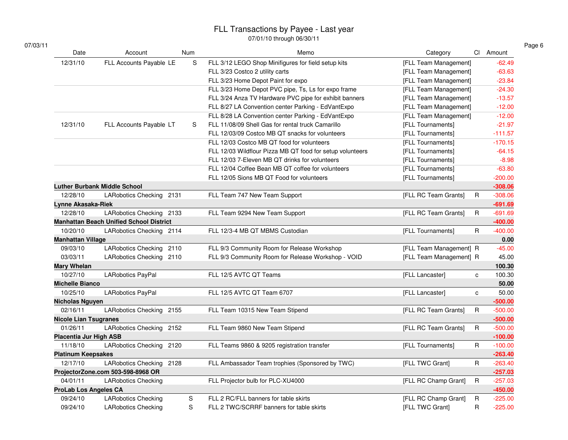| Date                         | Account                                        | Num         | Memo                                                      | Category                |              | CI Amount |
|------------------------------|------------------------------------------------|-------------|-----------------------------------------------------------|-------------------------|--------------|-----------|
| 12/31/10                     | FLL Accounts Payable LE                        | $\mathbf S$ | FLL 3/12 LEGO Shop Minifigures for field setup kits       | [FLL Team Management]   |              | $-62.49$  |
|                              |                                                |             | FLL 3/23 Costco 2 utility carts                           | [FLL Team Management]   |              | $-63.63$  |
|                              |                                                |             | FLL 3/23 Home Depot Paint for expo                        | [FLL Team Management]   |              | $-23.84$  |
|                              |                                                |             | FLL 3/23 Home Depot PVC pipe, Ts, Ls for expo frame       | [FLL Team Management]   |              | $-24.30$  |
|                              |                                                |             | FLL 3/24 Anza TV Hardware PVC pipe for exhibit banners    | [FLL Team Management]   |              | $-13.57$  |
|                              |                                                |             | FLL 8/27 LA Convention center Parking - EdVantExpo        | [FLL Team Management]   |              | $-12.00$  |
|                              |                                                |             | FLL 8/28 LA Convention center Parking - EdVantExpo        | [FLL Team Management]   |              | $-12.00$  |
| 12/31/10                     | FLL Accounts Payable LT                        | S           | FLL 11/08/09 Shell Gas for rental truck Camarillo         | [FLL Tournaments]       |              | $-21.97$  |
|                              |                                                |             | FLL 12/03/09 Costco MB QT snacks for volunteers           | [FLL Tournaments]       |              | $-111.57$ |
|                              |                                                |             | FLL 12/03 Costco MB QT food for volunteers                | [FLL Tournaments]       |              | $-170.15$ |
|                              |                                                |             | FLL 12/03 Wildflour Pizza MB QT food for setup volunteers | [FLL Tournaments]       |              | $-64.15$  |
|                              |                                                |             | FLL 12/03 7-Eleven MB QT drinks for volunteers            | [FLL Tournaments]       |              | $-8.98$   |
|                              |                                                |             | FLL 12/04 Coffee Bean MB QT coffee for volunteers         | [FLL Tournaments]       |              | $-63.80$  |
|                              |                                                |             | FLL 12/05 Sions MB QT Food for volunteers                 | [FLL Tournaments]       |              | $-200.00$ |
|                              | <b>Luther Burbank Middle School</b>            |             |                                                           |                         |              | $-308.06$ |
| 12/28/10                     | LARobotics Checking 2131                       |             | FLL Team 747 New Team Support                             | [FLL RC Team Grants]    | $\mathsf R$  | $-308.06$ |
| Lynne Akasaka-Riek           |                                                |             |                                                           |                         |              | $-691.69$ |
| 12/28/10                     | LARobotics Checking 2133                       |             | FLL Team 9294 New Team Support                            | [FLL RC Team Grants]    | $\mathsf{R}$ | $-691.69$ |
|                              | <b>Manhattan Beach Unified School District</b> |             |                                                           |                         |              | $-400.00$ |
| 10/20/10                     | LARobotics Checking 2114                       |             | FLL 12/3-4 MB QT MBMS Custodian                           | [FLL Tournaments]       | R            | $-400.00$ |
| <b>Manhattan Village</b>     |                                                |             |                                                           |                         |              | 0.00      |
| 09/03/10                     | LARobotics Checking 2110                       |             | FLL 9/3 Community Room for Release Workshop               | [FLL Team Management] R |              | $-45.00$  |
| 03/03/11                     | LARobotics Checking 2110                       |             | FLL 9/3 Community Room for Release Workshop - VOID        | [FLL Team Management] R |              | 45.00     |
| <b>Mary Whelan</b>           |                                                |             |                                                           |                         |              | 100.30    |
| 10/27/10                     | LARobotics PayPal                              |             | FLL 12/5 AVTC QT Teams                                    | [FLL Lancaster]         | $\mathbf{C}$ | 100.30    |
| <b>Michelle Bianco</b>       |                                                |             |                                                           |                         |              | 50.00     |
| 10/25/10                     | LARobotics PayPal                              |             | FLL 12/5 AVTC QT Team 6707                                | [FLL Lancaster]         | $\mathbf{C}$ | 50.00     |
| <b>Nicholas Nguyen</b>       |                                                |             |                                                           |                         |              | $-500.00$ |
| 02/16/11                     | LARobotics Checking 2155                       |             | FLL Team 10315 New Team Stipend                           | [FLL RC Team Grants]    | $\mathsf R$  | $-500.00$ |
| <b>Nicole Lian Tsugranes</b> |                                                |             |                                                           |                         |              | $-500.00$ |
| 01/26/11                     | LARobotics Checking 2152                       |             | FLL Team 9860 New Team Stipend                            | [FLL RC Team Grants]    | $\mathsf{R}$ | $-500.00$ |
| Placentia Jur High ASB       |                                                |             |                                                           |                         |              | $-100.00$ |
| 11/18/10                     | LARobotics Checking 2120                       |             | FLL Teams 9860 & 9205 registration transfer               | [FLL Tournaments]       | R            | $-100.00$ |
| <b>Platinum Keepsakes</b>    |                                                |             |                                                           |                         |              | $-263.40$ |
| 12/17/10                     | LARobotics Checking 2128                       |             | FLL Ambassador Team trophies (Sponsored by TWC)           | [FLL TWC Grant]         | $\mathsf{R}$ | $-263.40$ |
|                              | ProjectorZone.com 503-598-8968 OR              |             |                                                           |                         |              | $-257.03$ |
| 04/01/11                     | <b>LARobotics Checking</b>                     |             | FLL Projector bulb for PLC-XU4000                         | [FLL RC Champ Grant]    | $\mathsf R$  | $-257.03$ |
| <b>ProLab Los Angeles CA</b> |                                                |             |                                                           |                         |              | $-450.00$ |
| 09/24/10                     | <b>LARobotics Checking</b>                     | S           | FLL 2 RC/FLL banners for table skirts                     | [FLL RC Champ Grant]    | $\mathsf R$  | $-225.00$ |
| 09/24/10                     | <b>LARobotics Checking</b>                     | S           | FLL 2 TWC/SCRRF banners for table skirts                  | [FLL TWC Grant]         | $\mathsf{R}$ | $-225.00$ |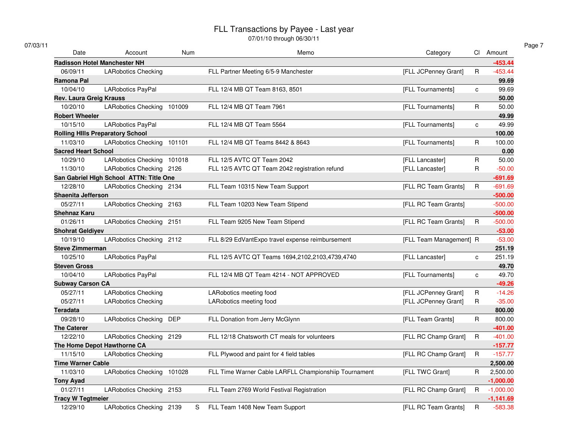| 07/03/11            |                                         |            |                                                                             |              |             |
|---------------------|-----------------------------------------|------------|-----------------------------------------------------------------------------|--------------|-------------|
|                     | Date<br>Account                         | <b>Num</b> | Memo<br>Category                                                            |              | Cl Amount   |
|                     | <b>Radisson Hotel Manchester NH</b>     |            |                                                                             |              | $-453.44$   |
| 06/09/11            | <b>LARobotics Checking</b>              |            | [FLL JCPenney Grant]<br>FLL Partner Meeting 6/5-9 Manchester                | $\mathsf{R}$ | $-453.44$   |
| Ramona Pal          |                                         |            |                                                                             |              | 99.69       |
| 10/04/10            | LARobotics PayPal                       |            | [FLL Tournaments]<br>FLL 12/4 MB QT Team 8163, 8501                         | C            | 99.69       |
|                     | <b>Rev. Laura Greig Krauss</b>          |            |                                                                             |              | 50.00       |
| 10/20/10            | LARobotics Checking 101009              |            | FLL 12/4 MB QT Team 7961<br>[FLL Tournaments]                               | $\mathsf R$  | 50.00       |
|                     | <b>Robert Wheeler</b>                   |            |                                                                             |              | 49.99       |
| 10/15/10            | <b>LARobotics PayPal</b>                |            | FLL 12/4 MB QT Team 5564<br>[FLL Tournaments]                               | $\mathbf{C}$ | 49.99       |
|                     | <b>Rolling Hills Preparatory School</b> |            |                                                                             |              | 100.00      |
| 11/03/10            | LARobotics Checking 101101              |            | FLL 12/4 MB QT Teams 8442 & 8643<br>[FLL Tournaments]                       | $\mathsf R$  | 100.00      |
|                     | <b>Sacred Heart School</b>              |            |                                                                             |              | 0.00        |
| 10/29/10            | LARobotics Checking 101018              |            | FLL 12/5 AVTC QT Team 2042<br>[FLL Lancaster]                               | $\mathsf R$  | 50.00       |
| 11/30/10            | LARobotics Checking 2126                |            | FLL 12/5 AVTC QT Team 2042 registration refund<br>[FLL Lancaster]           | $\mathsf{R}$ | $-50.00$    |
|                     | San Gabriel High School ATTN: Title One |            |                                                                             |              | $-691.69$   |
| 12/28/10            | LARobotics Checking 2134                |            | [FLL RC Team Grants]<br>FLL Team 10315 New Team Support                     | $\mathsf R$  | $-691.69$   |
|                     | Shaenita Jefferson                      |            |                                                                             |              | $-500.00$   |
| 05/27/11            | LARobotics Checking 2163                |            | [FLL RC Team Grants]<br>FLL Team 10203 New Team Stipend                     |              | $-500.00$   |
| Shehnaz Karu        |                                         |            |                                                                             |              | $-500.00$   |
| 01/26/11            | LARobotics Checking 2151                |            | FLL Team 9205 New Team Stipend<br>[FLL RC Team Grants]                      | R            | $-500.00$   |
|                     | <b>Shohrat Geldiyev</b>                 |            |                                                                             |              | $-53.00$    |
| 10/19/10            | LARobotics Checking 2112                |            | FLL 8/29 EdVantExpo travel expense reimbursement<br>[FLL Team Management] R |              | $-53.00$    |
|                     | <b>Steve Zimmerman</b>                  |            |                                                                             |              | 251.19      |
| 10/25/10            | <b>LARobotics PayPal</b>                |            | FLL 12/5 AVTC QT Teams 1694,2102,2103,4739,4740<br>[FLL Lancaster]          | $\mathbf{C}$ | 251.19      |
| <b>Steven Gross</b> |                                         |            |                                                                             |              | 49.70       |
| 10/04/10            | LARobotics PayPal                       |            | FLL 12/4 MB QT Team 4214 - NOT APPROVED<br>[FLL Tournaments]                | c            | 49.70       |
|                     | <b>Subway Carson CA</b>                 |            |                                                                             |              | $-49.26$    |
| 05/27/11            | <b>LARobotics Checking</b>              |            | LARobotics meeting food<br>[FLL JCPenney Grant]                             | $\mathsf R$  | $-14.26$    |
| 05/27/11            | <b>LARobotics Checking</b>              |            | LARobotics meeting food<br>[FLL JCPenney Grant]                             | R            | $-35.00$    |
| <b>Teradata</b>     |                                         |            |                                                                             |              | 800.00      |
| 09/28/10            | LARobotics Checking DEP                 |            | FLL Donation from Jerry McGlynn<br>[FLL Team Grants]                        | R            | 800.00      |
| <b>The Caterer</b>  |                                         |            |                                                                             |              | $-401.00$   |
| 12/22/10            | LARobotics Checking 2129                |            | FLL 12/18 Chatsworth CT meals for volunteers<br>[FLL RC Champ Grant]        | $\mathsf R$  | $-401.00$   |
|                     | The Home Depot Hawthorne CA             |            |                                                                             |              | $-157.77$   |
| 11/15/10            | <b>LARobotics Checking</b>              |            | [FLL RC Champ Grant]<br>FLL Plywood and paint for 4 field tables            | $\mathsf{R}$ | $-157.77$   |
|                     | <b>Time Warner Cable</b>                |            |                                                                             |              | 2,500.00    |
| 11/03/10            | LARobotics Checking 101028              |            | FLL Time Warner Cable LARFLL Championshiip Tournament<br>[FLL TWC Grant]    | R            | 2,500.00    |
| <b>Tony Ayad</b>    |                                         |            |                                                                             |              | $-1,000.00$ |
| 01/27/11            | LARobotics Checking 2153                |            | FLL Team 2769 World Festival Registration<br>[FLL RC Champ Grant]           | R.           | $-1,000.00$ |
|                     | <b>Tracy W Tegtmeier</b>                |            |                                                                             |              | $-1,141.69$ |
| 12/29/10            | LARobotics Checking 2139                | S          | FLL Team 1408 New Team Support<br>[FLL RC Team Grants]                      | R            | $-583.38$   |
|                     |                                         |            |                                                                             |              |             |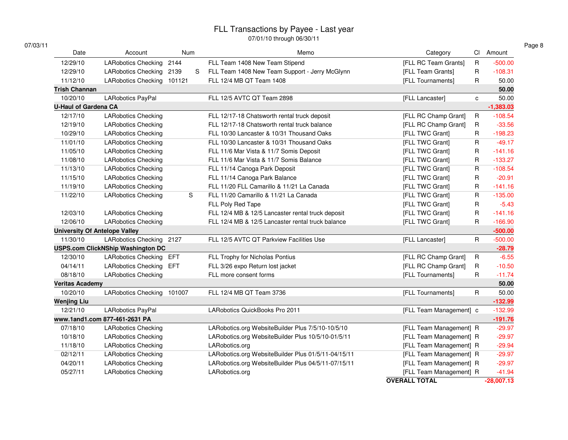07/01/10 through 06/30/11

| 07/03/11                    |                                          |            |   |                                                     |                         |              |              |
|-----------------------------|------------------------------------------|------------|---|-----------------------------------------------------|-------------------------|--------------|--------------|
| Date                        | Account                                  | Num        |   | Memo                                                | Category                |              | CI Amount    |
| 12/29/10                    | <b>LARobotics Checking</b>               | 2144       |   | FLL Team 1408 New Team Stipend                      | [FLL RC Team Grants]    | $\mathsf R$  | $-500.00$    |
| 12/29/10                    | <b>LARobotics Checking</b>               | 2139       | S | FLL Team 1408 New Team Support - Jerry McGlynn      | [FLL Team Grants]       | R            | $-108.31$    |
| 11/12/10                    | LARobotics Checking 101121               |            |   | FLL 12/4 MB QT Team 1408                            | [FLL Tournaments]       | R            | 50.00        |
| <b>Trish Channan</b>        |                                          |            |   |                                                     |                         |              | 50.00        |
| 10/20/10                    | <b>LARobotics PayPal</b>                 |            |   | FLL 12/5 AVTC QT Team 2898                          | [FLL Lancaster]         | $\mathbf{C}$ | 50.00        |
| <b>U-Haul of Gardena CA</b> |                                          |            |   |                                                     |                         |              | $-1,383.03$  |
| 12/17/10                    | <b>LARobotics Checking</b>               |            |   | FLL 12/17-18 Chatsworth rental truck deposit        | [FLL RC Champ Grant]    | $\sf R$      | $-108.54$    |
| 12/19/10                    | <b>LARobotics Checking</b>               |            |   | FLL 12/17-18 Chatsworth rental truck balance        | [FLL RC Champ Grant]    | $\mathsf R$  | $-33.56$     |
| 10/29/10                    | <b>LARobotics Checking</b>               |            |   | FLL 10/30 Lancaster & 10/31 Thousand Oaks           | [FLL TWC Grant]         | $\mathsf R$  | $-198.23$    |
| 11/01/10                    | <b>LARobotics Checking</b>               |            |   | FLL 10/30 Lancaster & 10/31 Thousand Oaks           | [FLL TWC Grant]         | $\mathsf{R}$ | $-49.17$     |
| 11/05/10                    | <b>LARobotics Checking</b>               |            |   | FLL 11/6 Mar Vista & 11/7 Somis Deposit             | [FLL TWC Grant]         | $\mathsf{R}$ | $-141.16$    |
| 11/08/10                    | <b>LARobotics Checking</b>               |            |   | FLL 11/6 Mar Vista & 11/7 Somis Balance             | [FLL TWC Grant]         | $\mathsf{R}$ | $-133.27$    |
| 11/13/10                    | <b>LARobotics Checking</b>               |            |   | FLL 11/14 Canoga Park Deposit                       | [FLL TWC Grant]         | $\mathsf{R}$ | $-108.54$    |
| 11/15/10                    | <b>LARobotics Checking</b>               |            |   | FLL 11/14 Canoga Park Balance                       | [FLL TWC Grant]         | $\mathsf{R}$ | $-20.91$     |
| 11/19/10                    | <b>LARobotics Checking</b>               |            |   | FLL 11/20 FLL Camarillo & 11/21 La Canada           | [FLL TWC Grant]         | $\mathsf{R}$ | $-141.16$    |
| 11/22/10                    | <b>LARobotics Checking</b>               | S          |   | FLL 11/20 Camarillo & 11/21 La Canada               | [FLL TWC Grant]         | $\mathsf{R}$ | $-135.00$    |
|                             |                                          |            |   | FLL Poly Red Tape                                   | [FLL TWC Grant]         | R            | $-5.43$      |
| 12/03/10                    | <b>LARobotics Checking</b>               |            |   | FLL 12/4 MB & 12/5 Lancaster rental truck deposit   | [FLL TWC Grant]         | $\mathsf{R}$ | $-141.16$    |
| 12/06/10                    | <b>LARobotics Checking</b>               |            |   | FLL 12/4 MB & 12/5 Lancaster rental truck balance   | [FLL TWC Grant]         | $\mathsf{R}$ | $-166.90$    |
|                             | <b>University Of Antelope Valley</b>     |            |   |                                                     |                         |              | $-500.00$    |
| 11/30/10                    | LARobotics Checking 2127                 |            |   | FLL 12/5 AVTC QT Parkview Facilities Use            | [FLL Lancaster]         | $\mathsf R$  | $-500.00$    |
|                             | <b>USPS.com ClickNShip Washington DC</b> |            |   |                                                     |                         |              | $-28.79$     |
| 12/30/10                    | <b>LARobotics Checking</b>               | <b>EFT</b> |   | FLL Trophy for Nicholas Pontius                     | [FLL RC Champ Grant]    | R            | $-6.55$      |
| 04/14/11                    | <b>LARobotics Checking</b>               | <b>EFT</b> |   | FLL 3/26 expo Return lost jacket                    | [FLL RC Champ Grant]    | R            | $-10.50$     |
| 08/18/10                    | <b>LARobotics Checking</b>               |            |   | FLL more consent forms                              | [FLL Tournaments]       | R            | $-11.74$     |
| <b>Veritas Academy</b>      |                                          |            |   |                                                     |                         |              | 50.00        |
| 10/20/10                    | LARobotics Checking 101007               |            |   | FLL 12/4 MB QT Team 3736                            | [FLL Tournaments]       | $\mathsf{R}$ | 50.00        |
| <b>Wenjing Liu</b>          |                                          |            |   |                                                     |                         |              | $-132.99$    |
| 12/21/10                    | <b>LARobotics PayPal</b>                 |            |   | LARobotics QuickBooks Pro 2011                      | [FLL Team Management] c |              | $-132.99$    |
|                             | www.1and1.com 877-461-2631 PA            |            |   |                                                     |                         |              | $-191.76$    |
| 07/18/10                    | <b>LARobotics Checking</b>               |            |   | LARobotics.org WebsiteBuilder Plus 7/5/10-10/5/10   | [FLL Team Management] R |              | $-29.97$     |
| 10/18/10                    | <b>LARobotics Checking</b>               |            |   | LARobotics.org WebsiteBuilder Plus 10/5/10-01/5/11  | [FLL Team Management] R |              | $-29.97$     |
| 11/18/10                    | <b>LARobotics Checking</b>               |            |   | LARobotics.org                                      | [FLL Team Management] R |              | $-29.94$     |
| 02/12/11                    | <b>LARobotics Checking</b>               |            |   | LARobotics.org WebsiteBuilder Plus 01/5/11-04/15/11 | [FLL Team Management] R |              | $-29.97$     |
| 04/20/11                    | <b>LARobotics Checking</b>               |            |   | LARobotics.org WebsiteBuilder Plus 04/5/11-07/15/11 | [FLL Team Management] R |              | $-29.97$     |
| 05/27/11                    | <b>LARobotics Checking</b>               |            |   | LARobotics.org                                      | [FLL Team Management] R |              | $-41.94$     |
|                             |                                          |            |   |                                                     | <b>OVERALL TOTAL</b>    |              | $-28,007.13$ |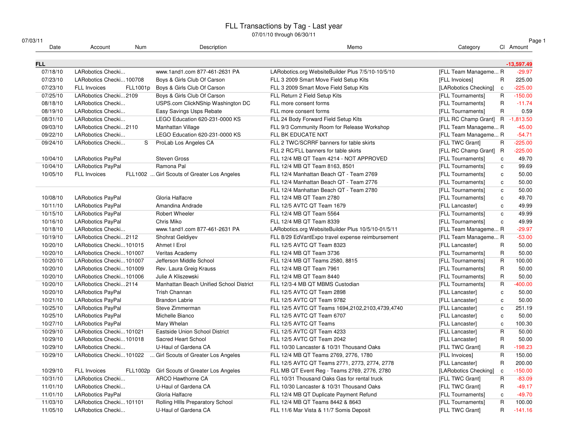| 07/03/11   |                          |          |                                             | ו ו ישטישט וווישעווו שו לו טרינט                   |                                  |              |              | Page 1 |
|------------|--------------------------|----------|---------------------------------------------|----------------------------------------------------|----------------------------------|--------------|--------------|--------|
| Date       | Account                  | Num      | Description                                 | Memo                                               | Category                         |              | Cl Amount    |        |
| <b>FLL</b> |                          |          |                                             |                                                    |                                  |              | $-13,597.49$ |        |
| 07/18/10   | LARobotics Checki        |          | www.1and1.com 877-461-2631 PA               | LARobotics.org WebsiteBuilder Plus 7/5/10-10/5/10  | [FLL Team Manageme R             |              | $-29.97$     |        |
| 07/23/10   | LARobotics Checki100708  |          | Boys & Girls Club Of Carson                 | FLL 3 2009 Smart Move Field Setup Kits             | [FLL Invoices]                   | R            | 225.00       |        |
| 07/23/10   | <b>FLL Invoices</b>      | FLL1001p | Boys & Girls Club Of Carson                 | FLL 3 2009 Smart Move Field Setup Kits             | [LARobotics Checking]            | $\mathbf c$  | $-225.00$    |        |
| 07/25/10   | LARobotics Checki2109    |          | Boys & Girls Club Of Carson                 | FLL Return 2 Field Setup Kits                      | [FLL Tournaments]                | R            | $-150.00$    |        |
| 08/18/10   | LARobotics Checki        |          | USPS.com ClickNShip Washington DC           | FLL more consent forms                             | [FLL Tournaments]                | R            | $-11.74$     |        |
| 08/19/10   | LARobotics Checki        |          | Easy Savings Usps Rebate                    | FLL more consent forms                             | [FLL Tournaments]                | R            | 0.59         |        |
| 08/31/10   | LARobotics Checki        |          | LEGO Education 620-231-0000 KS              | FLL 24 Body Forward Field Setup Kits               | [FLL RC Champ Grant] R -1,813.50 |              |              |        |
| 09/03/10   | LARobotics Checki2110    |          | Manhattan Village                           | FLL 9/3 Community Room for Release Workshop        | [FLL Team Manageme R             |              | $-45.00$     |        |
| 09/22/10   | LARobotics Checki        |          | LEGO Education 620-231-0000 KS              | FLL BK EDUCATE NXT                                 | [FLL Team Manageme R             |              | $-54.71$     |        |
| 09/24/10   | LARobotics Checki        | S        | ProLab Los Angeles CA                       | FLL 2 TWC/SCRRF banners for table skirts           | [FLL TWC Grant]                  | R            | $-225.00$    |        |
|            |                          |          |                                             | FLL 2 RC/FLL banners for table skirts              | [FLL RC Champ Grant] R           |              | $-225.00$    |        |
| 10/04/10   | <b>LARobotics PayPal</b> |          | <b>Steven Gross</b>                         | FLL 12/4 MB QT Team 4214 - NOT APPROVED            | [FLL Tournaments]                | $\mathbf c$  | 49.70        |        |
| 10/04/10   | <b>LARobotics PayPal</b> |          | Ramona Pal                                  | FLL 12/4 MB QT Team 8163, 8501                     | [FLL Tournaments]                | $\mathbf{C}$ | 99.69        |        |
| 10/05/10   | <b>FLL Invoices</b>      |          | FLL1002  Girl Scouts of Greater Los Angeles | FLL 12/4 Manhattan Beach QT - Team 2769            | [FLL Tournaments]                | c            | 50.00        |        |
|            |                          |          |                                             | FLL 12/4 Manhattan Beach QT - Team 2776            | [FLL Tournaments]                | c            | 50.00        |        |
|            |                          |          |                                             | FLL 12/4 Manhattan Beach QT - Team 2780            | [FLL Tournaments]                | $\mathbf c$  | 50.00        |        |
| 10/08/10   | LARobotics PayPal        |          | Gloria Halfacre                             | FLL 12/4 MB QT Team 2780                           | [FLL Tournaments]                | $\mathtt{c}$ | 49.70        |        |
| 10/11/10   | <b>LARobotics PayPal</b> |          | Amandina Andrade                            | FLL 12/5 AVTC QT Team 1679                         | [FLL Lancaster]                  | c            | 49.99        |        |
| 10/15/10   | <b>LARobotics PayPal</b> |          | <b>Robert Wheeler</b>                       | FLL 12/4 MB QT Team 5564                           | [FLL Tournaments]                | $\mathbf c$  | 49.99        |        |
| 10/16/10   | LARobotics PayPal        |          | Chris Miko                                  | FLL 12/4 MB QT Team 8339                           | [FLL Tournaments]                | C            | 49.99        |        |
| 10/18/10   | LARobotics Checki        |          | www.1and1.com 877-461-2631 PA               | LARobotics.org WebsiteBuilder Plus 10/5/10-01/5/11 | [FLL Team Manageme R             |              | $-29.97$     |        |
| 10/19/10   | LARobotics Checki2112    |          | Shohrat Geldiyev                            | FLL 8/29 EdVantExpo travel expense reimbursement   | [FLL Team Manageme R             |              | $-53.00$     |        |
| 10/20/10   | LARobotics Checki101015  |          | Ahmet I Erol                                | FLL 12/5 AVTC QT Team 8323                         | [FLL Lancaster]                  | R            | 50.00        |        |
| 10/20/10   | LARobotics Checki101007  |          | Veritas Academy                             | FLL 12/4 MB QT Team 3736                           | [FLL Tournaments]                | R            | 50.00        |        |
| 10/20/10   | LARobotics Checki101007  |          | Jefferson Middle School                     | FLL 12/4 MB QT Teams 2580, 8815                    | [FLL Tournaments]                | R            | 100.00       |        |
| 10/20/10   | LARobotics Checki101009  |          | Rev. Laura Greig Krauss                     | FLL 12/4 MB QT Team 7961                           | [FLL Tournaments]                | R            | 50.00        |        |
| 10/20/10   | LARobotics Checki101006  |          | Julie A Kliszewski                          | FLL 12/4 MB QT Team 8440                           | [FLL Tournaments]                | $\mathsf{R}$ | 50.00        |        |
| 10/20/10   | LARobotics Checki2114    |          | Manhattan Beach Unified School District     | FLL 12/3-4 MB QT MBMS Custodian                    | [FLL Tournaments]                | R            | $-400.00$    |        |
| 10/20/10   | <b>LARobotics PayPal</b> |          | Trish Channan                               | FLL 12/5 AVTC QT Team 2898                         | [FLL Lancaster]                  | $\mathtt{c}$ | 50.00        |        |
| 10/21/10   | LARobotics PayPal        |          | <b>Brandon Labrie</b>                       | FLL 12/5 AVTC QT Team 9782                         | [FLL Lancaster]                  | C            | 50.00        |        |
| 10/25/10   | <b>LARobotics PayPal</b> |          | Steve Zimmerman                             | FLL 12/5 AVTC QT Teams 1694,2102,2103,4739,4740    | [FLL Lancaster]                  | $\mathbf{C}$ | 251.19       |        |
| 10/25/10   | <b>LARobotics PayPal</b> |          | Michelle Bianco                             | FLL 12/5 AVTC QT Team 6707                         | [FLL Lancaster]                  | C            | 50.00        |        |
| 10/27/10   | <b>LARobotics PayPal</b> |          | Mary Whelan                                 | FLL 12/5 AVTC QT Teams                             | [FLL Lancaster]                  | c            | 100.30       |        |
| 10/29/10   | LARobotics Checki101021  |          | Eastside Union School District              | FLL 12/5 AVTC QT Team 4233                         | [FLL Lancaster]                  | $\mathsf{R}$ | 50.00        |        |
| 10/29/10   | LARobotics Checki101018  |          | Sacred Heart School                         | FLL 12/5 AVTC QT Team 2042                         | [FLL Lancaster]                  | R            | 50.00        |        |
| 10/29/10   | LARobotics Checki        |          | U-Haul of Gardena CA                        | FLL 10/30 Lancaster & 10/31 Thousand Oaks          | [FLL TWC Grant]                  | R            | $-198.23$    |        |
| 10/29/10   | LARobotics Checki101022  |          | Girl Scouts of Greater Los Angeles          | FLL 12/4 MB QT Teams 2769, 2776, 1780              | [FLL Invoices]                   | R            | 150.00       |        |
|            |                          |          |                                             | FLL 12/5 AVTC QT Teams 2771, 2773, 2774, 2778      | [FLL Lancaster]                  | $\mathsf R$  | 200.00       |        |
| 10/29/10   | FLL Invoices             |          | FLL1002p Girl Scouts of Greater Los Angeles | FLL MB QT Event Reg - Teams 2769, 2776, 2780       | [LARobotics Checking]            | c            | $-150.00$    |        |
| 10/31/10   | LARobotics Checki        |          | ARCO Hawthorne CA                           | FLL 10/31 Thousand Oaks Gas for rental truck       | [FLL TWC Grant]                  | R            | $-83.09$     |        |
| 11/01/10   | LARobotics Checki        |          | U-Haul of Gardena CA                        | FLL 10/30 Lancaster & 10/31 Thousand Oaks          | [FLL TWC Grant]                  | R            | $-49.17$     |        |
| 11/01/10   | LARobotics PayPal        |          | Gloria Halfacre                             | FLL 12/4 MB QT Duplicate Payment Refund            | [FLL Tournaments]                | с            | $-49.70$     |        |
| 11/03/10   | LARobotics Checki101101  |          | Rolling HIIIs Preparatory School            | FLL 12/4 MB QT Teams 8442 & 8643                   | [FLL Tournaments]                | R            | 100.00       |        |
| 11/05/10   | LARobotics Checki        |          | U-Haul of Gardena CA                        | FLL 11/6 Mar Vista & 11/7 Somis Deposit            | [FLL TWC Grant]                  | R            | $-141.16$    |        |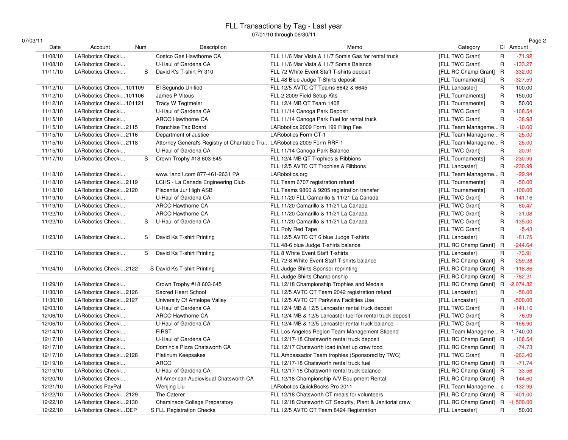| 07/03/11 |  |  |  |  |  |
|----------|--|--|--|--|--|
|----------|--|--|--|--|--|

|--|--|

| /03/11   |                         |     |                                                                          |                                                            |                                  |                | Page 2      |
|----------|-------------------------|-----|--------------------------------------------------------------------------|------------------------------------------------------------|----------------------------------|----------------|-------------|
| Date     | Account                 | Num | Description                                                              | Memo                                                       | Category                         |                | Cl Amount   |
| 11/08/10 | LARobotics Checki       |     | Costco Gas Hawthorne CA                                                  | FLL 11/6 Mar Vista & 11/7 Somis Gas for rental truck       | [FLL TWC Grant]                  | $\mathsf{R}$   | $-71.92$    |
| 11/08/10 | LARobotics Checki       |     | U-Haul of Gardena CA                                                     | FLL 11/6 Mar Vista & 11/7 Somis Balance                    | [FLL TWC Grant]                  | $\mathsf{R}$   | $-133.27$   |
| 11/11/10 | LARobotics Checki       | S   | David K's T-shirt Pr 310                                                 | FLL 72 White Event Staff T-shirts deposit                  | [FLL RC Champ Grant] R           |                | $-332.00$   |
|          |                         |     |                                                                          | FLL 48 Blue Judge T-Shirts deposit                         | [FLL Tournaments]                | R              | $-327.59$   |
| 11/12/10 | LARobotics Checki101109 |     | El Segundo Unified                                                       | FLL 12/5 AVTC QT Teams 6642 & 6645                         | [FLL Lancaster]                  | $\mathsf R$    | 100.00      |
| 11/12/10 | LARobotics Checki101106 |     | James P Vitous                                                           | FLL 2 2009 Field Setup Kits                                | [FLL Tournaments]                | $\mathsf{R}$   | 150.00      |
| 11/12/10 | LARobotics Checki101121 |     | Tracy W Tegtmeier                                                        | FLL 12/4 MB QT Team 1408                                   | [FLL Tournaments]                | $\mathsf{R}$   | 50.00       |
| 11/13/10 | LARobotics Checki       |     | U-Haul of Gardena CA                                                     | FLL 11/14 Canoga Park Deposit                              | [FLL TWC Grant]                  | $\overline{R}$ | $-108.54$   |
| 11/15/10 | LARobotics Checki       |     | <b>ARCO Hawthorne CA</b>                                                 | FLL 11/14 Canoga Park Fuel for rental truck                | [FLL TWC Grant]                  | $\mathsf{R}$   | $-38.98$    |
| 11/15/10 | LARobotics Checki2115   |     | Franchise Tax Board                                                      | LARobotics 2009 Form 199 Filing Fee                        | [FLL Team Manageme R             |                | $-10.00$    |
| 11/15/10 | LARobotics Checki2116   |     | Department of Justice                                                    | <b>LARobotics Form CT-1</b>                                | [FLL Team Manageme R             |                | $-25.00$    |
| 11/15/10 | LARobotics Checki2118   |     | Attorney General's Registry of Charitable Tru LARobotics 2009 Form RRF-1 |                                                            | [FLL Team Manageme R             |                | $-25.00$    |
| 11/15/10 | LARobotics Checki       |     | U-Haul of Gardena CA                                                     | FLL 11/14 Canoga Park Balance                              | [FLL TWC Grant]                  | R              | $-20.91$    |
| 11/17/10 | LARobotics Checki       | S   | Crown Trophy #18 603-645                                                 | FLL 12/4 MB QT Trophies & Ribbions                         | [FLL Tournaments]                | $\mathsf R$    | $-230.99$   |
|          |                         |     |                                                                          | FLL 12/5 AVTC QT Trophies & Ribbons                        | [FLL Lancaster]                  | $\mathsf{R}$   | $-230.99$   |
| 11/18/10 | LARobotics Checki       |     | www.1and1.com 877-461-2631 PA                                            | LARobotics.org                                             | [FLL Team Manageme R             |                | $-29.94$    |
| 11/18/10 | LARobotics Checki2119   |     | LCHS - La Canada Engineering Club                                        | FLL Team 6707 registration refund                          | [FLL Tournaments]                | $\mathsf{R}$   | $-50.00$    |
| 11/18/10 | LARobotics Checki2120   |     | Placentia Jur High ASB                                                   | FLL Teams 9860 & 9205 registration transfer                | [FLL Tournaments]                | R              | $-100.00$   |
| 11/19/10 | LARobotics Checki       |     | U-Haul of Gardena CA                                                     | FLL 11/20 FLL Camarillo & 11/21 La Canada                  | [FLL TWC Grant]                  | $\mathsf{R}$   | $-141.16$   |
| 11/19/10 | LARobotics Checki       |     | ARCO Hawthorne CA                                                        | FLL 11/20 Camarillo & 11/21 La Canada                      | [FLL TWC Grant]                  | $\mathsf{R}$   | $-60.47$    |
| 11/22/10 | LARobotics Checki       |     | <b>ARCO Hawthorne CA</b>                                                 | FLL 11/20 Camarillo & 11/21 La Canada                      | [FLL TWC Grant]                  | $\mathsf R$    | $-31.08$    |
| 11/22/10 | LARobotics Checki       | S   | U-Haul of Gardena CA                                                     | FLL 11/20 Camarillo & 11/21 La Canada                      | [FLL TWC Grant]                  | $\mathsf{R}$   | $-135.00$   |
|          |                         |     |                                                                          | FLL Poly Red Tape                                          | [FLL TWC Grant]                  | $\mathsf{R}$   | $-5.43$     |
| 11/23/10 | LARobotics Checki       | S   | David Ks T-shirt Printing                                                | FLL 12/5 AVTC QT 6 blue Judge T-shirts                     | [FLL Lancaster]                  | $\mathsf{R}$   | $-81.75$    |
|          |                         |     |                                                                          | FLL 48-6 blue Judge T-shirts balance                       | [FLL RC Champ Grant] R           |                | $-244.64$   |
| 11/23/10 | LARobotics Checki       | S   | David Ks T-shirt Printing                                                | FLL 8 White Event Staff T-shirts                           | [FLL Lancaster]                  | R              | $-73.91$    |
|          |                         |     |                                                                          | FLL 72-8 White Event Staff T-shirts balance                | [FLL RC Champ Grant] R           |                | $-259.28$   |
| 11/24/10 | LARobotics Checki2122   |     | S David Ks T-shirt Printing                                              | FLL Judge Shirts Sponsor reprinting                        | [FLL RC Champ Grant] R           |                | $-118.86$   |
|          |                         |     |                                                                          | FLL Judge Shirts Championship                              | [FLL RC Champ Grant] R           |                | $-782.21$   |
| 11/29/10 | LARobotics Checki       |     | Crown Trophy #18 603-645                                                 | FLL 12/18 Championship Trophies and Medals                 | [FLL RC Champ Grant] R           |                | $-2,074.82$ |
| 11/30/10 | LARobotics Checki2126   |     | Sacred Heart School                                                      | FLL 12/5 AVTC QT Team 2042 registration refund             | [FLL Lancaster]                  | R              | $-50.00$    |
| 11/30/10 | LARobotics Checki2127   |     | University Of Antelope Valley                                            | FLL 12/5 AVTC QT Parkview Facilities Use                   | [FLL Lancaster]                  | $\mathsf{R}$   | $-500.00$   |
| 12/03/10 | LARobotics Checki       |     | U-Haul of Gardena CA                                                     | FLL 12/4 MB & 12/5 Lancaster rental truck deposit          | [FLL TWC Grant]                  | $\mathsf{R}$   | $-141.16$   |
| 12/06/10 | LARobotics Checki       |     | ARCO Hawthorne CA                                                        | FLL 12/4 MB & 12/5 Lancaster fuel for rental truck deposit | [FLL TWC Grant]                  | $\sf R$        | $-76.09$    |
| 12/06/10 | LARobotics Checki       |     | U-Haul of Gardena CA                                                     | FLL 12/4 MB & 12/5 Lancaster rental truck balance          | [FLL TWC Grant]                  | $\mathsf{R}$   | $-166.90$   |
| 12/14/10 | LARobotics Checki       |     | <b>FIRST</b>                                                             | FLL Los Angeles Region Team Management Stipend             | [FLL Team Manageme R             |                | 1,740.00    |
| 12/17/10 | LARobotics Checki       |     | U-Haul of Gardena CA                                                     | FLL 12/17-18 Chatsworth rental truck deposit               | [FLL RC Champ Grant] R           |                | $-108.54$   |
| 12/17/10 | LARobotics Checki       |     | Domino's Pizza Chatsworth CA                                             | FLL 12/17 Chatsworth load in/set up crew food              | [FLL RC Champ Grant] R           |                | $-74.73$    |
| 12/17/10 | LARobotics Checki2128   |     | Platinum Keepsakes                                                       | FLL Ambassador Team trophies (Sponsored by TWC)            | [FLL TWC Grant]                  | R              | $-263.40$   |
| 12/19/10 | LARobotics Checki       |     | <b>ARCO</b>                                                              | FLL 12/17-18 Chatsworth rental truck fuel                  | [FLL RC Champ Grant] R           |                | $-71.74$    |
| 12/19/10 | LARobotics Checki       |     | U-Haul of Gardena CA                                                     | FLL 12/17-18 Chatsworth rental truck balance               | [FLL RC Champ Grant] R           |                | $-33.56$    |
| 12/20/10 | LARobotics Checki       |     | All American Audiovisual Chatsworth CA                                   | FLL 12/18 Championship A/V Equipment Rental                | [FLL RC Champ Grant] R           |                | $-144.60$   |
| 12/21/10 | LARobotics PayPal       |     | Wenjing Liu                                                              | LARobotics QuickBooks Pro 2011                             | [FLL Team Manageme c             |                | $-132.99$   |
| 12/22/10 | LARobotics Checki2129   |     | The Caterer                                                              | FLL 12/18 Chatsworth CT meals for volunteers               | [FLL RC Champ Grant] R           |                | $-401.00$   |
| 12/22/10 | LARobotics Checki2130   |     | Chaminade College Preparatory                                            | FLL 12/18 Chatsworth CT Security, Plant & Janitorial crew  | [FLL RC Champ Grant] R -1,500.00 |                |             |
| 12/22/10 | LARobotics CheckiDEP    |     | S FLL Registration Checks                                                | FLL 12/5 AVTC QT Team 8424 Registration                    | [FLL Lancaster]                  | $\mathsf{R}$   | 50.00       |
|          |                         |     |                                                                          |                                                            |                                  |                |             |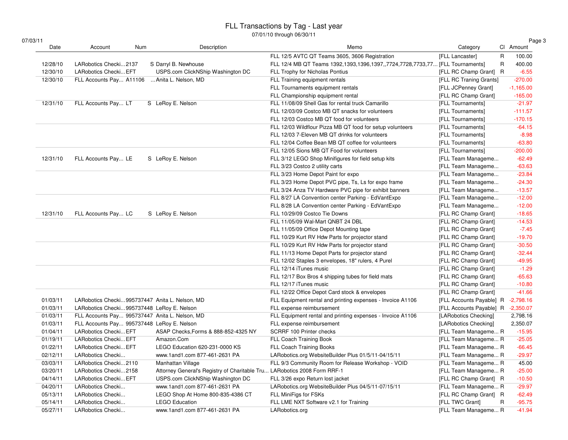|--|--|

| 7/03/11<br>Date | Account                                        | Description                                                              | Memo                                                                          |                          |   | Page 3<br>CI Amount |
|-----------------|------------------------------------------------|--------------------------------------------------------------------------|-------------------------------------------------------------------------------|--------------------------|---|---------------------|
|                 | Num                                            |                                                                          |                                                                               | Category                 |   |                     |
|                 |                                                |                                                                          | FLL 12/5 AVTC QT Teams 3605, 3606 Registration                                | [FLL Lancaster]          | R | 100.00              |
| 12/28/10        | LARobotics Checki2137                          | S Darryl B. Newhouse                                                     | FLL 12/4 MB QT Teams 1392,1393,1396,1397,,7724,7728,7733,77 [FLL Tournaments] |                          | R | 400.00              |
| 12/30/10        | LARobotics Checki EFT                          | USPS.com ClickNShip Washington DC                                        | FLL Trophy for Nicholas Pontius                                               | [FLL RC Champ Grant] R   |   | $-6.55$             |
| 12/30/10        | FLL Accounts Pay A11106                        | Anita L. Nelson, MD                                                      | FLL Training equipment rentals                                                | [FLL RC Traning Grants]  |   | $-270.00$           |
|                 |                                                |                                                                          | FLL Tournaments equipment rentals                                             | [FLL JCPenney Grant]     |   | $-1,165.00$         |
|                 |                                                |                                                                          | FLL Championship equipment rental                                             | [FLL RC Champ Grant]     |   | $-165.00$           |
| 12/31/10        | FLL Accounts Pay LT                            | S LeRoy E. Nelson                                                        | FLL 11/08/09 Shell Gas for rental truck Camarillo                             | [FLL Tournaments]        |   | $-21.97$            |
|                 |                                                |                                                                          | FLL 12/03/09 Costco MB QT snacks for volunteers                               | [FLL Tournaments]        |   | $-111.57$           |
|                 |                                                |                                                                          | FLL 12/03 Costco MB QT food for volunteers                                    | [FLL Tournaments]        |   | $-170.15$           |
|                 |                                                |                                                                          | FLL 12/03 Wildflour Pizza MB QT food for setup volunteers                     | [FLL Tournaments]        |   | $-64.15$            |
|                 |                                                |                                                                          | FLL 12/03 7-Eleven MB QT drinks for volunteers                                | [FLL Tournaments]        |   | $-8.98$             |
|                 |                                                |                                                                          | FLL 12/04 Coffee Bean MB QT coffee for volunteers                             | [FLL Tournaments]        |   | $-63.80$            |
|                 |                                                |                                                                          | FLL 12/05 Sions MB QT Food for volunteers                                     | [FLL Tournaments]        |   | $-200.00$           |
| 12/31/10        | FLL Accounts Pay LE                            | S LeRoy E. Nelson                                                        | FLL 3/12 LEGO Shop Minifigures for field setup kits                           | [FLL Team Manageme       |   | $-62.49$            |
|                 |                                                |                                                                          | FLL 3/23 Costco 2 utility carts                                               | [FLL Team Manageme       |   | $-63.63$            |
|                 |                                                |                                                                          | FLL 3/23 Home Depot Paint for expo                                            | [FLL Team Manageme       |   | $-23.84$            |
|                 |                                                |                                                                          | FLL 3/23 Home Depot PVC pipe, Ts, Ls for expo frame                           | [FLL Team Manageme       |   | $-24.30$            |
|                 |                                                |                                                                          | FLL 3/24 Anza TV Hardware PVC pipe for exhibit banners                        | [FLL Team Manageme       |   | $-13.57$            |
|                 |                                                |                                                                          | FLL 8/27 LA Convention center Parking - EdVantExpo                            | [FLL Team Manageme       |   | $-12.00$            |
|                 |                                                |                                                                          | FLL 8/28 LA Convention center Parking - EdVantExpo                            | [FLL Team Manageme       |   | $-12.00$            |
| 12/31/10        | FLL Accounts Pay LC                            | S LeRoy E. Nelson                                                        | FLL 10/29/09 Costco Tie Downs                                                 | [FLL RC Champ Grant]     |   | $-18.65$            |
|                 |                                                |                                                                          | FLL 11/05/09 Wal-Mart QNBT 24 DBL                                             | [FLL RC Champ Grant]     |   | $-14.53$            |
|                 |                                                |                                                                          | FLL 11/05/09 Office Depot Mounting tape                                       | [FLL RC Champ Grant]     |   | $-7.45$             |
|                 |                                                |                                                                          | FLL 10/29 Kurt RV Hdw Parts for projector stand                               | [FLL RC Champ Grant]     |   | $-19.70$            |
|                 |                                                |                                                                          | FLL 10/29 Kurt RV Hdw Parts for projector stand                               | [FLL RC Champ Grant]     |   | $-30.50$            |
|                 |                                                |                                                                          | FLL 11/13 Home Depot Parts for projector stand                                | [FLL RC Champ Grant]     |   | $-32.44$            |
|                 |                                                |                                                                          | FLL 12/02 Staples 3 envelopes, 18" rulers, 4 Purel                            | [FLL RC Champ Grant]     |   | $-49.95$            |
|                 |                                                |                                                                          | FLL 12/14 iTunes music                                                        | [FLL RC Champ Grant]     |   | $-1.29$             |
|                 |                                                |                                                                          | FLL 12/17 Box Bros 4 shipping tubes for field mats                            | [FLL RC Champ Grant]     |   | $-65.63$            |
|                 |                                                |                                                                          | FLL 12/17 iTunes music                                                        | [FLL RC Champ Grant]     |   | $-10.80$            |
|                 |                                                |                                                                          | FLL 12/22 Office Depot Card stock & envelopes                                 | [FLL RC Champ Grant]     |   | $-41.66$            |
| 01/03/11        | LARobotics Checki995737447 Anita L. Nelson, MD |                                                                          | FLL Equipment rental and printing expenses - Invoice A1106                    | [FLL Accounts Payable] R |   | $-2,798.16$         |
| 01/03/11        | LARobotics Checki995737448 LeRoy E. Nelson     |                                                                          | FLL expense reimbursement                                                     | [FLL Accounts Payable] R |   | $-2,350.07$         |
| 01/03/11        | FLL Accounts Pay 995737447 Anita L. Nelson, MD |                                                                          | FLL Equipment rental and printing expenses - Invoice A1106                    | [LARobotics Checking]    |   | 2,798.16            |
| 01/03/11        | FLL Accounts Pay 995737448 LeRoy E. Nelson     |                                                                          | FLL expense reimbursement                                                     | [LARobotics Checking]    |   | 2,350.07            |
| 01/04/11        | LARobotics Checki EFT                          | ASAP Checks, Forms & 888-852-4325 NY                                     | SCRRF 100 Printer checks                                                      | [FLL Team Manageme R     |   | $-15.95$            |
| 01/19/11        | LARobotics Checki EFT                          | Amazon.Com                                                               | <b>FLL Coach Training Book</b>                                                | [FLL Team Manageme R     |   | $-25.05$            |
| 01/22/11        | LARobotics Checki EFT                          | LEGO Education 620-231-0000 KS                                           | <b>FLL Coach Training Books</b>                                               | [FLL Team Manageme R     |   | $-66.45$            |
| 02/12/11        | LARobotics Checki                              | www.1and1.com 877-461-2631 PA                                            | LARobotics.org WebsiteBuilder Plus 01/5/11-04/15/11                           | [FLL Team Manageme R     |   | $-29.97$            |
| 03/03/11        | LARobotics Checki2110                          | Manhattan Village                                                        | FLL 9/3 Community Room for Release Workshop - VOID                            | [FLL Team Manageme R     |   | 45.00               |
| 03/20/11        | LARobotics Checki2158                          | Attorney General's Registry of Charitable Tru LARobotics 2008 Form RRF-1 |                                                                               | [FLL Team Manageme R     |   | $-25.00$            |
| 04/14/11        | LARobotics Checki EFT                          | USPS.com ClickNShip Washington DC                                        | FLL 3/26 expo Return lost jacket                                              | [FLL RC Champ Grant] R   |   | $-10.50$            |
| 04/20/11        | LARobotics Checki                              | www.1and1.com 877-461-2631 PA                                            | LARobotics.org WebsiteBuilder Plus 04/5/11-07/15/11                           | [FLL Team Manageme R     |   | $-29.97$            |
| 05/13/11        | LARobotics Checki                              | LEGO Shop At Home 800-835-4386 CT                                        | FLL MiniFigs for FSKs                                                         | [FLL RC Champ Grant] R   |   | $-62.49$            |
| 05/14/11        | LARobotics Checki                              | <b>LEGO Education</b>                                                    | FLL LME NXT Software v2.1 for Training                                        | [FLL TWC Grant]          | R | $-95.75$            |
| 05/27/11        | LARobotics Checki                              | www.1and1.com 877-461-2631 PA                                            | LARobotics.org                                                                | [FLL Team Manageme R     |   | $-41.94$            |
|                 |                                                |                                                                          |                                                                               |                          |   |                     |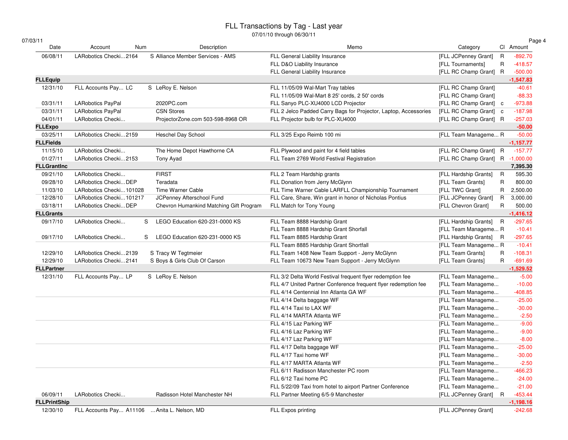07/01/10 through 06/30/11

| /03/11              |                          |                                         |                                                                  |                                  |              | Page 4      |
|---------------------|--------------------------|-----------------------------------------|------------------------------------------------------------------|----------------------------------|--------------|-------------|
| Date                | Account<br>Num           | Description                             | Memo                                                             | Category                         | Cl Amount    |             |
| 06/08/11            | LARobotics Checki2164    | S Alliance Member Services - AMS        | FLL General Liability Insurance                                  | [FLL JCPenney Grant]             | $\mathsf{R}$ | $-892.70$   |
|                     |                          |                                         | FLL D&O Liability Insurance                                      | [FLL Tournaments]                | $\mathsf R$  | $-418.57$   |
|                     |                          |                                         | FLL General Liability Insurance                                  | [FLL RC Champ Grant] R           |              | $-500.00$   |
| <b>FLLEquip</b>     |                          |                                         |                                                                  |                                  |              | $-1,547.83$ |
| 12/31/10            | FLL Accounts Pay LC      | S LeRoy E. Nelson                       | FLL 11/05/09 Wal-Mart Tray tables                                | [FLL RC Champ Grant]             |              | $-40.61$    |
|                     |                          |                                         | FLL 11/05/09 Wal-Mart 8 25' cords, 2 50' cords                   | [FLL RC Champ Grant]             |              | $-88.33$    |
| 03/31/11            | <b>LARobotics PayPal</b> | 2020PC.com                              | FLL Sanyo PLC-XU4000 LCD Projector                               | [FLL RC Champ Grant] c           |              | $-973.88$   |
| 03/31/11            | <b>LARobotics PayPal</b> | <b>CSN Stores</b>                       | FLL 2 Jelco Padded Carry Bags for Projector, Laptop, Accessories | [FLL RC Champ Grant] c           |              | $-187.98$   |
| 04/01/11            | LARobotics Checki        | ProjectorZone.com 503-598-8968 OR       | FLL Projector bulb for PLC-XU4000                                | [FLL RC Champ Grant] R           |              | $-257.03$   |
| <b>FLLExpo</b>      |                          |                                         |                                                                  |                                  |              | $-50.00$    |
| 03/25/11            | LARobotics Checki2159    | <b>Heschel Day School</b>               | FLL 3/25 Expo Reimb 100 mi                                       | [FLL Team Manageme R             |              | $-50.00$    |
| <b>FLLFields</b>    |                          |                                         |                                                                  |                                  |              | $-1,157.77$ |
| 11/15/10            | LARobotics Checki        | The Home Depot Hawthorne CA             | FLL Plywood and paint for 4 field tables                         | [FLL RC Champ Grant] R           |              | $-157.77$   |
| 01/27/11            | LARobotics Checki2153    | Tony Ayad                               | FLL Team 2769 World Festival Registration                        | [FLL RC Champ Grant] R -1,000.00 |              |             |
| <b>FLLGrantInc</b>  |                          |                                         |                                                                  |                                  |              | 7,395.30    |
| 09/21/10            | LARobotics Checki        | <b>FIRST</b>                            | FLL 2 Team Hardship grants                                       | [FLL Hardship Grants]            | R            | 595.30      |
| 09/28/10            | LARobotics Checki DEP    | Teradata                                | FLL Donation from Jerry McGlynn                                  | [FLL Team Grants]                | $\mathsf R$  | 800.00      |
| 11/03/10            | LARobotics Checki101028  | Time Warner Cable                       | FLL Time Warner Cable LARFLL Championshiip Tournament            | [FLL TWC Grant]                  | R            | 2,500.00    |
| 12/28/10            | LARobotics Checki101217  | JCPenney Afterschool Fund               | FLL Care, Share, Win grant in honor of Nicholas Pontius          | [FLL JCPenney Grant]             | R            | 3,000.00    |
| 03/18/11            | LARobotics Checki DEP    | Chevron Humankind Matching Gift Program | FLL Match for Tony Young                                         | [FLL Chevron Grant]              | $\mathsf{R}$ | 500.00      |
| <b>FLLGrants</b>    |                          |                                         |                                                                  |                                  |              | $-1,416.12$ |
| 09/17/10            | LARobotics Checki        | S<br>LEGO Education 620-231-0000 KS     | FLL Team 8888 Hardship Grant                                     | [FLL Hardship Grants] R          |              | $-297.65$   |
|                     |                          |                                         | FLL Team 8888 Hardship Grant Shorfall                            | [FLL Team Manageme R             |              | $-10.41$    |
| 09/17/10            | LARobotics Checki        | LEGO Education 620-231-0000 KS<br>S     | FLL Team 8885 Hardship Grant                                     | [FLL Hardship Grants] R          |              | $-297.65$   |
|                     |                          |                                         | FLL Team 8885 Hardship Grant Shortfall                           | [FLL Team Manageme R             |              | $-10.41$    |
| 12/29/10            | LARobotics Checki2139    | S Tracy W Tegtmeier                     | FLL Team 1408 New Team Support - Jerry McGlynn                   | [FLL Team Grants]                | R            | $-108.31$   |
| 12/29/10            | LARobotics Checki2141    | S Boys & Girls Club Of Carson           | FLL Team 10673 New Team Support - Jerry McGlynn                  | [FLL Team Grants]                | $\mathsf{R}$ | $-691.69$   |
| <b>FLLPartner</b>   |                          |                                         |                                                                  |                                  |              | $-1,529.52$ |
| 12/31/10            | FLL Accounts Pay LP      | S LeRoy E. Nelson                       | FLL 3/2 Delta World Festival frequent flyer redemption fee       | [FLL Team Manageme               |              | $-5.00$     |
|                     |                          |                                         | FLL 4/7 United Partner Conference frequent flyer redemption fee  | [FLL Team Manageme               |              | $-10.00$    |
|                     |                          |                                         | FLL 4/14 Centennial Inn Atlanta GA WF                            | [FLL Team Manageme               |              | $-408.85$   |
|                     |                          |                                         | FLL 4/14 Delta baggage WF                                        | [FLL Team Manageme               |              | $-25.00$    |
|                     |                          |                                         | FLL 4/14 Taxi to LAX WF                                          | [FLL Team Manageme               |              | $-30.00$    |
|                     |                          |                                         | FLL 4/14 MARTA Atlanta WF                                        | [FLL Team Manageme               |              | $-2.50$     |
|                     |                          |                                         | FLL 4/15 Laz Parking WF                                          | [FLL Team Manageme               |              | $-9.00$     |
|                     |                          |                                         | FLL 4/16 Laz Parking WF                                          | [FLL Team Manageme               |              | $-9.00$     |
|                     |                          |                                         | FLL 4/17 Laz Parking WF                                          | [FLL Team Manageme               |              | $-8.00$     |
|                     |                          |                                         | FLL 4/17 Delta baggage WF                                        | [FLL Team Manageme               |              | $-25.00$    |
|                     |                          |                                         | FLL 4/17 Taxi home WF                                            | [FLL Team Manageme               |              | $-30.00$    |
|                     |                          |                                         | FLL 4/17 MARTA Atlanta WF                                        | [FLL Team Manageme               |              | $-2.50$     |
|                     |                          |                                         | FLL 6/11 Radisson Manchester PC room                             | [FLL Team Manageme               |              | $-466.23$   |
|                     |                          |                                         | FLL 6/12 Taxi home PC                                            | [FLL Team Manageme               |              | $-24.00$    |
|                     |                          |                                         | FLL 5/22/09 Taxi from hotel to airport Partner Conference        | [FLL Team Manageme               |              | $-21.00$    |
| 06/09/11            | LARobotics Checki        | Radisson Hotel Manchester NH            | FLL Partner Meeting 6/5-9 Manchester                             | [FLL JCPenney Grant] R           |              | $-453.44$   |
| <b>FLLPrintShip</b> |                          |                                         |                                                                  |                                  |              | $-1,198.16$ |
| 12/30/10            | FLL Accounts Pay A11106  | Anita L. Nelson, MD                     | FLL Expos printing                                               | [FLL JCPenney Grant]             |              | $-242.68$   |
|                     |                          |                                         |                                                                  |                                  |              |             |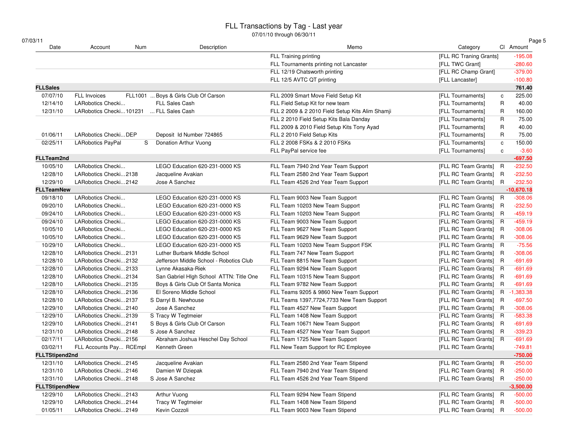| 07/03/11<br>Date      | Account<br>Num           | Description                             | Memo                                             | Category                          | Page 5<br>CI Amount |
|-----------------------|--------------------------|-----------------------------------------|--------------------------------------------------|-----------------------------------|---------------------|
|                       |                          |                                         | <b>FLL Training printing</b>                     | [FLL RC Traning Grants]           | $-195.08$           |
|                       |                          |                                         | FLL Tournaments printing not Lancaster           | [FLL TWC Grant]                   | $-280.60$           |
|                       |                          |                                         | FLL 12/19 Chatsworth printing                    | [FLL RC Champ Grant]              | $-379.00$           |
|                       |                          |                                         | FLL 12/5 AVTC QT printing                        | [FLL Lancaster]                   | $-100.80$           |
| <b>FLLSales</b>       |                          |                                         |                                                  |                                   | 761.40              |
| 07/07/10              | <b>FLL Invoices</b>      | FLL1001  Boys & Girls Club Of Carson    | FLL 2009 Smart Move Field Setup Kit              | [FLL Tournaments]<br>${\bf c}$    | 225.00              |
| 12/14/10              | LARobotics Checki        | <b>FLL Sales Cash</b>                   | FLL Field Setup Kit for new team                 | R<br>[FLL Tournaments]            | 40.00               |
| 12/31/10              | LARobotics Checki101231  | FLL Sales Cash                          | FLL 2 2009 & 2 2010 Field Setup Kits Alim Shamji | [FLL Tournaments]<br>R            | 160.00              |
|                       |                          |                                         | FLL 2 2010 Field Setup Kits Bala Danday          | $\mathsf{R}$<br>[FLL Tournaments] | 75.00               |
|                       |                          |                                         | FLL 2009 & 2010 Field Setup Kits Tony Ayad       | $\mathsf{R}$<br>[FLL Tournaments] | 40.00               |
| 01/06/11              | LARobotics CheckiDEP     | Deposit Id Number 724865                | FLL 2 2010 Field Setup Kits                      | $\mathsf{R}$<br>[FLL Tournaments] | 75.00               |
| 02/25/11              | <b>LARobotics PayPal</b> | Donation Arthur Vuong<br>S              | FLL 2 2008 FSKs & 2 2010 FSKs                    | [FLL Tournaments]<br>$\mathbf c$  | 150.00              |
|                       |                          |                                         | FLL PayPal service fee                           | [FLL Tournaments]<br>$\mathbf c$  | $-3.60$             |
| <b>FLLTeam2nd</b>     |                          |                                         |                                                  |                                   | $-697.50$           |
| 10/05/10              | LARobotics Checki        | LEGO Education 620-231-0000 KS          | FLL Team 7940 2nd Year Team Support              | [FLL RC Team Grants] R            | $-232.50$           |
| 12/28/10              | LARobotics Checki2138    | Jacqueline Avakian                      | FLL Team 2580 2nd Year Team Support              | [FLL RC Team Grants] R            | $-232.50$           |
| 12/29/10              | LARobotics Checki2142    | Jose A Sanchez                          | FLL Team 4526 2nd Year Team Support              | [FLL RC Team Grants] R            | $-232.50$           |
| <b>FLLTeamNew</b>     |                          |                                         |                                                  |                                   | $-10,670.18$        |
| 09/18/10              | LARobotics Checki        | LEGO Education 620-231-0000 KS          | FLL Team 9003 New Team Support                   | [FLL RC Team Grants] R            | $-308.06$           |
| 09/20/10              | LARobotics Checki        | LEGO Education 620-231-0000 KS          | FLL Team 10203 New Team Support                  | [FLL RC Team Grants] R            | $-232.50$           |
| 09/24/10              | LARobotics Checki        | LEGO Education 620-231-0000 KS          | FLL Team 10203 New Team Support                  | [FLL RC Team Grants] R            | $-459.19$           |
| 09/24/10              | LARobotics Checki        | LEGO Education 620-231-0000 KS          | FLL Team 9003 New Team Support                   | [FLL RC Team Grants] R            | $-459.19$           |
| 10/05/10              | LARobotics Checki        | LEGO Education 620-231-0000 KS          | FLL Team 9627 New Team Support                   | [FLL RC Team Grants] R            | $-308.06$           |
| 10/05/10              | LARobotics Checki        | LEGO Education 620-231-0000 KS          | FLL Team 9629 New Team Support                   | [FLL RC Team Grants] R            | $-308.06$           |
| 10/29/10              | LARobotics Checki        | LEGO Education 620-231-0000 KS          | FLL Team 10203 New Team Support FSK              | [FLL RC Team Grants] R            | $-75.56$            |
| 12/28/10              | LARobotics Checki2131    | Luther Burbank Middle School            | FLL Team 747 New Team Support                    | [FLL RC Team Grants] R            | $-308.06$           |
| 12/28/10              | LARobotics Checki2132    | Jefferson Middle School - Robotics Club | FLL Team 8815 New Team Support                   | [FLL RC Team Grants] R            | $-691.69$           |
| 12/28/10              | LARobotics Checki2133    | Lynne Akasaka-Riek                      | FLL Team 9294 New Team Support                   | [FLL RC Team Grants] R            | $-691.69$           |
| 12/28/10              | LARobotics Checki2134    | San Gabriel High School ATTN: Title One | FLL Team 10315 New Team Support                  | [FLL RC Team Grants] R            | $-691.69$           |
| 12/28/10              | LARobotics Checki2135    | Boys & Girls Club Of Santa Monica       | FLL Team 9782 New Team Support                   | [FLL RC Team Grants] R            | $-691.69$           |
| 12/28/10              | LARobotics Checki2136    | El Soreno Middle School                 | FLL Teams 9205 & 9860 New Team Support           | [FLL RC Team Grants] R            | $-1,383.38$         |
| 12/28/10              | LARobotics Checki2137    | S Darryl B. Newhouse                    | FLL Teams 1397,7724,7733 New Team Support        | [FLL RC Team Grants] R            | $-697.50$           |
| 12/29/10              | LARobotics Checki2140    | Jose A Sanchez                          | FLL Team 4527 New Team Support                   | [FLL RC Team Grants] R            | $-308.06$           |
| 12/29/10              | LARobotics Checki2139    | S Tracy W Tegtmeier                     | FLL Team 1408 New Team Support                   | [FLL RC Team Grants] R            | $-583.38$           |
| 12/29/10              | LARobotics Checki2141    | S Boys & Girls Club Of Carson           | FLL Team 10671 New Team Support                  | [FLL RC Team Grants] R            | $-691.69$           |
| 12/31/10              | LARobotics Checki2148    | S Jose A Sanchez                        | FLL Team 4527 New Year Team Support              | [FLL RC Team Grants] R            | $-339.23$           |
| 02/17/11              | LARobotics Checki2156    | Abraham Joshua Heschel Day School       | FLL Team 1725 New Team Support                   | [FLL RC Team Grants] R            | $-691.69$           |
| 03/02/11              | FLL Accounts Pay RCEmpl  | Kenneth Green                           | FLL New Team Support for RC Employee             | [FLL RC Team Grants]              | $-749.81$           |
| <b>FLLTStipend2nd</b> |                          |                                         |                                                  |                                   | $-750.00$           |
| 12/31/10              | LARobotics Checki2145    | Jacqueline Avakian                      | FLL Team 2580 2nd Year Team Stipend              | [FLL RC Team Grants] R            | $-250.00$           |
| 12/31/10              | LARobotics Checki2146    | Damien W Dziepak                        | FLL Team 7940 2nd Year Team Stipend              | [FLL RC Team Grants] R            | $-250.00$           |
| 12/31/10              | LARobotics Checki2148    | S Jose A Sanchez                        | FLL Team 4526 2nd Year Team Stipend              | [FLL RC Team Grants] R            | $-250.00$           |
| <b>FLLTStipendNew</b> |                          |                                         |                                                  |                                   | $-3,500.00$         |
| 12/29/10              | LARobotics Checki2143    | Arthur Vuong                            | FLL Team 9294 New Team Stipend                   | [FLL RC Team Grants] R            | $-500.00$           |
| 12/29/10              | LARobotics Checki2144    | Tracy W Tegtmeier                       | FLL Team 1408 New Team Stipend                   | [FLL RC Team Grants] R            | $-500.00$           |
| 01/05/11              | LARobotics Checki2149    | Kevin Cozzoli                           | FLL Team 9003 New Team Stipend                   | [FLL RC Team Grants] R            | $-500.00$           |
|                       |                          |                                         |                                                  |                                   |                     |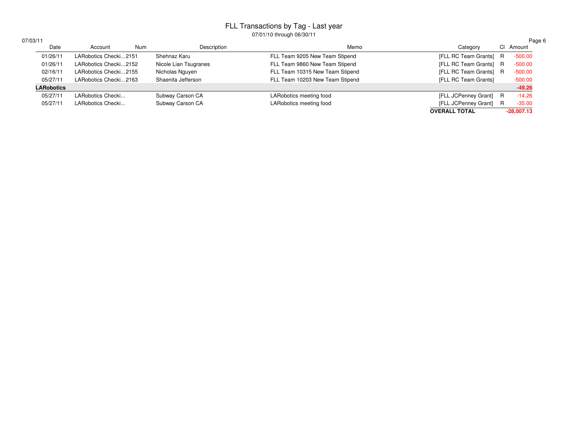| 703/11            |                       |     |                       |                                 |                        |   | Page 6       |
|-------------------|-----------------------|-----|-----------------------|---------------------------------|------------------------|---|--------------|
| Date              | Account               | Num | Description           | Memo                            | Category               |   | CI Amount    |
| 01/26/11          | LARobotics Checki2151 |     | Shehnaz Karu          | FLL Team 9205 New Team Stipend  | [FLL RC Team Grants]   | R | $-500.00$    |
| 01/26/11          | LARobotics Checki2152 |     | Nicole Lian Tsugranes | FLL Team 9860 New Team Stipend  | [FLL RC Team Grants] R |   | $-500.00$    |
| 02/16/11          | LARobotics Checki2155 |     | Nicholas Nguyen       | FLL Team 10315 New Team Stipend | [FLL RC Team Grants] R |   | $-500.00$    |
| 05/27/11          | LARobotics Checki2163 |     | Shaenita Jefferson    | FLL Team 10203 New Team Stipend | [FLL RC Team Grants]   |   | $-500.00$    |
| <b>LARobotics</b> |                       |     |                       |                                 |                        |   | $-49.26$     |
| 05/27/11          | LARobotics Checki     |     | Subway Carson CA      | LARobotics meeting food         | [FLL JCPenney Grant] R |   | $-14.26$     |
| 05/27/11          | LARobotics Checki     |     | Subway Carson CA      | LARobotics meeting food         | [FLL JCPenney Grant]   | R | $-35.00$     |
|                   |                       |     |                       |                                 | <b>OVERALL TOTAL</b>   |   | $-28,007.13$ |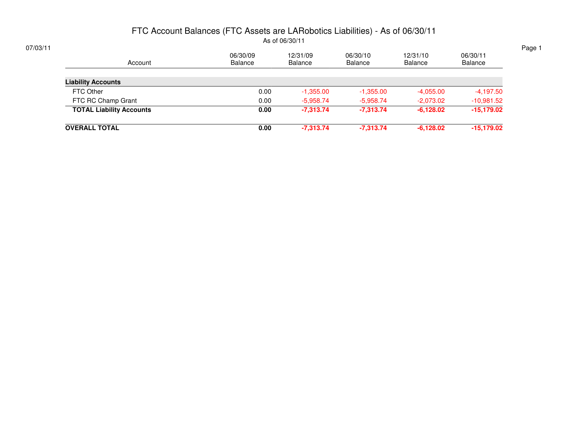#### FTC Account Balances (FTC Assets are LARobotics Liabilities) - As of 06/30/11As of 06/30/11

| 07/03/11 |                                 |                     |                            |                     |                     |                     | Page 1 |
|----------|---------------------------------|---------------------|----------------------------|---------------------|---------------------|---------------------|--------|
|          | Account                         | 06/30/09<br>Balance | 12/31/09<br><b>Balance</b> | 06/30/10<br>Balance | 12/31/10<br>Balance | 06/30/11<br>Balance |        |
|          | <b>Liability Accounts</b>       |                     |                            |                     |                     |                     |        |
|          | FTC Other                       | 0.00                | $-1,355.00$                | $-1,355.00$         | $-4,055.00$         | $-4,197.50$         |        |
|          | FTC RC Champ Grant              | 0.00                | $-5,958.74$                | $-5,958.74$         | $-2,073.02$         | $-10,981.52$        |        |
|          | <b>TOTAL Liability Accounts</b> | 0.00                | $-7,313.74$                | $-7,313.74$         | $-6,128.02$         | $-15,179.02$        |        |
|          | <b>OVERALL TOTAL</b>            | 0.00                | $-7,313.74$                | $-7,313.74$         | $-6,128.02$         | $-15,179.02$        |        |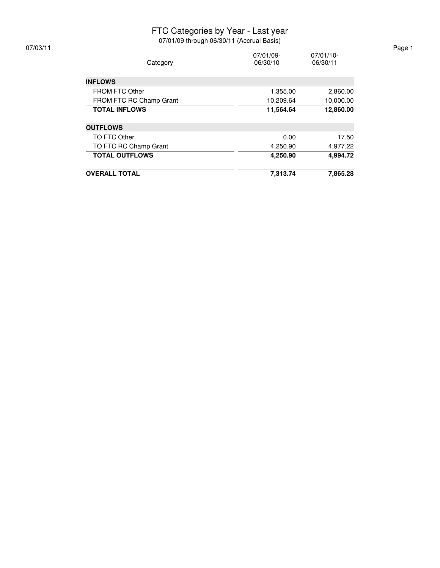#### FTC Categories by Year - Last year

| Category                | 07/01/09-<br>06/30/10 | $07/01/10$ -<br>06/30/11 |
|-------------------------|-----------------------|--------------------------|
|                         |                       |                          |
| <b>INFLOWS</b>          |                       |                          |
| <b>FROM FTC Other</b>   | 1,355.00              | 2,860.00                 |
| FROM FTC RC Champ Grant | 10,209.64             | 10,000.00                |
| <b>TOTAL INFLOWS</b>    | 11,564.64             | 12,860.00                |
| <b>OUTFLOWS</b>         |                       |                          |
| TO FTC Other            | 0.00                  | 17.50                    |
| TO FTC RC Champ Grant   | 4,250.90              | 4,977.22                 |
| <b>TOTAL OUTFLOWS</b>   | 4,250.90              | 4.994.72                 |
| <b>OVERALL TOTAL</b>    | 7,313.74              | 7,865.28                 |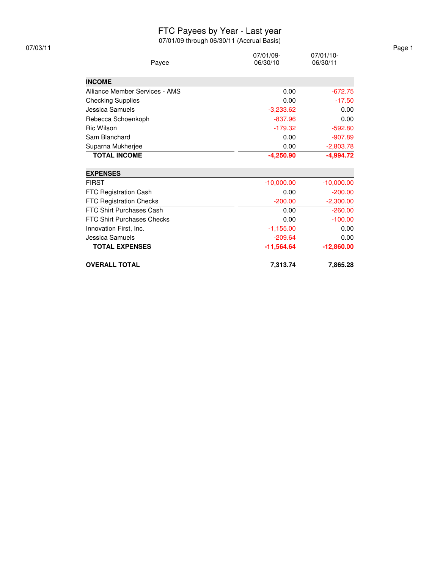#### FTC Payees by Year - Last year

| 07/03/11 | $07/01/10$ -<br>07/01/09-         |              |              |  |  |  |  |
|----------|-----------------------------------|--------------|--------------|--|--|--|--|
|          | Payee                             | 06/30/10     | 06/30/11     |  |  |  |  |
|          |                                   |              |              |  |  |  |  |
|          | <b>INCOME</b>                     |              |              |  |  |  |  |
|          | Alliance Member Services - AMS    | 0.00         | $-672.75$    |  |  |  |  |
|          | <b>Checking Supplies</b>          | 0.00         | $-17.50$     |  |  |  |  |
|          | Jessica Samuels                   | $-3,233.62$  | 0.00         |  |  |  |  |
|          | Rebecca Schoenkoph                | $-837.96$    | 0.00         |  |  |  |  |
|          | Ric Wilson                        | $-179.32$    | $-592.80$    |  |  |  |  |
|          | Sam Blanchard                     | 0.00         | $-907.89$    |  |  |  |  |
|          | Suparna Mukherjee                 | 0.00         | $-2,803.78$  |  |  |  |  |
|          | <b>TOTAL INCOME</b>               | $-4,250.90$  | $-4,994.72$  |  |  |  |  |
|          | <b>EXPENSES</b>                   |              |              |  |  |  |  |
|          | <b>FIRST</b>                      | $-10,000.00$ | $-10,000.00$ |  |  |  |  |
|          | FTC Registration Cash             | 0.00         | $-200.00$    |  |  |  |  |
|          | FTC Registration Checks           | $-200.00$    | $-2,300.00$  |  |  |  |  |
|          | FTC Shirt Purchases Cash          | 0.00         | $-260.00$    |  |  |  |  |
|          | <b>FTC Shirt Purchases Checks</b> | 0.00         | $-100.00$    |  |  |  |  |
|          | Innovation First, Inc.            | $-1,155.00$  | 0.00         |  |  |  |  |
|          | Jessica Samuels                   | $-209.64$    | 0.00         |  |  |  |  |
|          | <b>TOTAL EXPENSES</b>             | $-11,564.64$ | $-12,860.00$ |  |  |  |  |
|          | <b>OVERALL TOTAL</b>              | 7,313.74     | 7,865.28     |  |  |  |  |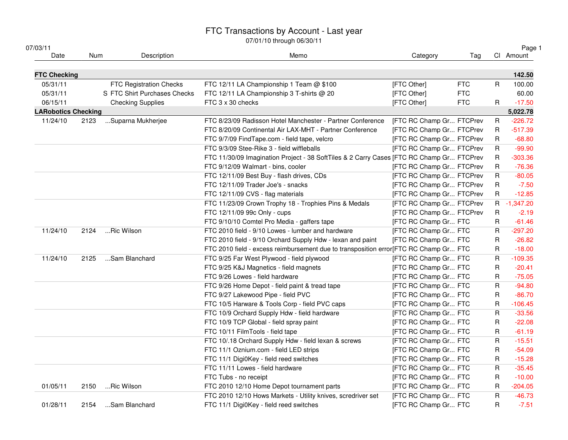| 07/03/11                   |      |                              |                                                                                          |                                 |            |              | Page 1      |
|----------------------------|------|------------------------------|------------------------------------------------------------------------------------------|---------------------------------|------------|--------------|-------------|
| Date                       | Num  | Description                  | Memo                                                                                     | Category                        | Tag        |              | CI Amount   |
| <b>FTC Checking</b>        |      |                              |                                                                                          |                                 |            |              | 142.50      |
| 05/31/11                   |      | FTC Registration Checks      | FTC 12/11 LA Championship 1 Team @ \$100                                                 | [FTC Other]                     | <b>FTC</b> | $\mathsf R$  | 100.00      |
| 05/31/11                   |      | S FTC Shirt Purchases Checks | FTC 12/11 LA Championship 3 T-shirts @ 20                                                | [FTC Other]                     | <b>FTC</b> |              | 60.00       |
| 06/15/11                   |      | <b>Checking Supplies</b>     | FTC 3 x 30 checks                                                                        | [FTC Other]                     | <b>FTC</b> | R.           | $-17.50$    |
| <b>LARobotics Checking</b> |      |                              |                                                                                          |                                 |            |              | 5,022.78    |
| 11/24/10                   | 2123 | Suparna Mukherjee            | FTC 8/23/09 Radisson Hotel Manchester - Partner Conference                               | <b>IFTC RC Champ Gr FTCPrev</b> |            | R            | $-226.72$   |
|                            |      |                              | FTC 8/20/09 Continental Air LAX-MHT - Partner Conference                                 | [FTC RC Champ Gr FTCPrev        |            | R            | $-517.39$   |
|                            |      |                              | FTC 9/7/09 FindTape.com - field tape, velcro                                             | [FTC RC Champ Gr FTCPrev        |            | R            | $-68.80$    |
|                            |      |                              | FTC 9/3/09 Stee-Rike 3 - field wiffleballs                                               | [FTC RC Champ Gr FTCPrev        |            | R            | $-99.90$    |
|                            |      |                              | FTC 11/30/09 Imagination Project - 38 SoftTiles & 2 Carry Cases [FTC RC Champ Gr FTCPrev |                                 |            | R            | $-303.36$   |
|                            |      |                              | FTC 9/12/09 Walmart - bins, cooler                                                       | [FTC RC Champ Gr FTCPrev        |            | R            | $-76.36$    |
|                            |      |                              | FTC 12/11/09 Best Buy - flash drives, CDs                                                | [FTC RC Champ Gr FTCPrev        |            | $\mathsf{R}$ | $-80.05$    |
|                            |      |                              | FTC 12/11/09 Trader Joe's - snacks                                                       | [FTC RC Champ Gr FTCPrev        |            | $\mathsf R$  | $-7.50$     |
|                            |      |                              | FTC 12/11/09 CVS - flag materials                                                        | [FTC RC Champ Gr FTCPrev        |            | $\mathsf{R}$ | $-12.85$    |
|                            |      |                              | FTC 11/23/09 Crown Trophy 18 - Trophies Pins & Medals                                    | [FTC RC Champ Gr FTCPrev        |            |              | R -1,347.20 |
|                            |      |                              | FTC 12/11/09 99c Only - cups                                                             | [FTC RC Champ Gr FTCPrev        |            | R            | $-2.19$     |
|                            |      |                              | FTC 9/10/10 Comtel Pro Media - gaffers tape                                              | [FTC RC Champ Gr FTC            |            | R            | $-61.46$    |
| 11/24/10                   | 2124 | Ric Wilson                   | FTC 2010 field - 9/10 Lowes - lumber and hardware                                        | [FTC RC Champ Gr FTC            |            | $\mathsf{R}$ | $-297.20$   |
|                            |      |                              | FTC 2010 field - 9/10 Orchard Supply Hdw - lexan and paint                               | [FTC RC Champ Gr FTC            |            | R            | $-26.82$    |
|                            |      |                              | FTC 2010 field - excess reimbursement due to transposition error[FTC RC Champ Gr FTC     |                                 |            | R            | $-18.00$    |
| 11/24/10                   | 2125 | Sam Blanchard                | FTC 9/25 Far West Plywood - field plywood                                                | <b>IFTC RC Champ Gr FTC</b>     |            | $\mathsf{R}$ | $-109.35$   |
|                            |      |                              | FTC 9/25 K&J Magnetics - field magnets                                                   | [FTC RC Champ Gr FTC            |            | R            | $-20.41$    |
|                            |      |                              | FTC 9/26 Lowes - field hardware                                                          | [FTC RC Champ Gr FTC            |            | R            | $-75.05$    |
|                            |      |                              | FTC 9/26 Home Depot - field paint & tread tape                                           | [FTC RC Champ Gr FTC            |            | R            | $-94.80$    |
|                            |      |                              | FTC 9/27 Lakewood Pipe - field PVC                                                       | [FTC RC Champ Gr FTC            |            | $\mathsf R$  | $-86.70$    |
|                            |      |                              | FTC 10/5 Harware & Tools Corp - field PVC caps                                           | <b>IFTC RC Champ Gr FTC</b>     |            | $\mathsf R$  | $-106.45$   |
|                            |      |                              | FTC 10/9 Orchard Supply Hdw - field hardware                                             | [FTC RC Champ Gr FTC            |            | $\mathsf R$  | $-33.56$    |
|                            |      |                              | FTC 10/9 TCP Global - field spray paint                                                  | [FTC RC Champ Gr FTC            |            | R            | $-22.08$    |
|                            |      |                              | FTC 10/11 FilmTools - field tape                                                         | [FTC RC Champ Gr FTC            |            | $\mathsf R$  | $-61.19$    |
|                            |      |                              | FTC 10/.18 Orchard Supply Hdw - field lexan & screws                                     | [FTC RC Champ Gr FTC            |            | $\mathsf R$  | $-15.51$    |
|                            |      |                              | FTC 11/1 Oznium.com - field LED strips                                                   | [FTC RC Champ Gr FTC            |            | R            | $-54.09$    |
|                            |      |                              | FTC 11/1 Digi0Key - field reed switches                                                  | [FTC RC Champ Gr FTC            |            | R            | $-15.28$    |
|                            |      |                              | FTC 11/11 Lowes - field hardware                                                         | [FTC RC Champ Gr FTC            |            | $\mathsf R$  | $-35.45$    |
|                            |      |                              | FTC Tubs - no receipt                                                                    | [FTC RC Champ Gr FTC            |            | $\mathsf R$  | $-10.00$    |
| 01/05/11                   | 2150 | Ric Wilson                   | FTC 2010 12/10 Home Depot tournament parts                                               | [FTC RC Champ Gr FTC            |            | $\mathsf R$  | $-204.05$   |
|                            |      |                              | FTC 2010 12/10 Hows Markets - Utility knives, scredriver set                             | [FTC RC Champ Gr FTC            |            | $\mathsf R$  | $-46.73$    |
| 01/28/11                   | 2154 | Sam Blanchard                | FTC 11/1 Digi0Key - field reed switches                                                  | [FTC RC Champ Gr FTC            |            | $\mathsf R$  | $-7.51$     |
|                            |      |                              |                                                                                          |                                 |            |              |             |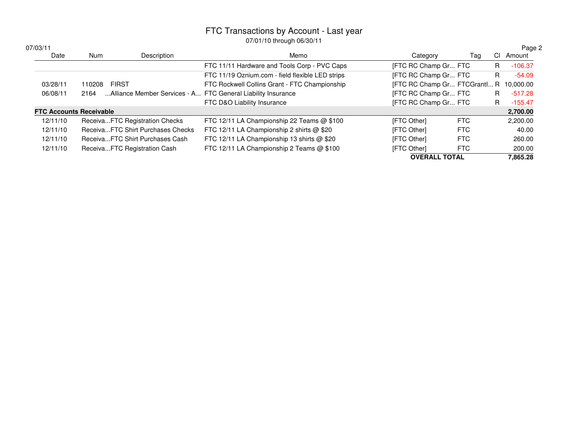|                                |            |                                                              | U7701710 through 00/00/11                        |                              |            |    |           |
|--------------------------------|------------|--------------------------------------------------------------|--------------------------------------------------|------------------------------|------------|----|-----------|
| 07/03/11                       |            |                                                              |                                                  |                              |            |    | Page 2    |
| Date                           | <b>Num</b> | Description                                                  | Memo                                             | Category                     | Tag        | CI | Amount    |
|                                |            |                                                              | FTC 11/11 Hardware and Tools Corp - PVC Caps     | <b>IFTC RC Champ Gr FTC</b>  |            | R  | $-106.37$ |
|                                |            |                                                              | FTC 11/19 Oznium.com - field flexible LED strips | <b>IFTC RC Champ Gr FTC</b>  |            | R  | $-54.09$  |
| 03/28/11                       | 110208     | <b>FIRST</b>                                                 | FTC Rockwell Collins Grant - FTC Championship    | [FTC RC Champ Gr FTCGrantl R |            |    | 10.000.00 |
| 06/08/11                       | 2164       | Alliance Member Services - A FTC General Liability Insurance |                                                  | <b>IFTC RC Champ Gr FTC</b>  |            | R. | $-517.28$ |
|                                |            |                                                              | FTC D&O Liability Insurance                      | <b>IFTC RC Champ Gr FTC</b>  |            | R. | $-155.47$ |
| <b>FTC Accounts Receivable</b> |            |                                                              |                                                  |                              |            |    | 2,700.00  |
| 12/11/10                       |            | ReceivaFTC Registration Checks                               | FTC 12/11 LA Championship 22 Teams @ \$100       | [FTC Other]                  | FTC        |    | 2,200.00  |
| 12/11/10                       |            | ReceivaFTC Shirt Purchases Checks                            | FTC 12/11 LA Championship 2 shirts @ \$20        | [FTC Other]                  | FTC        |    | 40.00     |
| 12/11/10                       |            | ReceivaFTC Shirt Purchases Cash                              | FTC 12/11 LA Championship 13 shirts @ \$20       | [FTC Other]                  | <b>FTC</b> |    | 260.00    |
| 12/11/10                       |            | ReceivaFTC Registration Cash                                 | FTC 12/11 LA Championship 2 Teams @ \$100        | [FTC Other]                  | FTC        |    | 200.00    |
|                                |            |                                                              |                                                  | <b>OVERALL TOTAL</b>         |            |    | 7,865.28  |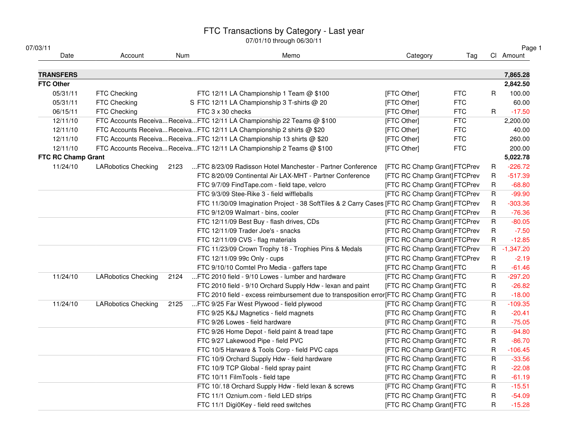| 07/03/11           |                            |      |                                                                                              |                                     |            |              | Page 1      |
|--------------------|----------------------------|------|----------------------------------------------------------------------------------------------|-------------------------------------|------------|--------------|-------------|
| Date               | Account                    | Num  | Memo                                                                                         | Category                            | Tag        |              | CI Amount   |
| <b>TRANSFERS</b>   |                            |      |                                                                                              |                                     |            |              | 7,865.28    |
| <b>FTC Other</b>   |                            |      |                                                                                              |                                     |            |              | 2,842.50    |
| 05/31/11           | FTC Checking               |      | FTC 12/11 LA Championship 1 Team @ \$100                                                     | [FTC Other]                         | <b>FTC</b> | R            | 100.00      |
| 05/31/11           | FTC Checking               |      | S FTC 12/11 LA Championship 3 T-shirts @ 20                                                  | [FTC Other]                         | <b>FTC</b> |              | 60.00       |
| 06/15/11           | FTC Checking               |      | FTC 3 x 30 checks                                                                            | [FTC Other]                         | <b>FTC</b> | R            | $-17.50$    |
| 12/11/10           |                            |      | FTC Accounts ReceivaReceivaFTC 12/11 LA Championship 22 Teams @ \$100                        | [FTC Other]                         | <b>FTC</b> |              | 2,200.00    |
| 12/11/10           |                            |      | FTC Accounts Receiva Receiva FTC 12/11 LA Championship 2 shirts @ \$20                       | [FTC Other]                         | <b>FTC</b> |              | 40.00       |
| 12/11/10           |                            |      | FTC Accounts Receiva Receiva FTC 12/11 LA Championship 13 shirts @ \$20                      | [FTC Other]                         | <b>FTC</b> |              | 260.00      |
| 12/11/10           |                            |      | FTC Accounts Receiva ReceivaFTC 12/11 LA Championship 2 Teams @ \$100                        | [FTC Other]                         | <b>FTC</b> |              | 200.00      |
| FTC RC Champ Grant |                            |      |                                                                                              |                                     |            |              | 5,022.78    |
| 11/24/10           | <b>LARobotics Checking</b> | 2123 | FTC 8/23/09 Radisson Hotel Manchester - Partner Conference                                   | <b>[FTC RC Champ Grant] FTCPrev</b> |            | R            | $-226.72$   |
|                    |                            |      | FTC 8/20/09 Continental Air LAX-MHT - Partner Conference                                     | [FTC RC Champ Grant] FTCPrev        |            | R            | $-517.39$   |
|                    |                            |      | FTC 9/7/09 FindTape.com - field tape, velcro                                                 | [FTC RC Champ Grant] FTCPrev        |            | R            | $-68.80$    |
|                    |                            |      | FTC 9/3/09 Stee-Rike 3 - field wiffleballs                                                   | [FTC RC Champ Grant] FTCPrev        |            | $\mathsf{R}$ | $-99.90$    |
|                    |                            |      | FTC 11/30/09 Imagination Project - 38 SoftTiles & 2 Carry Cases [FTC RC Champ Grant] FTCPrev |                                     |            | R            | $-303.36$   |
|                    |                            |      | FTC 9/12/09 Walmart - bins, cooler                                                           | [FTC RC Champ Grant] FTCPrev        |            | R            | $-76.36$    |
|                    |                            |      | FTC 12/11/09 Best Buy - flash drives, CDs                                                    | [FTC RC Champ Grant] FTCPrev        |            | $\mathsf{R}$ | $-80.05$    |
|                    |                            |      | FTC 12/11/09 Trader Joe's - snacks                                                           | [FTC RC Champ Grant] FTCPrev        |            | $\mathsf{R}$ | $-7.50$     |
|                    |                            |      | FTC 12/11/09 CVS - flag materials                                                            | [FTC RC Champ Grant] FTCPrev        |            | R            | $-12.85$    |
|                    |                            |      | FTC 11/23/09 Crown Trophy 18 - Trophies Pins & Medals                                        | [FTC RC Champ Grant] FTCPrev        |            |              | R -1,347.20 |
|                    |                            |      | FTC 12/11/09 99c Only - cups                                                                 | [FTC RC Champ Grant] FTCPrev        |            | $\sf R$      | $-2.19$     |
|                    |                            |      | FTC 9/10/10 Comtel Pro Media - gaffers tape                                                  | [FTC RC Champ Grant] FTC            |            | R            | $-61.46$    |
| 11/24/10           | <b>LARobotics Checking</b> | 2124 | FTC 2010 field - 9/10 Lowes - lumber and hardware                                            | [FTC RC Champ Grant] FTC            |            | R            | $-297.20$   |
|                    |                            |      | FTC 2010 field - 9/10 Orchard Supply Hdw - lexan and paint                                   | [FTC RC Champ Grant] FTC            |            | R            | $-26.82$    |
|                    |                            |      | FTC 2010 field - excess reimbursement due to transposition error[FTC RC Champ Grant] FTC     |                                     |            | R            | $-18.00$    |
| 11/24/10           | <b>LARobotics Checking</b> | 2125 | FTC 9/25 Far West Plywood - field plywood                                                    | [FTC RC Champ Grant] FTC            |            | $\mathsf{R}$ | $-109.35$   |
|                    |                            |      | FTC 9/25 K&J Magnetics - field magnets                                                       | [FTC RC Champ Grant] FTC            |            | R            | $-20.41$    |
|                    |                            |      | FTC 9/26 Lowes - field hardware                                                              | [FTC RC Champ Grant] FTC            |            | R            | $-75.05$    |
|                    |                            |      | FTC 9/26 Home Depot - field paint & tread tape                                               | [FTC RC Champ Grant] FTC            |            | R            | $-94.80$    |
|                    |                            |      | FTC 9/27 Lakewood Pipe - field PVC                                                           | [FTC RC Champ Grant] FTC            |            | $\mathsf R$  | $-86.70$    |
|                    |                            |      | FTC 10/5 Harware & Tools Corp - field PVC caps                                               | [FTC RC Champ Grant] FTC            |            | R            | $-106.45$   |
|                    |                            |      | FTC 10/9 Orchard Supply Hdw - field hardware                                                 | [FTC RC Champ Grant] FTC            |            | R            | $-33.56$    |
|                    |                            |      | FTC 10/9 TCP Global - field spray paint                                                      | [FTC RC Champ Grant] FTC            |            | R            | $-22.08$    |
|                    |                            |      | FTC 10/11 FilmTools - field tape                                                             | [FTC RC Champ Grant] FTC            |            | R            | $-61.19$    |
|                    |                            |      | FTC 10/.18 Orchard Supply Hdw - field lexan & screws                                         | [FTC RC Champ Grant] FTC            |            | R            | $-15.51$    |
|                    |                            |      | FTC 11/1 Oznium.com - field LED strips                                                       | [FTC RC Champ Grant] FTC            |            | R            | $-54.09$    |
|                    |                            |      | FTC 11/1 Digi0Key - field reed switches                                                      | [FTC RC Champ Grant] FTC            |            | R            | $-15.28$    |
|                    |                            |      |                                                                                              |                                     |            |              |             |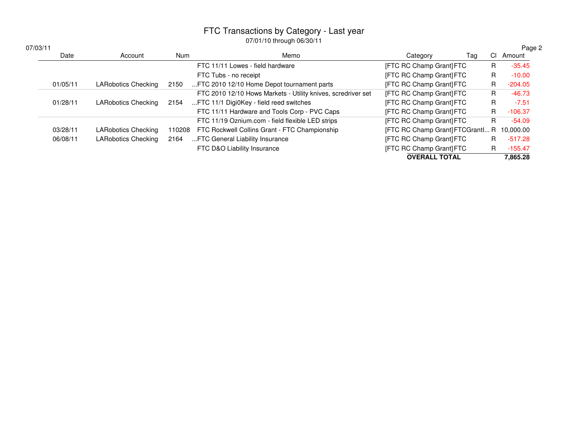| 07/03/11 |          |                            |            |                                                              |                                  |     | Page 2    |
|----------|----------|----------------------------|------------|--------------------------------------------------------------|----------------------------------|-----|-----------|
|          | Date     | Account                    | <b>Num</b> | Memo                                                         | Category<br>Taq                  | CI. | Amount    |
|          |          |                            |            | FTC 11/11 Lowes - field hardware                             | [FTC RC Champ Grant] FTC         | R.  | $-35.45$  |
|          |          |                            |            | FTC Tubs - no receipt                                        | [FTC RC Champ Grant] FTC         | R.  | $-10.00$  |
|          | 01/05/11 | LARobotics Checking        | 2150       | FTC 2010 12/10 Home Depot tournament parts                   | [FTC RC Champ Grant] FTC         | R.  | $-204.05$ |
|          |          |                            |            | FTC 2010 12/10 Hows Markets - Utility knives, scredriver set | [FTC RC Champ Grant] FTC         | R.  | $-46.73$  |
|          | 01/28/11 | LARobotics Checking        | 2154       | FTC 11/1 Digi0Key - field reed switches                      | [FTC RC Champ Grant] FTC         | R.  | $-7.51$   |
|          |          |                            |            | FTC 11/11 Hardware and Tools Corp - PVC Caps                 | [FTC RC Champ Grant] FTC         | R.  | $-106.37$ |
|          |          |                            |            | FTC 11/19 Oznium.com - field flexible LED strips             | [FTC RC Champ Grant] FTC         | R.  | $-54.09$  |
|          | 03/28/11 | <b>LARobotics Checking</b> | 110208     | FTC Rockwell Collins Grant - FTC Championship                | [FTC RC Champ Grant] FTCGrantI R |     | 10.000.00 |
|          | 06/08/11 | <b>LARobotics Checking</b> | 2164       | FTC General Liability Insurance                              | [FTC RC Champ Grant] FTC         | R.  | $-517.28$ |
|          |          |                            |            | FTC D&O Liability Insurance                                  | [FTC RC Champ Grant] FTC         | R.  | $-155.47$ |
|          |          |                            |            |                                                              | <b>OVERALL TOTAL</b>             |     | 7.865.28  |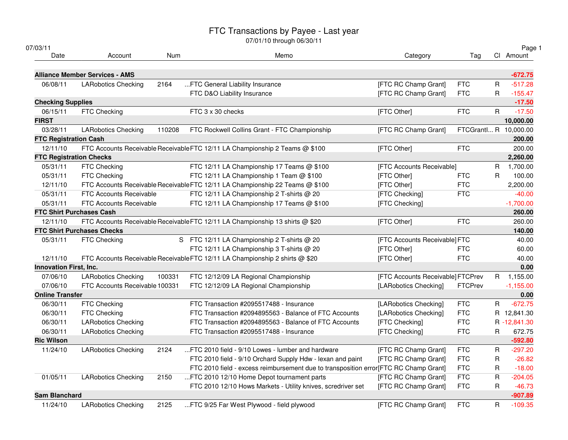| 07/03/11                       |                                       |        | 07/01/10 through 06/30/11                                                             |                                   |                       |              | Page 1      |
|--------------------------------|---------------------------------------|--------|---------------------------------------------------------------------------------------|-----------------------------------|-----------------------|--------------|-------------|
| Date                           | Account                               | Num    | Memo                                                                                  | Category                          | Tag                   |              | Cl Amount   |
|                                | <b>Alliance Member Services - AMS</b> |        |                                                                                       |                                   |                       |              | $-672.75$   |
| 06/08/11                       | <b>LARobotics Checking</b>            | 2164   | FTC General Liability Insurance                                                       | [FTC RC Champ Grant]              | <b>FTC</b>            | R            | $-517.28$   |
|                                |                                       |        | FTC D&O Liability Insurance                                                           | [FTC RC Champ Grant]              | <b>FTC</b>            | R            | $-155.47$   |
| <b>Checking Supplies</b>       |                                       |        |                                                                                       |                                   |                       |              | $-17.50$    |
| 06/15/11                       | FTC Checking                          |        | FTC 3 x 30 checks                                                                     | [FTC Other]                       | <b>FTC</b>            | R            | $-17.50$    |
| <b>FIRST</b>                   |                                       |        |                                                                                       |                                   |                       |              | 10,000.00   |
| 03/28/11                       | <b>LARobotics Checking</b>            | 110208 | FTC Rockwell Collins Grant - FTC Championship                                         | [FTC RC Champ Grant]              | FTCGrantI R 10,000.00 |              |             |
| <b>FTC Registration Cash</b>   |                                       |        |                                                                                       |                                   |                       |              | 200.00      |
| 12/11/10                       |                                       |        | FTC Accounts Receivable Receivable FTC 12/11 LA Championship 2 Teams @ \$100          | [FTC Other]                       | <b>FTC</b>            |              | 200.00      |
| <b>FTC Registration Checks</b> |                                       |        |                                                                                       |                                   |                       |              | 2,260.00    |
| 05/31/11                       | FTC Checking                          |        | FTC 12/11 LA Championship 17 Teams @ \$100                                            | [FTC Accounts Receivable]         |                       | $\mathsf{R}$ | 1,700.00    |
| 05/31/11                       | FTC Checking                          |        | FTC 12/11 LA Championship 1 Team @ \$100                                              | [FTC Other]                       | <b>FTC</b>            | R            | 100.00      |
| 12/11/10                       |                                       |        | FTC Accounts Receivable Receivable FTC 12/11 LA Championship 22 Teams @ \$100         | [FTC Other]                       | <b>FTC</b>            |              | 2,200.00    |
| 05/31/11                       | <b>FTC Accounts Receivable</b>        |        | FTC 12/11 LA Championship 2 T-shirts @ 20                                             | [FTC Checking]                    | <b>FTC</b>            |              | $-40.00$    |
| 05/31/11                       | FTC Accounts Receivable               |        | FTC 12/11 LA Championship 17 Teams @ \$100                                            | [FTC Checking]                    |                       |              | $-1,700.00$ |
|                                | <b>FTC Shirt Purchases Cash</b>       |        |                                                                                       |                                   |                       |              | 260.00      |
| 12/11/10                       |                                       |        | FTC Accounts Receivable Receivable FTC 12/11 LA Championship 13 shirts @ \$20         | [FTC Other]                       | <b>FTC</b>            |              | 260.00      |
|                                | <b>FTC Shirt Purchases Checks</b>     |        |                                                                                       |                                   |                       |              | 140.00      |
| 05/31/11                       | FTC Checking                          |        | S FTC 12/11 LA Championship 2 T-shirts @ 20                                           | [FTC Accounts Receivable] FTC     |                       |              | 40.00       |
|                                |                                       |        | FTC 12/11 LA Championship 3 T-shirts @ 20                                             | [FTC Other]                       | <b>FTC</b>            |              | 60.00       |
| 12/11/10                       |                                       |        | FTC Accounts Receivable Receivable FTC 12/11 LA Championship 2 shirts @ \$20          | [FTC Other]                       | <b>FTC</b>            |              | 40.00       |
| Innovation First, Inc.         |                                       |        |                                                                                       |                                   |                       |              | 0.00        |
| 07/06/10                       | <b>LARobotics Checking</b>            | 100331 | FTC 12/12/09 LA Regional Championship                                                 | [FTC Accounts Receivable] FTCPrev |                       |              | R 1,155.00  |
| 07/06/10                       | FTC Accounts Receivable 100331        |        | FTC 12/12/09 LA Regional Championship                                                 | [LARobotics Checking]             | FTCPrev               |              | $-1,155.00$ |
| <b>Online Transfer</b>         |                                       |        |                                                                                       |                                   |                       |              | 0.00        |
| 06/30/11                       | FTC Checking                          |        | FTC Transaction #2095517488 - Insurance                                               | [LARobotics Checking]             | <b>FTC</b>            | R            | $-672.75$   |
| 06/30/11                       | FTC Checking                          |        | FTC Transaction #2094895563 - Balance of FTC Accounts                                 | [LARobotics Checking]             | <b>FTC</b>            |              | R 12,841.30 |
| 06/30/11                       | <b>LARobotics Checking</b>            |        | FTC Transaction #2094895563 - Balance of FTC Accounts                                 | [FTC Checking]                    | <b>FTC</b>            |              | R-12,841.30 |
| 06/30/11                       | <b>LARobotics Checking</b>            |        | FTC Transaction #2095517488 - Insurance                                               | [FTC Checking]                    | <b>FTC</b>            | R            | 672.75      |
| <b>Ric Wilson</b>              |                                       |        |                                                                                       |                                   |                       |              | $-592.80$   |
| 11/24/10                       | <b>LARobotics Checking</b>            | 2124   | FTC 2010 field - 9/10 Lowes - lumber and hardware                                     | [FTC RC Champ Grant]              | <b>FTC</b>            | R            | $-297.20$   |
|                                |                                       |        | FTC 2010 field - 9/10 Orchard Supply Hdw - lexan and paint                            | [FTC RC Champ Grant]              | <b>FTC</b>            | R            | $-26.82$    |
|                                |                                       |        | FTC 2010 field - excess reimbursement due to transposition error [FTC RC Champ Grant] |                                   | <b>FTC</b>            | $\mathsf R$  | $-18.00$    |
| 01/05/11                       | <b>LARobotics Checking</b>            | 2150   | FTC 2010 12/10 Home Depot tournament parts                                            | [FTC RC Champ Grant]              | <b>FTC</b>            | $\mathsf R$  | $-204.05$   |
|                                |                                       |        | FTC 2010 12/10 Hows Markets - Utility knives, scredriver set                          | [FTC RC Champ Grant]              | <b>FTC</b>            | R            | $-46.73$    |
| <b>Sam Blanchard</b>           |                                       |        |                                                                                       |                                   |                       |              | $-907.89$   |
| 11/24/10                       | <b>LARobotics Checking</b>            | 2125   | FTC 9/25 Far West Plywood - field plywood                                             | [FTC RC Champ Grant]              | <b>FTC</b>            | R            | $-109.35$   |
|                                |                                       |        |                                                                                       |                                   |                       |              |             |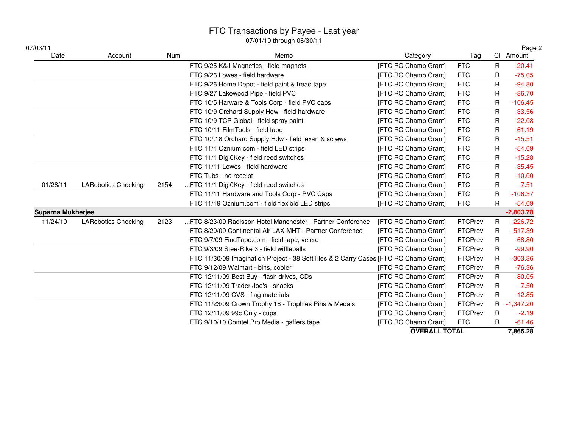| 07/03/11                 |                            |      | $01101110$ though $00100111$                                                         |                      |                |              | Page 2      |
|--------------------------|----------------------------|------|--------------------------------------------------------------------------------------|----------------------|----------------|--------------|-------------|
| Date                     | Account                    | Num  | Memo                                                                                 | Category             | Tag            |              | Cl Amount   |
|                          |                            |      | FTC 9/25 K&J Magnetics - field magnets                                               | [FTC RC Champ Grant] | <b>FTC</b>     | R            | $-20.41$    |
|                          |                            |      | FTC 9/26 Lowes - field hardware                                                      | [FTC RC Champ Grant] | <b>FTC</b>     | R            | $-75.05$    |
|                          |                            |      | FTC 9/26 Home Depot - field paint & tread tape                                       | [FTC RC Champ Grant] | <b>FTC</b>     | R            | $-94.80$    |
|                          |                            |      | FTC 9/27 Lakewood Pipe - field PVC                                                   | [FTC RC Champ Grant] | <b>FTC</b>     | R            | $-86.70$    |
|                          |                            |      | FTC 10/5 Harware & Tools Corp - field PVC caps                                       | [FTC RC Champ Grant] | <b>FTC</b>     | R            | $-106.45$   |
|                          |                            |      | FTC 10/9 Orchard Supply Hdw - field hardware                                         | [FTC RC Champ Grant] | <b>FTC</b>     | R            | $-33.56$    |
|                          |                            |      | FTC 10/9 TCP Global - field spray paint                                              | [FTC RC Champ Grant] | <b>FTC</b>     | R            | $-22.08$    |
|                          |                            |      | FTC 10/11 FilmTools - field tape                                                     | [FTC RC Champ Grant] | <b>FTC</b>     | R            | $-61.19$    |
|                          |                            |      | FTC 10/.18 Orchard Supply Hdw - field lexan & screws                                 | [FTC RC Champ Grant] | <b>FTC</b>     | R            | $-15.51$    |
|                          |                            |      | FTC 11/1 Oznium.com - field LED strips                                               | [FTC RC Champ Grant] | <b>FTC</b>     | R            | $-54.09$    |
|                          |                            |      | FTC 11/1 Digi0Key - field reed switches                                              | [FTC RC Champ Grant] | <b>FTC</b>     | R            | $-15.28$    |
|                          |                            |      | FTC 11/11 Lowes - field hardware                                                     | [FTC RC Champ Grant] | <b>FTC</b>     | R            | $-35.45$    |
|                          |                            |      | FTC Tubs - no receipt                                                                | [FTC RC Champ Grant] | <b>FTC</b>     | R            | $-10.00$    |
| 01/28/11                 | <b>LARobotics Checking</b> | 2154 | FTC 11/1 Digi0Key - field reed switches                                              | [FTC RC Champ Grant] | <b>FTC</b>     | R            | $-7.51$     |
|                          |                            |      | FTC 11/11 Hardware and Tools Corp - PVC Caps                                         | [FTC RC Champ Grant] | <b>FTC</b>     | R            | $-106.37$   |
|                          |                            |      | FTC 11/19 Oznium.com - field flexible LED strips                                     | [FTC RC Champ Grant] | <b>FTC</b>     | R            | $-54.09$    |
| <b>Suparna Mukherjee</b> |                            |      |                                                                                      |                      |                |              | $-2,803.78$ |
| 11/24/10                 | <b>LARobotics Checking</b> | 2123 | FTC 8/23/09 Radisson Hotel Manchester - Partner Conference                           | [FTC RC Champ Grant] | FTCPrev        | $\mathsf{R}$ | $-226.72$   |
|                          |                            |      | FTC 8/20/09 Continental Air LAX-MHT - Partner Conference                             | [FTC RC Champ Grant] | <b>FTCPrev</b> | R            | $-517.39$   |
|                          |                            |      | FTC 9/7/09 FindTape.com - field tape, velcro                                         | [FTC RC Champ Grant] | <b>FTCPrev</b> | R.           | $-68.80$    |
|                          |                            |      | FTC 9/3/09 Stee-Rike 3 - field wiffleballs                                           | [FTC RC Champ Grant] | <b>FTCPrev</b> | R.           | $-99.90$    |
|                          |                            |      | FTC 11/30/09 Imagination Project - 38 SoftTiles & 2 Carry Cases [FTC RC Champ Grant] |                      | <b>FTCPrev</b> | R            | $-303.36$   |
|                          |                            |      | FTC 9/12/09 Walmart - bins, cooler                                                   | [FTC RC Champ Grant] | <b>FTCPrev</b> | $\mathsf R$  | $-76.36$    |
|                          |                            |      | FTC 12/11/09 Best Buy - flash drives, CDs                                            | [FTC RC Champ Grant] | <b>FTCPrev</b> | R.           | $-80.05$    |
|                          |                            |      | FTC 12/11/09 Trader Joe's - snacks                                                   | [FTC RC Champ Grant] | <b>FTCPrev</b> | R            | $-7.50$     |
|                          |                            |      | FTC 12/11/09 CVS - flag materials                                                    | [FTC RC Champ Grant] | <b>FTCPrev</b> | R.           | $-12.85$    |
|                          |                            |      | FTC 11/23/09 Crown Trophy 18 - Trophies Pins & Medals                                | [FTC RC Champ Grant] | FTCPrev        |              | R -1,347.20 |
|                          |                            |      | FTC 12/11/09 99c Only - cups                                                         | [FTC RC Champ Grant] | FTCPrev        | R            | $-2.19$     |
|                          |                            |      | FTC 9/10/10 Comtel Pro Media - gaffers tape                                          | [FTC RC Champ Grant] | <b>FTC</b>     | R.           | $-61.46$    |

**OVERALL TOTAL**

**7,865.28**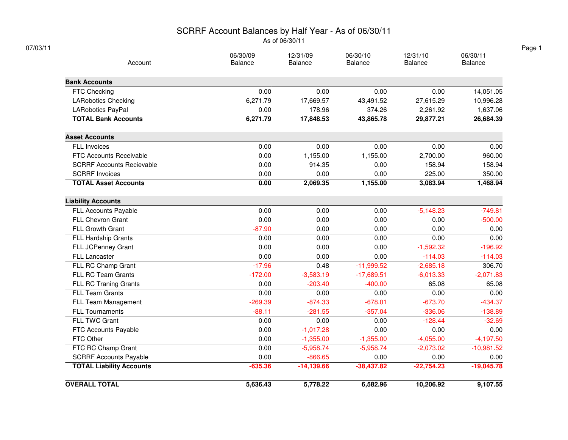## SCRRF Account Balances by Half Year - As of 06/30/11

As of 06/30/11

| Account                          | 06/30/09<br>Balance | 12/31/09<br><b>Balance</b> | 06/30/10<br><b>Balance</b> | 12/31/10<br><b>Balance</b> | 06/30/11<br>Balance |
|----------------------------------|---------------------|----------------------------|----------------------------|----------------------------|---------------------|
|                                  |                     |                            |                            |                            |                     |
| <b>Bank Accounts</b>             |                     |                            |                            |                            |                     |
| FTC Checking                     | 0.00                | 0.00                       | 0.00                       | 0.00                       | 14,051.05           |
| <b>LARobotics Checking</b>       | 6,271.79            | 17,669.57                  | 43,491.52                  | 27,615.29                  | 10,996.28           |
| LARobotics PayPal                | 0.00                | 178.96                     | 374.26                     | 2,261.92                   | 1,637.06            |
| <b>TOTAL Bank Accounts</b>       | 6,271.79            | 17,848.53                  | 43,865.78                  | 29,877.21                  | 26,684.39           |
| <b>Asset Accounts</b>            |                     |                            |                            |                            |                     |
| <b>FLL Invoices</b>              | 0.00                | 0.00                       | 0.00                       | 0.00                       | 0.00                |
| <b>FTC Accounts Receivable</b>   | 0.00                | 1,155.00                   | 1,155.00                   | 2,700.00                   | 960.00              |
| <b>SCRRF Accounts Recievable</b> | 0.00                | 914.35                     | 0.00                       | 158.94                     | 158.94              |
| <b>SCRRF Invoices</b>            | 0.00                | 0.00                       | 0.00                       | 225.00                     | 350.00              |
| <b>TOTAL Asset Accounts</b>      | 0.00                | 2,069.35                   | 1,155.00                   | 3,083.94                   | 1,468.94            |
| <b>Liability Accounts</b>        |                     |                            |                            |                            |                     |
| FLL Accounts Payable             | 0.00                | 0.00                       | 0.00                       | $-5,148.23$                | $-749.81$           |
| <b>FLL Chevron Grant</b>         | 0.00                | 0.00                       | 0.00                       | 0.00                       | $-500.00$           |
| FLL Growth Grant                 | $-87.90$            | 0.00                       | 0.00                       | 0.00                       | 0.00                |
| FLL Hardship Grants              | 0.00                | 0.00                       | 0.00                       | 0.00                       | 0.00                |
| FLL JCPenney Grant               | 0.00                | 0.00                       | 0.00                       | $-1,592.32$                | $-196.92$           |
| <b>FLL Lancaster</b>             | 0.00                | 0.00                       | 0.00                       | $-114.03$                  | $-114.03$           |
| FLL RC Champ Grant               | $-17.96$            | 0.48                       | $-11,999.52$               | $-2,685.18$                | 306.70              |
| <b>FLL RC Team Grants</b>        | $-172.00$           | $-3,583.19$                | $-17,689.51$               | $-6,013.33$                | $-2,071.83$         |
| FLL RC Traning Grants            | 0.00                | $-203.40$                  | $-400.00$                  | 65.08                      | 65.08               |
| <b>FLL Team Grants</b>           | 0.00                | 0.00                       | 0.00                       | 0.00                       | 0.00                |
| FLL Team Management              | $-269.39$           | $-874.33$                  | $-678.01$                  | $-673.70$                  | $-434.37$           |
| <b>FLL Tournaments</b>           | $-88.11$            | $-281.55$                  | $-357.04$                  | $-336.06$                  | $-138.89$           |
| FLL TWC Grant                    | 0.00                | 0.00                       | 0.00                       | $-128.44$                  | $-32.69$            |
| FTC Accounts Payable             | 0.00                | $-1,017.28$                | 0.00                       | 0.00                       | 0.00                |
| FTC Other                        | 0.00                | $-1,355.00$                | $-1,355.00$                | $-4,055.00$                | $-4,197.50$         |
| FTC RC Champ Grant               | 0.00                | $-5,958.74$                | $-5,958.74$                | $-2,073.02$                | $-10,981.52$        |
| <b>SCRRF Accounts Payable</b>    | 0.00                | $-866.65$                  | 0.00                       | 0.00                       | 0.00                |
| <b>TOTAL Liability Accounts</b>  | $-635.36$           | $-14,139.66$               | $-38,437.82$               | $-22,754.23$               | $-19,045.78$        |
| <b>OVERALL TOTAL</b>             | 5,636.43            | 5,778.22                   | 6,582.96                   | 10,206.92                  | 9,107.55            |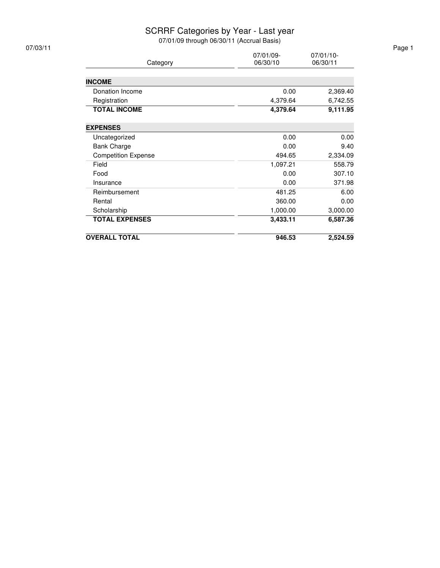#### SCRRF Categories by Year - Last year

| 07/03/11 |                            |                       |                       | Page 1 |
|----------|----------------------------|-----------------------|-----------------------|--------|
|          | Category                   | 07/01/09-<br>06/30/10 | 07/01/10-<br>06/30/11 |        |
|          |                            |                       |                       |        |
|          | <b>INCOME</b>              |                       |                       |        |
|          | Donation Income            | 0.00                  | 2,369.40              |        |
|          | Registration               | 4,379.64              | 6,742.55              |        |
|          | <b>TOTAL INCOME</b>        | 4,379.64              | 9,111.95              |        |
|          | <b>EXPENSES</b>            |                       |                       |        |
|          | Uncategorized              | 0.00                  | 0.00                  |        |
|          | <b>Bank Charge</b>         | 0.00                  | 9.40                  |        |
|          | <b>Competition Expense</b> | 494.65                | 2,334.09              |        |
|          | Field                      | 1,097.21              | 558.79                |        |
|          | Food                       | 0.00                  | 307.10                |        |
|          | Insurance                  | 0.00                  | 371.98                |        |
|          | Reimbursement              | 481.25                | 6.00                  |        |
|          | Rental                     | 360.00                | 0.00                  |        |
|          | Scholarship                | 1,000.00              | 3,000.00              |        |
|          | <b>TOTAL EXPENSES</b>      | 3,433.11              | 6,587.36              |        |
|          | <b>OVERALL TOTAL</b>       | 946.53                | 2,524.59              |        |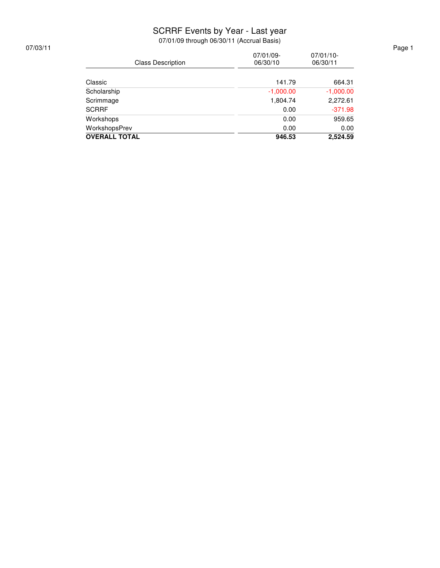#### SCRRF Events by Year - Last year

| 07/03/11 | <b>Class Description</b> | 07/01/09-<br>06/30/10 | $07/01/10$ -<br>06/30/11 | Page 1 |
|----------|--------------------------|-----------------------|--------------------------|--------|
|          | Classic                  | 141.79                | 664.31                   |        |
|          | Scholarship              | $-1,000.00$           | $-1,000.00$              |        |
|          | Scrimmage                | 1,804.74              | 2,272.61                 |        |
|          | <b>SCRRF</b>             | 0.00                  | $-371.98$                |        |
|          | Workshops                | 0.00                  | 959.65                   |        |
|          | WorkshopsPrev            | 0.00                  | 0.00                     |        |
|          | <b>OVERALL TOTAL</b>     | 946.53                | 2,524.59                 |        |
|          |                          |                       |                          |        |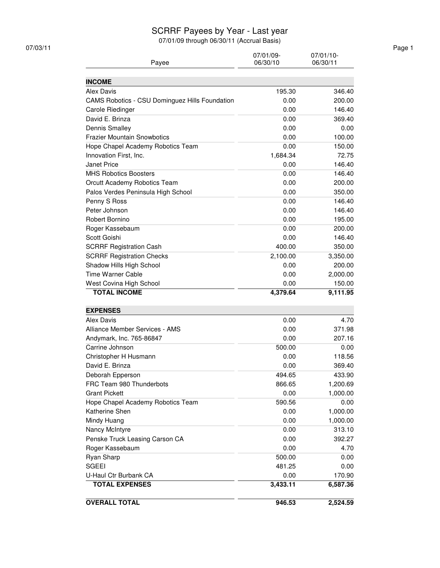#### SCRRF Payees by Year - Last year

| 07/03/11 |                                                |                       |                       | Page 1 |
|----------|------------------------------------------------|-----------------------|-----------------------|--------|
|          | Payee                                          | 07/01/09-<br>06/30/10 | 07/01/10-<br>06/30/11 |        |
|          |                                                |                       |                       |        |
|          | <b>INCOME</b>                                  |                       |                       |        |
|          | Alex Davis                                     | 195.30                | 346.40                |        |
|          | CAMS Robotics - CSU Dominguez Hills Foundation | 0.00                  | 200.00                |        |
|          | Carole Riedinger                               | 0.00                  | 146.40                |        |
|          | David E. Brinza                                | 0.00                  | 369.40                |        |
|          | <b>Dennis Smalley</b>                          | 0.00                  | 0.00                  |        |
|          | <b>Frazier Mountain Snowbotics</b>             | 0.00                  | 100.00                |        |
|          | Hope Chapel Academy Robotics Team              | 0.00                  | 150.00                |        |
|          | Innovation First, Inc.                         | 1,684.34              | 72.75                 |        |
|          | Janet Price                                    | 0.00                  | 146.40                |        |
|          | <b>MHS Robotics Boosters</b>                   | 0.00                  | 146.40                |        |
|          | Orcutt Academy Robotics Team                   | 0.00                  | 200.00                |        |
|          | Palos Verdes Peninsula High School             | 0.00                  | 350.00                |        |
|          | Penny S Ross                                   | 0.00                  | 146.40                |        |
|          | Peter Johnson                                  | 0.00                  | 146.40                |        |
|          | Robert Bornino                                 | 0.00                  | 195.00                |        |
|          | Roger Kassebaum                                | 0.00                  | 200.00                |        |
|          | Scott Goishi                                   | 0.00                  | 146.40                |        |
|          | <b>SCRRF Registration Cash</b>                 | 400.00                | 350.00                |        |
|          | <b>SCRRF Registration Checks</b>               | 2,100.00              | 3,350.00              |        |
|          | Shadow Hills High School                       | 0.00                  | 200.00                |        |
|          | <b>Time Warner Cable</b>                       | 0.00                  | 2,000.00              |        |
|          | West Covina High School                        | 0.00                  | 150.00                |        |
|          | <b>TOTAL INCOME</b>                            | 4,379.64              | 9,111.95              |        |
|          | <b>EXPENSES</b>                                |                       |                       |        |
|          | <b>Alex Davis</b>                              | 0.00                  | 4.70                  |        |
|          | Alliance Member Services - AMS                 | 0.00                  | 371.98                |        |
|          | Andymark, Inc. 765-86847                       | 0.00                  | 207.16                |        |
|          | Carrine Johnson                                | 500.00                | 0.00                  |        |
|          | Christopher H Husmann                          | 0.00                  | 118.56                |        |
|          | David E. Brinza                                | 0.00                  | 369.40                |        |
|          | Deborah Epperson                               | 494.65                | 433.90                |        |
|          | FRC Team 980 Thunderbots                       | 866.65                | 1,200.69              |        |
|          | <b>Grant Pickett</b>                           | 0.00                  | 1,000.00              |        |
|          | Hope Chapel Academy Robotics Team              | 590.56                | 0.00                  |        |
|          | Katherine Shen                                 | 0.00                  | 1,000.00              |        |
|          | Mindy Huang                                    | 0.00                  | 1,000.00              |        |
|          | Nancy McIntyre                                 | 0.00                  | 313.10                |        |
|          | Penske Truck Leasing Carson CA                 | 0.00                  | 392.27                |        |
|          | Roger Kassebaum                                | 0.00                  | 4.70                  |        |
|          | Ryan Sharp                                     | 500.00                | 0.00                  |        |
|          | <b>SGEEI</b>                                   | 481.25                | 0.00                  |        |
|          | U-Haul Ctr Burbank CA                          | 0.00                  | 170.90                |        |
|          | <b>TOTAL EXPENSES</b>                          | 3,433.11              | 6,587.36              |        |
|          |                                                |                       |                       |        |
|          | <b>OVERALL TOTAL</b>                           | 946.53                | 2,524.59              |        |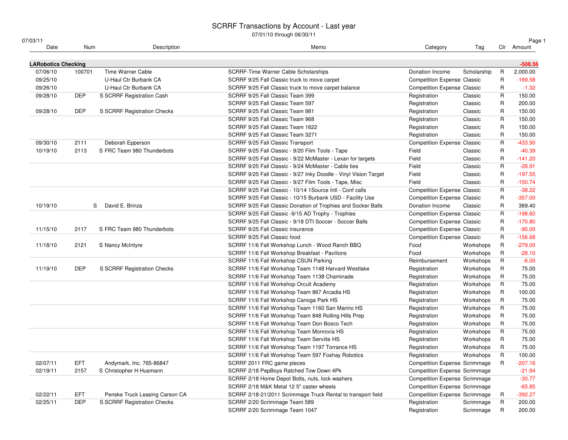| 07/03/11                   |            |                                | 0770 1710 unough oo/oo/                                          |                                      |             |              | Page 1     |
|----------------------------|------------|--------------------------------|------------------------------------------------------------------|--------------------------------------|-------------|--------------|------------|
| Date                       | Num        | Description                    | Memo                                                             | Category                             | Tag         |              | Clr Amount |
| <b>LARobotics Checking</b> |            |                                |                                                                  |                                      |             |              | $-508.56$  |
| 07/06/10                   | 100701     | Time Warner Cable              | SCRRF-Time Warner Cable Scholarships                             | Donation Income                      | Scholarship | R            | 2,000.00   |
| 09/25/10                   |            | U-Haul Ctr Burbank CA          | SCRRF 9/25 Fall Classic truck to move carpet                     | <b>Competition Expense Classic</b>   |             | $\mathsf{R}$ | $-169.58$  |
| 09/26/10                   |            | U-Haul Ctr Burbank CA          | SCRRF 9/25 Fall Classic truck to move carpet balance             | <b>Competition Expense Classic</b>   |             | R            | $-1.32$    |
| 09/28/10                   | <b>DEP</b> | S SCRRF Registration Cash      | SCRRF 9/25 Fall Classic Team 399                                 | Registration                         | Classic     | R            | 150.00     |
|                            |            |                                | SCRRF 9/25 Fall Classic Team 597                                 | Registration                         | Classic     | R            | 200.00     |
| 09/28/10                   | <b>DEP</b> | S SCRRF Registration Checks    | SCRRF 9/25 Fall Classic Team 981                                 | Registration                         | Classic     | R            | 150.00     |
|                            |            |                                | SCRRF 9/25 Fall Classic Team 968                                 | Registration                         | Classic     | R            | 150.00     |
|                            |            |                                | SCRRF 9/25 Fall Classic Team 1622                                | Registration                         | Classic     | R            | 150.00     |
|                            |            |                                | SCRRF 9/25 Fall Classic Team 3271                                | Registration                         | Classic     | $\mathsf{R}$ | 150.00     |
| 09/30/10                   | 2111       | Deborah Epperson               | SCRRF 9/25 Fall Classic Transport                                | <b>Competition Expense Classic</b>   |             | R            | $-433.90$  |
| 10/19/10                   | 2113       | S FRC Team 980 Thunderbots     | SCRRF 9/25 Fall Classic - 9/20 Film Tools - Tape                 | Field                                | Classic     | R            | $-40.39$   |
|                            |            |                                | SCRRF 9/25 Fall Classic - 9/22 McMaster - Lexan for targets      | Field                                | Classic     | R            | $-141.20$  |
|                            |            |                                | SCRRF 9/25 Fall Classic - 9/24 McMaster - Cable ties             | Field                                | Classic     | R            | $-28.91$   |
|                            |            |                                | SCRRF 9/25 Fall Classic - 9/27 Inky Doodle - Vinyl Vision Target | Field                                | Classic     | R            | $-197.55$  |
|                            |            |                                | SCRRF 9/25 Fall Classic - 9/27 Film Tools - Tape, Misc           | Field                                | Classic     | R            | $-150.74$  |
|                            |            |                                | SCRRF 9/25 Fall Classic - 10/14 1 Source Intl - Conf calls       | <b>Competition Expense Classic</b>   |             | $\mathsf{R}$ | $-38.22$   |
|                            |            |                                | SCRRF 9/25 Fall Classic - 10/15 Burbank USD - Facility Use       | <b>Competition Expense Classic</b>   |             | R            | $-357.00$  |
| 10/19/10                   |            | David E. Brinza<br>S           | SCRRF 9/25 Fall Classic Donation of Trophies and Socker Balls    | Donation Income                      | Classic     | R            | 369.40     |
|                            |            |                                | SCRRF 9/25 Fall Classic -9/15 AD Trophy - Trophies               | <b>Competition Expense Classic</b>   |             | $\mathsf{R}$ | $-198.60$  |
|                            |            |                                | SCRRF 9/25 Fall Classic - 9/18 DTI Soccer - Soccer Balls         | <b>Competition Expense Classic</b>   |             | R            | $-170.80$  |
| 11/15/10                   | 2117       | S FRC Team 980 Thunderbots     | SCRRF 9/25 Fall Classic insurance                                | <b>Competition Expense Classic</b>   |             | R            | $-90.00$   |
|                            |            |                                | SCRRF 9/25 Fall Classic food                                     | <b>Competition Expense Classic</b>   |             | $\mathsf{R}$ | $-156.68$  |
| 11/18/10                   | 2121       | S Nancy McIntyre               | SCRRF 11/6 Fall Workshop Lunch - Wood Ranch BBQ                  | Food                                 | Workshops   | R            | $-279.00$  |
|                            |            |                                | SCRRF 11/6 Fall Workshop Breakfast - Pavilions                   | Food                                 | Workshops   | R            | $-28.10$   |
|                            |            |                                | SCRRF 11/6 Fall Workshop CSUN Parking                            | Reimbursement                        | Workshops   | $\mathsf{R}$ | $-6.00$    |
| 11/19/10                   | <b>DEP</b> | S SCRRF Registration Checks    | SCRRF 11/6 Fall Workshop Team 1148 Harvard Westlake              | Registration                         | Workshops   | R            | 75.00      |
|                            |            |                                | SCRRF 11/6 Fall Workshop Team 1138 Chaminade                     | Registration                         | Workshops   | R            | 75.00      |
|                            |            |                                | SCRRF 11/6 Fall Workshop Orcult Academy                          | Registration                         | Workshops   | R            | 75.00      |
|                            |            |                                | SCRRF 11/6 Fall Workshop Team 867 Arcadia HS                     | Registration                         | Workshops   | R            | 100.00     |
|                            |            |                                | SCRRF 11/6 Fall Workshop Canoga Park HS                          | Registration                         | Workshops   | R            | 75.00      |
|                            |            |                                | SCRRF 11/6 Fall Workshop Team 1160 San Marino HS                 | Registration                         | Workshops   | $\mathsf{R}$ | 75.00      |
|                            |            |                                | SCRRF 11/6 Fall Workshop Team 848 Rolling Hills Prep             | Registration                         | Workshops   | R            | 75.00      |
|                            |            |                                | SCRRF 11/6 Fall Workshop Team Don Bosco Tech                     | Registration                         | Workshops   | R            | 75.00      |
|                            |            |                                | SCRRF 11/6 Fall Workshop Team Monrovia HS                        | Registration                         | Workshops   | R            | 75.00      |
|                            |            |                                | SCRRF 11/6 Fall Workshop Team Serviite HS                        | Registration                         | Workshops   | R            | 75.00      |
|                            |            |                                | SCRRF 11/6 Fall Workshop Team 1197 Torrance HS                   | Registration                         | Workshops   | R            | 75.00      |
|                            |            |                                | SCRRF 11/6 Fall Workshop Team 597 Foshay Robotics                | Registration                         | Workshops   | $\mathsf{R}$ | 100.00     |
| 02/07/11                   | <b>EFT</b> | Andymark, Inc. 765-86847       | SCRRF 2011 FRC game pieces                                       | <b>Competition Expense Scrimmage</b> |             | R            | $-207.16$  |
| 02/19/11                   | 2157       | S Christopher H Husmann        | SCRRF 2/18 PepBoys Ratched Tow Down 4Pk                          | <b>Competition Expense Scrimmage</b> |             |              | $-21.94$   |
|                            |            |                                | SCRRF 2/18 Home Depot Bolts, nuts, lock washers                  | <b>Competition Expense Scrimmage</b> |             |              | $-30.77$   |
|                            |            |                                | SCRRF 2/18 M&K Metal 12 5" caster wheels                         | <b>Competition Expense Scrimmage</b> |             |              | $-65.85$   |
| 02/22/11                   | EFT.       | Penske Truck Leasing Carson CA | SCRRF 2/18-21/2011 Scrimmage Truck Rental to transport field     | <b>Competition Expense Scrimmage</b> |             | R            | $-392.27$  |
| 02/25/11                   | <b>DEP</b> | S SCRRF Registration Checks    | SCRRF 2/20 Scrimmage Team 589                                    | Registration                         | Scrimmage   | $\mathsf{R}$ | 200.00     |
|                            |            |                                | SCRRF 2/20 Scrimmage Team 1047                                   | Registration                         | Scrimmage   | R            | 200.00     |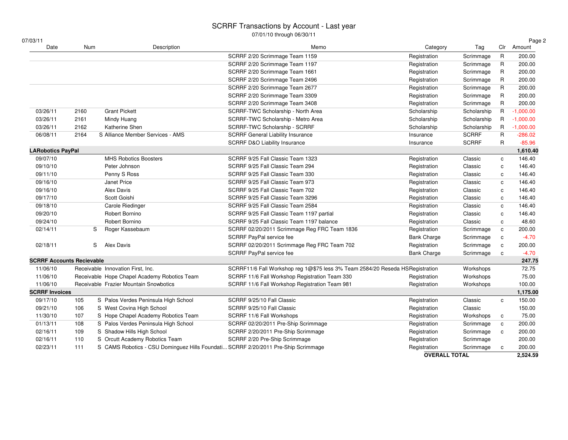| 07/03/11                         |      |                                                                                   |                                                                               |                      |              |              | Page 2      |
|----------------------------------|------|-----------------------------------------------------------------------------------|-------------------------------------------------------------------------------|----------------------|--------------|--------------|-------------|
| Date                             | Num  | Description                                                                       | Memo                                                                          | Category             | Tag          |              | Clr Amount  |
|                                  |      |                                                                                   | SCRRF 2/20 Scrimmage Team 1159                                                | Registration         | Scrimmage    | R            | 200.00      |
|                                  |      |                                                                                   | SCRRF 2/20 Scrimmage Team 1197                                                | Registration         | Scrimmage    | R            | 200.00      |
|                                  |      |                                                                                   | SCRRF 2/20 Scrimmage Team 1661                                                | Registration         | Scrimmage    | R            | 200.00      |
|                                  |      |                                                                                   | SCRRF 2/20 Scrimmage Team 2496                                                | Registration         | Scrimmage    | $\mathsf{R}$ | 200.00      |
|                                  |      |                                                                                   | SCRRF 2/20 Scrimmage Team 2677                                                | Registration         | Scrimmage    | R            | 200.00      |
|                                  |      |                                                                                   | SCRRF 2/20 Scrimmage Team 3309                                                | Registration         | Scrimmage    | R            | 200.00      |
|                                  |      |                                                                                   | SCRRF 2/20 Scrimmage Team 3408                                                | Registration         | Scrimmage    | $\mathsf{R}$ | 200.00      |
| 03/26/11                         | 2160 | <b>Grant Pickett</b>                                                              | SCRRF-TWC Scholarship - North Area                                            | Scholarship          | Scholarship  | $\mathsf{R}$ | $-1,000.00$ |
| 03/26/11                         | 2161 | Mindy Huang                                                                       | SCRRF-TWC Scholarship - Metro Area                                            | Scholarship          | Scholarship  | $\mathsf{R}$ | $-1,000.00$ |
| 03/26/11                         | 2162 | Katherine Shen                                                                    | SCRRF-TWC Scholarship - SCRRF                                                 | Scholarship          | Scholarship  | R            | $-1,000.00$ |
| 06/08/11                         | 2164 | S Alliance Member Services - AMS                                                  | <b>SCRRF General Liability Insurance</b>                                      | Insurance            | <b>SCRRF</b> | $\mathsf{R}$ | $-286.02$   |
|                                  |      |                                                                                   | <b>SCRRF D&amp;O Liability Insurance</b>                                      | Insurance            | <b>SCRRF</b> | $\mathsf{R}$ | $-85.96$    |
| <b>LARobotics PayPal</b>         |      |                                                                                   |                                                                               |                      |              |              | 1,610.40    |
| 09/07/10                         |      | <b>MHS Robotics Boosters</b>                                                      | SCRRF 9/25 Fall Classic Team 1323                                             | Registration         | Classic      | $\mathbf c$  | 146.40      |
| 09/10/10                         |      | Peter Johnson                                                                     | SCRRF 9/25 Fall Classic Team 294                                              | Registration         | Classic      | c            | 146.40      |
| 09/11/10                         |      | Penny S Ross                                                                      | SCRRF 9/25 Fall Classic Team 330                                              | Registration         | Classic      | $\mathbf c$  | 146.40      |
| 09/16/10                         |      | Janet Price                                                                       | SCRRF 9/25 Fall Classic Team 973                                              | Registration         | Classic      | $\mathbf{c}$ | 146.40      |
| 09/16/10                         |      | Alex Davis                                                                        | SCRRF 9/25 Fall Classic Team 702                                              | Registration         | Classic      | c            | 146.40      |
| 09/17/10                         |      | Scott Goishi                                                                      | SCRRF 9/25 Fall Classic Team 3296                                             | Registration         | Classic      | $\mathbf c$  | 146.40      |
| 09/18/10                         |      | Carole Riedinger                                                                  | SCRRF 9/25 Fall Classic Team 2584                                             | Registration         | Classic      | $\mathbf c$  | 146.40      |
| 09/20/10                         |      | Robert Bornino                                                                    | SCRRF 9/25 Fall Classic Team 1197 partial                                     | Registration         | Classic      | $\mathbf c$  | 146.40      |
| 09/24/10                         |      | Robert Bornino                                                                    | SCRRF 9/25 Fall Classic Team 1197 balance                                     | Registration         | Classic      | $\mathbf c$  | 48.60       |
| 02/14/11                         | S    | Roger Kassebaum                                                                   | SCRRF 02/20/2011 Scrimmage Reg FRC Team 1836                                  | Registration         | Scrimmage    | $\mathbf c$  | 200.00      |
|                                  |      |                                                                                   | SCRRF PayPal service fee                                                      | <b>Bank Charge</b>   | Scrimmage    | $\mathbf c$  | $-4.70$     |
| 02/18/11                         | S    | Alex Davis                                                                        | SCRRF 02/20/2011 Scrimmage Reg FRC Team 702                                   | Registration         | Scrimmage    | $\mathbf c$  | 200.00      |
|                                  |      |                                                                                   | SCRRF PayPal service fee                                                      | <b>Bank Charge</b>   | Scrimmage    | $\mathtt{c}$ | $-4.70$     |
| <b>SCRRF Accounts Recievable</b> |      |                                                                                   |                                                                               |                      |              |              | 247.75      |
| 11/06/10                         |      | Receivable Innovation First, Inc.                                                 | SCRRF11/6 Fall Workshop reg 1@\$75 less 3% Team 2584/20 Reseda HSRegistration |                      | Workshops    |              | 72.75       |
| 11/06/10                         |      | Receivable Hope Chapel Academy Robotics Team                                      | SCRRF 11/6 Fall Workshop Registration Team 330                                | Registration         | Workshops    |              | 75.00       |
| 11/06/10                         |      | Receivable Frazier Mountain Snowbotics                                            | SCRRF 11/6 Fall Workshop Registration Team 981                                | Registration         | Workshops    |              | 100.00      |
| <b>SCRRF Invoices</b>            |      |                                                                                   |                                                                               |                      |              |              | 1,175.00    |
| 09/17/10                         | 105  | S Palos Verdes Peninsula High School                                              | SCRRF 9/25/10 Fall Classic                                                    | Registration         | Classic      | $\mathbf c$  | 150.00      |
| 09/21/10                         | 106  | S West Covina High School                                                         | SCRRF 9/25/10 Fall Classic                                                    | Registration         | Classic      |              | 150.00      |
| 11/30/10                         | 107  | S Hope Chapel Academy Robotics Team                                               | SCRRF 11/6 Fall Workshops                                                     | Registration         | Workshops    | c            | 75.00       |
| 01/13/11                         | 108  | S Palos Verdes Peninsula High School                                              | SCRRF 02/20/2011 Pre-Ship Scrimmage                                           | Registration         | Scrimmage    | $\mathbf c$  | 200.00      |
| 02/16/11                         | 109  | S Shadow Hills High School                                                        | SCRRF 2/20/2011 Pre-Ship Scrimmage                                            | Registration         | Scrimmage    | $\mathbf{c}$ | 200.00      |
| 02/16/11                         | 110  | S Orcutt Academy Robotics Team                                                    | SCRRF 2/20 Pre-Ship Scrimmage                                                 | Registration         | Scrimmage    |              | 200.00      |
| 02/23/11                         | 111  | S CAMS Robotics - CSU Dominguez Hills Foundati SCRRF 2/20/2011 Pre-Ship Scrimmage |                                                                               | Registration         | Scrimmage    | $\mathbf c$  | 200.00      |
|                                  |      |                                                                                   |                                                                               | <b>OVERALL TOTAL</b> |              |              | 2,524.59    |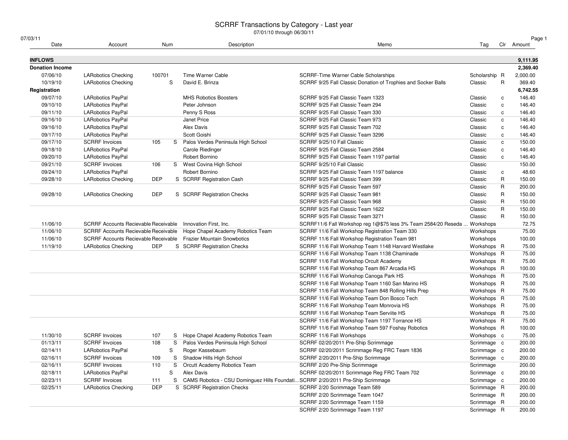#### SCRRF Transactions by Category - Last year

07/01/10 through 06/30/11

| 07/03/11               |                                      |            |     | 0770 1710 นาเบนนา บบ/บบ/ 1 1                                                    |                                                                                             |                            |              | Page 1     |
|------------------------|--------------------------------------|------------|-----|---------------------------------------------------------------------------------|---------------------------------------------------------------------------------------------|----------------------------|--------------|------------|
| Date                   | Account                              |            | Num | Description                                                                     | Memo                                                                                        | Tag                        |              | Clr Amount |
| <b>INFLOWS</b>         |                                      |            |     |                                                                                 |                                                                                             |                            |              | 9,111.95   |
| <b>Donation Income</b> |                                      |            |     |                                                                                 |                                                                                             |                            |              | 2,369.40   |
| 07/06/10               | <b>LARobotics Checking</b>           | 100701     |     | Time Warner Cable                                                               | SCRRF-Time Warner Cable Scholarships                                                        | Scholarship R              |              | 2,000.00   |
| 10/19/10               | <b>LARobotics Checking</b>           |            | S   | David E. Brinza                                                                 | SCRRF 9/25 Fall Classic Donation of Trophies and Socker Balls                               | Classic                    | R            | 369.40     |
| Registration           |                                      |            |     |                                                                                 |                                                                                             |                            |              | 6,742.55   |
| 09/07/10               | <b>LARobotics PayPal</b>             |            |     | <b>MHS Robotics Boosters</b>                                                    | SCRRF 9/25 Fall Classic Team 1323                                                           | Classic                    | $\mathbf c$  | 146.40     |
| 09/10/10               | <b>LARobotics PayPal</b>             |            |     | Peter Johnson                                                                   | SCRRF 9/25 Fall Classic Team 294                                                            | Classic                    | $\mathtt{C}$ | 146.40     |
| 09/11/10               | <b>LARobotics PayPal</b>             |            |     | Penny S Ross                                                                    | SCRRF 9/25 Fall Classic Team 330                                                            | Classic                    | $\mathbf c$  | 146.40     |
| 09/16/10               | <b>LARobotics PayPal</b>             |            |     | Janet Price                                                                     | SCRRF 9/25 Fall Classic Team 973                                                            | Classic                    | $\mathbf{C}$ | 146.40     |
| 09/16/10               | <b>LARobotics PayPal</b>             |            |     | Alex Davis                                                                      | SCRRF 9/25 Fall Classic Team 702                                                            | Classic                    | $\mathtt{C}$ | 146.40     |
| 09/17/10               | <b>LARobotics PayPal</b>             |            |     | Scott Goishi                                                                    | SCRRF 9/25 Fall Classic Team 3296                                                           | Classic                    | c            | 146.40     |
| 09/17/10               | <b>SCRRF</b> Invoices                | 105        |     | S Palos Verdes Peninsula High School                                            | SCRRF 9/25/10 Fall Classic                                                                  | Classic                    | $\mathbf{C}$ | 150.00     |
| 09/18/10               | LARobotics PayPal                    |            |     | Carole Riedinger                                                                | SCRRF 9/25 Fall Classic Team 2584                                                           | Classic                    | $\mathtt{C}$ | 146.40     |
| 09/20/10               | <b>LARobotics PayPal</b>             |            |     | Robert Bornino                                                                  | SCRRF 9/25 Fall Classic Team 1197 partial                                                   | Classic                    | C            | 146.40     |
| 09/21/10               | <b>SCRRF</b> Invoices                | 106        |     | S West Covina High School                                                       | SCRRF 9/25/10 Fall Classic                                                                  | Classic                    |              | 150.00     |
| 09/24/10               | <b>LARobotics PayPal</b>             |            |     | Robert Bornino                                                                  | SCRRF 9/25 Fall Classic Team 1197 balance                                                   | Classic                    | c            | 48.60      |
| 09/28/10               | <b>LARobotics Checking</b>           | <b>DEP</b> |     | S SCRRF Registration Cash                                                       | SCRRF 9/25 Fall Classic Team 399                                                            | Classic                    | R            | 150.00     |
|                        |                                      |            |     |                                                                                 | SCRRF 9/25 Fall Classic Team 597                                                            | Classic                    | R            | 200.00     |
| 09/28/10               | <b>LARobotics Checking</b>           | <b>DEP</b> |     | S SCRRF Registration Checks                                                     | SCRRF 9/25 Fall Classic Team 981                                                            | Classic                    | R            | 150.00     |
|                        |                                      |            |     |                                                                                 | SCRRF 9/25 Fall Classic Team 968                                                            | Classic                    | $\mathsf{R}$ | 150.00     |
|                        |                                      |            |     |                                                                                 | SCRRF 9/25 Fall Classic Team 1622                                                           | Classic                    | R            | 150.00     |
|                        |                                      |            |     |                                                                                 | SCRRF 9/25 Fall Classic Team 3271                                                           | Classic                    | $\mathsf{R}$ | 150.00     |
| 11/06/10               | SCRRF Accounts Recievable Receivable |            |     | Innovation First, Inc.                                                          | SCRRF11/6 Fall Workshop reg 1@\$75 less 3% Team 2584/20 Reseda  Workshops                   |                            |              | 72.75      |
| 11/06/10               | SCRRF Accounts Recievable Receivable |            |     | Hope Chapel Academy Robotics Team                                               | SCRRF 11/6 Fall Workshop Registration Team 330                                              | Workshops                  |              | 75.00      |
| 11/06/10               | SCRRF Accounts Recievable Receivable |            |     | <b>Frazier Mountain Snowbotics</b>                                              | SCRRF 11/6 Fall Workshop Registration Team 981                                              | Workshops                  |              | 100.00     |
| 11/19/10               | <b>LARobotics Checking</b>           | <b>DEP</b> |     | S SCRRF Registration Checks                                                     | SCRRF 11/6 Fall Workshop Team 1148 Harvard Westlake                                         | Workshops R                |              | 75.00      |
|                        |                                      |            |     |                                                                                 | SCRRF 11/6 Fall Workshop Team 1138 Chaminade                                                | Workshops R                |              | 75.00      |
|                        |                                      |            |     |                                                                                 |                                                                                             | Workshops R                |              | 75.00      |
|                        |                                      |            |     |                                                                                 | SCRRF 11/6 Fall Workshop Orcult Academy<br>SCRRF 11/6 Fall Workshop Team 867 Arcadia HS     | Workshops R                |              | 100.00     |
|                        |                                      |            |     |                                                                                 |                                                                                             | Workshops R                |              | 75.00      |
|                        |                                      |            |     |                                                                                 | SCRRF 11/6 Fall Workshop Canoga Park HS<br>SCRRF 11/6 Fall Workshop Team 1160 San Marino HS | Workshops R                |              | 75.00      |
|                        |                                      |            |     |                                                                                 |                                                                                             |                            |              |            |
|                        |                                      |            |     |                                                                                 | SCRRF 11/6 Fall Workshop Team 848 Rolling Hills Prep                                        | Workshops R                |              | 75.00      |
|                        |                                      |            |     |                                                                                 | SCRRF 11/6 Fall Workshop Team Don Bosco Tech                                                | Workshops R                |              | 75.00      |
|                        |                                      |            |     |                                                                                 | SCRRF 11/6 Fall Workshop Team Monrovia HS                                                   | Workshops R                |              | 75.00      |
|                        |                                      |            |     |                                                                                 | SCRRF 11/6 Fall Workshop Team Serviite HS                                                   | Workshops R<br>Workshops R |              | 75.00      |
|                        |                                      |            |     |                                                                                 | SCRRF 11/6 Fall Workshop Team 1197 Torrance HS                                              |                            |              | 75.00      |
|                        |                                      |            |     |                                                                                 | SCRRF 11/6 Fall Workshop Team 597 Foshay Robotics                                           | Workshops R                |              | 100.00     |
| 11/30/10               | <b>SCRRF</b> Invoices                | 107        |     | S Hope Chapel Academy Robotics Team                                             | SCRRF 11/6 Fall Workshops                                                                   | Workshops c                |              | 75.00      |
| 01/13/11               | <b>SCRRF</b> Invoices                | 108        | S   | Palos Verdes Peninsula High School                                              | SCRRF 02/20/2011 Pre-Ship Scrimmage                                                         | Scrimmage c                |              | 200.00     |
| 02/14/11               | <b>LARobotics PayPal</b>             |            | S   | Roger Kassebaum                                                                 | SCRRF 02/20/2011 Scrimmage Reg FRC Team 1836                                                | Scrimmage c                |              | 200.00     |
| 02/16/11               | <b>SCRRF</b> Invoices                | 109        | S   | Shadow Hills High School                                                        | SCRRF 2/20/2011 Pre-Ship Scrimmage                                                          | Scrimmage c                |              | 200.00     |
| 02/16/11               | <b>SCRRF</b> Invoices                | 110        | S   | Orcutt Academy Robotics Team                                                    | SCRRF 2/20 Pre-Ship Scrimmage                                                               | Scrimmage                  |              | 200.00     |
| 02/18/11               | LARobotics PayPal                    |            | S   | Alex Davis                                                                      | SCRRF 02/20/2011 Scrimmage Reg FRC Team 702                                                 | Scrimmage c                |              | 200.00     |
| 02/23/11               | <b>SCRRF</b> Invoices                | 111        | S   | CAMS Robotics - CSU Dominguez Hills Foundati SCRRF 2/20/2011 Pre-Ship Scrimmage |                                                                                             | Scrimmage c                |              | 200.00     |
| 02/25/11               | <b>LARobotics Checking</b>           | <b>DEP</b> |     | S SCRRF Registration Checks                                                     | SCRRF 2/20 Scrimmage Team 589                                                               | Scrimmage R                |              | 200.00     |
|                        |                                      |            |     |                                                                                 | SCRRF 2/20 Scrimmage Team 1047                                                              | Scrimmage R                |              | 200.00     |
|                        |                                      |            |     |                                                                                 | SCRRF 2/20 Scrimmage Team 1159                                                              | Scrimmage R                |              | 200.00     |
|                        |                                      |            |     |                                                                                 | SCRRF 2/20 Scrimmage Team 1197                                                              | Scrimmage R                |              | 200.00     |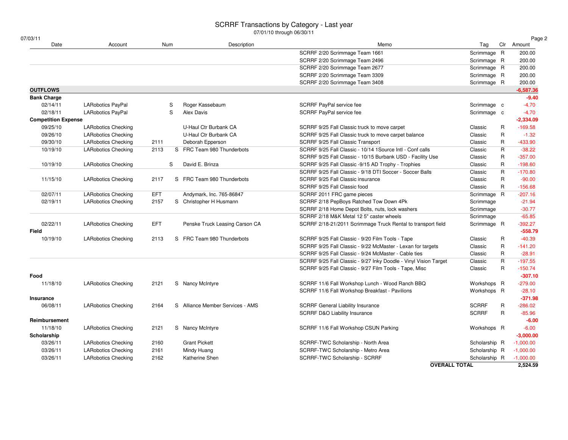| 07/03/11                   |                            |            |                                     | 0770 1710 through 00/00/11                                       |               |                         | Page 2      |
|----------------------------|----------------------------|------------|-------------------------------------|------------------------------------------------------------------|---------------|-------------------------|-------------|
| Date                       | Account                    | Num        | Description                         | Memo                                                             | Tag           |                         | Clr Amount  |
|                            |                            |            |                                     | SCRRF 2/20 Scrimmage Team 1661                                   | Scrimmage R   |                         | 200.00      |
|                            |                            |            |                                     | SCRRF 2/20 Scrimmage Team 2496                                   | Scrimmage R   |                         | 200.00      |
|                            |                            |            |                                     | SCRRF 2/20 Scrimmage Team 2677                                   | Scrimmage R   |                         | 200.00      |
|                            |                            |            |                                     | SCRRF 2/20 Scrimmage Team 3309                                   | Scrimmage R   |                         | 200.00      |
|                            |                            |            |                                     | SCRRF 2/20 Scrimmage Team 3408                                   | Scrimmage R   |                         | 200.00      |
| <b>OUTFLOWS</b>            |                            |            |                                     |                                                                  |               |                         | $-6,587.36$ |
| <b>Bank Charge</b>         |                            |            |                                     |                                                                  |               |                         | $-9.40$     |
| 02/14/11                   | <b>LARobotics PayPal</b>   | S          | Roger Kassebaum                     | SCRRF PayPal service fee                                         | Scrimmage c   |                         | $-4.70$     |
| 02/18/11                   | <b>LARobotics PayPal</b>   | S          | Alex Davis                          | SCRRF PayPal service fee                                         | Scrimmage c   |                         | $-4.70$     |
| <b>Competition Expense</b> |                            |            |                                     |                                                                  |               |                         | $-2,334.09$ |
| 09/25/10                   | <b>LARobotics Checking</b> |            | U-Haul Ctr Burbank CA               | SCRRF 9/25 Fall Classic truck to move carpet                     | Classic       | R                       | $-169.58$   |
| 09/26/10                   | <b>LARobotics Checking</b> |            | U-Haul Ctr Burbank CA               | SCRRF 9/25 Fall Classic truck to move carpet balance             | Classic       | $\mathsf R$             | $-1.32$     |
| 09/30/10                   | <b>LARobotics Checking</b> | 2111       | Deborah Epperson                    | SCRRF 9/25 Fall Classic Transport                                | Classic       | $\mathsf R$             | $-433.90$   |
| 10/19/10                   | <b>LARobotics Checking</b> | 2113       | S FRC Team 980 Thunderbots          | SCRRF 9/25 Fall Classic - 10/14 1Source Intl - Conf calls        | Classic       | $\overline{\mathsf{R}}$ | $-38.22$    |
|                            |                            |            |                                     | SCRRF 9/25 Fall Classic - 10/15 Burbank USD - Facility Use       | Classic       | $\mathsf{R}$            | $-357.00$   |
| 10/19/10                   | <b>LARobotics Checking</b> | S          | David E. Brinza                     | SCRRF 9/25 Fall Classic -9/15 AD Trophy - Trophies               | Classic       | $\mathsf{R}$            | $-198.60$   |
|                            |                            |            |                                     | SCRRF 9/25 Fall Classic - 9/18 DTI Soccer - Soccer Balls         | Classic       | $\mathsf R$             | $-170.80$   |
| 11/15/10                   | <b>LARobotics Checking</b> | 2117       | S FRC Team 980 Thunderbots          | SCRRF 9/25 Fall Classic insurance                                | Classic       | $\mathsf{R}$            | $-90.00$    |
|                            |                            |            |                                     | SCRRF 9/25 Fall Classic food                                     | Classic       | $\mathsf{R}$            | $-156.68$   |
| 02/07/11                   | <b>LARobotics Checking</b> | <b>EFT</b> | Andymark, Inc. 765-86847            | SCRRF 2011 FRC game pieces                                       | Scrimmage R   |                         | $-207.16$   |
| 02/19/11                   | <b>LARobotics Checking</b> | 2157       | S Christopher H Husmann             | SCRRF 2/18 PepBoys Ratched Tow Down 4Pk                          | Scrimmage     |                         | $-21.94$    |
|                            |                            |            |                                     | SCRRF 2/18 Home Depot Bolts, nuts, lock washers                  | Scrimmage     |                         | $-30.77$    |
|                            |                            |            |                                     | SCRRF 2/18 M&K Metal 12 5" caster wheels                         | Scrimmage     |                         | $-65.85$    |
| 02/22/11                   | <b>LARobotics Checking</b> | <b>EFT</b> | Penske Truck Leasing Carson CA      | SCRRF 2/18-21/2011 Scrimmage Truck Rental to transport field     | Scrimmage R   |                         | $-392.27$   |
| <b>Field</b>               |                            |            |                                     |                                                                  |               |                         | $-558.79$   |
| 10/19/10                   | <b>LARobotics Checking</b> | 2113       | S FRC Team 980 Thunderbots          | SCRRF 9/25 Fall Classic - 9/20 Film Tools - Tape                 | Classic       | R                       | $-40.39$    |
|                            |                            |            |                                     | SCRRF 9/25 Fall Classic - 9/22 McMaster - Lexan for targets      | Classic       | $\mathsf R$             | $-141.20$   |
|                            |                            |            |                                     | SCRRF 9/25 Fall Classic - 9/24 McMaster - Cable ties             | Classic       | R                       | $-28.91$    |
|                            |                            |            |                                     | SCRRF 9/25 Fall Classic - 9/27 Inky Doodle - Vinyl Vision Target | Classic       | $\mathsf{R}$            | $-197.55$   |
|                            |                            |            |                                     | SCRRF 9/25 Fall Classic - 9/27 Film Tools - Tape, Misc           | Classic       | $\mathsf R$             | $-150.74$   |
| Food                       |                            |            |                                     |                                                                  |               |                         | $-307.10$   |
| 11/18/10                   | <b>LARobotics Checking</b> | 2121       | S Nancy McIntyre                    | SCRRF 11/6 Fall Workshop Lunch - Wood Ranch BBQ                  | Workshops R   |                         | $-279.00$   |
|                            |                            |            |                                     | SCRRF 11/6 Fall Workshop Breakfast - Pavilions                   | Workshops R   |                         | $-28.10$    |
| Insurance                  |                            |            |                                     |                                                                  |               |                         | $-371.98$   |
| 06/08/11                   | <b>LARobotics Checking</b> | 2164       | Alliance Member Services - AMS<br>S | <b>SCRRF General Liability Insurance</b>                         | <b>SCRRF</b>  | R                       | $-286.02$   |
|                            |                            |            |                                     | <b>SCRRF D&amp;O Liability Insurance</b>                         | <b>SCRRF</b>  | R                       | $-85.96$    |
| Reimbursement              |                            |            |                                     |                                                                  |               |                         | $-6.00$     |
| 11/18/10                   | <b>LARobotics Checking</b> | 2121       | S Nancy McIntyre                    | SCRRF 11/6 Fall Workshop CSUN Parking                            | Workshops R   |                         | $-6.00$     |
| Scholarship                |                            |            |                                     |                                                                  |               |                         | $-3,000.00$ |
| 03/26/11                   | <b>LARobotics Checking</b> | 2160       | <b>Grant Pickett</b>                | SCRRF-TWC Scholarship - North Area                               | Scholarship R |                         | $-1,000.00$ |
| 03/26/11                   | <b>LARobotics Checking</b> | 2161       | Mindy Huang                         | SCRRF-TWC Scholarship - Metro Area                               | Scholarship R |                         | $-1,000.00$ |
| 03/26/11                   | <b>LARobotics Checking</b> | 2162       | Katherine Shen                      | SCRRF-TWC Scholarship - SCRRF                                    | Scholarship R |                         | $-1,000.00$ |
|                            |                            |            |                                     | <b>OVERALL TOTAL</b>                                             |               |                         | 2.524.59    |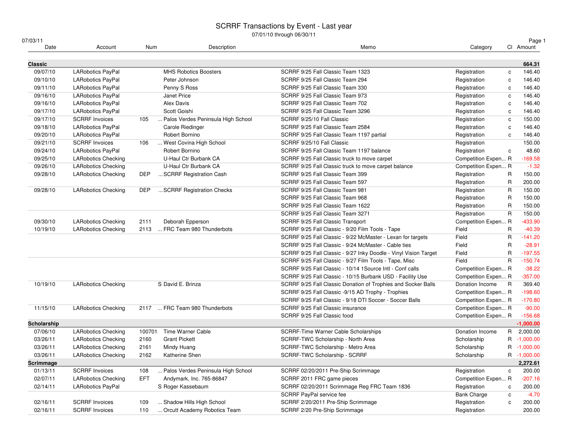## SCRRF Transactions by Event - Last year 07/01/10 through 06/30/11

| 07/03/11    |                            |                              |                                    |                                                                  |                     |              | Page 1      |
|-------------|----------------------------|------------------------------|------------------------------------|------------------------------------------------------------------|---------------------|--------------|-------------|
| Date        | Account                    | Num                          | Description                        | Memo                                                             | Category            |              | Cl Amount   |
| Classic     |                            |                              |                                    |                                                                  |                     |              | 664.31      |
| 09/07/10    | LARobotics PayPal          |                              | <b>MHS Robotics Boosters</b>       | SCRRF 9/25 Fall Classic Team 1323                                | Registration        | $\mathtt{c}$ | 146.40      |
| 09/10/10    | <b>LARobotics PayPal</b>   | Peter Johnson                |                                    | SCRRF 9/25 Fall Classic Team 294                                 | Registration        | c            | 146.40      |
| 09/11/10    | <b>LARobotics PayPal</b>   | Penny S Ross                 |                                    | SCRRF 9/25 Fall Classic Team 330                                 | Registration        | c            | 146.40      |
| 09/16/10    | <b>LARobotics PayPal</b>   | Janet Price                  |                                    | SCRRF 9/25 Fall Classic Team 973                                 | Registration        | C            | 146.40      |
| 09/16/10    | LARobotics PayPal          | Alex Davis                   |                                    | SCRRF 9/25 Fall Classic Team 702                                 | Registration        | c            | 146.40      |
| 09/17/10    | LARobotics PayPal          | Scott Goishi                 |                                    | SCRRF 9/25 Fall Classic Team 3296                                | Registration        | C            | 146.40      |
| 09/17/10    | <b>SCRRF</b> Invoices      | 105                          | Palos Verdes Peninsula High School | SCRRF 9/25/10 Fall Classic                                       | Registration        | C            | 150.00      |
| 09/18/10    | LARobotics PayPal          | Carole Riedinger             |                                    | SCRRF 9/25 Fall Classic Team 2584                                | Registration        | C            | 146.40      |
| 09/20/10    | <b>LARobotics PayPal</b>   | Robert Bornino               |                                    | SCRRF 9/25 Fall Classic Team 1197 partial                        | Registration        | C            | 146.40      |
| 09/21/10    | <b>SCRRF</b> Invoices      | 106                          | West Covina High School            | SCRRF 9/25/10 Fall Classic                                       | Registration        |              | 150.00      |
| 09/24/10    | LARobotics PayPal          | Robert Bornino               |                                    | SCRRF 9/25 Fall Classic Team 1197 balance                        | Registration        | $\mathtt{c}$ | 48.60       |
| 09/25/10    | <b>LARobotics Checking</b> |                              | U-Haul Ctr Burbank CA              | SCRRF 9/25 Fall Classic truck to move carpet                     | Competition Expen R |              | $-169.58$   |
| 09/26/10    | <b>LARobotics Checking</b> |                              | U-Haul Ctr Burbank CA              | SCRRF 9/25 Fall Classic truck to move carpet balance             | Competition Expen R |              | $-1.32$     |
| 09/28/10    | <b>LARobotics Checking</b> | <b>DEP</b>                   | SCRRF Registration Cash            | SCRRF 9/25 Fall Classic Team 399                                 | Registration        | R            | 150.00      |
|             |                            |                              |                                    | SCRRF 9/25 Fall Classic Team 597                                 | Registration        | R            | 200.00      |
| 09/28/10    | <b>LARobotics Checking</b> | <b>DEP</b>                   | SCRRF Registration Checks          | SCRRF 9/25 Fall Classic Team 981                                 | Registration        | R            | 150.00      |
|             |                            |                              |                                    | SCRRF 9/25 Fall Classic Team 968                                 | Registration        | R            | 150.00      |
|             |                            |                              |                                    | SCRRF 9/25 Fall Classic Team 1622                                | Registration        | R            | 150.00      |
|             |                            |                              |                                    | SCRRF 9/25 Fall Classic Team 3271                                | Registration        | $\mathsf{R}$ | 150.00      |
| 09/30/10    | <b>LARobotics Checking</b> | 2111<br>Deborah Epperson     |                                    | SCRRF 9/25 Fall Classic Transport                                | Competition Expen R |              | $-433.90$   |
| 10/19/10    | <b>LARobotics Checking</b> | 2113                         | FRC Team 980 Thunderbots           | SCRRF 9/25 Fall Classic - 9/20 Film Tools - Tape                 | Field               | R            | $-40.39$    |
|             |                            |                              |                                    | SCRRF 9/25 Fall Classic - 9/22 McMaster - Lexan for targets      | Field               | $\mathsf{R}$ | $-141.20$   |
|             |                            |                              |                                    | SCRRF 9/25 Fall Classic - 9/24 McMaster - Cable ties             | Field               | $\mathsf{R}$ | $-28.91$    |
|             |                            |                              |                                    | SCRRF 9/25 Fall Classic - 9/27 Inky Doodle - Vinyl Vision Target | Field               | $\mathsf{R}$ | $-197.55$   |
|             |                            |                              |                                    | SCRRF 9/25 Fall Classic - 9/27 Film Tools - Tape, Misc           | Field               | $\mathsf{R}$ | $-150.74$   |
|             |                            |                              |                                    | SCRRF 9/25 Fall Classic - 10/14 1Source Intl - Conf calls        | Competition Expen R |              | $-38.22$    |
|             |                            |                              |                                    | SCRRF 9/25 Fall Classic - 10/15 Burbank USD - Facility Use       | Competition Expen R |              | $-357.00$   |
| 10/19/10    | <b>LARobotics Checking</b> | S David E. Brinza            |                                    | SCRRF 9/25 Fall Classic Donation of Trophies and Socker Balls    | Donation Income     | R            | 369.40      |
|             |                            |                              |                                    | SCRRF 9/25 Fall Classic -9/15 AD Trophy - Trophies               | Competition Expen R |              | $-198.60$   |
|             |                            |                              |                                    | SCRRF 9/25 Fall Classic - 9/18 DTI Soccer - Soccer Balls         | Competition Expen R |              | $-170.80$   |
| 11/15/10    | <b>LARobotics Checking</b> | 2117                         | FRC Team 980 Thunderbots           | SCRRF 9/25 Fall Classic insurance                                | Competition Expen R |              | $-90.00$    |
|             |                            |                              |                                    | SCRRF 9/25 Fall Classic food                                     | Competition Expen R |              | $-156.68$   |
| Scholarship |                            |                              |                                    |                                                                  |                     |              | $-1,000.00$ |
| 07/06/10    | <b>LARobotics Checking</b> | 100701                       | Time Warner Cable                  | <b>SCRRF-Time Warner Cable Scholarships</b>                      | Donation Income     |              | R 2,000.00  |
| 03/26/11    | <b>LARobotics Checking</b> | <b>Grant Pickett</b><br>2160 |                                    | SCRRF-TWC Scholarship - North Area                               | Scholarship         |              | R -1,000.00 |
| 03/26/11    | <b>LARobotics Checking</b> | 2161<br>Mindy Huang          |                                    | SCRRF-TWC Scholarship - Metro Area                               | Scholarship         |              | R -1,000.00 |
| 03/26/11    | <b>LARobotics Checking</b> | 2162<br>Katherine Shen       |                                    | SCRRF-TWC Scholarship - SCRRF                                    | Scholarship         |              | R -1,000.00 |
| Scrimmage   |                            |                              |                                    |                                                                  |                     |              | 2,272.61    |
| 01/13/11    | <b>SCRRF Invoices</b>      | 108                          | Palos Verdes Peninsula High School | SCRRF 02/20/2011 Pre-Ship Scrimmage                              | Registration        | c            | 200.00      |
| 02/07/11    | <b>LARobotics Checking</b> | <b>EFT</b>                   | Andymark, Inc. 765-86847           | SCRRF 2011 FRC game pieces                                       | Competition Expen R |              | $-207.16$   |
| 02/14/11    | LARobotics PayPal          | S Roger Kassebaum            |                                    | SCRRF 02/20/2011 Scrimmage Reg FRC Team 1836                     | Registration        | c            | 200.00      |
|             |                            |                              |                                    | SCRRF PayPal service fee                                         | <b>Bank Charge</b>  | с            | $-4.70$     |
| 02/16/11    | <b>SCRRF Invoices</b>      | 109                          | Shadow Hills High School           | SCRRF 2/20/2011 Pre-Ship Scrimmage                               | Registration        | c            | 200.00      |
| 02/16/11    | <b>SCRRF</b> Invoices      | 110                          | Orcutt Academy Robotics Team       | SCRRF 2/20 Pre-Ship Scrimmage                                    | Registration        |              | 200.00      |
|             |                            |                              |                                    |                                                                  |                     |              |             |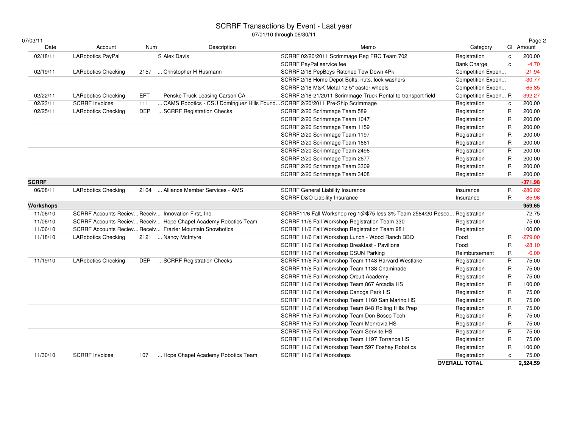## SCRRF Transactions by Event - Last year 07/01/10 through 06/30/11

| 07/03/11 |  |  |
|----------|--|--|
|          |  |  |

| Date             | Account                                             |            |                                                                              |                                                                            |                      |              |           |
|------------------|-----------------------------------------------------|------------|------------------------------------------------------------------------------|----------------------------------------------------------------------------|----------------------|--------------|-----------|
|                  |                                                     | Num        | Description                                                                  | Memo                                                                       | Category             |              | CI Amount |
| 02/18/11         | LARobotics PayPal                                   |            | S Alex Davis                                                                 | SCRRF 02/20/2011 Scrimmage Reg FRC Team 702                                | Registration         | $\mathbf c$  | 200.00    |
|                  |                                                     |            |                                                                              | SCRRF PayPal service fee                                                   | <b>Bank Charge</b>   | $\mathbf{c}$ | $-4.70$   |
| 02/19/11         | <b>LARobotics Checking</b>                          | 2157       | Christopher H Husmann                                                        | SCRRF 2/18 PepBoys Ratched Tow Down 4Pk                                    | Competition Expen    |              | $-21.94$  |
|                  |                                                     |            |                                                                              | SCRRF 2/18 Home Depot Bolts, nuts, lock washers                            | Competition Expen    |              | $-30.77$  |
|                  |                                                     |            |                                                                              | SCRRF 2/18 M&K Metal 12 5" caster wheels                                   | Competition Expen    |              | $-65.85$  |
| 02/22/11         | <b>LARobotics Checking</b>                          | <b>EFT</b> | Penske Truck Leasing Carson CA                                               | SCRRF 2/18-21/2011 Scrimmage Truck Rental to transport field               | Competition Expen R  |              | $-392.27$ |
| 02/23/11         | <b>SCRRF Invoices</b>                               | 111        | CAMS Robotics - CSU Dominguez Hills Found SCRRF 2/20/2011 Pre-Ship Scrimmage |                                                                            | Registration         | c            | 200.00    |
| 02/25/11         | <b>LARobotics Checking</b>                          | <b>DEP</b> | SCRRF Registration Checks                                                    | SCRRF 2/20 Scrimmage Team 589                                              | Registration         | R            | 200.00    |
|                  |                                                     |            |                                                                              | SCRRF 2/20 Scrimmage Team 1047                                             | Registration         | R            | 200.00    |
|                  |                                                     |            |                                                                              | SCRRF 2/20 Scrimmage Team 1159                                             | Registration         | $\mathsf{R}$ | 200.00    |
|                  |                                                     |            |                                                                              | SCRRF 2/20 Scrimmage Team 1197                                             | Registration         | R            | 200.00    |
|                  |                                                     |            |                                                                              | SCRRF 2/20 Scrimmage Team 1661                                             | Registration         | R            | 200.00    |
|                  |                                                     |            |                                                                              | SCRRF 2/20 Scrimmage Team 2496                                             | Registration         | $\mathsf{R}$ | 200.00    |
|                  |                                                     |            |                                                                              | SCRRF 2/20 Scrimmage Team 2677                                             | Registration         | R            | 200.00    |
|                  |                                                     |            |                                                                              | SCRRF 2/20 Scrimmage Team 3309                                             | Registration         | R            | 200.00    |
|                  |                                                     |            |                                                                              | SCRRF 2/20 Scrimmage Team 3408                                             | Registration         | $\mathsf{R}$ | 200.00    |
| <b>SCRRF</b>     |                                                     |            |                                                                              |                                                                            |                      |              | $-371.98$ |
| 06/08/11         | <b>LARobotics Checking</b>                          | 2164       | Alliance Member Services - AMS                                               | <b>SCRRF General Liability Insurance</b>                                   | Insurance            | R            | $-286.02$ |
|                  |                                                     |            |                                                                              | SCRRF D&O Liability Insurance                                              | Insurance            | R            | $-85.96$  |
| <b>Workshops</b> |                                                     |            |                                                                              |                                                                            |                      |              | 959.65    |
| 11/06/10         | SCRRF Accounts Reciev Receiv Innovation First, Inc. |            |                                                                              | SCRRF11/6 Fall Workshop reg 1@\$75 less 3% Team 2584/20 Resed Registration |                      |              | 72.75     |
| 11/06/10         |                                                     |            | SCRRF Accounts Reciev Receiv Hope Chapel Academy Robotics Team               | SCRRF 11/6 Fall Workshop Registration Team 330                             | Registration         |              | 75.00     |
| 11/06/10         |                                                     |            | SCRRF Accounts Reciev Receiv Frazier Mountain Snowbotics                     | SCRRF 11/6 Fall Workshop Registration Team 981                             | Registration         |              | 100.00    |
| 11/18/10         | <b>LARobotics Checking</b>                          |            | 2121  Nancy McIntyre                                                         | SCRRF 11/6 Fall Workshop Lunch - Wood Ranch BBQ                            | Food                 | R            | $-279.00$ |
|                  |                                                     |            |                                                                              | SCRRF 11/6 Fall Workshop Breakfast - Pavilions                             | Food                 | R            | $-28.10$  |
|                  |                                                     |            |                                                                              | SCRRF 11/6 Fall Workshop CSUN Parking                                      | Reimbursement        | $\mathsf{R}$ | $-6.00$   |
| 11/19/10         | <b>LARobotics Checking</b>                          | <b>DEP</b> | SCRRF Registration Checks                                                    | SCRRF 11/6 Fall Workshop Team 1148 Harvard Westlake                        | Registration         | $\mathsf{R}$ | 75.00     |
|                  |                                                     |            |                                                                              | SCRRF 11/6 Fall Workshop Team 1138 Chaminade                               | Registration         | $\mathsf{R}$ | 75.00     |
|                  |                                                     |            |                                                                              | SCRRF 11/6 Fall Workshop Orcult Academy                                    | Registration         | R            | 75.00     |
|                  |                                                     |            |                                                                              | SCRRF 11/6 Fall Workshop Team 867 Arcadia HS                               | Registration         | $\mathsf{R}$ | 100.00    |
|                  |                                                     |            |                                                                              | SCRRF 11/6 Fall Workshop Canoga Park HS                                    | Registration         | R            | 75.00     |
|                  |                                                     |            |                                                                              | SCRRF 11/6 Fall Workshop Team 1160 San Marino HS                           | Registration         | R            | 75.00     |
|                  |                                                     |            |                                                                              | SCRRF 11/6 Fall Workshop Team 848 Rolling Hills Prep                       | Registration         | R            | 75.00     |
|                  |                                                     |            |                                                                              | SCRRF 11/6 Fall Workshop Team Don Bosco Tech                               | Registration         | R            | 75.00     |
|                  |                                                     |            |                                                                              | SCRRF 11/6 Fall Workshop Team Monrovia HS                                  | Registration         | R            | 75.00     |
|                  |                                                     |            |                                                                              | SCRRF 11/6 Fall Workshop Team Serviite HS                                  | Registration         | $\mathsf{R}$ | 75.00     |
|                  |                                                     |            |                                                                              | SCRRF 11/6 Fall Workshop Team 1197 Torrance HS                             | Registration         | R            | 75.00     |
|                  |                                                     |            |                                                                              | SCRRF 11/6 Fall Workshop Team 597 Foshay Robotics                          | Registration         | R            | 100.00    |
| 11/30/10         | <b>SCRRF Invoices</b>                               | 107        | Hope Chapel Academy Robotics Team                                            | SCRRF 11/6 Fall Workshops                                                  | Registration         | $\mathbf c$  | 75.00     |
|                  |                                                     |            |                                                                              |                                                                            | <b>OVERALL TOTAL</b> |              | 2,524.59  |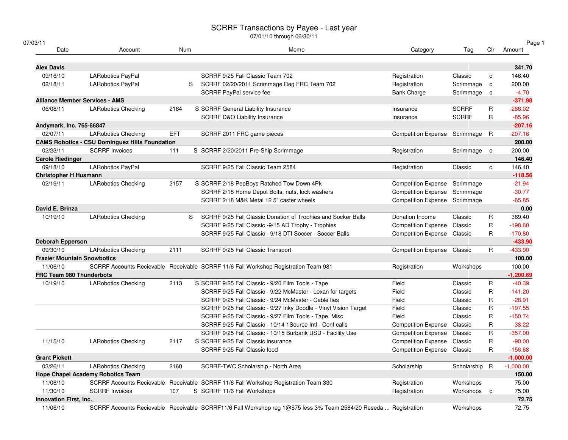07/01/10 through 06/30/11

| 07/03/1 |
|---------|
|---------|

| 03/11                                 |                                                       |            |                                                                                                     |                                    |              |              | Page 1      |
|---------------------------------------|-------------------------------------------------------|------------|-----------------------------------------------------------------------------------------------------|------------------------------------|--------------|--------------|-------------|
| Date                                  | Account                                               | Num        | Memo                                                                                                | Category                           | Tag          | Clr          | Amount      |
| <b>Alex Davis</b>                     |                                                       |            |                                                                                                     |                                    |              |              | 341.70      |
| 09/16/10                              | LARobotics PayPal                                     |            | SCRRF 9/25 Fall Classic Team 702                                                                    | Registration                       | Classic      | $\mathbf{C}$ | 146.40      |
| 02/18/11                              | LARobotics PayPal                                     | S          | SCRRF 02/20/2011 Scrimmage Reg FRC Team 702                                                         | Registration                       | Scrimmage    | $\mathbf c$  | 200.00      |
|                                       |                                                       |            | SCRRF PayPal service fee                                                                            | <b>Bank Charge</b>                 | Scrimmage    | $\mathbf c$  | $-4.70$     |
| <b>Alliance Member Services - AMS</b> |                                                       |            |                                                                                                     |                                    |              |              | $-371.98$   |
| 06/08/11                              | <b>LARobotics Checking</b>                            | 2164       | S SCRRF General Liability Insurance                                                                 | Insurance                          | <b>SCRRF</b> | R            | $-286.02$   |
|                                       |                                                       |            | <b>SCRRF D&amp;O Liability Insurance</b>                                                            | Insurance                          | <b>SCRRF</b> | R            | $-85.96$    |
| Andymark, Inc. 765-86847              |                                                       |            |                                                                                                     |                                    |              |              | $-207.16$   |
| 02/07/11                              | <b>LARobotics Checking</b>                            | <b>EFT</b> | SCRRF 2011 FRC game pieces                                                                          | <b>Competition Expense</b>         | Scrimmage    | R            | $-207.16$   |
|                                       | <b>CAMS Robotics - CSU Dominguez Hills Foundation</b> |            |                                                                                                     |                                    |              |              | 200.00      |
| 02/23/11                              | <b>SCRRF Invoices</b>                                 | 111        | S SCRRF 2/20/2011 Pre-Ship Scrimmage                                                                | Registration                       | Scrimmage    | $\mathbf{C}$ | 200.00      |
| <b>Carole Riedinger</b>               |                                                       |            |                                                                                                     |                                    |              |              | 146.40      |
| 09/18/10                              | LARobotics PayPal                                     |            | SCRRF 9/25 Fall Classic Team 2584                                                                   | Registration                       | Classic      | $\mathbf{C}$ | 146.40      |
| <b>Christopher H Husmann</b>          |                                                       |            |                                                                                                     |                                    |              |              | $-118.56$   |
| 02/19/11                              | <b>LARobotics Checking</b>                            | 2157       | S SCRRF 2/18 PepBoys Ratched Tow Down 4Pk                                                           | <b>Competition Expense</b>         | Scrimmage    |              | $-21.94$    |
|                                       |                                                       |            | SCRRF 2/18 Home Depot Bolts, nuts, lock washers                                                     | <b>Competition Expense</b>         | Scrimmage    |              | $-30.77$    |
|                                       |                                                       |            | SCRRF 2/18 M&K Metal 12 5" caster wheels                                                            | <b>Competition Expense</b>         | Scrimmage    |              | $-65.85$    |
| David E. Brinza                       |                                                       |            |                                                                                                     |                                    |              |              | 0.00        |
| 10/19/10                              | <b>LARobotics Checking</b>                            | S          | SCRRF 9/25 Fall Classic Donation of Trophies and Socker Balls                                       | Donation Income                    | Classic      | R            | 369.40      |
|                                       |                                                       |            | SCRRF 9/25 Fall Classic -9/15 AD Trophy - Trophies                                                  | <b>Competition Expense</b>         | Classic      | R            | $-198.60$   |
|                                       |                                                       |            | SCRRF 9/25 Fall Classic - 9/18 DTI Soccer - Soccer Balls                                            | Competition Expense Classic        |              | R            | $-170.80$   |
| <b>Deborah Epperson</b>               |                                                       |            |                                                                                                     |                                    |              |              | $-433.90$   |
| 09/30/10                              | <b>LARobotics Checking</b>                            | 2111       | SCRRF 9/25 Fall Classic Transport                                                                   | <b>Competition Expense Classic</b> |              | R            | $-433.90$   |
| <b>Frazier Mountain Snowbotics</b>    |                                                       |            |                                                                                                     |                                    |              |              | 100.00      |
| 11/06/10                              |                                                       |            | SCRRF Accounts Recievable Receivable SCRRF 11/6 Fall Workshop Registration Team 981                 | Registration                       | Workshops    |              | 100.00      |
| <b>FRC Team 980 Thunderbots</b>       |                                                       |            |                                                                                                     |                                    |              |              | $-1,200.69$ |
| 10/19/10                              | <b>LARobotics Checking</b>                            | 2113       | S SCRRF 9/25 Fall Classic - 9/20 Film Tools - Tape                                                  | Field                              | Classic      | R            | $-40.39$    |
|                                       |                                                       |            | SCRRF 9/25 Fall Classic - 9/22 McMaster - Lexan for targets                                         | Field                              | Classic      | R            | $-141.20$   |
|                                       |                                                       |            | SCRRF 9/25 Fall Classic - 9/24 McMaster - Cable ties                                                | Field                              | Classic      | R            | $-28.91$    |
|                                       |                                                       |            | SCRRF 9/25 Fall Classic - 9/27 Inky Doodle - Vinyl Vision Target                                    | Field                              | Classic      | R            | $-197.55$   |
|                                       |                                                       |            | SCRRF 9/25 Fall Classic - 9/27 Film Tools - Tape, Misc                                              | Field                              | Classic      | R            | $-150.74$   |
|                                       |                                                       |            | SCRRF 9/25 Fall Classic - 10/14 1 Source Intl - Conf calls                                          | <b>Competition Expense</b>         | Classic      | R            | $-38.22$    |
|                                       |                                                       |            | SCRRF 9/25 Fall Classic - 10/15 Burbank USD - Facility Use                                          | <b>Competition Expense</b>         | Classic      | R            | $-357.00$   |
| 11/15/10                              | <b>LARobotics Checking</b>                            | 2117       | S SCRRF 9/25 Fall Classic insurance                                                                 | <b>Competition Expense</b>         | Classic      | R            | $-90.00$    |
|                                       |                                                       |            | SCRRF 9/25 Fall Classic food                                                                        | Competition Expense Classic        |              | R            | $-156.68$   |
| <b>Grant Pickett</b>                  |                                                       |            |                                                                                                     |                                    |              |              | $-1,000.00$ |
| 03/26/11                              | <b>LARobotics Checking</b>                            | 2160       | SCRRF-TWC Scholarship - North Area                                                                  | Scholarship                        | Scholarship  | R            | $-1,000.00$ |
|                                       | <b>Hope Chapel Academy Robotics Team</b>              |            |                                                                                                     |                                    |              |              | 150.00      |
| 11/06/10                              |                                                       |            | SCRRF Accounts Recievable Receivable SCRRF 11/6 Fall Workshop Registration Team 330                 | Registration                       | Workshops    |              | 75.00       |
| 11/30/10                              | <b>SCRRF Invoices</b>                                 | 107        | S SCRRF 11/6 Fall Workshops                                                                         | Registration                       | Workshops c  |              | 75.00       |
| <b>Innovation First, Inc.</b>         |                                                       |            |                                                                                                     |                                    |              |              | 72.75       |
| 11/06/10                              |                                                       |            | SCRRF Accounts Recievable Receivable SCRRF11/6 Fall Workshop reg 1@\$75 less 3% Team 2584/20 Reseda | Registration                       | Workshops    |              | 72.75       |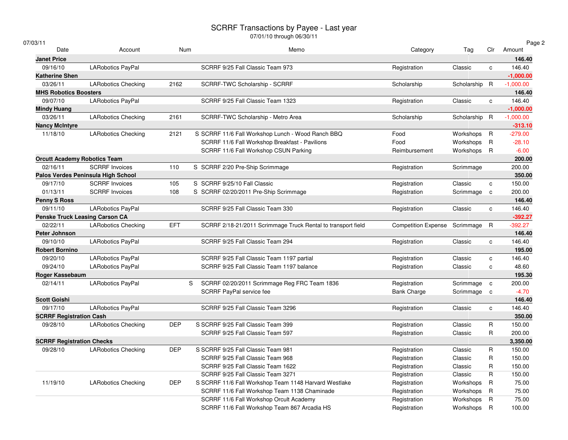# SCRRF Transactions by Payee - Last year 07/01/10 through 06/30/11

| 03/11                               |                                       |            |                                                              |                               |               |              | Page 2      |
|-------------------------------------|---------------------------------------|------------|--------------------------------------------------------------|-------------------------------|---------------|--------------|-------------|
| Date                                | Account                               | Num        | Memo                                                         | Category                      | Tag           | Clr          | Amount      |
| <b>Janet Price</b>                  |                                       |            |                                                              |                               |               |              | 146.40      |
| 09/16/10                            | LARobotics PayPal                     |            | SCRRF 9/25 Fall Classic Team 973                             | Registration                  | Classic       | $\mathbf{C}$ | 146.40      |
| <b>Katherine Shen</b>               |                                       |            |                                                              |                               |               |              | $-1,000.00$ |
| 03/26/11                            | <b>LARobotics Checking</b>            | 2162       | SCRRF-TWC Scholarship - SCRRF                                | Scholarship                   | Scholarship   | $\mathsf{R}$ | $-1,000.00$ |
| <b>MHS Robotics Boosters</b>        |                                       |            |                                                              |                               |               |              | 146.40      |
| 09/07/10                            | <b>LARobotics PayPal</b>              |            | SCRRF 9/25 Fall Classic Team 1323                            | Registration                  | Classic       | $\mathbf{C}$ | 146.40      |
| Mindy Huang                         |                                       |            |                                                              |                               |               |              | $-1,000.00$ |
| 03/26/11                            | <b>LARobotics Checking</b>            | 2161       | SCRRF-TWC Scholarship - Metro Area                           | Scholarship                   | Scholarship R |              | $-1,000.00$ |
| <b>Nancy McIntyre</b>               |                                       |            |                                                              |                               |               |              | $-313.10$   |
| 11/18/10                            | <b>LARobotics Checking</b>            | 2121       | S SCRRF 11/6 Fall Workshop Lunch - Wood Ranch BBQ            | Food                          | Workshops     | $\mathsf{R}$ | $-279.00$   |
|                                     |                                       |            | SCRRF 11/6 Fall Workshop Breakfast - Pavilions               | Food                          | Workshops     | R            | $-28.10$    |
|                                     |                                       |            | SCRRF 11/6 Fall Workshop CSUN Parking                        | Reimbursement                 | Workshops     | R            | $-6.00$     |
| <b>Orcutt Academy Robotics Team</b> |                                       |            |                                                              |                               |               |              | 200.00      |
| 02/16/11                            | <b>SCRRF Invoices</b>                 | 110        | S SCRRF 2/20 Pre-Ship Scrimmage                              | Registration                  | Scrimmage     |              | 200.00      |
|                                     | Palos Verdes Peninsula High School    |            |                                                              |                               |               |              | 350.00      |
| 09/17/10                            | <b>SCRRF Invoices</b>                 | 105        | S SCRRF 9/25/10 Fall Classic                                 | Registration                  | Classic       | $\mathbf c$  | 150.00      |
| 01/13/11                            | <b>SCRRF Invoices</b>                 | 108        | S SCRRF 02/20/2011 Pre-Ship Scrimmage                        | Registration                  | Scrimmage     | $\mathbf c$  | 200.00      |
| <b>Penny S Ross</b>                 |                                       |            |                                                              |                               |               |              | 146.40      |
| 09/11/10                            | <b>LARobotics PayPal</b>              |            | SCRRF 9/25 Fall Classic Team 330                             | Registration                  | Classic       | $\mathbf{C}$ | 146.40      |
|                                     | <b>Penske Truck Leasing Carson CA</b> |            |                                                              |                               |               |              | $-392.27$   |
| 02/22/11                            | <b>LARobotics Checking</b>            | <b>EFT</b> | SCRRF 2/18-21/2011 Scrimmage Truck Rental to transport field | Competition Expense Scrimmage |               | R            | $-392.27$   |
| Peter Johnson                       |                                       |            |                                                              |                               |               |              | 146.40      |
| 09/10/10                            | LARobotics PayPal                     |            | SCRRF 9/25 Fall Classic Team 294                             | Registration                  | Classic       | C            | 146.40      |
| <b>Robert Bornino</b>               |                                       |            |                                                              |                               |               |              | 195.00      |
| 09/20/10                            | LARobotics PayPal                     |            | SCRRF 9/25 Fall Classic Team 1197 partial                    | Registration                  | Classic       | c            | 146.40      |
| 09/24/10                            | <b>LARobotics PayPal</b>              |            | SCRRF 9/25 Fall Classic Team 1197 balance                    | Registration                  | Classic       | c            | 48.60       |
| Roger Kassebaum                     |                                       |            |                                                              |                               |               |              | 195.30      |
| 02/14/11                            | <b>LARobotics PayPal</b>              |            | S<br>SCRRF 02/20/2011 Scrimmage Reg FRC Team 1836            | Registration                  | Scrimmage     | $\mathbf c$  | 200.00      |
|                                     |                                       |            | SCRRF PayPal service fee                                     | <b>Bank Charge</b>            | Scrimmage     | $\mathbf{C}$ | $-4.70$     |
| <b>Scott Goishi</b>                 |                                       |            |                                                              |                               |               |              | 146.40      |
| 09/17/10                            | LARobotics PayPal                     |            | SCRRF 9/25 Fall Classic Team 3296                            | Registration                  | Classic       | C            | 146.40      |
| <b>SCRRF Registration Cash</b>      |                                       |            |                                                              |                               |               |              | 350.00      |
| 09/28/10                            | <b>LARobotics Checking</b>            | <b>DEP</b> | S SCRRF 9/25 Fall Classic Team 399                           | Registration                  | Classic       | R            | 150.00      |
|                                     |                                       |            | SCRRF 9/25 Fall Classic Team 597                             | Registration                  | Classic       | R            | 200.00      |
| <b>SCRRF Registration Checks</b>    |                                       |            |                                                              |                               |               |              | 3,350.00    |
| 09/28/10                            | <b>LARobotics Checking</b>            | <b>DEP</b> | S SCRRF 9/25 Fall Classic Team 981                           | Registration                  | Classic       | R            | 150.00      |
|                                     |                                       |            | SCRRF 9/25 Fall Classic Team 968                             | Registration                  | Classic       | R            | 150.00      |
|                                     |                                       |            | SCRRF 9/25 Fall Classic Team 1622                            | Registration                  | Classic       | R            | 150.00      |
|                                     |                                       |            | SCRRF 9/25 Fall Classic Team 3271                            | Registration                  | Classic       | R            | 150.00      |
| 11/19/10                            | <b>LARobotics Checking</b>            | <b>DEP</b> | S SCRRF 11/6 Fall Workshop Team 1148 Harvard Westlake        | Registration                  | Workshops     | $\mathsf R$  | 75.00       |
|                                     |                                       |            | SCRRF 11/6 Fall Workshop Team 1138 Chaminade                 | Registration                  | Workshops     | $\mathsf{R}$ | 75.00       |
|                                     |                                       |            | SCRRF 11/6 Fall Workshop Orcult Academy                      | Registration                  | Workshops     | R            | 75.00       |
|                                     |                                       |            | SCRRF 11/6 Fall Workshop Team 867 Arcadia HS                 | Registration                  | Workshops     | $\mathsf{R}$ | 100.00      |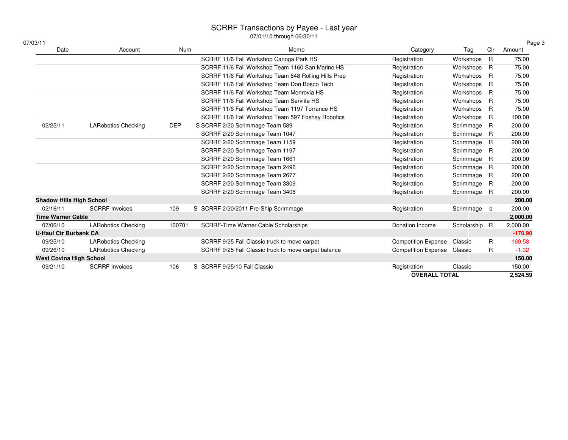07/01/10 through 06/30/11

| 07/03/11                        |                            |            | UTTU IT ID UITUUUTTUUVUTTI                           |                             |               |     | Page 3    |
|---------------------------------|----------------------------|------------|------------------------------------------------------|-----------------------------|---------------|-----|-----------|
| Date                            | Account                    | <b>Num</b> | Memo                                                 | Category                    | Tag           | Clr | Amount    |
|                                 |                            |            | SCRRF 11/6 Fall Workshop Canoga Park HS              | Registration                | Workshops     | R   | 75.00     |
|                                 |                            |            | SCRRF 11/6 Fall Workshop Team 1160 San Marino HS     | Registration                | Workshops     | R   | 75.00     |
|                                 |                            |            | SCRRF 11/6 Fall Workshop Team 848 Rolling Hills Prep | Registration                | Workshops     | R   | 75.00     |
|                                 |                            |            | SCRRF 11/6 Fall Workshop Team Don Bosco Tech         | Registration                | Workshops     | R   | 75.00     |
|                                 |                            |            | SCRRF 11/6 Fall Workshop Team Monrovia HS            | Registration                | Workshops     | R   | 75.00     |
|                                 |                            |            | SCRRF 11/6 Fall Workshop Team Serviite HS            | Registration                | Workshops     | R   | 75.00     |
|                                 |                            |            | SCRRF 11/6 Fall Workshop Team 1197 Torrance HS       | Registration                | Workshops     | R   | 75.00     |
|                                 |                            |            | SCRRF 11/6 Fall Workshop Team 597 Foshay Robotics    | Registration                | Workshops     | R   | 100.00    |
| 02/25/11                        | <b>LARobotics Checking</b> | <b>DEP</b> | S SCRRF 2/20 Scrimmage Team 589                      | Registration                | Scrimmage     | R   | 200.00    |
|                                 |                            |            | SCRRF 2/20 Scrimmage Team 1047                       | Registration                | Scrimmage     | R   | 200.00    |
|                                 |                            |            | SCRRF 2/20 Scrimmage Team 1159                       | Registration                | Scrimmage     | R   | 200.00    |
|                                 |                            |            | SCRRF 2/20 Scrimmage Team 1197                       | Registration                | Scrimmage     | R   | 200.00    |
|                                 |                            |            | SCRRF 2/20 Scrimmage Team 1661                       | Registration                | Scrimmage     | R   | 200.00    |
|                                 |                            |            | SCRRF 2/20 Scrimmage Team 2496                       | Registration                | Scrimmage     | R   | 200.00    |
|                                 |                            |            | SCRRF 2/20 Scrimmage Team 2677                       | Registration                | Scrimmage     | R   | 200.00    |
|                                 |                            |            | SCRRF 2/20 Scrimmage Team 3309                       | Registration                | Scrimmage     | R   | 200.00    |
|                                 |                            |            | SCRRF 2/20 Scrimmage Team 3408                       | Registration                | Scrimmage R   |     | 200.00    |
| <b>Shadow Hills High School</b> |                            |            |                                                      |                             |               |     | 200.00    |
| 02/16/11                        | <b>SCRRF Invoices</b>      | 109        | S SCRRF 2/20/2011 Pre-Ship Scrimmage                 | Registration                | Scrimmage c   |     | 200.00    |
| <b>Time Warner Cable</b>        |                            |            |                                                      |                             |               |     | 2,000.00  |
| 07/06/10                        | <b>LARobotics Checking</b> | 100701     | SCRRF-Time Warner Cable Scholarships                 | Donation Income             | Scholarship R |     | 2,000.00  |
| <b>U-Haul Ctr Burbank CA</b>    |                            |            |                                                      |                             |               |     | $-170.90$ |
| 09/25/10                        | <b>LARobotics Checking</b> |            | SCRRF 9/25 Fall Classic truck to move carpet         | <b>Competition Expense</b>  | Classic       | R.  | $-169.58$ |
| 09/26/10                        | <b>LARobotics Checking</b> |            | SCRRF 9/25 Fall Classic truck to move carpet balance | Competition Expense Classic |               | R   | $-1.32$   |
| <b>West Covina High School</b>  |                            |            |                                                      |                             |               |     | 150.00    |
| 09/21/10                        | <b>SCRRF Invoices</b>      | 106        | S SCRRF 9/25/10 Fall Classic                         | Registration                | Classic       |     | 150.00    |
|                                 |                            |            |                                                      | <b>OVERALL TOTAL</b>        |               |     | 2,524.59  |